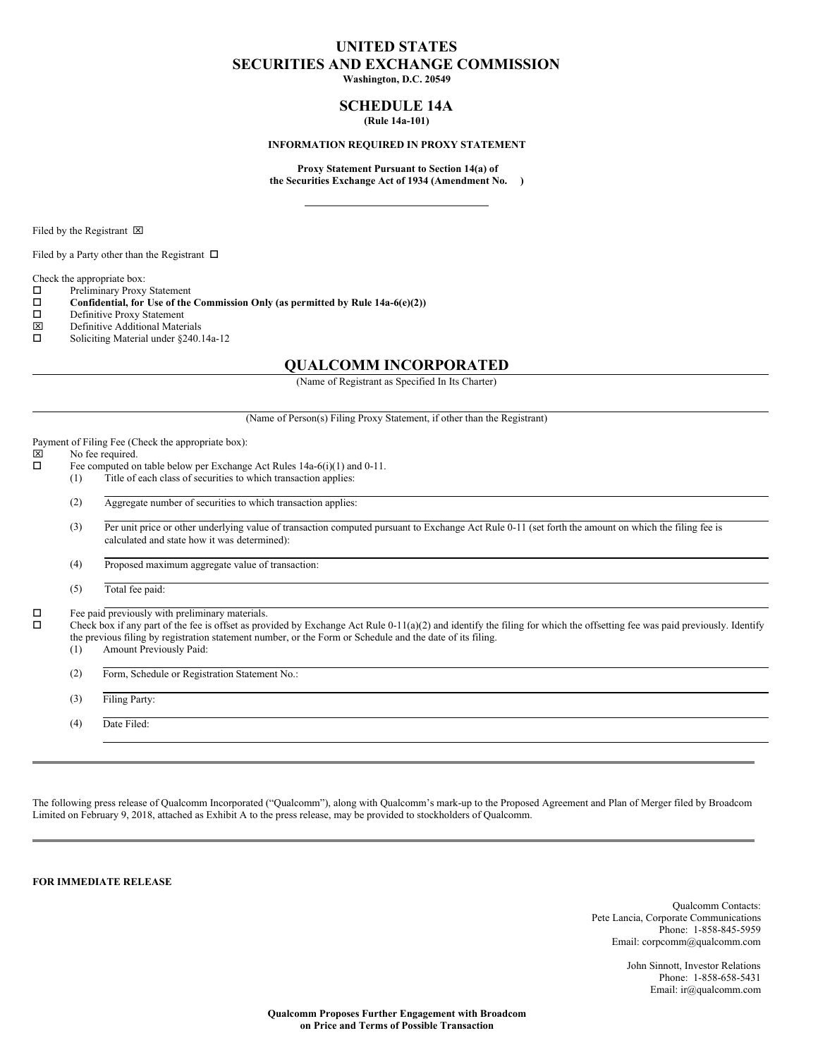# **UNITED STATES SECURITIES AND EXCHANGE COMMISSION**

**Washington, D.C. 20549**

# **SCHEDULE 14A (Rule 14a-101)**

#### **INFORMATION REQUIRED IN PROXY STATEMENT**

**Proxy Statement Pursuant to Section 14(a) of the Securities Exchange Act of 1934 (Amendment No. )**

Filed by the Registrant  $\boxtimes$ 

Filed by a Party other than the Registrant  $\Box$ 

Check the appropriate box:

 $\square$  Preliminary Proxy Statement<br> $\square$  Confidential, for Use of the

**Confidential, for** Use of the Commission Only (as permitted by Rule  $14a-6(e)(2)$ )<br>Definitive Proxy Statement

- $\square$  Definitive Proxy Statement<br> $\square$  Definitive Additional Mater
- $\boxtimes$  Definitive Additional Materials<br>  $\square$  Soliciting Material under \$240
- Soliciting Material under §240.14a-12

# **QUALCOMM INCORPORATED**

(Name of Registrant as Specified In Its Charter)

(Name of Person(s) Filing Proxy Statement, if other than the Registrant)

Payment of Filing Fee (Check the appropriate box):<br> $\boxtimes$  No fee required.

# $\boxtimes$  No fee required.<br> $\Box$  Fee computed on

- Fee computed on table below per Exchange Act Rules 14a-6(i)(1) and 0-11. (1) Title of each class of securities to which transaction applies:
	- (2) Aggregate number of securities to which transaction applies:

(3) Per unit price or other underlying value of transaction computed pursuant to Exchange Act Rule 0-11 (set forth the amount on which the filing fee is calculated and state how it was determined):

(4) Proposed maximum aggregate value of transaction:

(5) Total fee paid:

 $\square$  Fee paid previously with preliminary materials.<br> $\square$  Check box if any part of the fee is offset as prov

o Check box if any part of the fee is offset as provided by Exchange Act Rule 0-11(a)(2) and identify the filing for which the offsetting fee was paid previously. Identify the previous filing by registration statement number, or the Form or Schedule and the date of its filing.

- (1) Amount Previously Paid:
- (2) Form, Schedule or Registration Statement No.:

(3) Filing Party:

(4) Date Filed:

The following press release of Qualcomm Incorporated ("Qualcomm"), along with Qualcomm's mark-up to the Proposed Agreement and Plan of Merger filed by Broadcom Limited on February 9, 2018, attached as Exhibit A to the press release, may be provided to stockholders of Qualcomm.

**FOR IMMEDIATE RELEASE**

Qualcomm Contacts: Pete Lancia, Corporate Communications Phone: 1-858-845-5959 Email: corpcomm@qualcomm.com

> John Sinnott, Investor Relations Phone: 1-858-658-5431 Email: ir@qualcomm.com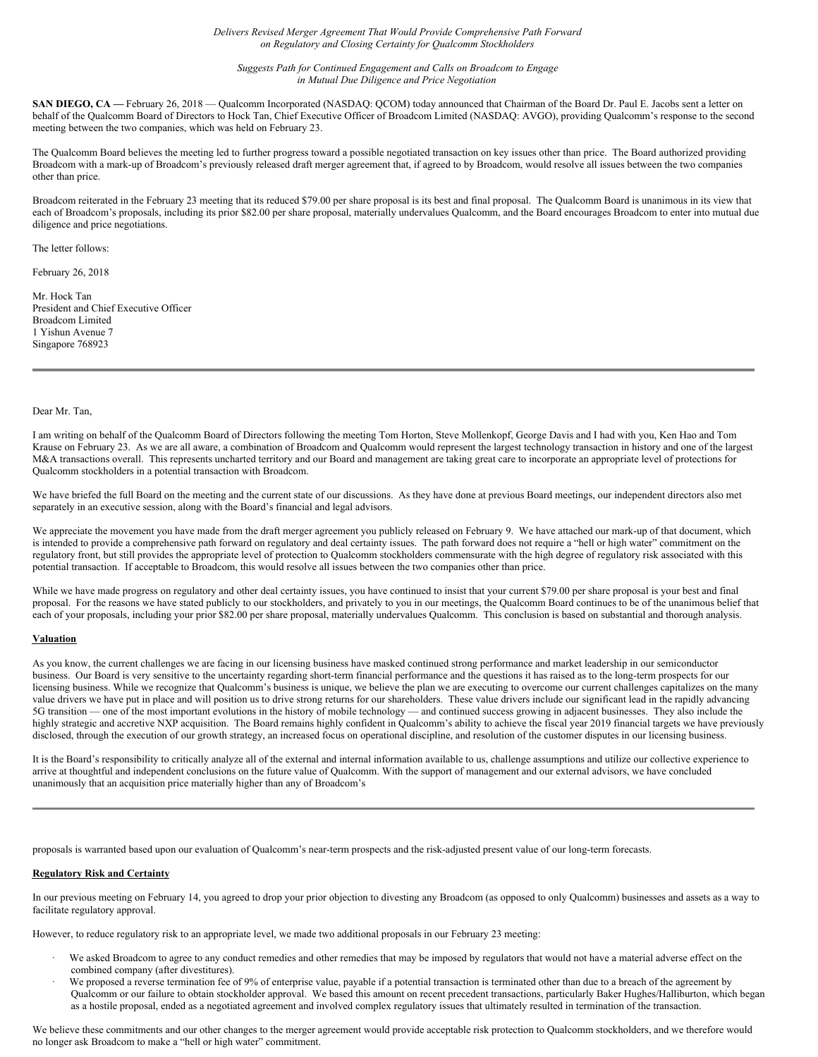*Delivers Revised Merger Agreement That Would Provide Comprehensive Path Forward on Regulatory and Closing Certainty for Qualcomm Stockholders*

*Suggests Path for Continued Engagement and Calls on Broadcom to Engage in Mutual Due Diligence and Price Negotiation*

**SAN DIEGO, CA** — February 26, 2018 — Qualcomm Incorporated (NASDAQ: QCOM) today announced that Chairman of the Board Dr. Paul E. Jacobs sent a letter on behalf of the Qualcomm Board of Directors to Hock Tan, Chief Executive Officer of Broadcom Limited (NASDAQ: AVGO), providing Qualcomm's response to the second meeting between the two companies, which was held on February 23.

The Qualcomm Board believes the meeting led to further progress toward a possible negotiated transaction on key issues other than price. The Board authorized providing Broadcom with a mark-up of Broadcom's previously released draft merger agreement that, if agreed to by Broadcom, would resolve all issues between the two companies other than price.

Broadcom reiterated in the February 23 meeting that its reduced \$79.00 per share proposal is its best and final proposal. The Qualcomm Board is unanimous in its view that each of Broadcom's proposals, including its prior \$82.00 per share proposal, materially undervalues Qualcomm, and the Board encourages Broadcom to enter into mutual due diligence and price negotiations.

The letter follows:

February 26, 2018

Mr. Hock Tan President and Chief Executive Officer Broadcom Limited 1 Yishun Avenue 7 Singapore 768923

#### Dear Mr. Tan,

I am writing on behalf of the Qualcomm Board of Directors following the meeting Tom Horton, Steve Mollenkopf, George Davis and I had with you, Ken Hao and Tom Krause on February 23. As we are all aware, a combination of Broadcom and Qualcomm would represent the largest technology transaction in history and one of the largest M&A transactions overall. This represents uncharted territory and our Board and management are taking great care to incorporate an appropriate level of protections for Qualcomm stockholders in a potential transaction with Broadcom.

We have briefed the full Board on the meeting and the current state of our discussions. As they have done at previous Board meetings, our independent directors also met separately in an executive session, along with the Board's financial and legal advisors.

We appreciate the movement you have made from the draft merger agreement you publicly released on February 9. We have attached our mark-up of that document, which is intended to provide a comprehensive path forward on regulatory and deal certainty issues. The path forward does not require a "hell or high water" commitment on the regulatory front, but still provides the appropriate level of protection to Qualcomm stockholders commensurate with the high degree of regulatory risk associated with this potential transaction. If acceptable to Broadcom, this would resolve all issues between the two companies other than price.

While we have made progress on regulatory and other deal certainty issues, you have continued to insist that your current \$79.00 per share proposal is your best and final proposal. For the reasons we have stated publicly to our stockholders, and privately to you in our meetings, the Qualcomm Board continues to be of the unanimous belief that each of your proposals, including your prior \$82.00 per share proposal, materially undervalues Qualcomm. This conclusion is based on substantial and thorough analysis.

#### **Valuation**

As you know, the current challenges we are facing in our licensing business have masked continued strong performance and market leadership in our semiconductor business. Our Board is very sensitive to the uncertainty regarding short-term financial performance and the questions it has raised as to the long-term prospects for our licensing business. While we recognize that Qualcomm's business is unique, we believe the plan we are executing to overcome our current challenges capitalizes on the many value drivers we have put in place and will position us to drive strong returns for our shareholders. These value drivers include our significant lead in the rapidly advancing 5G transition — one of the most important evolutions in the history of mobile technology — and continued success growing in adjacent businesses. They also include the highly strategic and accretive NXP acquisition. The Board remains highly confident in Qualcomm's ability to achieve the fiscal year 2019 financial targets we have previously disclosed, through the execution of our growth strategy, an increased focus on operational discipline, and resolution of the customer disputes in our licensing business.

It is the Board's responsibility to critically analyze all of the external and internal information available to us, challenge assumptions and utilize our collective experience to arrive at thoughtful and independent conclusions on the future value of Qualcomm. With the support of management and our external advisors, we have concluded unanimously that an acquisition price materially higher than any of Broadcom's

proposals is warranted based upon our evaluation of Qualcomm's near-term prospects and the risk-adjusted present value of our long-term forecasts.

#### **Regulatory Risk and Certainty**

In our previous meeting on February 14, you agreed to drop your prior objection to divesting any Broadcom (as opposed to only Qualcomm) businesses and assets as a way to facilitate regulatory approval.

However, to reduce regulatory risk to an appropriate level, we made two additional proposals in our February 23 meeting:

- We asked Broadcom to agree to any conduct remedies and other remedies that may be imposed by regulators that would not have a material adverse effect on the combined company (after divestitures).
- We proposed a reverse termination fee of 9% of enterprise value, payable if a potential transaction is terminated other than due to a breach of the agreement by Qualcomm or our failure to obtain stockholder approval. We based this amount on recent precedent transactions, particularly Baker Hughes/Halliburton, which began as a hostile proposal, ended as a negotiated agreement and involved complex regulatory issues that ultimately resulted in termination of the transaction.

We believe these commitments and our other changes to the merger agreement would provide acceptable risk protection to Qualcomm stockholders, and we therefore would no longer ask Broadcom to make a "hell or high water" commitment.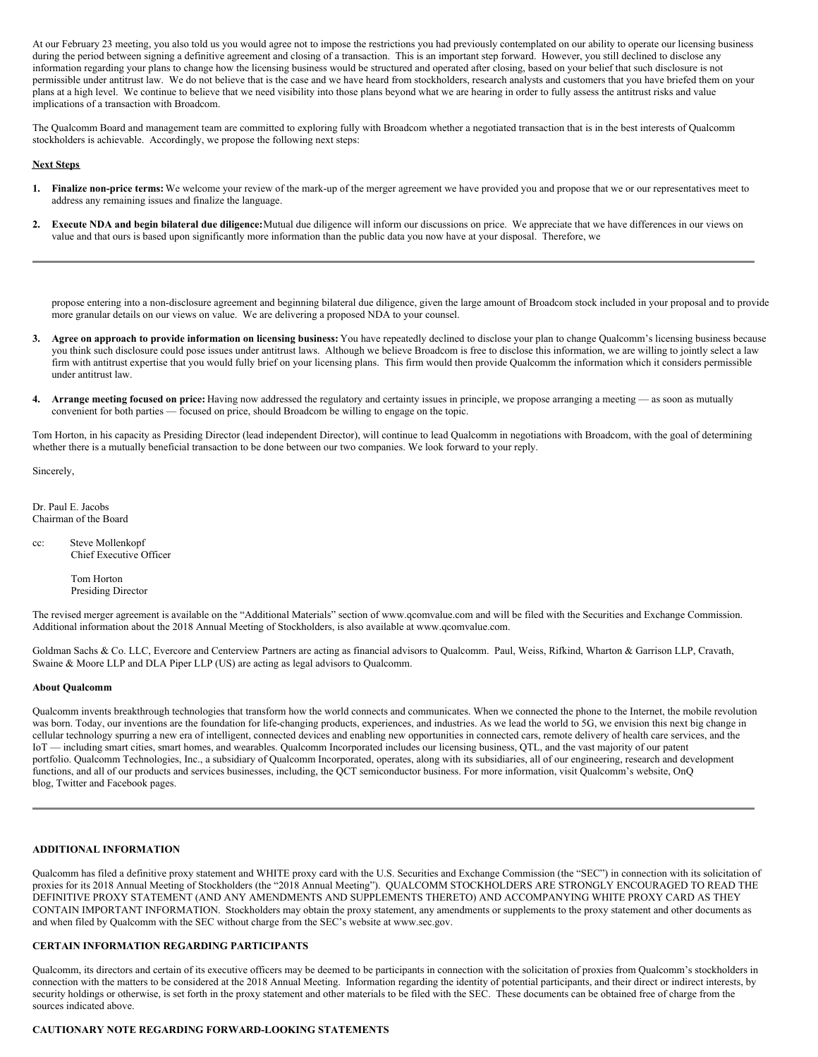At our February 23 meeting, you also told us you would agree not to impose the restrictions you had previously contemplated on our ability to operate our licensing business during the period between signing a definitive agreement and closing of a transaction. This is an important step forward. However, you still declined to disclose any information regarding your plans to change how the licensing business would be structured and operated after closing, based on your belief that such disclosure is not permissible under antitrust law. We do not believe that is the case and we have heard from stockholders, research analysts and customers that you have briefed them on your plans at a high level. We continue to believe that we need visibility into those plans beyond what we are hearing in order to fully assess the antitrust risks and value implications of a transaction with Broadcom.

The Qualcomm Board and management team are committed to exploring fully with Broadcom whether a negotiated transaction that is in the best interests of Qualcomm stockholders is achievable. Accordingly, we propose the following next steps:

#### **Next Steps**

- **1. Finalize non-price terms:** We welcome your review of the mark-up of the merger agreement we have provided you and propose that we or our representatives meet to address any remaining issues and finalize the language.
- **2. Execute NDA and begin bilateral due diligence:**Mutual due diligence will inform our discussions on price. We appreciate that we have differences in our views on value and that ours is based upon significantly more information than the public data you now have at your disposal. Therefore, we

propose entering into a non-disclosure agreement and beginning bilateral due diligence, given the large amount of Broadcom stock included in your proposal and to provide more granular details on our views on value. We are delivering a proposed NDA to your counsel.

- 3. Agree on approach to provide information on licensing business: You have repeatedly declined to disclose your plan to change Qualcomm's licensing business because you think such disclosure could pose issues under antitrust laws. Although we believe Broadcom is free to disclose this information, we are willing to jointly select a law firm with antitrust expertise that you would fully brief on your licensing plans. This firm would then provide Qualcomm the information which it considers permissible under antitrust law.
- **4. Arrange meeting focused on price:** Having now addressed the regulatory and certainty issues in principle, we propose arranging a meeting as soon as mutually convenient for both parties — focused on price, should Broadcom be willing to engage on the topic.

Tom Horton, in his capacity as Presiding Director (lead independent Director), will continue to lead Qualcomm in negotiations with Broadcom, with the goal of determining whether there is a mutually beneficial transaction to be done between our two companies. We look forward to your reply.

Sincerely,

Dr. Paul E. Jacobs Chairman of the Board

cc: Steve Mollenkopf Chief Executive Officer

> Tom Horton Presiding Director

The revised merger agreement is available on the "Additional Materials" section of www.qcomvalue.com and will be filed with the Securities and Exchange Commission. Additional information about the 2018 Annual Meeting of Stockholders, is also available at www.qcomvalue.com.

Goldman Sachs & Co. LLC, Evercore and Centerview Partners are acting as financial advisors to Qualcomm. Paul, Weiss, Rifkind, Wharton & Garrison LLP, Cravath, Swaine & Moore LLP and DLA Piper LLP (US) are acting as legal advisors to Qualcomm.

#### **About Qualcomm**

Qualcomm invents breakthrough technologies that transform how the world connects and communicates. When we connected the phone to the Internet, the mobile revolution was born. Today, our inventions are the foundation for life-changing products, experiences, and industries. As we lead the world to 5G, we envision this next big change in cellular technology spurring a new era of intelligent, connected devices and enabling new opportunities in connected cars, remote delivery of health care services, and the IoT — including smart cities, smart homes, and wearables. Qualcomm Incorporated includes our licensing business, QTL, and the vast majority of our patent portfolio. Qualcomm Technologies, Inc., a subsidiary of Qualcomm Incorporated, operates, along with its subsidiaries, all of our engineering, research and development functions, and all of our products and services businesses, including, the QCT semiconductor business. For more information, visit Qualcomm's website, OnQ blog, Twitter and Facebook pages.

#### **ADDITIONAL INFORMATION**

Qualcomm has filed a definitive proxy statement and WHITE proxy card with the U.S. Securities and Exchange Commission (the "SEC") in connection with its solicitation of proxies for its 2018 Annual Meeting of Stockholders (the "2018 Annual Meeting"). QUALCOMM STOCKHOLDERS ARE STRONGLY ENCOURAGED TO READ THE DEFINITIVE PROXY STATEMENT (AND ANY AMENDMENTS AND SUPPLEMENTS THERETO) AND ACCOMPANYING WHITE PROXY CARD AS THEY CONTAIN IMPORTANT INFORMATION. Stockholders may obtain the proxy statement, any amendments or supplements to the proxy statement and other documents as and when filed by Qualcomm with the SEC without charge from the SEC's website at www.sec.gov.

# **CERTAIN INFORMATION REGARDING PARTICIPANTS**

Qualcomm, its directors and certain of its executive officers may be deemed to be participants in connection with the solicitation of proxies from Qualcomm's stockholders in connection with the matters to be considered at the 2018 Annual Meeting. Information regarding the identity of potential participants, and their direct or indirect interests, by security holdings or otherwise, is set forth in the proxy statement and other materials to be filed with the SEC. These documents can be obtained free of charge from the sources indicated above.

# **CAUTIONARY NOTE REGARDING FORWARD-LOOKING STATEMENTS**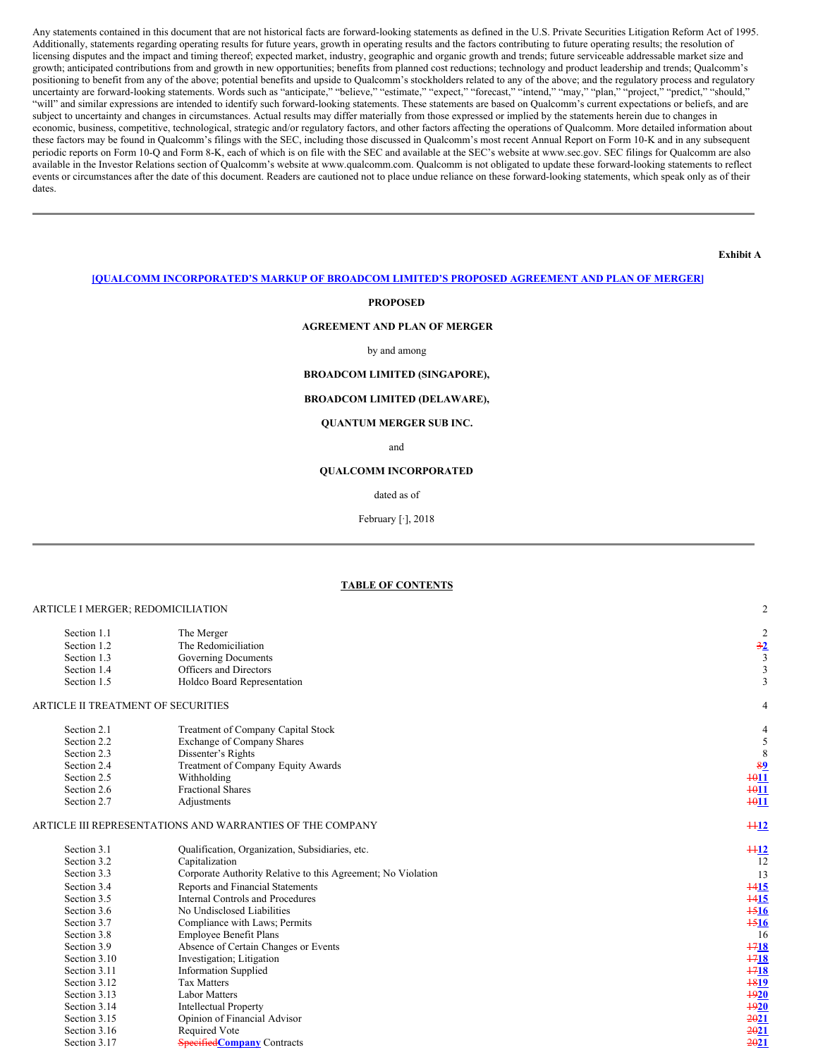Any statements contained in this document that are not historical facts are forward-looking statements as defined in the U.S. Private Securities Litigation Reform Act of 1995. Additionally, statements regarding operating results for future years, growth in operating results and the factors contributing to future operating results; the resolution of licensing disputes and the impact and timing thereof; expected market, industry, geographic and organic growth and trends; future serviceable addressable market size and growth; anticipated contributions from and growth in new opportunities; benefits from planned cost reductions; technology and product leadership and trends; Qualcomm's positioning to benefit from any of the above; potential benefits and upside to Qualcomm's stockholders related to any of the above; and the regulatory process and regulatory uncertainty are forward-looking statements. Words such as "anticipate," "believe," "estimate," "expect," "forecast," "intend," "may," "plan," "project," "predict," "should," "will" and similar expressions are intended to identify such forward-looking statements. These statements are based on Qualcomm's current expectations or beliefs, and are subject to uncertainty and changes in circumstances. Actual results may differ materially from those expressed or implied by the statements herein due to changes in economic, business, competitive, technological, strategic and/or regulatory factors, and other factors affecting the operations of Qualcomm. More detailed information about these factors may be found in Qualcomm's filings with the SEC, including those discussed in Qualcomm's most recent Annual Report on Form 10-K and in any subsequent periodic reports on Form 10-Q and Form 8-K, each of which is on file with the SEC and available at the SEC's website at www.sec.gov. SEC filings for Qualcomm are also available in the Investor Relations section of Qualcomm's website at www.qualcomm.com. Qualcomm is not obligated to update these forward-looking statements to reflect events or circumstances after the date of this document. Readers are cautioned not to place undue reliance on these forward-looking statements, which speak only as of their dates.

**Exhibit A**

# **[QUALCOMM INCORPORATED'S MARKUP OF BROADCOM LIMITED'S PROPOSED AGREEMENT AND PLAN OF MERGER]**

#### **PROPOSED**

#### **AGREEMENT AND PLAN OF MERGER**

#### by and among

# **BROADCOM LIMITED (SINGAPORE),**

# **BROADCOM LIMITED (DELAWARE),**

#### **QUANTUM MERGER SUB INC.**

and

#### **QUALCOMM INCORPORATED**

#### dated as of

February [·], 2018

#### **TABLE OF CONTENTS**

#### ARTICLE I MERGER; REDOMICILIATION 2

| Section 1.1                                                                                | The Merger                                                | $\overline{2}$          |  |  |  |
|--------------------------------------------------------------------------------------------|-----------------------------------------------------------|-------------------------|--|--|--|
| Section 1.2                                                                                | The Redomiciliation                                       | $\frac{32}{5}$          |  |  |  |
| Section 1.3                                                                                | Governing Documents                                       | $\overline{\mathbf{3}}$ |  |  |  |
| Section 1.4                                                                                | Officers and Directors                                    | 3                       |  |  |  |
| Section 1.5                                                                                | Holdco Board Representation                               |                         |  |  |  |
| ARTICLE II TREATMENT OF SECURITIES                                                         |                                                           | 4                       |  |  |  |
| Section 2.1                                                                                | Treatment of Company Capital Stock                        | 4                       |  |  |  |
| Section 2.2                                                                                | <b>Exchange of Company Shares</b>                         | 5                       |  |  |  |
| Section 2.3                                                                                | 8                                                         |                         |  |  |  |
| Section 2.4                                                                                | Dissenter's Rights<br>Treatment of Company Equity Awards  |                         |  |  |  |
| Section 2.5                                                                                | Withholding                                               | $+011$                  |  |  |  |
| Section 2.6                                                                                | <b>Fractional Shares</b>                                  | $+011$                  |  |  |  |
| Section 2.7                                                                                | Adjustments                                               | $\frac{4011}{20}$       |  |  |  |
|                                                                                            | ARTICLE III REPRESENTATIONS AND WARRANTIES OF THE COMPANY | $+12$                   |  |  |  |
| Section 3.1                                                                                | Qualification, Organization, Subsidiaries, etc.           | $+12$                   |  |  |  |
| Section 3.2                                                                                | 12                                                        |                         |  |  |  |
| Section 3.3                                                                                | 13                                                        |                         |  |  |  |
| Section 3.4                                                                                | $+415$                                                    |                         |  |  |  |
| Reports and Financial Statements<br><b>Internal Controls and Procedures</b><br>Section 3.5 |                                                           |                         |  |  |  |
| Section 3.6                                                                                | No Undisclosed Liabilities                                | $\frac{1516}{2}$        |  |  |  |
| Section 3.7                                                                                | Compliance with Laws; Permits                             | $+516$                  |  |  |  |
| Section 3.8                                                                                | Employee Benefit Plans                                    | 16                      |  |  |  |
| Section 3.9                                                                                | Absence of Certain Changes or Events                      | $+718$                  |  |  |  |

Section 3.9 **Absence of Certain Changes or Events** 1718 17218<br>Section 3.10 **Absence of Certain Changes or Events** Section 3.10 Investigation; Litigation 1718<br>Section 3.11 Information Supplied 1718 Section 3.11 Information Supplied **1718**<br>Section 3.12 Tax Matters Section 3.12 Tax Matters 18**19** Tax **1819** Tax **1819** Tax **1819** Tax **1819** Tax **1819** Tax Section 3.13 Labor Matters Section 3.14 Intellectual Property **1920**<br>Section 3.15 Opinion of Financial Advisor

Section 3.16 Required Vote 2021 Section 3.17 **Specified Company** Contracts 20021

**Opinion of Financial Advisor Required Vote**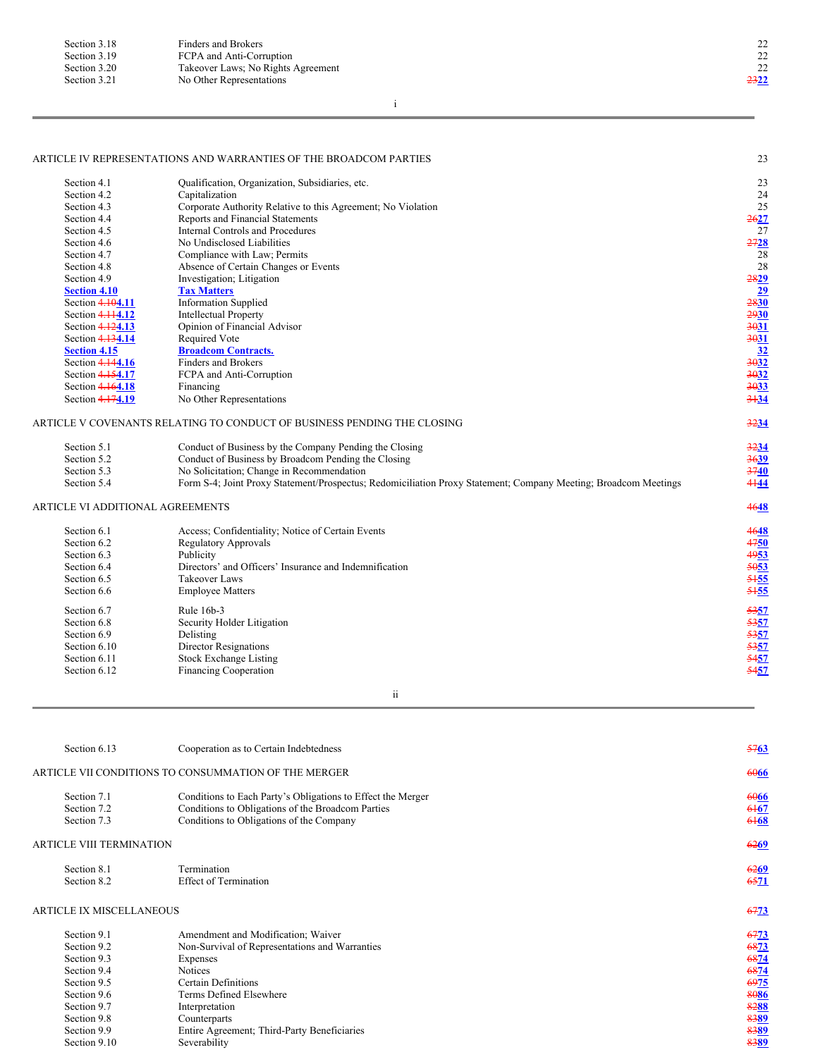| Section 3.18 | Finders and Brokers                |                  |
|--------------|------------------------------------|------------------|
| Section 3.19 | FCPA and Anti-Corruption           | 22               |
| Section 3.20 | Takeover Laws; No Rights Agreement | 22               |
| Section 3.21 | No Other Representations           | <del>23</del> 22 |

i

# ARTICLE IV REPRESENTATIONS AND WARRANTIES OF THE BROADCOM PARTIES 23

| Section 4.1                      | Qualification, Organization, Subsidiaries, etc.                                                                 | 23                                         |
|----------------------------------|-----------------------------------------------------------------------------------------------------------------|--------------------------------------------|
| Section 4.2                      | Capitalization                                                                                                  | 24                                         |
| Section 4.3                      | Corporate Authority Relative to this Agreement; No Violation                                                    | 25                                         |
| Section 4.4                      | Reports and Financial Statements                                                                                | 2627                                       |
| Section 4.5                      | <b>Internal Controls and Procedures</b>                                                                         | 27                                         |
| Section 4.6                      | No Undisclosed Liabilities                                                                                      | 2728                                       |
| Section 4.7                      | Compliance with Law; Permits                                                                                    | 28                                         |
| Section 4.8                      | Absence of Certain Changes or Events                                                                            | 28                                         |
| Section 4.9                      | Investigation; Litigation                                                                                       | 2829                                       |
| <b>Section 4.10</b>              | <b>Tax Matters</b>                                                                                              | 29                                         |
| Section 4.104.11                 | <b>Information Supplied</b>                                                                                     | 2830                                       |
| Section 4.114.12                 | <b>Intellectual Property</b>                                                                                    | 2930                                       |
| Section 4.124.13                 | Opinion of Financial Advisor                                                                                    | 3031                                       |
| Section 4.134.14                 | Required Vote                                                                                                   | 3031                                       |
| <b>Section 4.15</b>              | <b>Broadcom Contracts.</b>                                                                                      | 32                                         |
| Section 4.144.16                 | <b>Finders and Brokers</b>                                                                                      | 3032                                       |
| Section 4.154.17                 | FCPA and Anti-Corruption                                                                                        | 3032                                       |
| Section 4.164.18                 | Financing                                                                                                       | 3033                                       |
| Section 4.174.19                 | No Other Representations                                                                                        | $3 + 34$                                   |
|                                  | ARTICLE V COVENANTS RELATING TO CONDUCT OF BUSINESS PENDING THE CLOSING                                         | 3234                                       |
| Section 5.1                      | Conduct of Business by the Company Pending the Closing                                                          | 3234                                       |
| Section 5.2                      | Conduct of Business by Broadcom Pending the Closing                                                             | 3639                                       |
| Section 5.3                      | No Solicitation; Change in Recommendation                                                                       | 3740                                       |
| Section 5.4                      | Form S-4; Joint Proxy Statement/Prospectus; Redomiciliation Proxy Statement; Company Meeting; Broadcom Meetings | 4144                                       |
| ARTICLE VI ADDITIONAL AGREEMENTS |                                                                                                                 | 4648                                       |
| Section 6.1                      | Access; Confidentiality; Notice of Certain Events                                                               | 4648                                       |
| Section 6.2                      | <b>Regulatory Approvals</b>                                                                                     | 4750                                       |
| Section 6.3                      | Publicity                                                                                                       | 4953                                       |
| Section 6.4                      | Directors' and Officers' Insurance and Indemnification                                                          | 5053                                       |
| Section 6.5                      | <b>Takeover Laws</b>                                                                                            | 5155                                       |
| Section 6.6                      | <b>Employee Matters</b>                                                                                         | 5155                                       |
|                                  | Rule 16b-3                                                                                                      |                                            |
| Section 6.7                      |                                                                                                                 | 5357                                       |
| Section 6.8                      | Security Holder Litigation                                                                                      | 5357                                       |
| Section 6.9                      | Delisting                                                                                                       |                                            |
| Section 6.10                     | <b>Director Resignations</b>                                                                                    | $\frac{5357}{5357}$<br>$\frac{5357}{5457}$ |
| Section 6.11                     | <b>Stock Exchange Listing</b>                                                                                   |                                            |
| Section 6.12                     | <b>Financing Cooperation</b>                                                                                    |                                            |

ii

| Section 6.13                    | Cooperation as to Certain Indebtedness                      |             |  |  |  |
|---------------------------------|-------------------------------------------------------------|-------------|--|--|--|
|                                 | ARTICLE VII CONDITIONS TO CONSUMMATION OF THE MERGER        | 6066        |  |  |  |
| Section 7.1                     | Conditions to Each Party's Obligations to Effect the Merger |             |  |  |  |
| Section 7.2                     | Conditions to Obligations of the Broadcom Parties           |             |  |  |  |
| Section 7.3                     | Conditions to Obligations of the Company                    |             |  |  |  |
| <b>ARTICLE VIII TERMINATION</b> |                                                             | <b>6269</b> |  |  |  |
| Section 8.1                     | Termination                                                 | 6269        |  |  |  |
| Section 8.2                     | <b>Effect of Termination</b>                                | 6571        |  |  |  |
| ARTICLE IX MISCELLANEOUS        |                                                             | 6773        |  |  |  |
| Section 9.1                     | Amendment and Modification; Waiver                          | 6773        |  |  |  |
| Section 9.2                     | Non-Survival of Representations and Warranties              | 6873        |  |  |  |
| Section 9.3                     | Expenses                                                    | 6874        |  |  |  |
| Section 9.4                     | <b>Notices</b>                                              | 6874        |  |  |  |
| Section 9.5                     | Certain Definitions                                         | 6975        |  |  |  |
| Section 9.6                     | Terms Defined Elsewhere                                     | 8086        |  |  |  |
| Section 9.7                     | Interpretation                                              | 8288        |  |  |  |
| Section 9.8                     | Counterparts                                                | 8389        |  |  |  |
| Section 9.9                     | Entire Agreement; Third-Party Beneficiaries                 | 8389        |  |  |  |
| Section 9.10                    | Severability                                                | 8389        |  |  |  |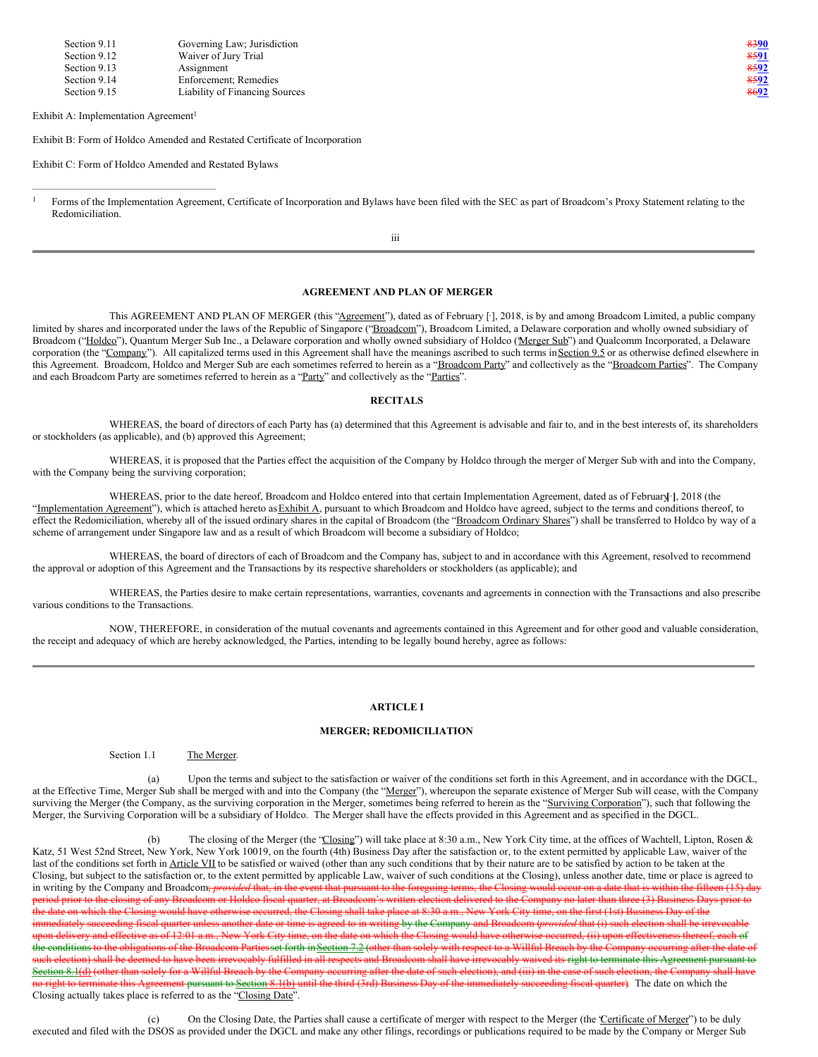| Section 9.11 | Governing Law; Jurisdiction    | 8390         |
|--------------|--------------------------------|--------------|
| Section 9.12 | Waiver of Jury Trial           | <u> 8591</u> |
| Section 9.13 | Assignment                     | 8592         |
| Section 9.14 | Enforcement: Remedies          | 8592         |
| Section 9.15 | Liability of Financing Sources | 8692         |

Exhibit A: Implementation Agreement 1

Exhibit B: Form of Holdco Amended and Restated Certificate of Incorporation

Exhibit C: Form of Holdco Amended and Restated Bylaws

#### **AGREEMENT AND PLAN OF MERGER**

This AGREEMENT AND PLAN OF MERGER (this "Agreement"), dated as of February [-], 2018, is by and among Broadcom Limited, a public company limited by shares and incorporated under the laws of the Republic of Singapore ("Broadcom"), Broadcom Limited, a Delaware corporation and wholly owned subsidiary of Broadcom ("Holdco"), Quantum Merger Sub Inc., a Delaware corporation and wholly owned subsidiary of Holdco (Merger Sub") and Qualcomm Incorporated, a Delaware corporation (the "Company"). All capitalized terms used in this Agreement shall have the meanings ascribed to such terms in Section 9.5 or as otherwise defined elsewhere in this Agreement. Broadcom, Holdco and Merger Sub are each sometimes referred to herein as a "Broadcom Party" and collectively as the "Broadcom Parties". The Company and each Broadcom Party are sometimes referred to herein as a "Party" and collectively as the "Parties".

#### **RECITALS**

WHEREAS, the board of directors of each Party has (a) determined that this Agreement is advisable and fair to, and in the best interests of, its shareholders or stockholders (as applicable), and (b) approved this Agreement;

WHEREAS, it is proposed that the Parties effect the acquisition of the Company by Holdco through the merger of Merger Sub with and into the Company, with the Company being the surviving corporation;

WHEREAS, prior to the date hereof, Broadcom and Holdco entered into that certain Implementation Agreement, dated as of February**[**·**]**, 2018 (the "Implementation Agreement"), which is attached hereto as Exhibit A, pursuant to which Broadcom and Holdco have agreed, subject to the terms and conditions thereof, to effect the Redomiciliation, whereby all of the issued ordinary shares in the capital of Broadcom (the "Broadcom Ordinary Shares") shall be transferred to Holdco by way of a scheme of arrangement under Singapore law and as a result of which Broadcom will become a subsidiary of Holdco;

WHEREAS, the board of directors of each of Broadcom and the Company has, subject to and in accordance with this Agreement, resolved to recommend the approval or adoption of this Agreement and the Transactions by its respective shareholders or stockholders (as applicable); and

WHEREAS, the Parties desire to make certain representations, warranties, covenants and agreements in connection with the Transactions and also prescribe various conditions to the Transactions.

NOW, THEREFORE, in consideration of the mutual covenants and agreements contained in this Agreement and for other good and valuable consideration, the receipt and adequacy of which are hereby acknowledged, the Parties, intending to be legally bound hereby, agree as follows:

#### **ARTICLE I**

#### **MERGER; REDOMICILIATION**

Section 1.1 The Merger.

(a) Upon the terms and subject to the satisfaction or waiver of the conditions set forth in this Agreement, and in accordance with the DGCL, at the Effective Time, Merger Sub shall be merged with and into the Company (the "Merger"), whereupon the separate existence of Merger Sub will cease, with the Company surviving the Merger (the Company, as the surviving corporation in the Merger, sometimes being referred to herein as the "Surviving Corporation"), such that following the Merger, the Surviving Corporation will be a subsidiary of Holdco. The Merger shall have the effects provided in this Agreement and as specified in the DGCL.

(b) The closing of the Merger (the "Closing") will take place at 8:30 a.m., New York City time, at the offices of Wachtell, Lipton, Rosen & Katz, 51 West 52nd Street, New York, New York 10019, on the fourth (4th) Business Day after the satisfaction or, to the extent permitted by applicable Law, waiver of the last of the conditions set forth in Article VII to be satisfied or waived (other than any such conditions that by their nature are to be satisfied by action to be taken at the Closing, but subject to the satisfaction or, to the extent permitted by applicable Law, waiver of such conditions at the Closing), unless another date, time or place is agreed to in writing by the Company and Broadcom; *provided* that, in the event that pursuant to the foregoing terms, the Closing would occur on a date that is within the fifteen (15) day period prior to the closing of any Broadcom or Holdco fiscal quarter, at Broadcom's written election delivered to the Company no later than three (3) Business Days prior to date on which the Closing would have otherwise occurred, the Closing shall take place at 8:30 a.m., New York City time, on the first (1st) Business Day of the immediately succeeding fiscal quarter unless another date or time is agreed to in writing by the Company and Broadcom (*provided* that (i) such election shall be irrevocable upon delivery and effective as of 12:01 a.m., New York City time, on the date on which the Closing would have otherwise occurred, (ii) upon effectiveness thereof, each of the conditions to the obligations of the Broadcom Partiesset forth in Section 7.2 (other than solely with respect to a Willful Breach by the Company occurring after the date of such election) shall be deemed to have been irrevocably fulfilled in all respects and Broadcom shall have irrevocably waived its right to terminate this Agreement pursuant to<br>Section 8.1(4) (other than colely for a Willful Section 8.1(d) (other than solely for a Willful Breach by the Company occurring after the date of such election), and (iii) in the case of such election, the Company right to terminate this Agreement pursuant to Section 8.1(b) until the third (3rd) Business Day of the immediately succeeding fiscal quarter). The date on which the Closing actually takes place is referred to as the "Closing Date".

(c) On the Closing Date, the Parties shall cause a certificate of merger with respect to the Merger (the "Certificate of Merger") to be duly executed and filed with the DSOS as provided under the DGCL and make any other filings, recordings or publications required to be made by the Company or Merger Sub

Forms of the Implementation Agreement, Certificate of Incorporation and Bylaws have been filed with the SEC as part of Broadcom's Proxy Statement relating to the Redomiciliation. 1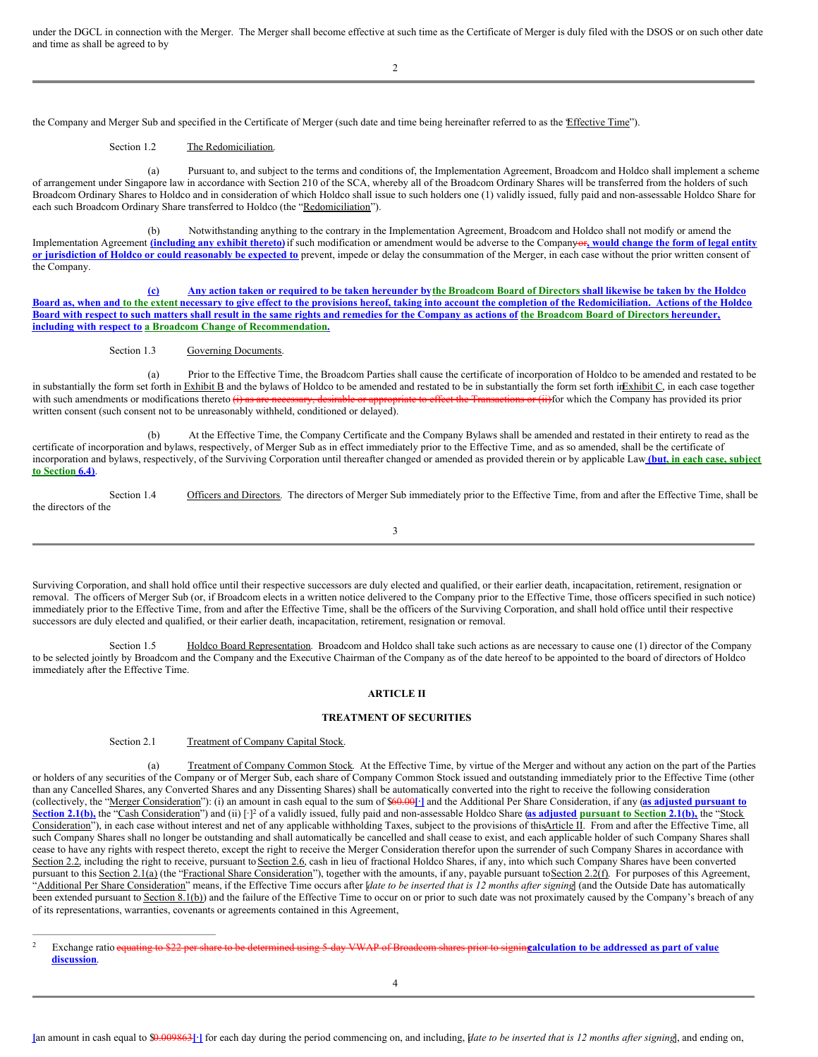under the DGCL in connection with the Merger. The Merger shall become effective at such time as the Certificate of Merger is duly filed with the DSOS or on such other date and time as shall be agreed to by

the Company and Merger Sub and specified in the Certificate of Merger (such date and time being hereinafter referred to as the Effective Time").

# Section 1.2 The Redomiciliation.

(a) Pursuant to, and subject to the terms and conditions of, the Implementation Agreement, Broadcom and Holdco shall implement a scheme of arrangement under Singapore law in accordance with Section 210 of the SCA, whereby all of the Broadcom Ordinary Shares will be transferred from the holders of such Broadcom Ordinary Shares to Holdco and in consideration of which Holdco shall issue to such holders one (1) validly issued, fully paid and non-assessable Holdco Share for each such Broadcom Ordinary Share transferred to Holdco (the "Redomiciliation").

(b) Notwithstanding anything to the contrary in the Implementation Agreement, Broadcom and Holdco shall not modify or amend the Implementation Agreement (including any exhibit thereto) if such modification or amendment would be adverse to the Companyor, would change the form of legal entity or jurisdiction of Holdco or could reasonably be expected to prevent, impede or delay the consummation of the Merger, in each case without the prior written consent of the Company.

(c) Any action taken or required to be taken hereunder by the Broadcom Board of Directors shall likewise be taken by the Holdco Board as, when and to the extent necessary to give effect to the provisions hereof, taking into account the completion of the Redomiciliation. Actions of the Holdco Board with respect to such matters shall result in the same rights and remedies for the Company as actions of the Broadcom Board of Directors hereunder, **including with respect to a Broadcom Change of Recommendation.**

Section 1.3 Governing Documents

(a) Prior to the Effective Time, the Broadcom Parties shall cause the certificate of incorporation of Holdco to be amended and restated to be in substantially the form set forth in Exhibit B and the bylaws of Holdco to be amended and restated to be in substantially the form set forth inExhibit C, in each case together with such amendments or modifications thereto (i) as are necessary, desirable or appropriate to effect the Transactions or (ii)for which the Company has provided its prior written consent (such consent not to be unreasonably withheld, conditioned or delayed).

(b) At the Effective Time, the Company Certificate and the Company Bylaws shall be amended and restated in their entirety to read as the certificate of incorporation and bylaws, respectively, of Merger Sub as in effect immediately prior to the Effective Time, and as so amended, shall be the certificate of incorporation and bylaws, respectively, of the Surviving Corporation until thereafter changed or amended as provided therein or by applicable Law **(but, in each case, subject to Section 6.4)**.

Section 1.4 Officers and Directors. The directors of Merger Sub immediately prior to the Effective Time, from and after the Effective Time, shall be the directors of the

3

Surviving Corporation, and shall hold office until their respective successors are duly elected and qualified, or their earlier death, incapacitation, retirement, resignation or removal. The officers of Merger Sub (or, if Broadcom elects in a written notice delivered to the Company prior to the Effective Time, those officers specified in such notice) immediately prior to the Effective Time, from and after the Effective Time, shall be the officers of the Surviving Corporation, and shall hold office until their respective successors are duly elected and qualified, or their earlier death, incapacitation, retirement, resignation or removal.

Section 1.5 Holdco Board Representation. Broadcom and Holdco shall take such actions as are necessary to cause one (1) director of the Company to be selected jointly by Broadcom and the Company and the Executive Chairman of the Company as of the date hereof to be appointed to the board of directors of Holdco immediately after the Effective Time.

#### **ARTICLE II**

#### **TREATMENT OF SECURITIES**

Section 2.1 Treatment of Company Capital Stock.

(a) Treatment of Company Common Stock. At the Effective Time, by virtue of the Merger and without any action on the part of the Parties or holders of any securities of the Company or of Merger Sub, each share of Company Common Stock issued and outstanding immediately prior to the Effective Time (other than any Cancelled Shares, any Converted Shares and any Dissenting Shares) shall be automatically converted into the right to receive the following consideration (collectively, the "Merger Consideration"): (i) an amount in cash equal to the sum of \$60.00**[·]** and the Additional Per Share Consideration, if any (**as adjusted pursuant to** Section 2.1(b), the "Cash Consideration") and (ii) [-1<sup>2</sup> of a validly issued, fully paid and non-assessable Holdco Share (as adjusted pursuant to Section 2.1(b), the "Stock Consideration"), in each case without interest and net of any applicable withholding Taxes, subject to the provisions of thisArticle II. From and after the Effective Time, all such Company Shares shall no longer be outstanding and shall automatically be cancelled and shall cease to exist, and each applicable holder of such Company Shares shall cease to have any rights with respect thereto, except the right to receive the Merger Consideration therefor upon the surrender of such Company Shares in accordance with Section 2.2, including the right to receive, pursuant to Section 2.6, cash in lieu of fractional Holdco Shares, if any, into which such Company Shares have been converted pursuant to this Section 2.1(a) (the "Fractional Share Consideration"), together with the amounts, if any, payable pursuant to Section 2.2(f). For purposes of this Agreement, Additional Per Share Consideration" means, if the Effective Time occurs after *date to be inserted that is 12 months after signing* (and the Outside Date has automatically been extended pursuant to Section 8.1(b)) and the failure of the Effective Time to occur on or prior to such date was not proximately caused by the Company's breach of any of its representations, warranties, covenants or agreements contained in this Agreement,

Exchange ratio equating to \$22 per share to be determined using 5-day VWAP of Broadcom shares prior to signingalculation to be addressed as part of value **discussion**.  $\overline{2}$ 

4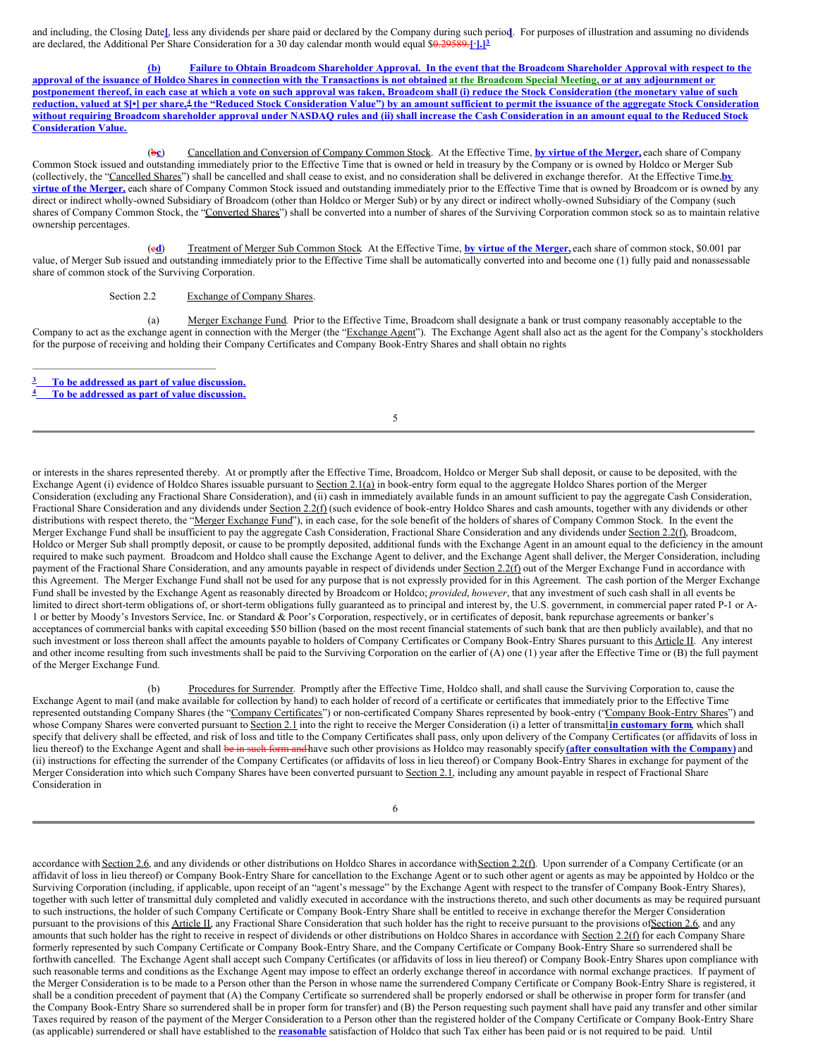and including, the Closing Date**[**, less any dividends per share paid or declared by the Company during such period**]**. For purposes of illustration and assuming no dividends are declared, the Additional Per Share Consideration for a 30 day calendar month would equal \$0.29589.**[·].] 3**

(b) Failure to Obtain Broadcom Shareholder Approval. In the event that the Broadcom Shareholder Approval with respect to the approval of the issuance of Holdco Shares in connection with the Transactions is not obtained at the Broadcom Special Meeting, or at any adjournment or postponement thereof, in each case at which a vote on such approval was taken, Broadcom shall (i) reduce the Stock Consideration (the monetary value of such reduction, valued at S[•] per share,<sup>4</sup> the "Reduced Stock Consideration Value") by an amount sufficient to permit the issuance of the aggregate Stock Consideration without requiring Broadcom shareholder approval under NASDAQ rules and (ii) shall increase the Cash Consideration in an amount equal to the Reduced Stock **Consideration Value.**

(b**c**) Cancellation and Conversion of Company Common Stock. At the Effective Time, **by virtue of the Merger,** each share of Company Common Stock issued and outstanding immediately prior to the Effective Time that is owned or held in treasury by the Company or is owned by Holdco or Merger Sub (collectively, the "Cancelled Shares") shall be cancelled and shall cease to exist, and no consideration shall be delivered in exchange therefor. At the Effective Time,**by virtue of the Merger,** each share of Company Common Stock issued and outstanding immediately prior to the Effective Time that is owned by Broadcom or is owned by any direct or indirect wholly-owned Subsidiary of Broadcom (other than Holdco or Merger Sub) or by any direct or indirect wholly-owned Subsidiary of the Company (such shares of Company Common Stock, the "Converted Shares") shall be converted into a number of shares of the Surviving Corporation common stock so as to maintain relative ownership percentages.

(c**d**) Treatment of Merger Sub Common Stock. At the Effective Time, **by virtue of the Merger,** each share of common stock, \$0.001 par value, of Merger Sub issued and outstanding immediately prior to the Effective Time shall be automatically converted into and become one (1) fully paid and nonassessable share of common stock of the Surviving Corporation.

#### Section 2.2 Exchange of Company Shares.

(a) Merger Exchange Fund. Prior to the Effective Time, Broadcom shall designate a bank or trust company reasonably acceptable to the Company to act as the exchange agent in connection with the Merger (the "Exchange Agent"). The Exchange Agent shall also act as the agent for the Company's stockholders for the purpose of receiving and holding their Company Certificates and Company Book-Entry Shares and shall obtain no rights

**To be addressed as part of value discussion. 3**

5

or interests in the shares represented thereby. At or promptly after the Effective Time, Broadcom, Holdco or Merger Sub shall deposit, or cause to be deposited, with the Exchange Agent (i) evidence of Holdco Shares issuable pursuant to Section 2.1(a) in book-entry form equal to the aggregate Holdco Shares portion of the Merger Consideration (excluding any Fractional Share Consideration), and (ii) cash in immediately available funds in an amount sufficient to pay the aggregate Cash Consideration, Fractional Share Consideration and any dividends under Section 2.2(f) (such evidence of book-entry Holdco Shares and cash amounts, together with any dividends or other distributions with respect thereto, the "Merger Exchange Fund"), in each case, for the sole benefit of the holders of shares of Company Common Stock. In the event the Merger Exchange Fund shall be insufficient to pay the aggregate Cash Consideration, Fractional Share Consideration and any dividends under Section 2.2(f), Broadcom, Holdco or Merger Sub shall promptly deposit, or cause to be promptly deposited, additional funds with the Exchange Agent in an amount equal to the deficiency in the amount required to make such payment. Broadcom and Holdco shall cause the Exchange Agent to deliver, and the Exchange Agent shall deliver, the Merger Consideration, including payment of the Fractional Share Consideration, and any amounts payable in respect of dividends under Section 2.2(f) out of the Merger Exchange Fund in accordance with this Agreement. The Merger Exchange Fund shall not be used for any purpose that is not expressly provided for in this Agreement. The cash portion of the Merger Exchange Fund shall be invested by the Exchange Agent as reasonably directed by Broadcom or Holdco; *provided*, *however*, that any investment of such cash shall in all events be limited to direct short-term obligations of, or short-term obligations fully guaranteed as to principal and interest by, the U.S. government, in commercial paper rated P-1 or A-1 or better by Moody's Investors Service, Inc. or Standard & Poor's Corporation, respectively, or in certificates of deposit, bank repurchase agreements or banker's acceptances of commercial banks with capital exceeding \$50 billion (based on the most recent financial statements of such bank that are then publicly available), and that no such investment or loss thereon shall affect the amounts payable to holders of Company Certificates or Company Book-Entry Shares pursuant to this Article II. Any interest and other income resulting from such investments shall be paid to the Surviving Corporation on the earlier of (A) one (1) year after the Effective Time or (B) the full payment of the Merger Exchange Fund.

(b) Procedures for Surrender. Promptly after the Effective Time, Holdco shall, and shall cause the Surviving Corporation to, cause the Exchange Agent to mail (and make available for collection by hand) to each holder of record of a certificate or certificates that immediately prior to the Effective Time represented outstanding Company Shares (the "Company Certificates") or non-certificated Company Shares represented by book-entry ("Company Book-Entry Shares") and whose Company Shares were converted pursuant to Section 2.1 into the right to receive the Merger Consideration (i) a letter of transmittal**in customary form**, which shall specify that delivery shall be effected, and risk of loss and title to the Company Certificates shall pass, only upon delivery of the Company Certificates (or affidavits of loss in lieu thereof) to the Exchange Agent and shall be in such form and have such other provisions as Holdco may reasonably specify **(after consultation with the Company)** and (ii) instructions for effecting the surrender of the Company Certificates (or affidavits of loss in lieu thereof) or Company Book-Entry Shares in exchange for payment of the Merger Consideration into which such Company Shares have been converted pursuant to Section 2.1, including any amount payable in respect of Fractional Share Consideration in

accordance with Section 2.6, and any dividends or other distributions on Holdco Shares in accordance with Section 2.2(f). Upon surrender of a Company Certificate (or an affidavit of loss in lieu thereof) or Company Book-Entry Share for cancellation to the Exchange Agent or to such other agent or agents as may be appointed by Holdco or the Surviving Corporation (including, if applicable, upon receipt of an "agent's message" by the Exchange Agent with respect to the transfer of Company Book-Entry Shares), together with such letter of transmittal duly completed and validly executed in accordance with the instructions thereto, and such other documents as may be required pursuant to such instructions, the holder of such Company Certificate or Company Book-Entry Share shall be entitled to receive in exchange therefor the Merger Consideration pursuant to the provisions of this Article II, any Fractional Share Consideration that such holder has the right to receive pursuant to the provisions of Section 2.6, and any amounts that such holder has the right to receive in respect of dividends or other distributions on Holdco Shares in accordance with Section 2.2(f) for each Company Share formerly represented by such Company Certificate or Company Book-Entry Share, and the Company Certificate or Company Book-Entry Share so surrendered shall be forthwith cancelled. The Exchange Agent shall accept such Company Certificates (or affidavits of loss in lieu thereof) or Company Book-Entry Shares upon compliance with such reasonable terms and conditions as the Exchange Agent may impose to effect an orderly exchange thereof in accordance with normal exchange practices. If payment of the Merger Consideration is to be made to a Person other than the Person in whose name the surrendered Company Certificate or Company Book-Entry Share is registered, it shall be a condition precedent of payment that (A) the Company Certificate so surrendered shall be properly endorsed or shall be otherwise in proper form for transfer (and the Company Book-Entry Share so surrendered shall be in proper form for transfer) and (B) the Person requesting such payment shall have paid any transfer and other similar Taxes required by reason of the payment of the Merger Consideration to a Person other than the registered holder of the Company Certificate or Company Book-Entry Share (as applicable) surrendered or shall have established to the **reasonable** satisfaction of Holdco that such Tax either has been paid or is not required to be paid. Until

**To be addressed as part of value discussion. 4**

<sup>6</sup>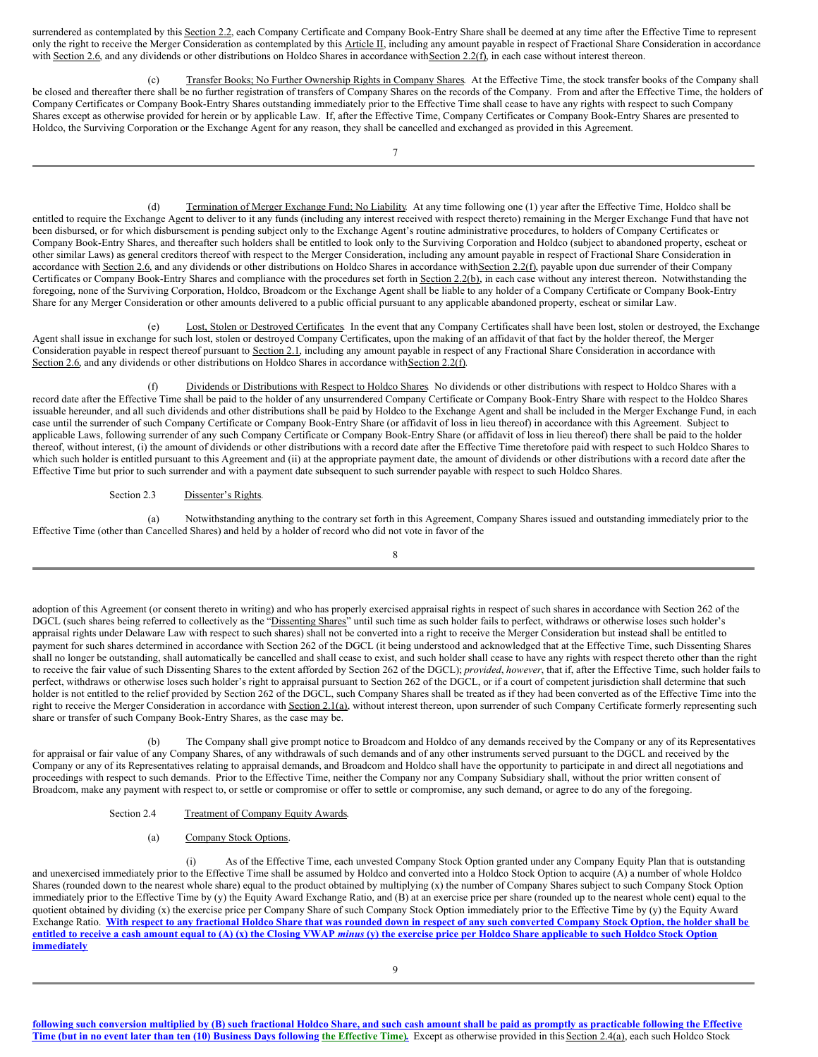surrendered as contemplated by this Section 2.2, each Company Certificate and Company Book-Entry Share shall be deemed at any time after the Effective Time to represent only the right to receive the Merger Consideration as contemplated by this Article II, including any amount payable in respect of Fractional Share Consideration in accordance with Section 2.6, and any dividends or other distributions on Holdco Shares in accordance with Section 2.2(f), in each case without interest thereon.

(c) Transfer Books; No Further Ownership Rights in Company Shares. At the Effective Time, the stock transfer books of the Company shall be closed and thereafter there shall be no further registration of transfers of Company Shares on the records of the Company. From and after the Effective Time, the holders of Company Certificates or Company Book-Entry Shares outstanding immediately prior to the Effective Time shall cease to have any rights with respect to such Company Shares except as otherwise provided for herein or by applicable Law. If, after the Effective Time, Company Certificates or Company Book-Entry Shares are presented to Holdco, the Surviving Corporation or the Exchange Agent for any reason, they shall be cancelled and exchanged as provided in this Agreement.

(d) Termination of Merger Exchange Fund; No Liability. At any time following one (1) year after the Effective Time, Holdco shall be entitled to require the Exchange Agent to deliver to it any funds (including any interest received with respect thereto) remaining in the Merger Exchange Fund that have not been disbursed, or for which disbursement is pending subject only to the Exchange Agent's routine administrative procedures, to holders of Company Certificates or Company Book-Entry Shares, and thereafter such holders shall be entitled to look only to the Surviving Corporation and Holdco (subject to abandoned property, escheat or other similar Laws) as general creditors thereof with respect to the Merger Consideration, including any amount payable in respect of Fractional Share Consideration in accordance with Section 2.6, and any dividends or other distributions on Holdco Shares in accordance with Section 2.2(f), payable upon due surrender of their Company Certificates or Company Book-Entry Shares and compliance with the procedures set forth in Section 2.2(b), in each case without any interest thereon. Notwithstanding the foregoing, none of the Surviving Corporation, Holdco, Broadcom or the Exchange Agent shall be liable to any holder of a Company Certificate or Company Book-Entry Share for any Merger Consideration or other amounts delivered to a public official pursuant to any applicable abandoned property, escheat or similar Law.

(e) Lost, Stolen or Destroyed Certificates. In the event that any Company Certificates shall have been lost, stolen or destroyed, the Exchange Agent shall issue in exchange for such lost, stolen or destroyed Company Certificates, upon the making of an affidavit of that fact by the holder thereof, the Merger Consideration payable in respect thereof pursuant to Section 2.1, including any amount payable in respect of any Fractional Share Consideration in accordance with Section 2.6, and any dividends or other distributions on Holdco Shares in accordance with Section 2.2(f).

Dividends or Distributions with Respect to Holdco Shares. No dividends or other distributions with respect to Holdco Shares with a record date after the Effective Time shall be paid to the holder of any unsurrendered Company Certificate or Company Book-Entry Share with respect to the Holdco Shares issuable hereunder, and all such dividends and other distributions shall be paid by Holdco to the Exchange Agent and shall be included in the Merger Exchange Fund, in each case until the surrender of such Company Certificate or Company Book-Entry Share (or affidavit of loss in lieu thereof) in accordance with this Agreement. Subject to applicable Laws, following surrender of any such Company Certificate or Company Book-Entry Share (or affidavit of loss in lieu thereof) there shall be paid to the holder thereof, without interest, (i) the amount of dividends or other distributions with a record date after the Effective Time theretofore paid with respect to such Holdco Shares to which such holder is entitled pursuant to this Agreement and (ii) at the appropriate payment date, the amount of dividends or other distributions with a record date after the Effective Time but prior to such surrender and with a payment date subsequent to such surrender payable with respect to such Holdco Shares.

#### Section 2.3 Dissenter's Rights.

(a) Notwithstanding anything to the contrary set forth in this Agreement, Company Shares issued and outstanding immediately prior to the Effective Time (other than Cancelled Shares) and held by a holder of record who did not vote in favor of the

8

adoption of this Agreement (or consent thereto in writing) and who has properly exercised appraisal rights in respect of such shares in accordance with Section 262 of the DGCL (such shares being referred to collectively as the "Dissenting Shares" until such time as such holder fails to perfect, withdraws or otherwise loses such holder's appraisal rights under Delaware Law with respect to such shares) shall not be converted into a right to receive the Merger Consideration but instead shall be entitled to payment for such shares determined in accordance with Section 262 of the DGCL (it being understood and acknowledged that at the Effective Time, such Dissenting Shares shall no longer be outstanding, shall automatically be cancelled and shall cease to exist, and such holder shall cease to have any rights with respect thereto other than the right to receive the fair value of such Dissenting Shares to the extent afforded by Section 262 of the DGCL); *provided*, *however*, that if, after the Effective Time, such holder fails to perfect, withdraws or otherwise loses such holder's right to appraisal pursuant to Section 262 of the DGCL, or if a court of competent jurisdiction shall determine that such holder is not entitled to the relief provided by Section 262 of the DGCL, such Company Shares shall be treated as if they had been converted as of the Effective Time into the right to receive the Merger Consideration in accordance with Section 2.1(a), without interest thereon, upon surrender of such Company Certificate formerly representing such share or transfer of such Company Book-Entry Shares, as the case may be.

(b) The Company shall give prompt notice to Broadcom and Holdco of any demands received by the Company or any of its Representatives for appraisal or fair value of any Company Shares, of any withdrawals of such demands and of any other instruments served pursuant to the DGCL and received by the Company or any of its Representatives relating to appraisal demands, and Broadcom and Holdco shall have the opportunity to participate in and direct all negotiations and proceedings with respect to such demands. Prior to the Effective Time, neither the Company nor any Company Subsidiary shall, without the prior written consent of Broadcom, make any payment with respect to, or settle or compromise or offer to settle or compromise, any such demand, or agree to do any of the foregoing.

# Section 2.4 Treatment of Company Equity Awards.

#### (a) Company Stock Options.

(i) As of the Effective Time, each unvested Company Stock Option granted under any Company Equity Plan that is outstanding and unexercised immediately prior to the Effective Time shall be assumed by Holdco and converted into a Holdco Stock Option to acquire (A) a number of whole Holdco Shares (rounded down to the nearest whole share) equal to the product obtained by multiplying (x) the number of Company Shares subject to such Company Stock Option immediately prior to the Effective Time by (y) the Equity Award Exchange Ratio, and (B) at an exercise price per share (rounded up to the nearest whole cent) equal to the quotient obtained by dividing (x) the exercise price per Company Share of such Company Stock Option immediately prior to the Effective Time by (y) the Equity Award Exchange Ratio. With respect to any fractional Holdco Share that was rounded down in respect of any such converted Company Stock Option, the holder shall be entitled to receive a cash amount equal to  $(A)$   $(x)$  the Closing VWAP minus  $(y)$  the exercise price per Holdco Share applicable to such Holdco Stock Option **immediately**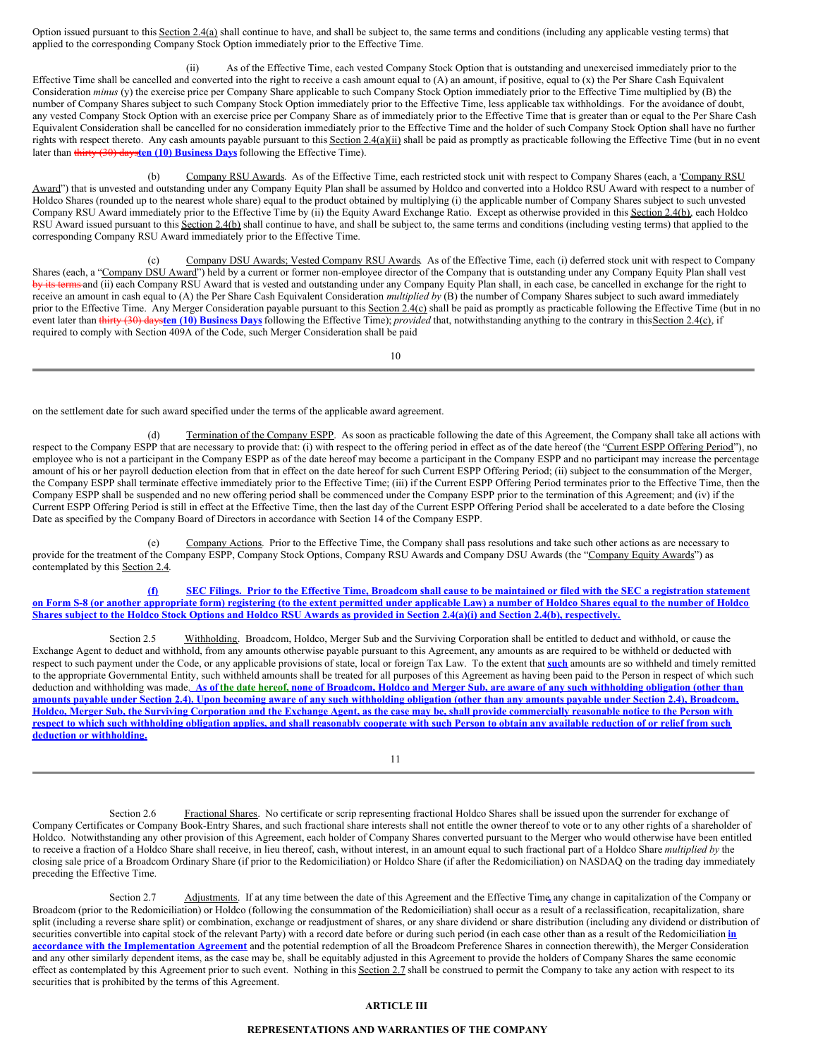Option issued pursuant to this Section 2.4(a) shall continue to have, and shall be subject to, the same terms and conditions (including any applicable vesting terms) that applied to the corresponding Company Stock Option immediately prior to the Effective Time.

(ii) As of the Effective Time, each vested Company Stock Option that is outstanding and unexercised immediately prior to the Effective Time shall be cancelled and converted into the right to receive a cash amount equal to (A) an amount, if positive, equal to (x) the Per Share Cash Equivalent Consideration *minus* (y) the exercise price per Company Share applicable to such Company Stock Option immediately prior to the Effective Time multiplied by (B) the number of Company Shares subject to such Company Stock Option immediately prior to the Effective Time, less applicable tax withholdings. For the avoidance of doubt, any vested Company Stock Option with an exercise price per Company Share as of immediately prior to the Effective Time that is greater than or equal to the Per Share Cash Equivalent Consideration shall be cancelled for no consideration immediately prior to the Effective Time and the holder of such Company Stock Option shall have no further rights with respect thereto. Any cash amounts payable pursuant to this Section 2.4(a)(ii) shall be paid as promptly as practicable following the Effective Time (but in no event later than thirty (30) days**ten (10) Business Days** following the Effective Time).

(b) Company RSU Awards. As of the Effective Time, each restricted stock unit with respect to Company Shares (each, a "Company RSU Award") that is unvested and outstanding under any Company Equity Plan shall be assumed by Holdco and converted into a Holdco RSU Award with respect to a number of Holdco Shares (rounded up to the nearest whole share) equal to the product obtained by multiplying (i) the applicable number of Company Shares subject to such unvested Company RSU Award immediately prior to the Effective Time by (ii) the Equity Award Exchange Ratio. Except as otherwise provided in this Section 2.4(b), each Holdco RSU Award issued pursuant to this Section 2.4(b) shall continue to have, and shall be subject to, the same terms and conditions (including vesting terms) that applied to the corresponding Company RSU Award immediately prior to the Effective Time.

(c) Company DSU Awards; Vested Company RSU Awards. As of the Effective Time, each (i) deferred stock unit with respect to Company Shares (each, a "Company DSU Award") held by a current or former non-employee director of the Company that is outstanding under any Company Equity Plan shall vest by its terms and (ii) each Company RSU Award that is vested and outstanding under any Company Equity Plan shall, in each case, be cancelled in exchange for the right to receive an amount in cash equal to (A) the Per Share Cash Equivalent Consideration *multiplied by* (B) the number of Company Shares subject to such award immediately prior to the Effective Time. Any Merger Consideration payable pursuant to this Section 2.4(c) shall be paid as promptly as practicable following the Effective Time (but in no event later than thirty (30) days**ten (10) Business Days** following the Effective Time); *provided* that, notwithstanding anything to the contrary in thisSection 2.4(c), if required to comply with Section 409A of the Code, such Merger Consideration shall be paid

10

on the settlement date for such award specified under the terms of the applicable award agreement.

(d) Termination of the Company ESPP. As soon as practicable following the date of this Agreement, the Company shall take all actions with respect to the Company ESPP that are necessary to provide that: (i) with respect to the offering period in effect as of the date hereof (the "Current ESPP Offering Period"), no employee who is not a participant in the Company ESPP as of the date hereof may become a participant in the Company ESPP and no participant may increase the percentage amount of his or her payroll deduction election from that in effect on the date hereof for such Current ESPP Offering Period; (ii) subject to the consummation of the Merger, the Company ESPP shall terminate effective immediately prior to the Effective Time; (iii) if the Current ESPP Offering Period terminates prior to the Effective Time, then the Company ESPP shall be suspended and no new offering period shall be commenced under the Company ESPP prior to the termination of this Agreement; and (iv) if the Current ESPP Offering Period is still in effect at the Effective Time, then the last day of the Current ESPP Offering Period shall be accelerated to a date before the Closing Date as specified by the Company Board of Directors in accordance with Section 14 of the Company ESPP.

(e) Company Actions. Prior to the Effective Time, the Company shall pass resolutions and take such other actions as are necessary to provide for the treatment of the Company ESPP, Company Stock Options, Company RSU Awards and Company DSU Awards (the "Company Equity Awards") as contemplated by this Section 2.4.

(f) SEC Filings. Prior to the Effective Time, Broadcom shall cause to be maintained or filed with the SEC a registration statement on Form S-8 (or another appropriate form) registering (to the extent permitted under applicable Law) a number of Holdco Shares equal to the number of Holdco Shares subject to the Holdco Stock Options and Holdco RSU Awards as provided in Section 2.4(a)(i) and Section 2.4(b), respectively.

Section 2.5 Withholding. Broadcom, Holdco, Merger Sub and the Surviving Corporation shall be entitled to deduct and withhold, or cause the Exchange Agent to deduct and withhold, from any amounts otherwise payable pursuant to this Agreement, any amounts as are required to be withheld or deducted with respect to such payment under the Code, or any applicable provisions of state, local or foreign Tax Law. To the extent that **such** amounts are so withheld and timely remitted to the appropriate Governmental Entity, such withheld amounts shall be treated for all purposes of this Agreement as having been paid to the Person in respect of which such deduction and withholding was made. As of the date hereof, none of Broadcom, Holdco and Merger Sub, are aware of any such withholding obligation (other than amounts payable under Section 2.4). Upon becoming aware of any such withholding obligation (other than any amounts payable under Section 2.4), Broadcom, Holdco, Merger Sub, the Surviving Corporation and the Exchange Agent, as the case may be, shall provide commercially reasonable notice to the Person with respect to which such withholding obligation applies, and shall reasonably cooperate with such Person to obtain any available reduction of or relief from such **deduction or withholding.**

11

Section 2.6 Fractional Shares. No certificate or scrip representing fractional Holdco Shares shall be issued upon the surrender for exchange of Company Certificates or Company Book-Entry Shares, and such fractional share interests shall not entitle the owner thereof to vote or to any other rights of a shareholder of Holdco. Notwithstanding any other provision of this Agreement, each holder of Company Shares converted pursuant to the Merger who would otherwise have been entitled to receive a fraction of a Holdco Share shall receive, in lieu thereof, cash, without interest, in an amount equal to such fractional part of a Holdco Share *multiplied by* the closing sale price of a Broadcom Ordinary Share (if prior to the Redomiciliation) or Holdco Share (if after the Redomiciliation) on NASDAQ on the trading day immediately preceding the Effective Time.

Section 2.7 Adjustments. If at any time between the date of this Agreement and the Effective Time**,** any change in capitalization of the Company or Broadcom (prior to the Redomiciliation) or Holdco (following the consummation of the Redomiciliation) shall occur as a result of a reclassification, recapitalization, share split (including a reverse share split) or combination, exchange or readjustment of shares, or any share dividend or share distribution (including any dividend or distribution of securities convertible into capital stock of the relevant Party) with a record date before or during such period (in each case other than as a result of the Redomiciliation *in* **accordance with the Implementation Agreement** and the potential redemption of all the Broadcom Preference Shares in connection therewith), the Merger Consideration and any other similarly dependent items, as the case may be, shall be equitably adjusted in this Agreement to provide the holders of Company Shares the same economic effect as contemplated by this Agreement prior to such event. Nothing in this Section 2.7 shall be construed to permit the Company to take any action with respect to its securities that is prohibited by the terms of this Agreement.

# **ARTICLE III**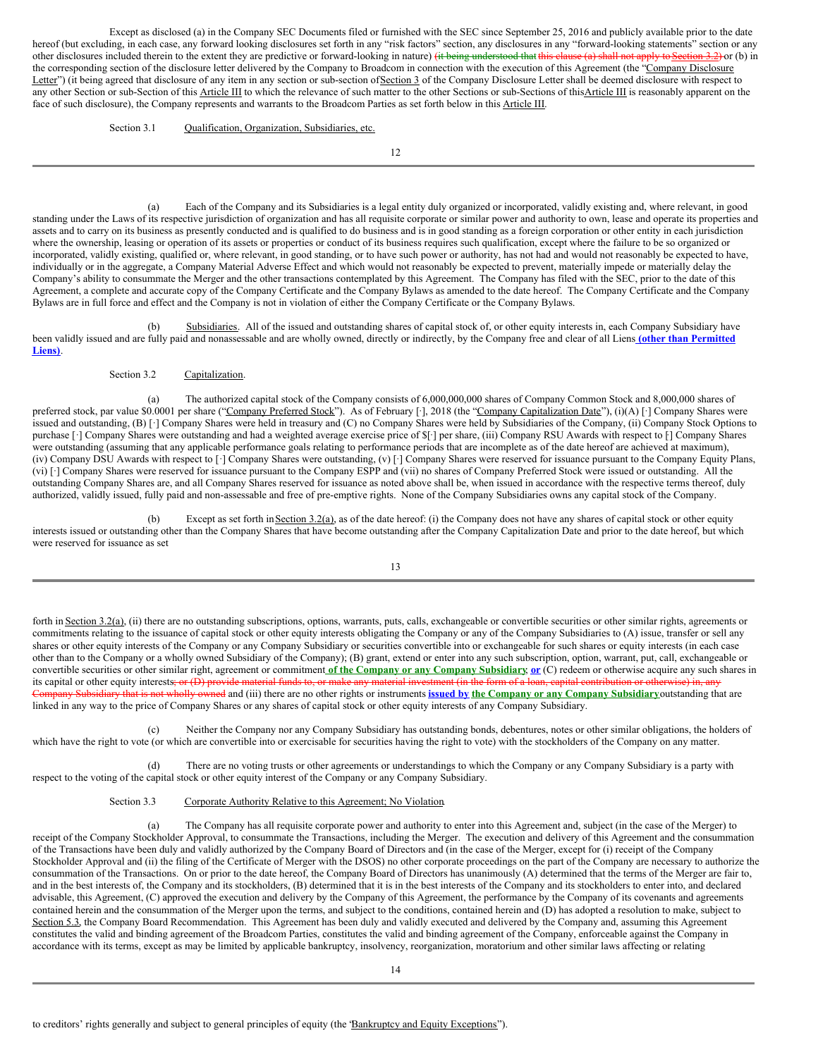Except as disclosed (a) in the Company SEC Documents filed or furnished with the SEC since September 25, 2016 and publicly available prior to the date hereof (but excluding, in each case, any forward looking disclosures set forth in any "risk factors" section, any disclosures in any "forward-looking statements" section or any other disclosures included therein to the extent they are predictive or forward-looking in nature) (it being understood that this clause (a) shall not apply to Section 3.2) or (b) in the corresponding section of the disclosure letter delivered by the Company to Broadcom in connection with the execution of this Agreement (the "Company Disclosure Letter") (it being agreed that disclosure of any item in any section or sub-section of Section 3 of the Company Disclosure Letter shall be deemed disclosure with respect to any other Section or sub-Section of this Article III to which the relevance of such matter to the other Sections or sub-Sections of this Article III is reasonably apparent on the face of such disclosure), the Company represents and warrants to the Broadcom Parties as set forth below in this Article III.

Section 3.1 Qualification, Organization, Subsidiaries, etc.

12

(a) Each of the Company and its Subsidiaries is a legal entity duly organized or incorporated, validly existing and, where relevant, in good standing under the Laws of its respective jurisdiction of organization and has all requisite corporate or similar power and authority to own, lease and operate its properties and assets and to carry on its business as presently conducted and is qualified to do business and is in good standing as a foreign corporation or other entity in each jurisdiction where the ownership, leasing or operation of its assets or properties or conduct of its business requires such qualification, except where the failure to be so organized or incorporated, validly existing, qualified or, where relevant, in good standing, or to have such power or authority, has not had and would not reasonably be expected to have, individually or in the aggregate, a Company Material Adverse Effect and which would not reasonably be expected to prevent, materially impede or materially delay the Company's ability to consummate the Merger and the other transactions contemplated by this Agreement. The Company has filed with the SEC, prior to the date of this Agreement, a complete and accurate copy of the Company Certificate and the Company Bylaws as amended to the date hereof. The Company Certificate and the Company Bylaws are in full force and effect and the Company is not in violation of either the Company Certificate or the Company Bylaws.

(b) Subsidiaries. All of the issued and outstanding shares of capital stock of, or other equity interests in, each Company Subsidiary have been validly issued and are fully paid and nonassessable and are wholly owned, directly or indirectly, by the Company free and clear of all Liens **(other than Permitted Liens)**.

#### Section 3.2 Capitalization.

(a) The authorized capital stock of the Company consists of 6,000,000,000 shares of Company Common Stock and 8,000,000 shares of preferred stock, par value \$0.0001 per share ("Company Preferred Stock"). As of February [·], 2018 (the "Company Capitalization Date"), (i)(A) [·] Company Shares were issued and outstanding, (B) [·] Company Shares were held in treasury and (C) no Company Shares were held by Subsidiaries of the Company, (ii) Company Stock Options to purchase [·] Company Shares were outstanding and had a weighted average exercise price of \$[·] per share, (iii) Company RSU Awards with respect to [·] Company Shares were outstanding (assuming that any applicable performance goals relating to performance periods that are incomplete as of the date hereof are achieved at maximum), (iv) Company DSU Awards with respect to [·] Company Shares were outstanding, (v) [·] Company Shares were reserved for issuance pursuant to the Company Equity Plans, (vi) [·] Company Shares were reserved for issuance pursuant to the Company ESPP and (vii) no shares of Company Preferred Stock were issued or outstanding. All the outstanding Company Shares are, and all Company Shares reserved for issuance as noted above shall be, when issued in accordance with the respective terms thereof, duly authorized, validly issued, fully paid and non-assessable and free of pre-emptive rights. None of the Company Subsidiaries owns any capital stock of the Company.

(b) Except as set forth in Section 3.2(a), as of the date hereof: (i) the Company does not have any shares of capital stock or other equity interests issued or outstanding other than the Company Shares that have become outstanding after the Company Capitalization Date and prior to the date hereof, but which were reserved for issuance as set

13

forth in Section 3.2(a), (ii) there are no outstanding subscriptions, options, warrants, puts, calls, exchangeable or convertible securities or other similar rights, agreements or commitments relating to the issuance of capital stock or other equity interests obligating the Company or any of the Company Subsidiaries to (A) issue, transfer or sell any shares or other equity interests of the Company or any Company Subsidiary or securities convertible into or exchangeable for such shares or equity interests (in each case other than to the Company or a wholly owned Subsidiary of the Company); (B) grant, extend or enter into any such subscription, option, warrant, put, call, exchangeable or convertible securities or other similar right, agreement or commitment **of the Company or any Company Subsidiary**; **or** (C) redeem or otherwise acquire any such shares in its capital or other equity interests; or (D) provide material funds to, or make any material investment (in the form of a loan, capital contribution or otherwise) in, any Company Subsidiary that is not wholly owned and (iii) there are no other rights or instruments **issued by the Company or any Company Subsidiary**outstanding that are linked in any way to the price of Company Shares or any shares of capital stock or other equity interests of any Company Subsidiary.

(c) Neither the Company nor any Company Subsidiary has outstanding bonds, debentures, notes or other similar obligations, the holders of which have the right to vote (or which are convertible into or exercisable for securities having the right to vote) with the stockholders of the Company on any matter.

(d) There are no voting trusts or other agreements or understandings to which the Company or any Company Subsidiary is a party with respect to the voting of the capital stock or other equity interest of the Company or any Company Subsidiary.

#### Section 3.3 Corporate Authority Relative to this Agreement; No Violation.

(a) The Company has all requisite corporate power and authority to enter into this Agreement and, subject (in the case of the Merger) to receipt of the Company Stockholder Approval, to consummate the Transactions, including the Merger. The execution and delivery of this Agreement and the consummation of the Transactions have been duly and validly authorized by the Company Board of Directors and (in the case of the Merger, except for (i) receipt of the Company Stockholder Approval and (ii) the filing of the Certificate of Merger with the DSOS) no other corporate proceedings on the part of the Company are necessary to authorize the consummation of the Transactions. On or prior to the date hereof, the Company Board of Directors has unanimously (A) determined that the terms of the Merger are fair to, and in the best interests of, the Company and its stockholders, (B) determined that it is in the best interests of the Company and its stockholders to enter into, and declared advisable, this Agreement, (C) approved the execution and delivery by the Company of this Agreement, the performance by the Company of its covenants and agreements contained herein and the consummation of the Merger upon the terms, and subject to the conditions, contained herein and (D) has adopted a resolution to make, subject to Section 5.3, the Company Board Recommendation. This Agreement has been duly and validly executed and delivered by the Company and, assuming this Agreement constitutes the valid and binding agreement of the Broadcom Parties, constitutes the valid and binding agreement of the Company, enforceable against the Company in accordance with its terms, except as may be limited by applicable bankruptcy, insolvency, reorganization, moratorium and other similar laws affecting or relating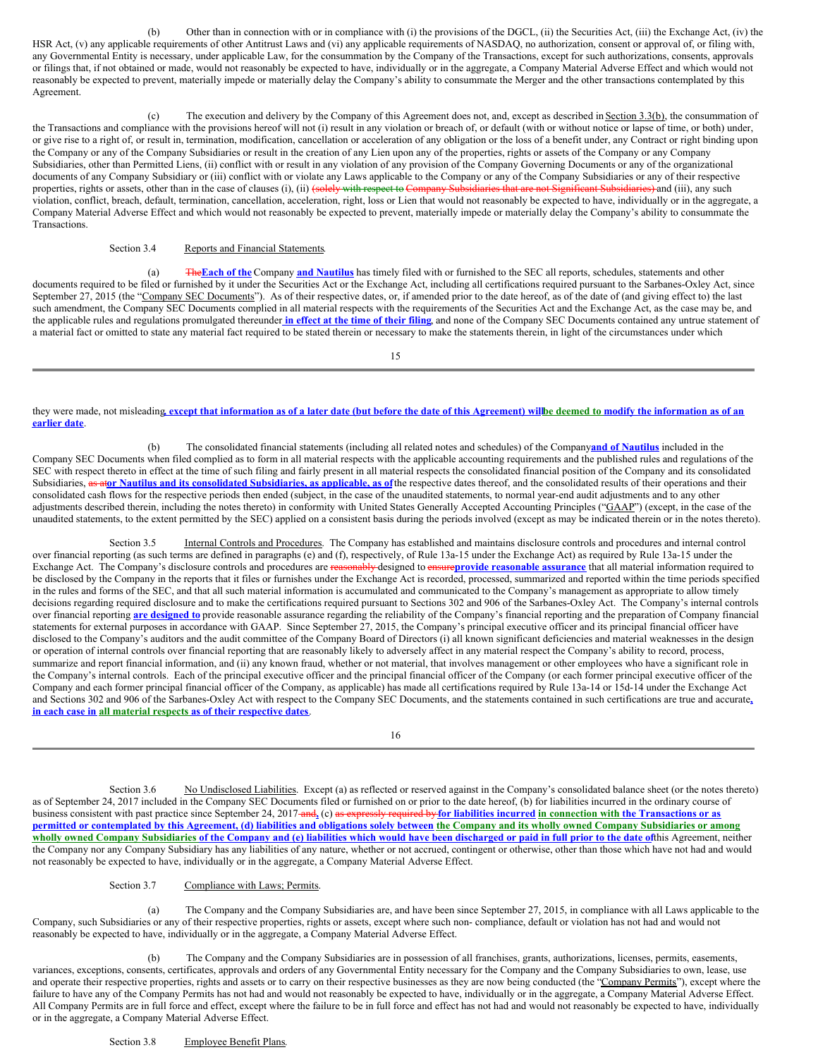(b) Other than in connection with or in compliance with (i) the provisions of the DGCL, (ii) the Securities Act, (iii) the Exchange Act, (iv) the HSR Act, (v) any applicable requirements of other Antitrust Laws and (vi) any applicable requirements of NASDAQ, no authorization, consent or approval of, or filing with, any Governmental Entity is necessary, under applicable Law, for the consummation by the Company of the Transactions, except for such authorizations, consents, approvals or filings that, if not obtained or made, would not reasonably be expected to have, individually or in the aggregate, a Company Material Adverse Effect and which would not reasonably be expected to prevent, materially impede or materially delay the Company's ability to consummate the Merger and the other transactions contemplated by this Agreement.

(c) The execution and delivery by the Company of this Agreement does not, and, except as described in Section 3.3(b), the consummation of the Transactions and compliance with the provisions hereof will not (i) result in any violation or breach of, or default (with or without notice or lapse of time, or both) under, or give rise to a right of, or result in, termination, modification, cancellation or acceleration of any obligation or the loss of a benefit under, any Contract or right binding upon the Company or any of the Company Subsidiaries or result in the creation of any Lien upon any of the properties, rights or assets of the Company or any Company Subsidiaries, other than Permitted Liens, (ii) conflict with or result in any violation of any provision of the Company Governing Documents or any of the organizational documents of any Company Subsidiary or (iii) conflict with or violate any Laws applicable to the Company or any of the Company Subsidiaries or any of their respective properties, rights or assets, other than in the case of clauses (i), (ii) (solely with respect to Company Subsidiaries that are not Significant Subsidiaries) and (iii), any such violation, conflict, breach, default, termination, cancellation, acceleration, right, loss or Lien that would not reasonably be expected to have, individually or in the aggregate, a Company Material Adverse Effect and which would not reasonably be expected to prevent, materially impede or materially delay the Company's ability to consummate the Transactions.

Section 3.4 Reports and Financial Statements.

(a) The**Each of the** Company **and Nautilus** has timely filed with or furnished to the SEC all reports, schedules, statements and other documents required to be filed or furnished by it under the Securities Act or the Exchange Act, including all certifications required pursuant to the Sarbanes-Oxley Act, since September 27, 2015 (the "Company SEC Documents"). As of their respective dates, or, if amended prior to the date hereof, as of the date of (and giving effect to) the last such amendment, the Company SEC Documents complied in all material respects with the requirements of the Securities Act and the Exchange Act, as the case may be, and the applicable rules and regulations promulgated thereunder in effect at the time of their filing, and none of the Company SEC Documents contained any untrue statement of a material fact or omitted to state any material fact required to be stated therein or necessary to make the statements therein, in light of the circumstances under which

15

they were made, not misleading except that information as of a later date (but before the date of this Agreement) willbe deemed to modify the information as of an **earlier date**.

(b) The consolidated financial statements (including all related notes and schedules) of the Company**and of Nautilus** included in the Company SEC Documents when filed complied as to form in all material respects with the applicable accounting requirements and the published rules and regulations of the SEC with respect thereto in effect at the time of such filing and fairly present in all material respects the consolidated financial position of the Company and its consolidated Subsidiaries, as ator Nautilus and its consolidated Subsidiaries, as applicable, as of the respective dates thereof, and the consolidated results of their operations and their consolidated cash flows for the respective periods then ended (subject, in the case of the unaudited statements, to normal year-end audit adjustments and to any other adjustments described therein, including the notes thereto) in conformity with United States Generally Accepted Accounting Principles ("GAAP") (except, in the case of the unaudited statements, to the extent permitted by the SEC) applied on a consistent basis during the periods involved (except as may be indicated therein or in the notes thereto).

Section 3.5 Internal Controls and Procedures. The Company has established and maintains disclosure controls and procedures and internal control over financial reporting (as such terms are defined in paragraphs (e) and (f), respectively, of Rule 13a-15 under the Exchange Act) as required by Rule 13a-15 under the Exchange Act. The Company's disclosure controls and procedures are reasonably designed to ensure**provide reasonable assurance** that all material information required to be disclosed by the Company in the reports that it files or furnishes under the Exchange Act is recorded, processed, summarized and reported within the time periods specified in the rules and forms of the SEC, and that all such material information is accumulated and communicated to the Company's management as appropriate to allow timely decisions regarding required disclosure and to make the certifications required pursuant to Sections 302 and 906 of the Sarbanes-Oxley Act. The Company's internal controls over financial reporting **are designed to** provide reasonable assurance regarding the reliability of the Company's financial reporting and the preparation of Company financial statements for external purposes in accordance with GAAP. Since September 27, 2015, the Company's principal executive officer and its principal financial officer have disclosed to the Company's auditors and the audit committee of the Company Board of Directors (i) all known significant deficiencies and material weaknesses in the design or operation of internal controls over financial reporting that are reasonably likely to adversely affect in any material respect the Company's ability to record, process, summarize and report financial information, and (ii) any known fraud, whether or not material, that involves management or other employees who have a significant role in the Company's internal controls. Each of the principal executive officer and the principal financial officer of the Company (or each former principal executive officer of the Company and each former principal financial officer of the Company, as applicable) has made all certifications required by Rule 13a-14 or 15d-14 under the Exchange Act and Sections 302 and 906 of the Sarbanes-Oxley Act with respect to the Company SEC Documents, and the statements contained in such certifications are true and accurate**, in each case in all material respects as of their respective dates**.

16

Section 3.6 No Undisclosed Liabilities. Except (a) as reflected or reserved against in the Company's consolidated balance sheet (or the notes thereto) as of September 24, 2017 included in the Company SEC Documents filed or furnished on or prior to the date hereof, (b) for liabilities incurred in the ordinary course of business consistent with past practice since September 24, 2017-and, (c) as expressly required by for liabilities incurred in connection with the Transactions or as permitted or contemplated by this Agreement, (d) liabilities and obligations solely between the Company and its wholly owned Company Subsidiaries or among wholly owned Company Subsidiaries of the Company and (e) liabilities which would have been discharged or paid in full prior to the date of this Agreement, neither the Company nor any Company Subsidiary has any liabilities of any nature, whether or not accrued, contingent or otherwise, other than those which have not had and would not reasonably be expected to have, individually or in the aggregate, a Company Material Adverse Effect.

Section 3.7 Compliance with Laws; Permits.

(a) The Company and the Company Subsidiaries are, and have been since September 27, 2015, in compliance with all Laws applicable to the Company, such Subsidiaries or any of their respective properties, rights or assets, except where such non- compliance, default or violation has not had and would not reasonably be expected to have, individually or in the aggregate, a Company Material Adverse Effect.

(b) The Company and the Company Subsidiaries are in possession of all franchises, grants, authorizations, licenses, permits, easements, variances, exceptions, consents, certificates, approvals and orders of any Governmental Entity necessary for the Company and the Company Subsidiaries to own, lease, use and operate their respective properties, rights and assets or to carry on their respective businesses as they are now being conducted (the "Company Permits"), except where the failure to have any of the Company Permits has not had and would not reasonably be expected to have, individually or in the aggregate, a Company Material Adverse Effect. All Company Permits are in full force and effect, except where the failure to be in full force and effect has not had and would not reasonably be expected to have, individually or in the aggregate, a Company Material Adverse Effect.

#### Section 3.8 Employee Benefit Plans.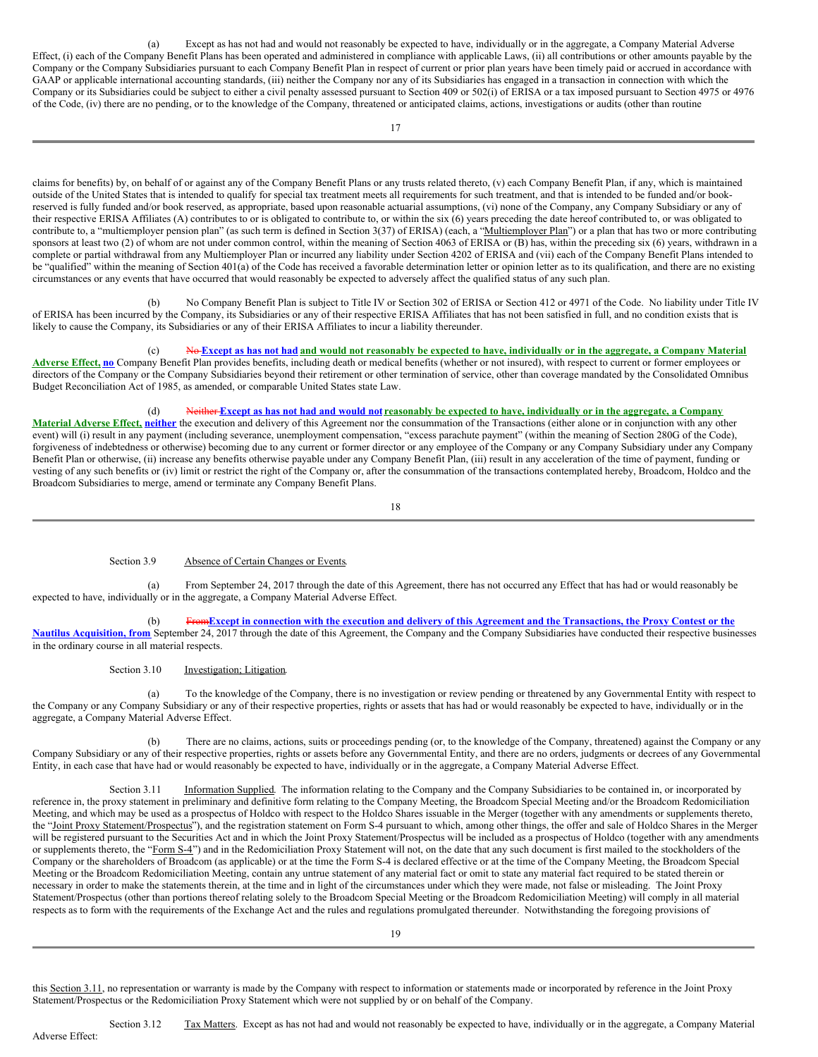(a) Except as has not had and would not reasonably be expected to have, individually or in the aggregate, a Company Material Adverse Effect, (i) each of the Company Benefit Plans has been operated and administered in compliance with applicable Laws, (ii) all contributions or other amounts payable by the Company or the Company Subsidiaries pursuant to each Company Benefit Plan in respect of current or prior plan years have been timely paid or accrued in accordance with GAAP or applicable international accounting standards, (iii) neither the Company nor any of its Subsidiaries has engaged in a transaction in connection with which the Company or its Subsidiaries could be subject to either a civil penalty assessed pursuant to Section 409 or 502(i) of ERISA or a tax imposed pursuant to Section 4975 or 4976 of the Code, (iv) there are no pending, or to the knowledge of the Company, threatened or anticipated claims, actions, investigations or audits (other than routine

17

claims for benefits) by, on behalf of or against any of the Company Benefit Plans or any trusts related thereto, (v) each Company Benefit Plan, if any, which is maintained outside of the United States that is intended to qualify for special tax treatment meets all requirements for such treatment, and that is intended to be funded and/or bookreserved is fully funded and/or book reserved, as appropriate, based upon reasonable actuarial assumptions, (vi) none of the Company, any Company Subsidiary or any of their respective ERISA Affiliates (A) contributes to or is obligated to contribute to, or within the six (6) years preceding the date hereof contributed to, or was obligated to contribute to, a "multiemployer pension plan" (as such term is defined in Section 3(37) of ERISA) (each, a "Multiemployer Plan") or a plan that has two or more contributing sponsors at least two (2) of whom are not under common control, within the meaning of Section 4063 of ERISA or (B) has, within the preceding six (6) years, withdrawn in a complete or partial withdrawal from any Multiemployer Plan or incurred any liability under Section 4202 of ERISA and (vii) each of the Company Benefit Plans intended to be "qualified" within the meaning of Section 401(a) of the Code has received a favorable determination letter or opinion letter as to its qualification, and there are no existing circumstances or any events that have occurred that would reasonably be expected to adversely affect the qualified status of any such plan.

(b) No Company Benefit Plan is subject to Title IV or Section 302 of ERISA or Section 412 or 4971 of the Code. No liability under Title IV of ERISA has been incurred by the Company, its Subsidiaries or any of their respective ERISA Affiliates that has not been satisfied in full, and no condition exists that is likely to cause the Company, its Subsidiaries or any of their ERISA Affiliates to incur a liability thereunder.

# (c) No-Except as has not had and would not reasonably be expected to have, individually or in the aggregate, a Company Material

**Adverse Effect, no** Company Benefit Plan provides benefits, including death or medical benefits (whether or not insured), with respect to current or former employees or directors of the Company or the Company Subsidiaries beyond their retirement or other termination of service, other than coverage mandated by the Consolidated Omnibus Budget Reconciliation Act of 1985, as amended, or comparable United States state Law.

#### (d) Neither Except as has not had and would not reasonably be expected to have, individually or in the aggregate, a Company

**Material Adverse Effect, neither** the execution and delivery of this Agreement nor the consummation of the Transactions (either alone or in conjunction with any other event) will (i) result in any payment (including severance, unemployment compensation, "excess parachute payment" (within the meaning of Section 280G of the Code), forgiveness of indebtedness or otherwise) becoming due to any current or former director or any employee of the Company or any Company Subsidiary under any Company Benefit Plan or otherwise, (ii) increase any benefits otherwise payable under any Company Benefit Plan, (iii) result in any acceleration of the time of payment, funding or vesting of any such benefits or (iv) limit or restrict the right of the Company or, after the consummation of the transactions contemplated hereby, Broadcom, Holdco and the Broadcom Subsidiaries to merge, amend or terminate any Company Benefit Plans.

18

## Section 3.9 Absence of Certain Changes or Events.

(a) From September 24, 2017 through the date of this Agreement, there has not occurred any Effect that has had or would reasonably be expected to have, individually or in the aggregate, a Company Material Adverse Effect.

(b) From Except in connection with the execution and delivery of this Agreement and the Transactions, the Proxy Contest or the **Nautilus Acquisition, from** September 24, 2017 through the date of this Agreement, the Company and the Company Subsidiaries have conducted their respective businesses in the ordinary course in all material respects.

#### Section 3.10 Investigation; Litigation.

(a) To the knowledge of the Company, there is no investigation or review pending or threatened by any Governmental Entity with respect to the Company or any Company Subsidiary or any of their respective properties, rights or assets that has had or would reasonably be expected to have, individually or in the aggregate, a Company Material Adverse Effect.

(b) There are no claims, actions, suits or proceedings pending (or, to the knowledge of the Company, threatened) against the Company or any Company Subsidiary or any of their respective properties, rights or assets before any Governmental Entity, and there are no orders, judgments or decrees of any Governmental Entity, in each case that have had or would reasonably be expected to have, individually or in the aggregate, a Company Material Adverse Effect.

Section 3.11 Information Supplied. The information relating to the Company and the Company Subsidiaries to be contained in, or incorporated by reference in, the proxy statement in preliminary and definitive form relating to the Company Meeting, the Broadcom Special Meeting and/or the Broadcom Redomiciliation Meeting, and which may be used as a prospectus of Holdco with respect to the Holdco Shares issuable in the Merger (together with any amendments or supplements thereto, the "Joint Proxy Statement/Prospectus"), and the registration statement on Form S-4 pursuant to which, among other things, the offer and sale of Holdco Shares in the Merger will be registered pursuant to the Securities Act and in which the Joint Proxy Statement/Prospectus will be included as a prospectus of Holdco (together with any amendments or supplements thereto, the "Form S-4") and in the Redomiciliation Proxy Statement will not, on the date that any such document is first mailed to the stockholders of the Company or the shareholders of Broadcom (as applicable) or at the time the Form S-4 is declared effective or at the time of the Company Meeting, the Broadcom Special Meeting or the Broadcom Redomiciliation Meeting, contain any untrue statement of any material fact or omit to state any material fact required to be stated therein or necessary in order to make the statements therein, at the time and in light of the circumstances under which they were made, not false or misleading. The Joint Proxy Statement/Prospectus (other than portions thereof relating solely to the Broadcom Special Meeting or the Broadcom Redomiciliation Meeting) will comply in all material respects as to form with the requirements of the Exchange Act and the rules and regulations promulgated thereunder. Notwithstanding the foregoing provisions of

this Section 3.11, no representation or warranty is made by the Company with respect to information or statements made or incorporated by reference in the Joint Proxy Statement/Prospectus or the Redomiciliation Proxy Statement which were not supplied by or on behalf of the Company.

Adverse Effect: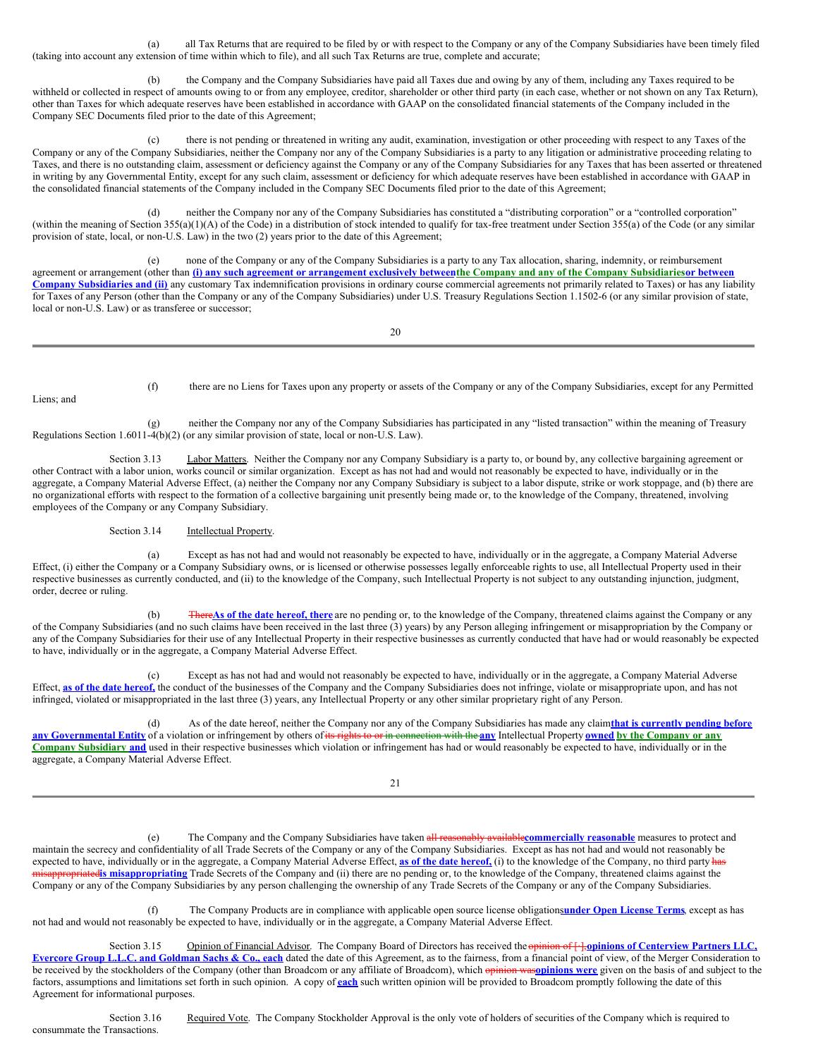(a) all Tax Returns that are required to be filed by or with respect to the Company or any of the Company Subsidiaries have been timely filed (taking into account any extension of time within which to file), and all such Tax Returns are true, complete and accurate;

the Company and the Company Subsidiaries have paid all Taxes due and owing by any of them, including any Taxes required to be withheld or collected in respect of amounts owing to or from any employee, creditor, shareholder or other third party (in each case, whether or not shown on any Tax Return), other than Taxes for which adequate reserves have been established in accordance with GAAP on the consolidated financial statements of the Company included in the Company SEC Documents filed prior to the date of this Agreement;

(c) there is not pending or threatened in writing any audit, examination, investigation or other proceeding with respect to any Taxes of the Company or any of the Company Subsidiaries, neither the Company nor any of the Company Subsidiaries is a party to any litigation or administrative proceeding relating to Taxes, and there is no outstanding claim, assessment or deficiency against the Company or any of the Company Subsidiaries for any Taxes that has been asserted or threatened in writing by any Governmental Entity, except for any such claim, assessment or deficiency for which adequate reserves have been established in accordance with GAAP in the consolidated financial statements of the Company included in the Company SEC Documents filed prior to the date of this Agreement;

(d) neither the Company nor any of the Company Subsidiaries has constituted a "distributing corporation" or a "controlled corporation" (within the meaning of Section 355(a)(1)(A) of the Code) in a distribution of stock intended to qualify for tax-free treatment under Section 355(a) of the Code (or any similar provision of state, local, or non-U.S. Law) in the two (2) years prior to the date of this Agreement;

(e) none of the Company or any of the Company Subsidiaries is a party to any Tax allocation, sharing, indemnity, or reimbursement agreement or arrangement (other than (i) any such agreement or arrangement exclusively between the Company and any of the Company Subsidiaries or between **Company Subsidiaries and (ii)** any customary Tax indemnification provisions in ordinary course commercial agreements not primarily related to Taxes) or has any liability for Taxes of any Person (other than the Company or any of the Company Subsidiaries) under U.S. Treasury Regulations Section 1.1502-6 (or any similar provision of state, local or non-U.S. Law) or as transferee or successor;

20

Liens; and

(f) there are no Liens for Taxes upon any property or assets of the Company or any of the Company Subsidiaries, except for any Permitted

(g) neither the Company nor any of the Company Subsidiaries has participated in any "listed transaction" within the meaning of Treasury Regulations Section 1.6011-4(b)(2) (or any similar provision of state, local or non-U.S. Law).

Section 3.13 Labor Matters. Neither the Company nor any Company Subsidiary is a party to, or bound by, any collective bargaining agreement or other Contract with a labor union, works council or similar organization. Except as has not had and would not reasonably be expected to have, individually or in the aggregate, a Company Material Adverse Effect, (a) neither the Company nor any Company Subsidiary is subject to a labor dispute, strike or work stoppage, and (b) there are no organizational efforts with respect to the formation of a collective bargaining unit presently being made or, to the knowledge of the Company, threatened, involving employees of the Company or any Company Subsidiary.

Section 3.14 Intellectual Property.

(a) Except as has not had and would not reasonably be expected to have, individually or in the aggregate, a Company Material Adverse Effect, (i) either the Company or a Company Subsidiary owns, or is licensed or otherwise possesses legally enforceable rights to use, all Intellectual Property used in their respective businesses as currently conducted, and (ii) to the knowledge of the Company, such Intellectual Property is not subject to any outstanding injunction, judgment, order, decree or ruling.

(b) There**As of the date hereof, there** are no pending or, to the knowledge of the Company, threatened claims against the Company or any of the Company Subsidiaries (and no such claims have been received in the last three (3) years) by any Person alleging infringement or misappropriation by the Company or any of the Company Subsidiaries for their use of any Intellectual Property in their respective businesses as currently conducted that have had or would reasonably be expected to have, individually or in the aggregate, a Company Material Adverse Effect.

(c) Except as has not had and would not reasonably be expected to have, individually or in the aggregate, a Company Material Adverse Effect, **as of the date hereof,** the conduct of the businesses of the Company and the Company Subsidiaries does not infringe, violate or misappropriate upon, and has not infringed, violated or misappropriated in the last three (3) years, any Intellectual Property or any other similar proprietary right of any Person.

(d) As of the date hereof, neither the Company nor any of the Company Subsidiaries has made any claim**that is currently pending before** any Governmental Entity of a violation or infringement by others of its rights to or in connection with the any Intellectual Property owned by the Company or any **Company Subsidiary and** used in their respective businesses which violation or infringement has had or would reasonably be expected to have, individually or in the aggregate, a Company Material Adverse Effect.

21

(e) The Company and the Company Subsidiaries have taken all reasonably available**commercially reasonable** measures to protect and maintain the secrecy and confidentiality of all Trade Secrets of the Company or any of the Company Subsidiaries. Except as has not had and would not reasonably be expected to have, individually or in the aggregate, a Company Material Adverse Effect, **as of the date hereof,** (i) to the knowledge of the Company, no third party has **atedis misappropriating** Trade Secrets of the Company and (ii) there are no pending or, to the knowledge of the Company, threatened claims against the Company or any of the Company Subsidiaries by any person challenging the ownership of any Trade Secrets of the Company or any of the Company Subsidiaries.

(f) The Company Products are in compliance with applicable open source license obligations**under Open License Terms**, except as has not had and would not reasonably be expected to have, individually or in the aggregate, a Company Material Adverse Effect.

Section 3.15 Opinion of Financial Advisor. The Company Board of Directors has received the opinion of [·],**opinions of Centerview Partners LLC,** Evercore Group L.L.C. and Goldman Sachs & Co., each dated the date of this Agreement, as to the fairness, from a financial point of view, of the Merger Consideration to be received by the stockholders of the Company (other than Broadcom or any affiliate of Broadcom), which opinion was**opinions were** given on the basis of and subject to the factors, assumptions and limitations set forth in such opinion. A copy of **each** such written opinion will be provided to Broadcom promptly following the date of this Agreement for informational purposes.

Section 3.16 Required Vote. The Company Stockholder Approval is the only vote of holders of securities of the Company which is required to consummate the Transactions.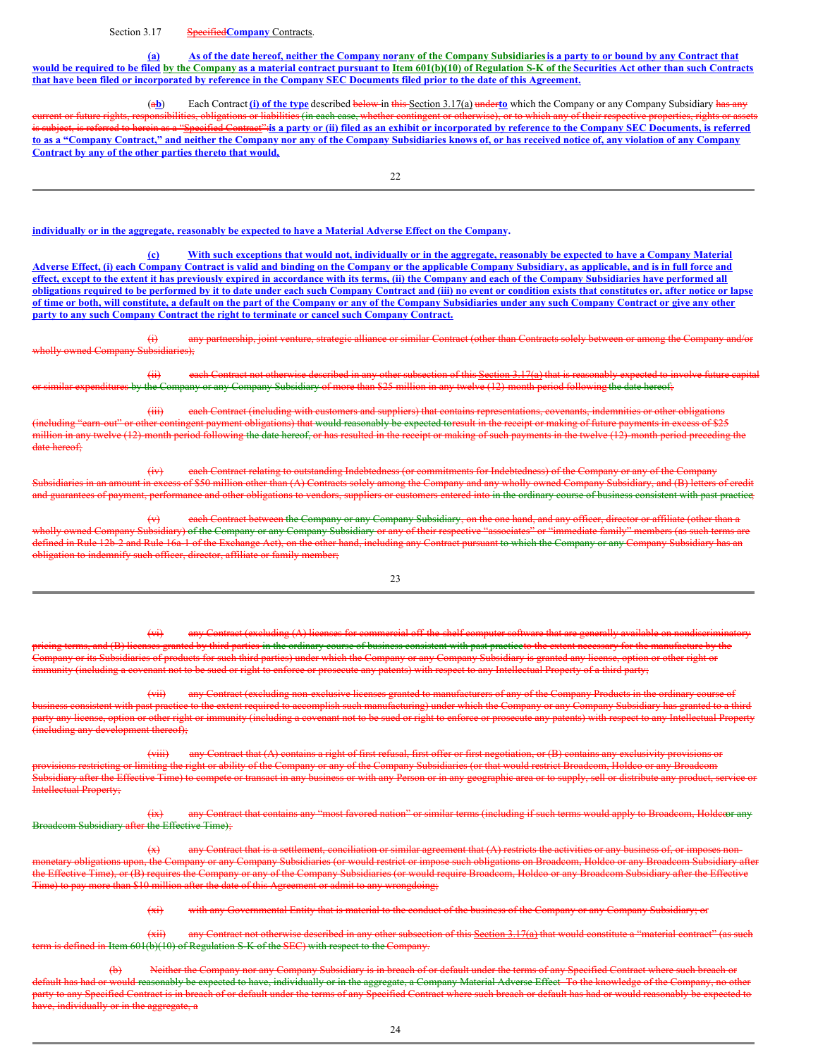#### Section 3.17 **Specified Company** Contracts.

(a) As of the date hereof, neither the Company norany of the Company Subsidiaries is a party to or bound by any Contract that would be required to be filed by the Company as a material contract pursuant to Item 601(b)(10) of Regulation S-K of the Securities Act other than such Contracts that have been filed or incorporated by reference in the Company SEC Documents filed prior to the date of this Agreement.

(a**b**) Each Contract **(i) of the type** described below in this Section 3.17(a) under**to** which the Company or any Company Subsidiary has any current or future rights, responsibilities, obligations or liabilities (in each case, whether contingent or otherwise), or to which any of their respective properties, rights or asse is subject, is referred to herein as a "Specified Contract" is a party or (ii) filed as an exhibit or incorporated by reference to the Company SEC Documents, is referred to as a "Company Contract," and neither the Company nor any of the Company Subsidiaries knows of, or has received notice of, any violation of any Company **Contract by any of the other parties thereto that would,**

#### individually or in the aggregate, reasonably be expected to have a Material Adverse Effect on the Company.

(c) With such exceptions that would not, individually or in the aggregate, reasonably be expected to have a Company Material Adverse Effect, (i) each Company Contract is valid and binding on the Company or the applicable Company Subsidiary, as applicable, and is in full force and effect, except to the extent it has previously expired in accordance with its terms, (ii) the Company and each of the Company Subsidiaries have performed all obligations required to be performed by it to date under each such Company Contract and (iii) no event or condition exists that constitutes or, after notice or lapse of time or both, will constitute, a default on the part of the Company or any of the Company Subsidiaries under any such Company Contract or give any other **party to any such Company Contract the right to terminate or cancel such Company Contract.**

(i) any partnership, joint venture, strategic alliance or similar Contract (other than Contracts solely between or among the Company and/or wholly owned Company Subsidiaries);

(ii) each Contract not otherwise described in any other subsection of this Section 3.17(a) that is reasonably expected to involve future capital or similar expenditures by the Company or any Company Subsidiary of more than \$25 million in any twelve (12)-month period following the date hereof;

(iii) each Contract (including with customers and suppliers) that contains representations, coveral or other or other or other or other or other or other or other or other or other or other or other or other or other or ot (including "earn-out" or other contingent payment obligations) that would reasonably be expected toresult in the receipt or making of future payments in excess of \$25 million in any twelve (12)-month period following the date hereof, or has resulted in the receipt or making of such payments in the twelve (12)-month period preceding the date hereof:

(iv) each Contract relating to outstanding Indebtedness (or commitments for Indebtedness) of the Company or any of the Company sidiaries in an amount in excess of \$50 million other than (A) Contracts solely among the Company and any wholly owned Company Subsidiary, and (B) letters of credit and guarantees of payment, performance and other obligations to vendors, suppliers or customers entered into in the ordinary course of business consistent with past practice;

(v) each Contract between the Company or any Company Subsidiary, on the one hand, and any officer, director or affiliate (other than a owned Company Subsidiary) of the Company or any Company Subsidiary or any of their respective "associates" or "immediate family" members (as defined in Rule 12b-2 and Rule 16a-1 of the Exchange Act), on the other hand, including any Contract pursuant to which the Company or any Company Subsidiary has obligation to indemnify such officer, director, affiliate or family member;

23

 $(vi)$  any Contract (excluding  $(A)$  licenses for commercial off-the-shelf computer software by third parties in the ordinary course of business consistent with past practiceto the extent necessary for the manufacture by the<br>Is for such third parties) under which the Company or any Company Subsidiary is granted an ra<sub>p</sub>.<br>web third parties) under which the Company or any C ity (including a covenant not to be sued or right to enforce or prosecute any patents) with respect to any Intellectual Property of a third party;

(vii) any Contract (excluding non-exclusive licenses granted to manufacturers of any of the Company Products e to the extent required to accomplish such manufacturing) under which the Company or any Company Subsidiary has granted to a third license, option or other right or immunity (including a covenant not to be sued or right to enforce or prosecute any patents) with respect to any Intellectual Property (inv development thereof);

(viii) any Contract that (A) contains a right of first refusal, first offer or first negotiation, or (B) contains any exclusivity provisions ns restricting or limiting the right or ability of the Company or any of the Company Subsidiaries (or that would restrict Broadcom, Holdco or any Broadcom<br>ary after the Effective Time) to compete or transact in any busines or with any Barcon or in any geographic **Etual Property:** 

(ix) any Contract that contains any "most favored nation" or similar terms (including if such terms would apply to Broadcom, Holdcoor any Broadcom Subsidiary after the Effective Time);

 $\overline{f(x)}$  any Contract that is a settlement, conciliation or similar agreement that  $\overline{f(x)}$  restricts ry obligations upon, the Company or any Company Subsidiaries (or would restrict or impose such obligations on Broadcom, Holdeo or any Broadcom Subsidiary after the Effective Time), or (B) requires the Company or any of the Company Subsidiaries (or would require Broadcom, Holdco or any Broadcom Subsidiary after the Effective Time) to pay more than \$10 million after the date of this Agreement or admit to any wrongdoing;

(xi) with any Governmental Entity that is material to the conduct of the business of the Company or any Company Subsidiary; or

(xii) any Contract not otherwise described in any other subsection of this Section 3.17(a) that would constitute a "material contract" (as such defined in Item 601(b)(10) of Regulation S-K of the SEC) with respect to the Company.

idiary is in breach of or default under the terms of any Specified Contract where such brea uld reasonably be expected to have, individually or in the aggregate, a Company Material Adverse Effect. To the knowledge of the Company, no other<br>I Contract is in breach of or default under the terms of any Specified Cont any Specified Contract is in breach of or default under the terms of any Sp  $\frac{1}{100}$  individually or in the aggregate, a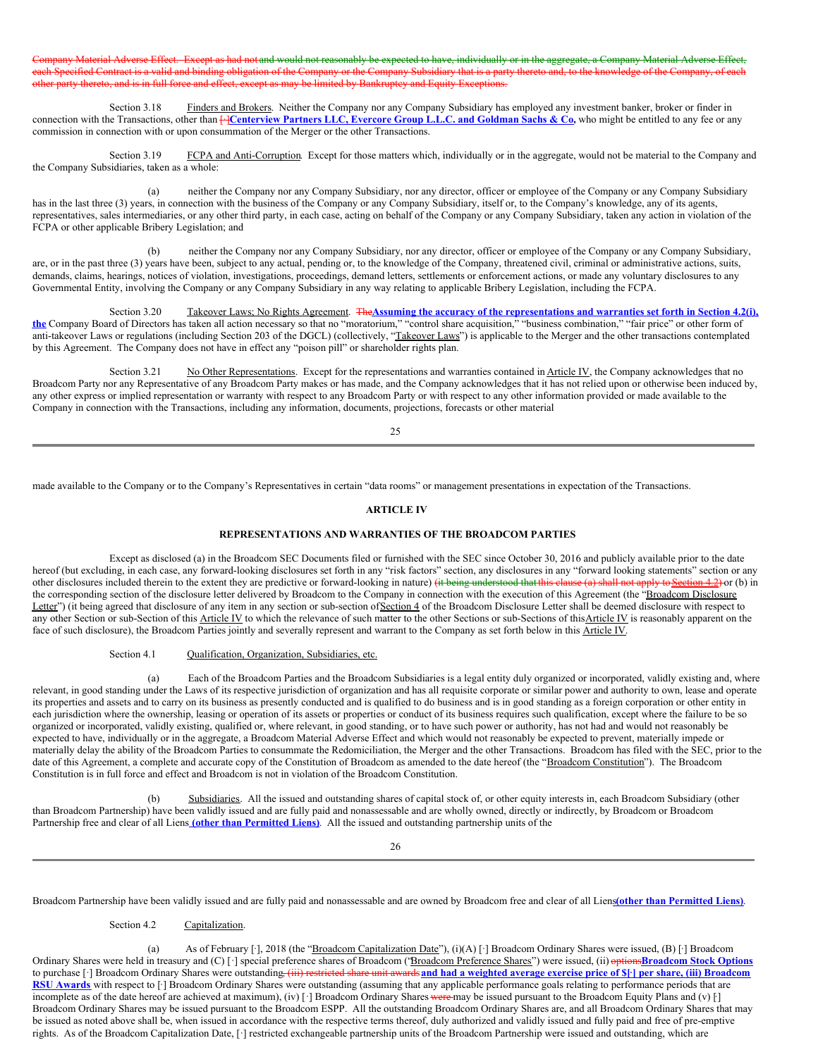Aaterial Adverse Effect. Except as had not and would not reasonably be expected to have, individually or in the aggregate, a Company Material Adverse Effect, h Specified Contract is a valid and binding obligation of the Company or the Company Subsidiary that is a party thereto and, to the knowledge of the Company, of each rty thereto, and is in full force and effect, except as may be limited by Bankruptcy and Equity Exceptions.

Section 3.18 Finders and Brokers. Neither the Company nor any Company Subsidiary has employed any investment banker, broker or finder in connection with the Transactions, other than HCenterview Partners LLC, Evercore Group L.L.C. and Goldman Sachs & Co, who might be entitled to any fee or any commission in connection with or upon consummation of the Merger or the other Transactions.

Section 3.19 FCPA and Anti-Corruption. Except for those matters which, individually or in the aggregate, would not be material to the Company and the Company Subsidiaries, taken as a whole:

(a) neither the Company nor any Company Subsidiary, nor any director, officer or employee of the Company or any Company Subsidiary has in the last three (3) years, in connection with the business of the Company or any Company Subsidiary, itself or, to the Company's knowledge, any of its agents, representatives, sales intermediaries, or any other third party, in each case, acting on behalf of the Company or any Company Subsidiary, taken any action in violation of the FCPA or other applicable Bribery Legislation; and

(b) neither the Company nor any Company Subsidiary, nor any director, officer or employee of the Company or any Company Subsidiary, are, or in the past three (3) years have been, subject to any actual, pending or, to the knowledge of the Company, threatened civil, criminal or administrative actions, suits, demands, claims, hearings, notices of violation, investigations, proceedings, demand letters, settlements or enforcement actions, or made any voluntary disclosures to any Governmental Entity, involving the Company or any Company Subsidiary in any way relating to applicable Bribery Legislation, including the FCPA.

Section 3.20 Takeover Laws; No Rights Agreement. The Assuming the accuracy of the representations and warranties set forth in Section 4.2(i), **the** Company Board of Directors has taken all action necessary so that no "moratorium," "control share acquisition," "business combination," "fair price" or other form of anti-takeover Laws or regulations (including Section 203 of the DGCL) (collectively, "Takeover Laws") is applicable to the Merger and the other transactions contemplated by this Agreement. The Company does not have in effect any "poison pill" or shareholder rights plan.

Section 3.21 No Other Representations. Except for the representations and warranties contained in Article IV, the Company acknowledges that no Broadcom Party nor any Representative of any Broadcom Party makes or has made, and the Company acknowledges that it has not relied upon or otherwise been induced by, any other express or implied representation or warranty with respect to any Broadcom Party or with respect to any other information provided or made available to the Company in connection with the Transactions, including any information, documents, projections, forecasts or other material

 $25$ 

made available to the Company or to the Company's Representatives in certain "data rooms" or management presentations in expectation of the Transactions.

#### **ARTICLE IV**

# **REPRESENTATIONS AND WARRANTIES OF THE BROADCOM PARTIES**

Except as disclosed (a) in the Broadcom SEC Documents filed or furnished with the SEC since October 30, 2016 and publicly available prior to the date hereof (but excluding, in each case, any forward-looking disclosures set forth in any "risk factors" section, any disclosures in any "forward looking statements" section or any other disclosures included therein to the extent they are predictive or forward-looking in nature) (it being understood that this clause (a) shall not apply to Section 4.2) or (b) in the corresponding section of the disclosure letter delivered by Broadcom to the Company in connection with the execution of this Agreement (the "Broadcom Disclosure" Letter") (it being agreed that disclosure of any item in any section or sub-section of Section 4 of the Broadcom Disclosure Letter shall be deemed disclosure with respect to any other Section or sub-Section of this Article IV to which the relevance of such matter to the other Sections or sub-Sections of this Article IV is reasonably apparent on the face of such disclosure), the Broadcom Parties jointly and severally represent and warrant to the Company as set forth below in this Article IV.

#### Section 4.1 Qualification, Organization, Subsidiaries, etc.

(a) Each of the Broadcom Parties and the Broadcom Subsidiaries is a legal entity duly organized or incorporated, validly existing and, where relevant, in good standing under the Laws of its respective jurisdiction of organization and has all requisite corporate or similar power and authority to own, lease and operate its properties and assets and to carry on its business as presently conducted and is qualified to do business and is in good standing as a foreign corporation or other entity in each jurisdiction where the ownership, leasing or operation of its assets or properties or conduct of its business requires such qualification, except where the failure to be so organized or incorporated, validly existing, qualified or, where relevant, in good standing, or to have such power or authority, has not had and would not reasonably be expected to have, individually or in the aggregate, a Broadcom Material Adverse Effect and which would not reasonably be expected to prevent, materially impede or materially delay the ability of the Broadcom Parties to consummate the Redomiciliation, the Merger and the other Transactions. Broadcom has filed with the SEC, prior to the date of this Agreement, a complete and accurate copy of the Constitution of Broadcom as amended to the date hereof (the "Broadcom Constitution"). The Broadcom Constitution is in full force and effect and Broadcom is not in violation of the Broadcom Constitution.

(b) Subsidiaries. All the issued and outstanding shares of capital stock of, or other equity interests in, each Broadcom Subsidiary (other than Broadcom Partnership) have been validly issued and are fully paid and nonassessable and are wholly owned, directly or indirectly, by Broadcom or Broadcom Partnership free and clear of all Liens **(other than Permitted Liens)**. All the issued and outstanding partnership units of the

26

Broadcom Partnership have been validly issued and are fully paid and nonassessable and are owned by Broadcom free and clear of all Liens**(other than Permitted Liens)**.

Section 4.2 Capitalization.

(a) As of February [·], 2018 (the "Broadcom Capitalization Date"), (i)(A) [·] Broadcom Ordinary Shares were issued, (B) [·] Broadcom Ordinary Shares were held in treasury and (C) [·] special preference shares of Broadcom ("Broadcom Preference Shares") were issued, (ii) options**Broadcom Stock Options** to purchase [·] Broadcom Ordinary Shares were outstanding. (iii) restricted share unit awards and had a weighted average exercise price of \$[·] per share, (iii) Broadcom RSU Awards with respect to [·] Broadcom Ordinary Shares were outstanding (assuming that any applicable performance goals relating to performance periods that are incomplete as of the date hereof are achieved at maximum), (iv) [·] Broadcom Ordinary Shares were may be issued pursuant to the Broadcom Equity Plans and (v) [·] Broadcom Ordinary Shares may be issued pursuant to the Broadcom ESPP. All the outstanding Broadcom Ordinary Shares are, and all Broadcom Ordinary Shares that may be issued as noted above shall be, when issued in accordance with the respective terms thereof, duly authorized and validly issued and fully paid and free of pre-emptive rights. As of the Broadcom Capitalization Date, [·] restricted exchangeable partnership units of the Broadcom Partnership were issued and outstanding, which are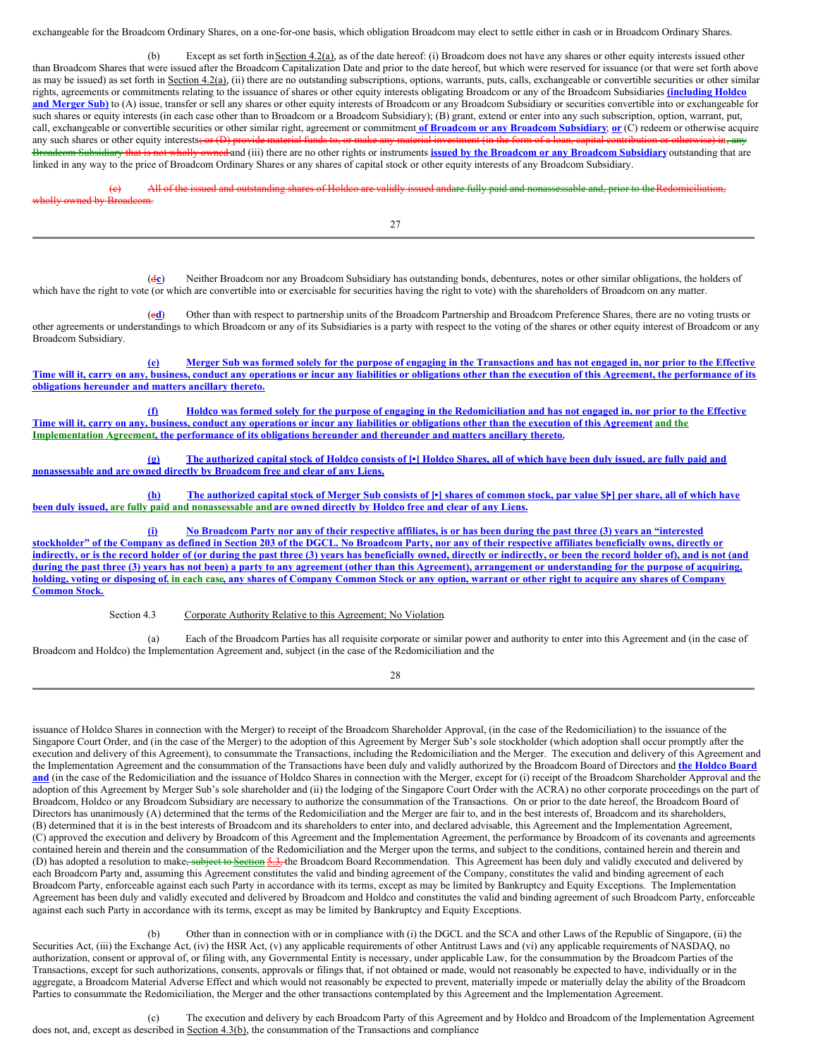exchangeable for the Broadcom Ordinary Shares, on a one-for-one basis, which obligation Broadcom may elect to settle either in cash or in Broadcom Ordinary Shares.

(b) Except as set forth in Section  $4.2(a)$ , as of the date hereof: (i) Broadcom does not have any shares or other equity interests issued other than Broadcom Shares that were issued after the Broadcom Capitalization Date and prior to the date hereof, but which were reserved for issuance (or that were set forth above as may be issued) as set forth in Section 4.2(a), (ii) there are no outstanding subscriptions, options, warrants, puts, calls, exchangeable or convertible securities or other similar rights, agreements or commitments relating to the issuance of shares or other equity interests obligating Broadcom or any of the Broadcom Subsidiaries **(including Holdco** and Merger Sub) to (A) issue, transfer or sell any shares or other equity interests of Broadcom or any Broadcom Subsidiary or securities convertible into or exchangeable for such shares or equity interests (in each case other than to Broadcom or a Broadcom Subsidiary); (B) grant, extend or enter into any such subscription, option, warrant, put, call, exchangeable or convertible securities or other similar right, agreement or commitment **of Broadcom or any Broadcom Subsidiary**; **or** (C) redeem or otherwise acquire any such shares or other equity interests; or (D) provide material funds to, or make any material investment (in the form of a l Broadcom Subsidiary that is not wholly owned and (iii) there are no other rights or instruments **issued by the Broadcom or any Broadcom Subsidiary** outstanding that are linked in any way to the price of Broadcom Ordinary Shares or any shares of capital stock or other equity interests of any Broadcom Subsidiary.

(c) All of the issued and outstanding shares of Holdco are validly issued andare fully paid and nonassessable and, prior to theRedomiciliation, wholly owned by Broadcom.

27

(d**c**) Neither Broadcom nor any Broadcom Subsidiary has outstanding bonds, debentures, notes or other similar obligations, the holders of which have the right to vote (or which are convertible into or exercisable for securities having the right to vote) with the shareholders of Broadcom on any matter.

(e**d**) Other than with respect to partnership units of the Broadcom Partnership and Broadcom Preference Shares, there are no voting trusts or other agreements or understandings to which Broadcom or any of its Subsidiaries is a party with respect to the voting of the shares or other equity interest of Broadcom or any Broadcom Subsidiary.

(e) Merger Sub was formed solely for the purpose of engaging in the Transactions and has not engaged in, nor prior to the Effective Time will it, carry on any, business, conduct any operations or incur any liabilities or obligations other than the execution of this Agreement, the performance of its **obligations hereunder and matters ancillary thereto.**

(f) Holdco was formed solely for the purpose of engaging in the Redomiciliation and has not engaged in, nor prior to the Effective Time will it, carry on any, business, conduct any operations or incur any liabilities or obligations other than the execution of this Agreement and the **Implementation Agreement, the performance of its obligations hereunder and thereunder and matters ancillary thereto.**

(g) The authorized capital stock of Holdco consists of [.] Holdco Shares, all of which have been duly issued, are fully paid and **nonassessable and are owned directly by Broadcom free and clear of any Liens.**

(h) The authorized capital stock of Merger Sub consists of [\*] shares of common stock, par value \$[\*] per share, all of which have been duly issued, are fully paid and nonassessable and are owned directly by Holdco free and clear of any Liens.

No Broadcom Party nor any of their respective affiliates, is or has been during the past three (3) years an "interested stockholder" of the Company as defined in Section 203 of the DGCL. No Broadcom Party, nor any of their respective affiliates beneficially owns, directly or indirectly, or is the record holder of (or during the past three (3) years has beneficially owned, directly or indirectly, or been the record holder of), and is not (and during the past three (3) years has not been) a party to any agreement (other than this Agreement), arrangement or understanding for the purpose of acquiring, holding, voting or disposing of, in each case, any shares of Company Common Stock or any option, warrant or other right to acquire any shares of Company **Common Stock.**

Section 4.3 Corporate Authority Relative to this Agreement; No Violation.

(a) Each of the Broadcom Parties has all requisite corporate or similar power and authority to enter into this Agreement and (in the case of Broadcom and Holdco) the Implementation Agreement and, subject (in the case of the Redomiciliation and the

28

issuance of Holdco Shares in connection with the Merger) to receipt of the Broadcom Shareholder Approval, (in the case of the Redomiciliation) to the issuance of the Singapore Court Order, and (in the case of the Merger) to the adoption of this Agreement by Merger Sub's sole stockholder (which adoption shall occur promptly after the execution and delivery of this Agreement), to consummate the Transactions, including the Redomiciliation and the Merger. The execution and delivery of this Agreement and the Implementation Agreement and the consummation of the Transactions have been duly and validly authorized by the Broadcom Board of Directors and **the Holdco Board** and (in the case of the Redomiciliation and the issuance of Holdco Shares in connection with the Merger, except for (i) receipt of the Broadcom Shareholder Approval and the adoption of this Agreement by Merger Sub's sole shareholder and (ii) the lodging of the Singapore Court Order with the ACRA) no other corporate proceedings on the part of Broadcom, Holdco or any Broadcom Subsidiary are necessary to authorize the consummation of the Transactions. On or prior to the date hereof, the Broadcom Board of Directors has unanimously (A) determined that the terms of the Redomiciliation and the Merger are fair to, and in the best interests of, Broadcom and its shareholders, (B) determined that it is in the best interests of Broadcom and its shareholders to enter into, and declared advisable, this Agreement and the Implementation Agreement, (C) approved the execution and delivery by Broadcom of this Agreement and the Implementation Agreement, the performance by Broadcom of its covenants and agreements contained herein and therein and the consummation of the Redomiciliation and the Merger upon the terms, and subject to the conditions, contained herein and therein and (D) has adopted a resolution to make<del>, subject to Section 5.3, t</del>he Broadcom Board Recommendation. This Agreement has been duly and validly executed and delivered by each Broadcom Party and, assuming this Agreement constitutes the valid and binding agreement of the Company, constitutes the valid and binding agreement of each Broadcom Party, enforceable against each such Party in accordance with its terms, except as may be limited by Bankruptcy and Equity Exceptions. The Implementation Agreement has been duly and validly executed and delivered by Broadcom and Holdco and constitutes the valid and binding agreement of such Broadcom Party, enforceable against each such Party in accordance with its terms, except as may be limited by Bankruptcy and Equity Exceptions.

(b) Other than in connection with or in compliance with (i) the DGCL and the SCA and other Laws of the Republic of Singapore, (ii) the Securities Act, (iii) the Exchange Act, (iv) the HSR Act, (v) any applicable requirements of other Antitrust Laws and (vi) any applicable requirements of NASDAQ, no authorization, consent or approval of, or filing with, any Governmental Entity is necessary, under applicable Law, for the consummation by the Broadcom Parties of the Transactions, except for such authorizations, consents, approvals or filings that, if not obtained or made, would not reasonably be expected to have, individually or in the aggregate, a Broadcom Material Adverse Effect and which would not reasonably be expected to prevent, materially impede or materially delay the ability of the Broadcom Parties to consummate the Redomiciliation, the Merger and the other transactions contemplated by this Agreement and the Implementation Agreement.

(c) The execution and delivery by each Broadcom Party of this Agreement and by Holdco and Broadcom of the Implementation Agreement does not, and, except as described in Section 4.3(b), the consummation of the Transactions and compliance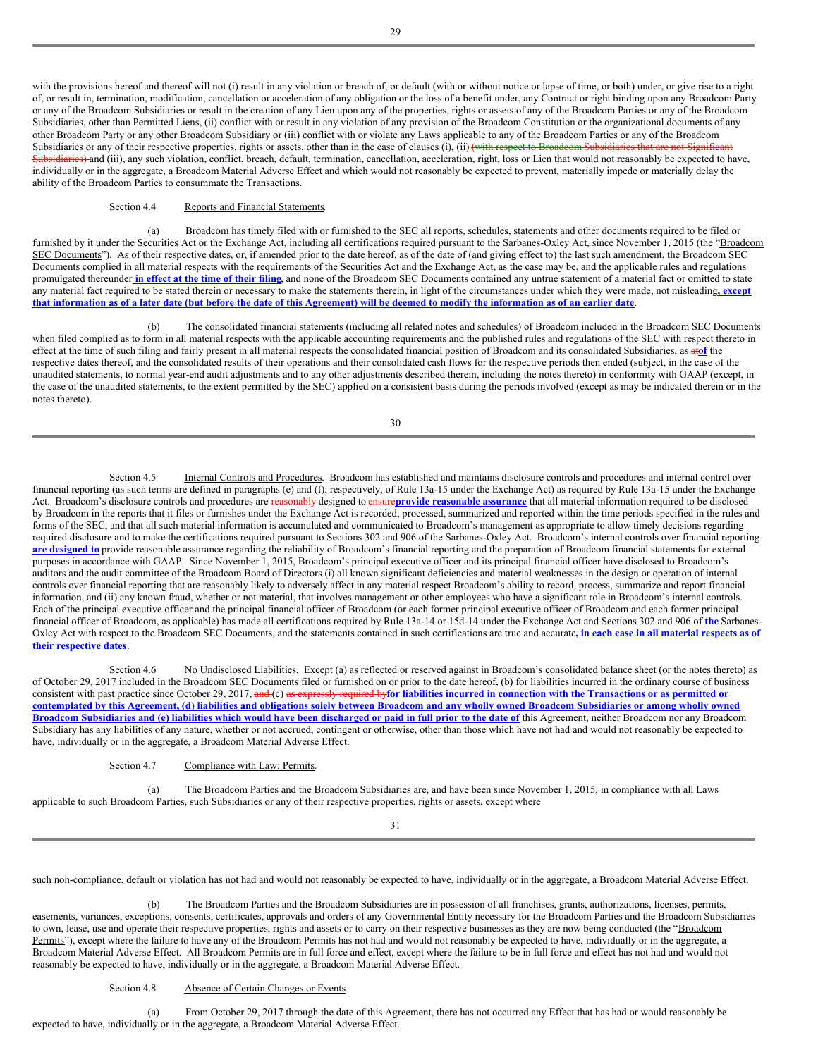with the provisions hereof and thereof will not (i) result in any violation or breach of, or default (with or without notice or lapse of time, or both) under, or give rise to a right of, or result in, termination, modification, cancellation or acceleration of any obligation or the loss of a benefit under, any Contract or right binding upon any Broadcom Party or any of the Broadcom Subsidiaries or result in the creation of any Lien upon any of the properties, rights or assets of any of the Broadcom Parties or any of the Broadcom Subsidiaries, other than Permitted Liens, (ii) conflict with or result in any violation of any provision of the Broadcom Constitution or the organizational documents of any other Broadcom Party or any other Broadcom Subsidiary or (iii) conflict with or violate any Laws applicable to any of the Broadcom Parties or any of the Broadcom Subsidiaries or any of their respective properties, rights or assets, other than in the case of clauses  $(i)$ ,  $(ii)$  (with respect to Broadcom Subsidiaries that are not Significantly  $s$ idiaries) and (iii), any such violation, conflict, breach, default, termination, cancellation, acceleration, right, loss or Lien that would not reasonably be expected to have, individually or in the aggregate, a Broadcom Material Adverse Effect and which would not reasonably be expected to prevent, materially impede or materially delay the ability of the Broadcom Parties to consummate the Transactions.

# Section 4.4 Reports and Financial Statements.

(a) Broadcom has timely filed with or furnished to the SEC all reports, schedules, statements and other documents required to be filed or furnished by it under the Securities Act or the Exchange Act, including all certifications required pursuant to the Sarbanes-Oxley Act, since November 1, 2015 (the "Broadcom SEC Documents"). As of their respective dates, or, if amended prior to the date hereof, as of the date of (and giving effect to) the last such amendment, the Broadcom SEC Documents complied in all material respects with the requirements of the Securities Act and the Exchange Act, as the case may be, and the applicable rules and regulations promulgated thereunder in effect at the time of their filing, and none of the Broadcom SEC Documents contained any untrue statement of a material fact or omitted to state any material fact required to be stated therein or necessary to make the statements therein, in light of the circumstances under which they were made, not misleading**, except** that information as of a later date (but before the date of this Agreement) will be deemed to modify the information as of an earlier date.

(b) The consolidated financial statements (including all related notes and schedules) of Broadcom included in the Broadcom SEC Documents when filed complied as to form in all material respects with the applicable accounting requirements and the published rules and regulations of the SEC with respect thereto in effect at the time of such filing and fairly present in all material respects the consolidated financial position of Broadcom and its consolidated Subsidiaries, as at**of** the respective dates thereof, and the consolidated results of their operations and their consolidated cash flows for the respective periods then ended (subject, in the case of the unaudited statements, to normal year-end audit adjustments and to any other adjustments described therein, including the notes thereto) in conformity with GAAP (except, in the case of the unaudited statements, to the extent permitted by the SEC) applied on a consistent basis during the periods involved (except as may be indicated therein or in the notes thereto).

30

Section 4.5 **Internal Controls and Procedures**. Broadcom has established and maintains disclosure controls and procedures and internal control over financial reporting (as such terms are defined in paragraphs (e) and (f), respectively, of Rule 13a-15 under the Exchange Act) as required by Rule 13a-15 under the Exchange Act. Broadcom's disclosure controls and procedures are reasonably designed to ensure**provide reasonable assurance** that all material information required to be disclosed by Broadcom in the reports that it files or furnishes under the Exchange Act is recorded, processed, summarized and reported within the time periods specified in the rules and forms of the SEC, and that all such material information is accumulated and communicated to Broadcom's management as appropriate to allow timely decisions regarding required disclosure and to make the certifications required pursuant to Sections 302 and 906 of the Sarbanes-Oxley Act. Broadcom's internal controls over financial reporting are designed to provide reasonable assurance regarding the reliability of Broadcom's financial reporting and the preparation of Broadcom financial statements for external purposes in accordance with GAAP. Since November 1, 2015, Broadcom's principal executive officer and its principal financial officer have disclosed to Broadcom's auditors and the audit committee of the Broadcom Board of Directors (i) all known significant deficiencies and material weaknesses in the design or operation of internal controls over financial reporting that are reasonably likely to adversely affect in any material respect Broadcom's ability to record, process, summarize and report financial information, and (ii) any known fraud, whether or not material, that involves management or other employees who have a significant role in Broadcom's internal controls. Each of the principal executive officer and the principal financial officer of Broadcom (or each former principal executive officer of Broadcom and each former principal financial officer of Broadcom, as applicable) has made all certifications required by Rule 13a-14 or 15d-14 under the Exchange Act and Sections 302 and 906 of **the** Sarbanes-Oxley Act with respect to the Broadcom SEC Documents, and the statements contained in such certifications are true and accurate, in each case in all material respects as of **their respective dates**.

Section 4.6 No Undisclosed Liabilities. Except (a) as reflected or reserved against in Broadcom's consolidated balance sheet (or the notes thereto) as of October 29, 2017 included in the Broadcom SEC Documents filed or furnished on or prior to the date hereof, (b) for liabilities incurred in the ordinary course of business consistent with past practice since October 29, 2017, and (c) as expressly required by for liabilities incurred in connection with the Transactions or as permitted or contemplated by this Agreement, (d) liabilities and obligations solely between Broadcom and any wholly owned Broadcom Subsidiaries or among wholly owned Broadcom Subsidiaries and (e) liabilities which would have been discharged or paid in full prior to the date of this Agreement, neither Broadcom nor any Broadcom Subsidiary has any liabilities of any nature, whether or not accrued, contingent or otherwise, other than those which have not had and would not reasonably be expected to have, individually or in the aggregate, a Broadcom Material Adverse Effect.

Section 4.7 Compliance with Law; Permits.

(a) The Broadcom Parties and the Broadcom Subsidiaries are, and have been since November 1, 2015, in compliance with all Laws applicable to such Broadcom Parties, such Subsidiaries or any of their respective properties, rights or assets, except where

31

such non-compliance, default or violation has not had and would not reasonably be expected to have, individually or in the aggregate, a Broadcom Material Adverse Effect.

(b) The Broadcom Parties and the Broadcom Subsidiaries are in possession of all franchises, grants, authorizations, licenses, permits, easements, variances, exceptions, consents, certificates, approvals and orders of any Governmental Entity necessary for the Broadcom Parties and the Broadcom Subsidiaries to own, lease, use and operate their respective properties, rights and assets or to carry on their respective businesses as they are now being conducted (the "Broadcom Permits"), except where the failure to have any of the Broadcom Permits has not had and would not reasonably be expected to have, individually or in the aggregate, a Broadcom Material Adverse Effect. All Broadcom Permits are in full force and effect, except where the failure to be in full force and effect has not had and would not reasonably be expected to have, individually or in the aggregate, a Broadcom Material Adverse Effect.

#### Section 4.8 Absence of Certain Changes or Events.

(a) From October 29, 2017 through the date of this Agreement, there has not occurred any Effect that has had or would reasonably be expected to have, individually or in the aggregate, a Broadcom Material Adverse Effect.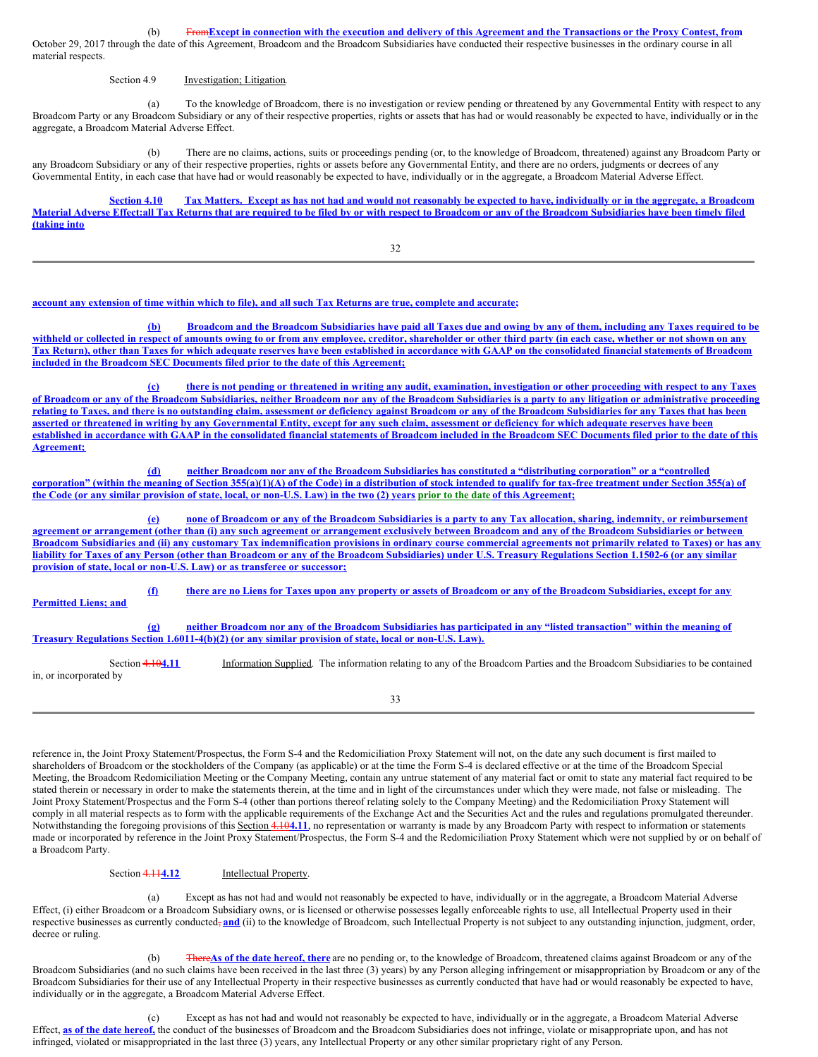(b) From Except in connection with the execution and delivery of this Agreement and the Transactions or the Proxy Contest, from

October 29, 2017 through the date of this Agreement, Broadcom and the Broadcom Subsidiaries have conducted their respective businesses in the ordinary course in all material respects.

# Section 4.9 **Investigation**; Litigation.

(a) To the knowledge of Broadcom, there is no investigation or review pending or threatened by any Governmental Entity with respect to any Broadcom Party or any Broadcom Subsidiary or any of their respective properties, rights or assets that has had or would reasonably be expected to have, individually or in the aggregate, a Broadcom Material Adverse Effect.

(b) There are no claims, actions, suits or proceedings pending (or, to the knowledge of Broadcom, threatened) against any Broadcom Party or any Broadcom Subsidiary or any of their respective properties, rights or assets before any Governmental Entity, and there are no orders, judgments or decrees of any Governmental Entity, in each case that have had or would reasonably be expected to have, individually or in the aggregate, a Broadcom Material Adverse Effect.

Section 4.10 Tax Matters. Except as has not had and would not reasonably be expected to have, individually or in the aggregate, a Broadcom Material Adverse Effect:all Tax Returns that are required to be filed by or with respect to Broadcom or any of the Broadcom Subsidiaries have been timely filed **(taking into**

32

# account any extension of time within which to file), and all such Tax Returns are true, complete and accurate;

(b) Broadcom and the Broadcom Subsidiaries have paid all Taxes due and owing by any of them, including any Taxes required to be withheld or collected in respect of amounts owing to or from any employee, creditor, shareholder or other third party (in each case, whether or not shown on any Tax Return), other than Taxes for which adequate reserves have been established in accordance with GAAP on the consolidated financial statements of Broadcom **included in the Broadcom SEC Documents filed prior to the date of this Agreement;**

(c) there is not pending or threatened in writing any audit, examination, investigation or other proceeding with respect to any Taxes of Broadcom or any of the Broadcom Subsidiaries, neither Broadcom nor any of the Broadcom Subsidiaries is a party to any litigation or administrative proceeding relating to Taxes, and there is no outstanding claim, assessment or deficiency against Broadcom or any of the Broadcom Subsidiaries for any Taxes that has been asserted or threatened in writing by any Governmental Entity, except for any such claim, assessment or deficiency for which adequate reserves have been established in accordance with GAAP in the consolidated financial statements of Broadcom included in the Broadcom SEC Documents filed prior to the date of this **Agreement;**

(d) neither Broadcom nor any of the Broadcom Subsidiaries has constituted a "distributing corporation" or a "controlled corporation" (within the meaning of Section 355(a)(1)(A) of the Code) in a distribution of stock intended to qualify for tax-free treatment under Section 355(a) of the Code (or any similar provision of state, local, or non-U.S. Law) in the two (2) years prior to the date of this Agreement;

(e) none of Broadcom or any of the Broadcom Subsidiaries is a party to any Tax allocation, sharing, indemnity, or reimbursement agreement or arrangement (other than (i) any such agreement or arrangement exclusively between Broadcom and any of the Broadcom Subsidiaries or between Broadcom Subsidiaries and (ii) any customary Tax indemnification provisions in ordinary course commercial agreements not primarily related to Taxes) or has any liability for Taxes of any Person (other than Broadcom or any of the Broadcom Subsidiaries) under U.S. Treasury Regulations Section 1.1502-6 (or any similar **provision of state, local or non-U.S. Law) or as transferee or successor;**

(f) there are no Liens for Taxes upon any property or assets of Broadcom or any of the Broadcom Subsidiaries, except for any **Permitted Liens; and** (g) neither Broadcom nor any of the Broadcom Subsidiaries has participated in any "listed transaction" within the meaning of **Treasury Regulations Section 1.6011-4(b)(2) (or any similar provision of state, local or non-U.S. Law).** Section 4.10**4.11** Information Supplied. The information relating to any of the Broadcom Parties and the Broadcom Subsidiaries to be contained

in, or incorporated by

33

reference in, the Joint Proxy Statement/Prospectus, the Form S-4 and the Redomiciliation Proxy Statement will not, on the date any such document is first mailed to shareholders of Broadcom or the stockholders of the Company (as applicable) or at the time the Form S-4 is declared effective or at the time of the Broadcom Special Meeting, the Broadcom Redomiciliation Meeting or the Company Meeting, contain any untrue statement of any material fact or omit to state any material fact required to be stated therein or necessary in order to make the statements therein, at the time and in light of the circumstances under which they were made, not false or misleading. The Joint Proxy Statement/Prospectus and the Form S-4 (other than portions thereof relating solely to the Company Meeting) and the Redomiciliation Proxy Statement will comply in all material respects as to form with the applicable requirements of the Exchange Act and the Securities Act and the rules and regulations promulgated thereunder. Notwithstanding the foregoing provisions of this Section 4.10**4.11**, no representation or warranty is made by any Broadcom Party with respect to information or statements made or incorporated by reference in the Joint Proxy Statement/Prospectus, the Form S-4 and the Redomiciliation Proxy Statement which were not supplied by or on behalf of a Broadcom Party.

Section 4.114.12 Intellectual Property.

(a) Except as has not had and would not reasonably be expected to have, individually or in the aggregate, a Broadcom Material Adverse Effect, (i) either Broadcom or a Broadcom Subsidiary owns, or is licensed or otherwise possesses legally enforceable rights to use, all Intellectual Property used in their respective businesses as currently conducted<sub></sub>, and (ii) to the knowledge of Broadcom, such Intellectual Property is not subject to any outstanding injunction, judgment, order, decree or ruling.

(b) There**As of the date hereof, there** are no pending or, to the knowledge of Broadcom, threatened claims against Broadcom or any of the Broadcom Subsidiaries (and no such claims have been received in the last three (3) years) by any Person alleging infringement or misappropriation by Broadcom or any of the Broadcom Subsidiaries for their use of any Intellectual Property in their respective businesses as currently conducted that have had or would reasonably be expected to have, individually or in the aggregate, a Broadcom Material Adverse Effect.

(c) Except as has not had and would not reasonably be expected to have, individually or in the aggregate, a Broadcom Material Adverse Effect, **as of the date hereof,** the conduct of the businesses of Broadcom and the Broadcom Subsidiaries does not infringe, violate or misappropriate upon, and has not infringed, violated or misappropriated in the last three (3) years, any Intellectual Property or any other similar proprietary right of any Person.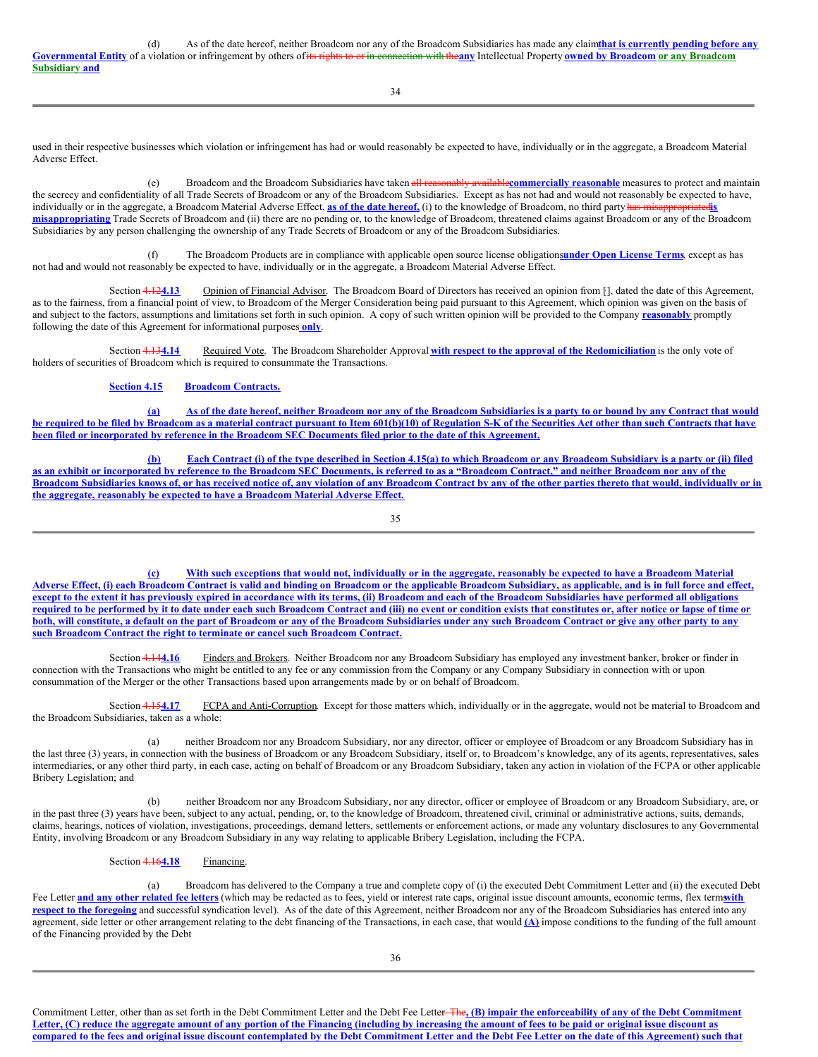|                | As of the date hereof, neither Broadcom nor any of the Broadcom Subsidiaries has made any claimthat is currently pending before any                                |
|----------------|--------------------------------------------------------------------------------------------------------------------------------------------------------------------|
|                | Governmental Entity of a violation or infringement by others of its rights to or in connection with theany Intellectual Property owned by Broadcom or any Broadcom |
| Subsidiary and |                                                                                                                                                                    |

34

used in their respective businesses which violation or infringement has had or would reasonably be expected to have, individually or in the aggregate, a Broadcom Material Adverse Effect.

(e) Broadcom and the Broadcom Subsidiaries have taken all reasonably available**commercially reasonable** measures to protect and maintain the secrecy and confidentiality of all Trade Secrets of Broadcom or any of the Broadcom Subsidiaries. Except as has not had and would not reasonably be expected to have, individually or in the aggregate, a Broadcom Material Adverse Effect, **as of the date hereof,** (i) to the knowledge of Broadcom, no third party has misappropriated**is misappropriating** Trade Secrets of Broadcom and (ii) there are no pending or, to the knowledge of Broadcom, threatened claims against Broadcom or any of the Broadcom Subsidiaries by any person challenging the ownership of any Trade Secrets of Broadcom or any of the Broadcom Subsidiaries.

(f) The Broadcom Products are in compliance with applicable open source license obligations**under Open License Terms**, except as has not had and would not reasonably be expected to have, individually or in the aggregate, a Broadcom Material Adverse Effect.

Section 4.124.13 Opinion of Financial Advisor. The Broadcom Board of Directors has received an opinion from [], dated the date of this Agreement, as to the fairness, from a financial point of view, to Broadcom of the Merger Consideration being paid pursuant to this Agreement, which opinion was given on the basis of and subject to the factors, assumptions and limitations set forth in such opinion. A copy of such written opinion will be provided to the Company **reasonably** promptly following the date of this Agreement for informational purposes **only**.

Section 4.13**4.14** Required Vote. The Broadcom Shareholder Approval **with respect to the approval of the Redomiciliation** is the only vote of holders of securities of Broadcom which is required to consummate the Transactions.

# **Section 4.15 Broadcom Contracts.**

(a) As of the date hereof, neither Broadcom nor any of the Broadcom Subsidiaries is a party to or bound by any Contract that would be required to be filed by Broadcom as a material contract pursuant to Item 601(b)(10) of Regulation S-K of the Securities Act other than such Contracts that have been filed or incorporated by reference in the Broadcom SEC Documents filed prior to the date of this Agreement.

(b) Each Contract (i) of the type described in Section 4.15(a) to which Broadcom or any Broadcom Subsidiary is a party or (ii) filed as an exhibit or incorporated by reference to the Broadcom SEC Documents, is referred to as a "Broadcom Contract," and neither Broadcom nor any of the Broadcom Subsidiaries knows of, or has received notice of, any violation of any Broadcom Contract by any of the other parties thereto that would, individually or in **the aggregate, reasonably be expected to have a Broadcom Material Adverse Effect.**

35

(c) With such exceptions that would not, individually or in the aggregate, reasonably be expected to have a Broadcom Material Adverse Effect, (i) each Broadcom Contract is valid and binding on Broadcom or the applicable Broadcom Subsidiary, as applicable, and is in full force and effect, except to the extent it has previously expired in accordance with its terms, (ii) Broadcom and each of the Broadcom Subsidiaries have performed all obligations required to be performed by it to date under each such Broadcom Contract and (iii) no event or condition exists that constitutes or, after notice or lapse of time or both, will constitute, a default on the part of Broadcom or any of the Broadcom Subsidiaries under any such Broadcom Contract or give any other party to any **such Broadcom Contract the right to terminate or cancel such Broadcom Contract.**

Section 4.144.16 Finders and Brokers. Neither Broadcom nor any Broadcom Subsidiary has employed any investment banker, broker or finder in connection with the Transactions who might be entitled to any fee or any commission from the Company or any Company Subsidiary in connection with or upon consummation of the Merger or the other Transactions based upon arrangements made by or on behalf of Broadcom.

Section 4.154.17 FCPA and Anti-Corruption. Except for those matters which, individually or in the aggregate, would not be material to Broadcom and the Broadcom Subsidiaries, taken as a whole:

(a) neither Broadcom nor any Broadcom Subsidiary, nor any director, officer or employee of Broadcom or any Broadcom Subsidiary has in the last three (3) years, in connection with the business of Broadcom or any Broadcom Subsidiary, itself or, to Broadcom's knowledge, any of its agents, representatives, sales intermediaries, or any other third party, in each case, acting on behalf of Broadcom or any Broadcom Subsidiary, taken any action in violation of the FCPA or other applicable Bribery Legislation; and

(b) neither Broadcom nor any Broadcom Subsidiary, nor any director, officer or employee of Broadcom or any Broadcom Subsidiary, are, or in the past three (3) years have been, subject to any actual, pending, or, to the knowledge of Broadcom, threatened civil, criminal or administrative actions, suits, demands, claims, hearings, notices of violation, investigations, proceedings, demand letters, settlements or enforcement actions, or made any voluntary disclosures to any Governmental Entity, involving Broadcom or any Broadcom Subsidiary in any way relating to applicable Bribery Legislation, including the FCPA.

Section 4.164.18 Financing.

(a) Broadcom has delivered to the Company a true and complete copy of (i) the executed Debt Commitment Letter and (ii) the executed Debt Fee Letter and any other related fee letters (which may be redacted as to fees, yield or interest rate caps, original issue discount amounts, economic terms, flex terms, the terms of the terms of the terms of the terms of **respect to the foregoing** and successful syndication level). As of the date of this Agreement, neither Broadcom nor any of the Broadcom Subsidiaries has entered into any agreement, side letter or other arrangement relating to the debt financing of the Transactions, in each case, that would  $(A)$  impose conditions to the funding of the full amount of the Financing provided by the Debt

Commitment Letter, other than as set forth in the Debt Commitment Letter and the Debt Fee Letter The, (B) impair the enforceability of any of the Debt Commitment Letter, (C) reduce the aggregate amount of any portion of the Financing (including by increasing the amount of fees to be paid or original issue discount as compared to the fees and original issue discount contemplated by the Debt Commitment Letter and the Debt Fee Letter on the date of this Agreement) such that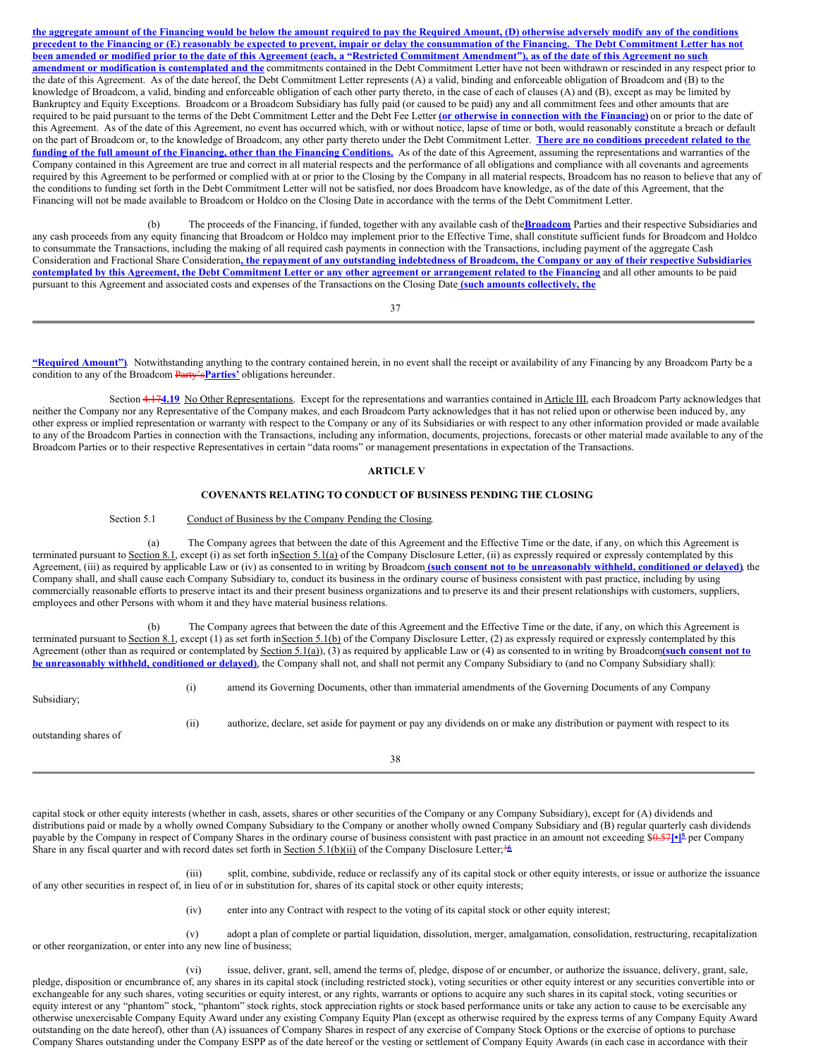the aggregate amount of the Financing would be below the amount required to pay the Required Amount, (D) otherwise adversely modify any of the conditions precedent to the Financing or (E) reasonably be expected to prevent, impair or delay the consummation of the Financing. The Debt Commitment Letter has not been amended or modified prior to the date of this Agreement (each, a "Restricted Commitment Amendment"), as of the date of this Agreement no such **amendment or modification is contemplated and the** commitments contained in the Debt Commitment Letter have not been withdrawn or rescinded in any respect prior to the date of this Agreement. As of the date hereof, the Debt Commitment Letter represents (A) a valid, binding and enforceable obligation of Broadcom and (B) to the knowledge of Broadcom, a valid, binding and enforceable obligation of each other party thereto, in the case of each of clauses (A) and (B), except as may be limited by Bankruptcy and Equity Exceptions. Broadcom or a Broadcom Subsidiary has fully paid (or caused to be paid) any and all commitment fees and other amounts that are required to be paid pursuant to the terms of the Debt Commitment Letter and the Debt Fee Letter **(or otherwise in connection with the Financing)** on or prior to the date of this Agreement. As of the date of this Agreement, no event has occurred which, with or without notice, lapse of time or both, would reasonably constitute a breach or default on the part of Broadcom or, to the knowledge of Broadcom, any other party thereto under the Debt Commitment Letter. **There are no conditions precedent related to the** funding of the full amount of the Financing, other than the Financing Conditions. As of the date of this Agreement, assuming the representations and warranties of the Company contained in this Agreement are true and correct in all material respects and the performance of all obligations and compliance with all covenants and agreements required by this Agreement to be performed or complied with at or prior to the Closing by the Company in all material respects, Broadcom has no reason to believe that any of the conditions to funding set forth in the Debt Commitment Letter will not be satisfied, nor does Broadcom have knowledge, as of the date of this Agreement, that the Financing will not be made available to Broadcom or Holdco on the Closing Date in accordance with the terms of the Debt Commitment Letter.

(b) The proceeds of the Financing, if funded, together with any available cash of the**Broadcom** Parties and their respective Subsidiaries and any cash proceeds from any equity financing that Broadcom or Holdco may implement prior to the Effective Time, shall constitute sufficient funds for Broadcom and Holdco to consummate the Transactions, including the making of all required cash payments in connection with the Transactions, including payment of the aggregate Cash Consideration and Fractional Share Consideration, the repayment of any outstanding indebtedness of Broadcom, the Company or any of their respective Subsidiaries contemplated by this Agreement, the Debt Commitment Letter or any other agreement or arrangement related to the Financing and all other amounts to be paid pursuant to this Agreement and associated costs and expenses of the Transactions on the Closing Date **(such amounts collectively, the**

37

**"Required Amount")**. Notwithstanding anything to the contrary contained herein, in no event shall the receipt or availability of any Financing by any Broadcom Party be a condition to any of the Broadcom Party's**Parties'** obligations hereunder.

Section 4.174.19 No Other Representations. Except for the representations and warranties contained in **Article III**, each Broadcom Party acknowledges that neither the Company nor any Representative of the Company makes, and each Broadcom Party acknowledges that it has not relied upon or otherwise been induced by, any other express or implied representation or warranty with respect to the Company or any of its Subsidiaries or with respect to any other information provided or made available to any of the Broadcom Parties in connection with the Transactions, including any information, documents, projections, forecasts or other material made available to any of the Broadcom Parties or to their respective Representatives in certain "data rooms" or management presentations in expectation of the Transactions.

# **ARTICLE V**

#### **COVENANTS RELATING TO CONDUCT OF BUSINESS PENDING THE CLOSING**

# Section 5.1 Conduct of Business by the Company Pending the Closing.

(a) The Company agrees that between the date of this Agreement and the Effective Time or the date, if any, on which this Agreement is terminated pursuant to Section 8.1, except (i) as set forth inSection 5.1(a) of the Company Disclosure Letter, (ii) as expressly required or expressly contemplated by this Agreement, (iii) as required by applicable Law or (iv) as consented to in writing by Broadcom (such consent not to be unreasonably withheld, conditioned or delayed), the Company shall, and shall cause each Company Subsidiary to, conduct its business in the ordinary course of business consistent with past practice, including by using commercially reasonable efforts to preserve intact its and their present business organizations and to preserve its and their present relationships with customers, suppliers, employees and other Persons with whom it and they have material business relations.

(b) The Company agrees that between the date of this Agreement and the Effective Time or the date, if any, on which this Agreement is terminated pursuant to Section 8.1, except (1) as set forth inSection 5.1(b) of the Company Disclosure Letter, (2) as expressly required or expressly contemplated by this Agreement (other than as required or contemplated by Section 5.1(a)), (3) as required by applicable Law or (4) as consented to in writing by Broadcom**(such consent not to be unreasonably withheld, conditioned or delayed)**, the Company shall not, and shall not permit any Company Subsidiary to (and no Company Subsidiary shall):

| Subsidiary:           | (1) | amend its Governing Documents, other than immaterial amendments of the Governing Documents of any Company                 |
|-----------------------|-----|---------------------------------------------------------------------------------------------------------------------------|
| outstanding shares of | (i) | authorize, declare, set aside for payment or pay any dividends on or make any distribution or payment with respect to its |
|                       |     |                                                                                                                           |

38

capital stock or other equity interests (whether in cash, assets, shares or other securities of the Company or any Company Subsidiary), except for (A) dividends and distributions paid or made by a wholly owned Company Subsidiary to the Company or another wholly owned Company Subsidiary and (B) regular quarterly cash dividends payable by the Company in respect of Company Shares in the ordinary course of business consistent with past practice in an amount not exceeding \$0.57 $\left[1\right]$ <sup>5</sup> per Company Share in any fiscal quarter and with record dates set forth in Section 5.1(b)(ii) of the Company Disclosure Letter;<sup>36</sup>

(iii) split, combine, subdivide, reduce or reclassify any of its capital stock or other equity interests, or issue or authorize the issuance of any other securities in respect of, in lieu of or in substitution for, shares of its capital stock or other equity interests;

(iv) enter into any Contract with respect to the voting of its capital stock or other equity interest;

(v) adopt a plan of complete or partial liquidation, dissolution, merger, amalgamation, consolidation, restructuring, recapitalization or other reorganization, or enter into any new line of business;

(vi) issue, deliver, grant, sell, amend the terms of, pledge, dispose of or encumber, or authorize the issuance, delivery, grant, sale, pledge, disposition or encumbrance of, any shares in its capital stock (including restricted stock), voting securities or other equity interest or any securities convertible into or exchangeable for any such shares, voting securities or equity interest, or any rights, warrants or options to acquire any such shares in its capital stock, voting securities or equity interest or any "phantom" stock, "phantom" stock rights, stock appreciation rights or stock based performance units or take any action to cause to be exercisable any otherwise unexercisable Company Equity Award under any existing Company Equity Plan (except as otherwise required by the express terms of any Company Equity Award outstanding on the date hereof), other than (A) issuances of Company Shares in respect of any exercise of Company Stock Options or the exercise of options to purchase Company Shares outstanding under the Company ESPP as of the date hereof or the vesting or settlement of Company Equity Awards (in each case in accordance with their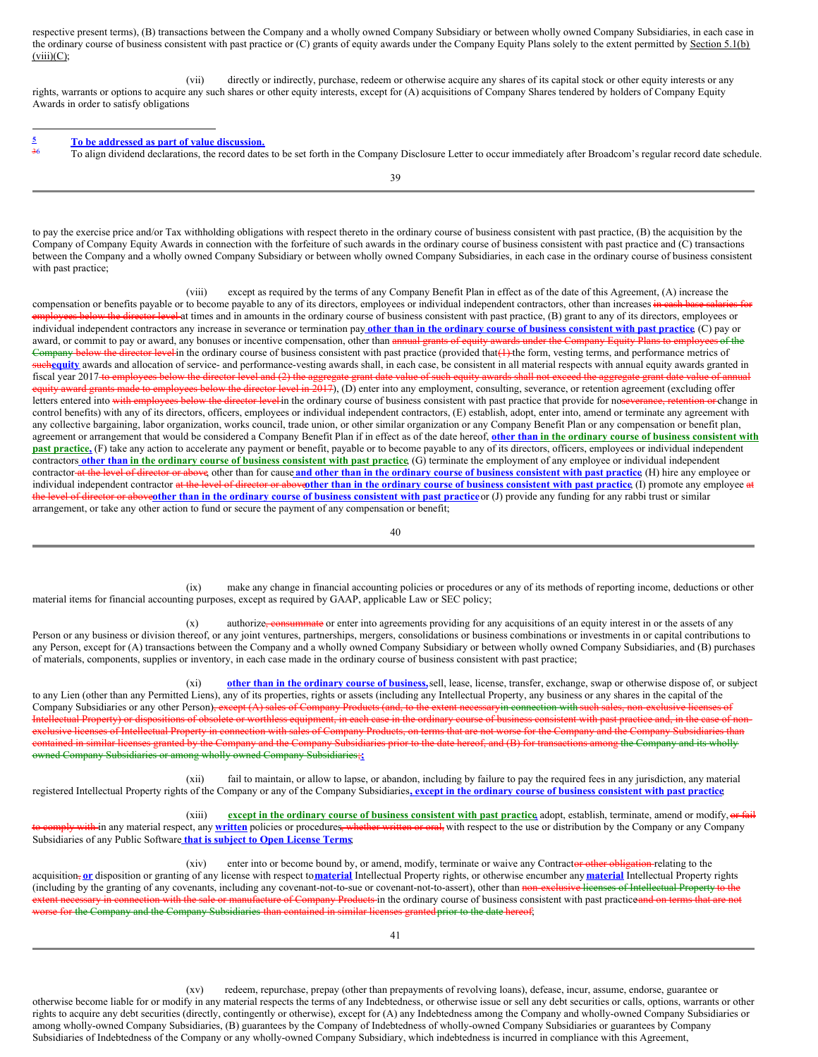respective present terms), (B) transactions between the Company and a wholly owned Company Subsidiary or between wholly owned Company Subsidiaries, in each case in the ordinary course of business consistent with past practice or (C) grants of equity awards under the Company Equity Plans solely to the extent permitted by Section 5.1(b)  $(viii)(C);$ 

(vii) directly or indirectly, purchase, redeem or otherwise acquire any shares of its capital stock or other equity interests or any rights, warrants or options to acquire any such shares or other equity interests, except for (A) acquisitions of Company Shares tendered by holders of Company Equity Awards in order to satisfy obligations

#### **To be addressed as part of value discussion. 5** 36

To align dividend declarations, the record dates to be set forth in the Company Disclosure Letter to occur immediately after Broadcom's regular record date schedule.

39

to pay the exercise price and/or Tax withholding obligations with respect thereto in the ordinary course of business consistent with past practice, (B) the acquisition by the Company of Company Equity Awards in connection with the forfeiture of such awards in the ordinary course of business consistent with past practice and (C) transactions between the Company and a wholly owned Company Subsidiary or between wholly owned Company Subsidiaries, in each case in the ordinary course of business consistent with past practice;

(viii) except as required by the terms of any Company Benefit Plan in effect as of the date of this Agreement, (A) increase the compensation or benefits payable or to become payable to any of its directors, employees or individual independent contractors, other than increases in cash base salari employees below the director level at times and in amounts in the ordinary course of business consistent with past practice, (B) grant to any of its directors, employees or individual independent contractors any increase in severance or termination pay other than in the ordinary course of business consistent with past practice (C) pay or award, or commit to pay or award, any bonuses or incentive compensation, other than annual grants of equity awards under the Company Equity Plans to employees of the Company below the director level in the ordinary course of business consistent with past practice (provided that(1) the form, vesting terms, and performance metrics of suchequity awards and allocation of service- and performance-vesting awards shall, in each case, be consistent in all material respects with annual equity awards granted in fiscal year 2017 to employees below the director level and (2) the aggregate grant date value of such equity awards shall not exceed the aggregate grant date value of annual equity award grants made to employees below the director level in 2017), (D) enter into any employment, consulting, severance, or retention agreement (excluding offer letters entered into with employees below the director level in the ordinary course of business consistent with past practice that provide for noseverance, retention or change in control benefits) with any of its directors, officers, employees or individual independent contractors, (E) establish, adopt, enter into, amend or terminate any agreement with any collective bargaining, labor organization, works council, trade union, or other similar organization or any Company Benefit Plan or any compensation or benefit plan, agreement or arrangement that would be considered a Company Benefit Plan if in effect as of the date hereof, other than in the ordinary course of business consistent with **past practice,** (F) take any action to accelerate any payment or benefit, payable or to become payable to any of its directors, officers, employees or individual independent contractors other than in the ordinary course of business consistent with past practice. (G) terminate the employment of any employee or individual independent contractor-at the level of director or above, other than for cause and other than in the ordinary course of business consistent with past practice (H) hire any employee or individual independent contractor at the level of director or above then than in the ordinary course of business consistent with past practice (I) promote any employee at the level of director or aboveother than in the ordinary course of business consistent with past practice or (J) provide any funding for any rabbi trust or similar arrangement, or take any other action to fund or secure the payment of any compensation or benefit;

40

(ix) make any change in financial accounting policies or procedures or any of its methods of reporting income, deductions or other material items for financial accounting purposes, except as required by GAAP, applicable Law or SEC policy;

(x) authorize, consummate or enter into agreements providing for any acquisitions of an equity interest in or the assets of any Person or any business or division thereof, or any joint ventures, partnerships, mergers, consolidations or business combinations or investments in or capital contributions to any Person, except for (A) transactions between the Company and a wholly owned Company Subsidiary or between wholly owned Company Subsidiaries, and (B) purchases of materials, components, supplies or inventory, in each case made in the ordinary course of business consistent with past practice;

(xi) **other than in the ordinary course of business,**sell, lease, license, transfer, exchange, swap or otherwise dispose of, or subject to any Lien (other than any Permitted Liens), any of its properties, rights or assets (including any Intellectual Property, any business or any shares in the capital of the Company Subsidiaries or any other Person)<del>, except (A) sales of Company Products (and, to the extent necessaryin connection with such sales, non-exclusive licenses of</del> Intellectual Property) or dispositions of obsolete or worthless equipment, in each case in the ordinary course of business consistent with past practice and, in the case of nonexclusive licenses of Intellectual Property in connection with sales of Company Products, on terms that are not worse for the Company and the Company Subsidiaries than contained in similar licenses granted by the Company and the Company Subsidiaries prior to the date hereof, and (B) for transactions among the Company and its wholly owned Company Subsidiaries or among wholly owned Company Subsidiaries;**;**

(xii) fail to maintain, or allow to lapse, or abandon, including by failure to pay the required fees in any jurisdiction, any material registered Intellectual Property rights of the Company or any of the Company Subsidiaries, except in the ordinary course of business consistent with past practice

(xiii) **except in the ordinary course of business consistent with past practice,** adopt, establish, terminate, amend or modify, or fail to comply with in any material respect, any **written** policies or procedures, whether written or oral, with respect to the use or distribution by the Company or any Company Subsidiaries of any Public Software **that is subject to Open License Terms**;

(xiv) enter into or become bound by, or amend, modify, terminate or waive any Contractor other obligation relating to the acquisition, or disposition or granting of any license with respect to material Intellectual Property rights, or otherwise encumber any material Intellectual Property rights (including by the granting of any covenants, including any covenant-not-to-sue or covenant-not-to-assert), other than non-exclusive licenses of Intellectual Property to the extent necessary in connection with the sale or manufacture of Company Products in the ordinary course of business consistent with past practiceand on terms that are not e for the Company and the Company Subsidiaries than contained in similar licenses granted prior to the date hereof;

(xv) redeem, repurchase, prepay (other than prepayments of revolving loans), defease, incur, assume, endorse, guarantee or otherwise become liable for or modify in any material respects the terms of any Indebtedness, or otherwise issue or sell any debt securities or calls, options, warrants or other rights to acquire any debt securities (directly, contingently or otherwise), except for (A) any Indebtedness among the Company and wholly-owned Company Subsidiaries or among wholly-owned Company Subsidiaries, (B) guarantees by the Company of Indebtedness of wholly-owned Company Subsidiaries or guarantees by Company Subsidiaries of Indebtedness of the Company or any wholly-owned Company Subsidiary, which indebtedness is incurred in compliance with this Agreement,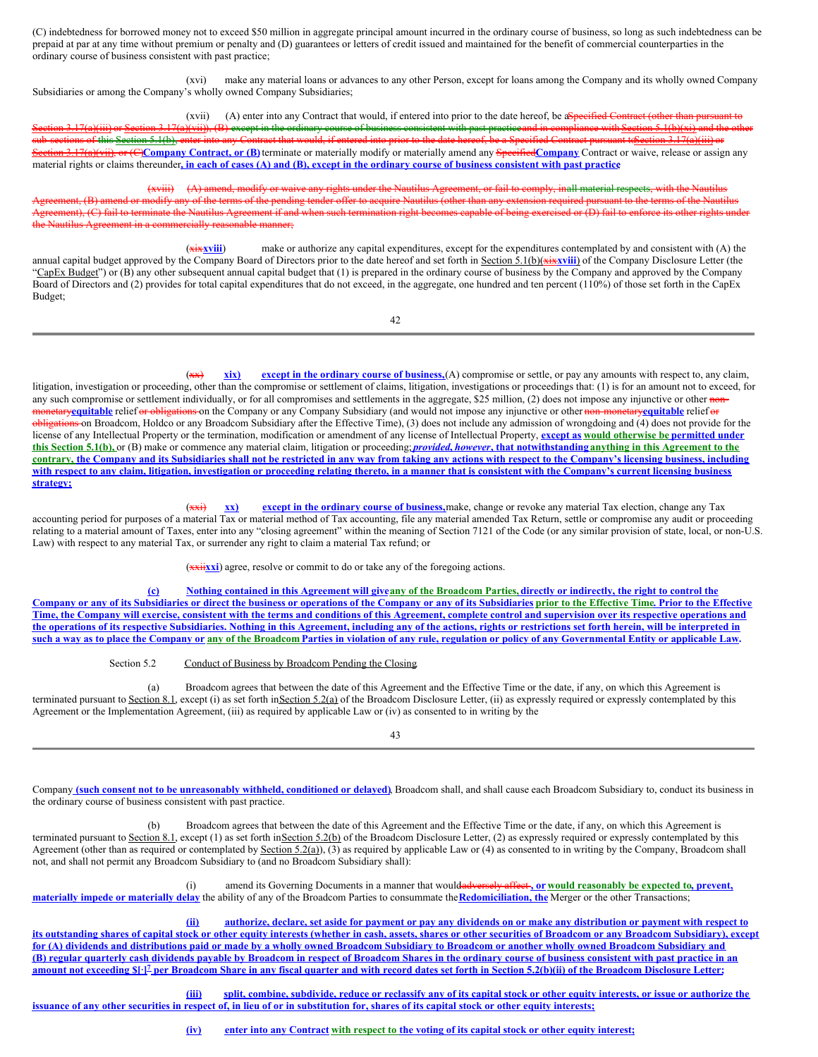(C) indebtedness for borrowed money not to exceed \$50 million in aggregate principal amount incurred in the ordinary course of business, so long as such indebtedness can be prepaid at par at any time without premium or penalty and (D) guarantees or letters of credit issued and maintained for the benefit of commercial counterparties in the ordinary course of business consistent with past practice;

(xvi) make any material loans or advances to any other Person, except for loans among the Company and its wholly owned Company Subsidiaries or among the Company's wholly owned Company Subsidiaries;

(xvii) (A) enter into any Contract that would, if entered into prior to the date hereof, be aspecified Contract (other than pursuant to Section 3.17(a)(iii) or Section 3.17(a)(vii)), (B) except in the ordinary course of business consistent with past practiceand in compliance with Section 5.1(b)(xi) and the other sub-sections of this Section 5.1(b), enter into any Contract that would, if entered into prior to the date hereof, be a Specified Contract pursuant to Section 3.17(a)(iii) or Section 3.17(a)(vii), or (C)**Company Contract, or (B)**terminate or materially modify or materially amend any Specified**Company** Contract or waive, release or assign any material rights or claims thereunder, in each of cases (A) and (B), except in the ordinary course of business consistent with past practice

(xviii) (A) amend, modify or waive any rights under the Nautilus Agreement, or fail to comply, inall material respects, with the Nautilus ment, (B) amend or modify any of the terms of the pending tender offer to acquire Nautilus (other than any extension required pursuant to the terms of the Nautilus Agreement), (C) fail to terminate the Nautilus Agreement if and when such termination right becomes capable of being exercised or (D) fail to enforce its other rights under Nautilus Agreement in a commercially reasonable manner;

(xix**xviii**) make or authorize any capital expenditures, except for the expenditures contemplated by and consistent with (A) the annual capital budget approved by the Company Board of Directors prior to the date hereof and set forth in Section 5.1(b)(xixxviii) of the Company Disclosure Letter (the "CapEx Budget") or (B) any other subsequent annual capital budget that (1) is prepared in the ordinary course of business by the Company and approved by the Company Board of Directors and (2) provides for total capital expenditures that do not exceed, in the aggregate, one hundred and ten percent (110%) of those set forth in the CapEx Budget;

42

(xx) **xix) except in the ordinary course of business,**(A) compromise or settle, or pay any amounts with respect to, any claim, litigation, investigation or proceeding, other than the compromise or settlement of claims, litigation, investigations or proceedings that: (1) is for an amount not to exceed, for any such compromise or settlement individually, or for all compromises and settlements in the aggregate, \$25 million, (2) does not impose any injunctive or other nonmonetary**equitable** relief or obligations on the Company or any Company Subsidiary (and would not impose any injunctive or other non-monetary**equitable** relief or  $\theta$ bligations on Broadcom, Holdco or any Broadcom Subsidiary after the Effective Time), (3) does not include any admission of wrongdoing and (4) does not provide for the license of any Intellectual Property or the termination, modification or amendment of any license of Intellectual Property, **except as would otherwise be permitted under** this Section 5.1(b), or (B) make or commence any material claim, litigation or proceeding; *provided, however*, that notwithstanding anything in this Agreement to the contrary, the Company and its Subsidiaries shall not be restricted in any way from taking any actions with respect to the Company's licensing business, including with respect to any claim, litigation, investigation or proceeding relating thereto, in a manner that is consistent with the Company's current licensing business **strategy;**

(xxi) **xx) except in the ordinary course of business,**make, change or revoke any material Tax election, change any Tax accounting period for purposes of a material Tax or material method of Tax accounting, file any material amended Tax Return, settle or compromise any audit or proceeding relating to a material amount of Taxes, enter into any "closing agreement" within the meaning of Section 7121 of the Code (or any similar provision of state, local, or non-U.S. Law) with respect to any material Tax, or surrender any right to claim a material Tax refund; or

(xxii**xxi**) agree, resolve or commit to do or take any of the foregoing actions.

(c) Nothing contained in this Agreement will give any of the Broadcom Parties, directly or indirectly, the right to control the Company or any of its Subsidiaries or direct the business or operations of the Company or any of its Subsidiaries prior to the Effective Time. Prior to the Effective Time, the Company will exercise, consistent with the terms and conditions of this Agreement, complete control and supervision over its respective operations and the operations of its respective Subsidiaries. Nothing in this Agreement, including any of the actions, rights or restrictions set forth herein, will be interpreted in such a way as to place the Company or any of the Broadcom Parties in violation of any rule, regulation or policy of any Governmental Entity or applicable Law.

Section 5.2 Conduct of Business by Broadcom Pending the Closing.

(a) Broadcom agrees that between the date of this Agreement and the Effective Time or the date, if any, on which this Agreement is terminated pursuant to Section 8.1, except (i) as set forth inSection 5.2(a) of the Broadcom Disclosure Letter, (ii) as expressly required or expressly contemplated by this Agreement or the Implementation Agreement, (iii) as required by applicable Law or (iv) as consented to in writing by the

43

Company (such consent not to be unreasonably withheld, conditioned or delayed). Broadcom shall, and shall cause each Broadcom Subsidiary to, conduct its business in the ordinary course of business consistent with past practice.

(b) Broadcom agrees that between the date of this Agreement and the Effective Time or the date, if any, on which this Agreement is terminated pursuant to Section 8.1, except (1) as set forth inSection 5.2(b) of the Broadcom Disclosure Letter, (2) as expressly required or expressly contemplated by this Agreement (other than as required or contemplated by Section 5.2(a)), (3) as required by applicable Law or (4) as consented to in writing by the Company, Broadcom shall not, and shall not permit any Broadcom Subsidiary to (and no Broadcom Subsidiary shall):

(i) amend its Governing Documents in a manner that wouldadversely affect **, or would reasonably be expected to, prevent, materially impede or materially delay** the ability of any of the Broadcom Parties to consummate the**Redomiciliation, the** Merger or the other Transactions;

#### authorize, declare, set aside for payment or pay any dividends on or make any distribution or payment with respect to

its outstanding shares of capital stock or other equity interests (whether in cash, assets, shares or other securities of Broadcom or any Broadcom Subsidiary), except for (A) dividends and distributions paid or made by a wholly owned Broadcom Subsidiary to Broadcom or another wholly owned Broadcom Subsidiary and (B) regular quarterly cash dividends payable by Broadcom in respect of Broadcom Shares in the ordinary course of business consistent with past practice in an amount not exceeding \$[1]<sup>2</sup> per Broadcom Share in any fiscal quarter and with record dates set forth in Section 5.2(b)(ii) of the Broadcom Disclosure Letter;

(iii) split, combine, subdivide, reduce or reclassify any of its capital stock or other equity interests, or issue or authorize the issuance of any other securities in respect of, in lieu of or in substitution for, shares of its capital stock or other equity interests;

(iv) enter into any Contract with respect to the voting of its capital stock or other equity interest;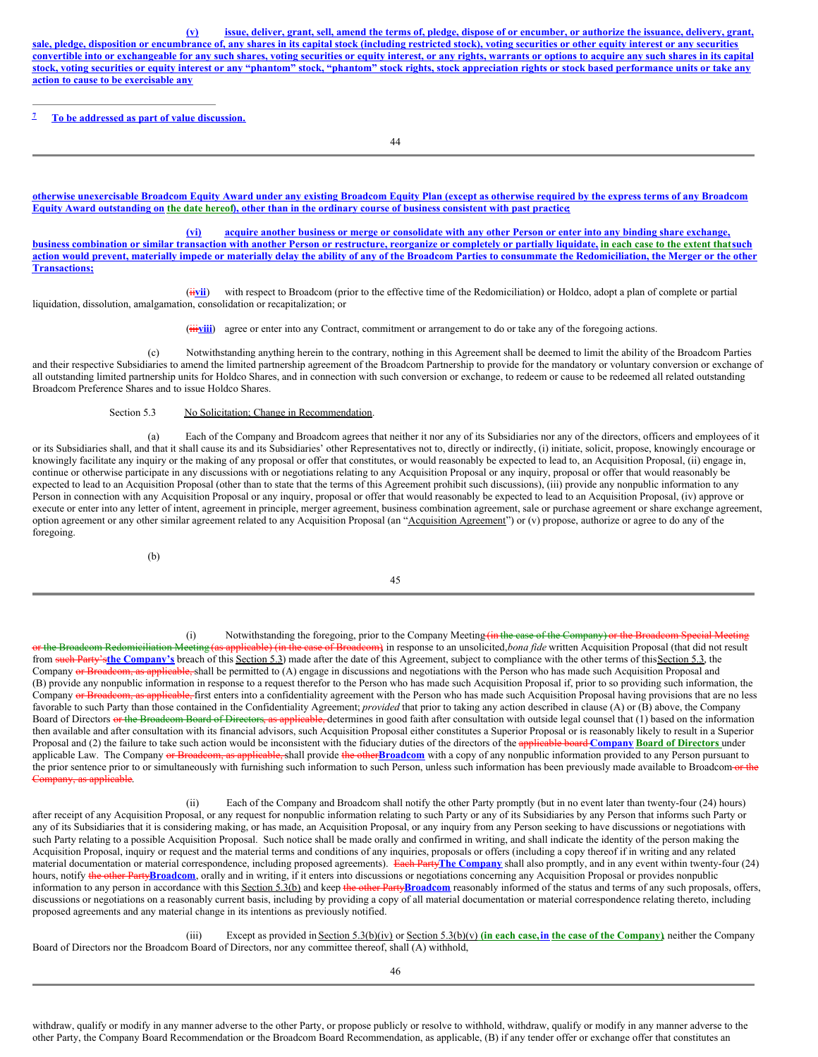(v) issue, deliver, grant, sell, amend the terms of, pledge, dispose of or encumber, or authorize the issuance, delivery, grant, sale, pledge, disposition or encumbrance of, any shares in its capital stock (including restricted stock), voting securities or other equity interest or any securities convertible into or exchangeable for any such shares, voting securities or equity interest, or any rights, warrants or options to acquire any such shares in its capital stock, voting securities or equity interest or any "phantom" stock, "phantom" stock rights, stock appreciation rights or stock based performance units or take any **action to cause to be exercisable any**

**To be addressed as part of value discussion. 7**

44

otherwise unexercisable Broadcom Equity Award under any existing Broadcom Equity Plan (except as otherwise required by the express terms of any Broadcom Equity Award outstanding on the date hereof), other than in the ordinary course of business consistent with past practice

(vi) acquire another business or merge or consolidate with any other Person or enter into any binding share exchange, business combination or similar transaction with another Person or restructure, reorganize or completely or partially liquidate, in each case to the extent that such action would prevent, materially impede or materially delay the ability of any of the Broadcom Parties to consummate the Redomiciliation, the Merger or the other **Transactions;**

(iivii) with respect to Broadcom (prior to the effective time of the Redomiciliation) or Holdco, adopt a plan of complete or partial liquidation, dissolution, amalgamation, consolidation or recapitalization; or

(iiiviii) agree or enter into any Contract, commitment or arrangement to do or take any of the foregoing actions.

(c) Notwithstanding anything herein to the contrary, nothing in this Agreement shall be deemed to limit the ability of the Broadcom Parties and their respective Subsidiaries to amend the limited partnership agreement of the Broadcom Partnership to provide for the mandatory or voluntary conversion or exchange of all outstanding limited partnership units for Holdco Shares, and in connection with such conversion or exchange, to redeem or cause to be redeemed all related outstanding Broadcom Preference Shares and to issue Holdco Shares.

Section 5.3 No Solicitation; Change in Recommendation.

(a) Each of the Company and Broadcom agrees that neither it nor any of its Subsidiaries nor any of the directors, officers and employees of it or its Subsidiaries shall, and that it shall cause its and its Subsidiaries' other Representatives not to, directly or indirectly, (i) initiate, solicit, propose, knowingly encourage or knowingly facilitate any inquiry or the making of any proposal or offer that constitutes, or would reasonably be expected to lead to, an Acquisition Proposal, (ii) engage in, continue or otherwise participate in any discussions with or negotiations relating to any Acquisition Proposal or any inquiry, proposal or offer that would reasonably be expected to lead to an Acquisition Proposal (other than to state that the terms of this Agreement prohibit such discussions), (iii) provide any nonpublic information to any Person in connection with any Acquisition Proposal or any inquiry, proposal or offer that would reasonably be expected to lead to an Acquisition Proposal, (iv) approve or execute or enter into any letter of intent, agreement in principle, merger agreement, business combination agreement, sale or purchase agreement or share exchange agreement, option agreement or any other similar agreement related to any Acquisition Proposal (an "Acquisition Agreement") or (v) propose, authorize or agree to do any of the foregoing.

(b)

45

(i) Notwithstanding the foregoing, prior to the Company Meeting (in the case of the Company) or the Broadcom S<br>or the Broadcom Redomiciliation Meeting (as applicable) (in the case of Broadcom) in response to an unsolicited applicable) (in the case of Broadcom), in response to an unsolicited, *bona fide* written Acquisition Proposal (that did not result from such Party's**the Company's** breach of this Section 5.3) made after the date of this Agreement, subject to compliance with the other terms of thisSection 5.3, the Company or Broadcom, as applicable, shall be permitted to (A) engage in discussions and negotiations with the Person who has made such Acquisition Proposal and (B) provide any nonpublic information in response to a request therefor to the Person who has made such Acquisition Proposal if, prior to so providing such information, the Company or Broadcom, as applicable, first enters into a confidentiality agreement with the Person who has made such Acquisition Proposal having provisions that are no less favorable to such Party than those contained in the Confidentiality Agreement; *provided* that prior to taking any action described in clause (A) or (B) above, the Company Board of Directors or the Broadcom Board of Directors, as applicable, determines in good faith after consultation with outside legal counsel that (1) based on the information then available and after consultation with its financial advisors, such Acquisition Proposal either constitutes a Superior Proposal or is reasonably likely to result in a Superior Proposal and (2) the failure to take such action would be inconsistent with the fiduciary duties of the directors of the applicable board **Company Board of Directors** under applicable Law. The Company or Broadcom, as applicable, shall provide the other**Broadcom** with a copy of any nonpublic information provided to any Person pursuant to the prior sentence prior to or simultaneously with furnishing such information to such Person, unless such information has been previously made available to Broadcom or the Company, as applicable.

(ii) Each of the Company and Broadcom shall notify the other Party promptly (but in no event later than twenty-four (24) hours) after receipt of any Acquisition Proposal, or any request for nonpublic information relating to such Party or any of its Subsidiaries by any Person that informs such Party or any of its Subsidiaries that it is considering making, or has made, an Acquisition Proposal, or any inquiry from any Person seeking to have discussions or negotiations with such Party relating to a possible Acquisition Proposal. Such notice shall be made orally and confirmed in writing, and shall indicate the identity of the person making the Acquisition Proposal, inquiry or request and the material terms and conditions of any inquiries, proposals or offers (including a copy thereof if in writing and any related material documentation or material correspondence, including proposed agreements). Each Party**The Company** shall also promptly, and in any event within twenty-four (24) hours, notify the other Party**Broadcom**, orally and in writing, if it enters into discussions or negotiations concerning any Acquisition Proposal or provides nonpublic information to any person in accordance with this Section 5.3(b) and keep the other Party**Broadcom** reasonably informed of the status and terms of any such proposals, offers, discussions or negotiations on a reasonably current basis, including by providing a copy of all material documentation or material correspondence relating thereto, including proposed agreements and any material change in its intentions as previously notified.

(iii) Except as provided in Section 5.3(b)(iv) or Section 5.3(b)(v) **(in each case,in the case of the Company)**, neither the Company Board of Directors nor the Broadcom Board of Directors, nor any committee thereof, shall (A) withhold,

46

withdraw, qualify or modify in any manner adverse to the other Party, or propose publicly or resolve to withhold, withdraw, qualify or modify in any manner adverse to the other Party, the Company Board Recommendation or the Broadcom Board Recommendation, as applicable, (B) if any tender offer or exchange offer that constitutes an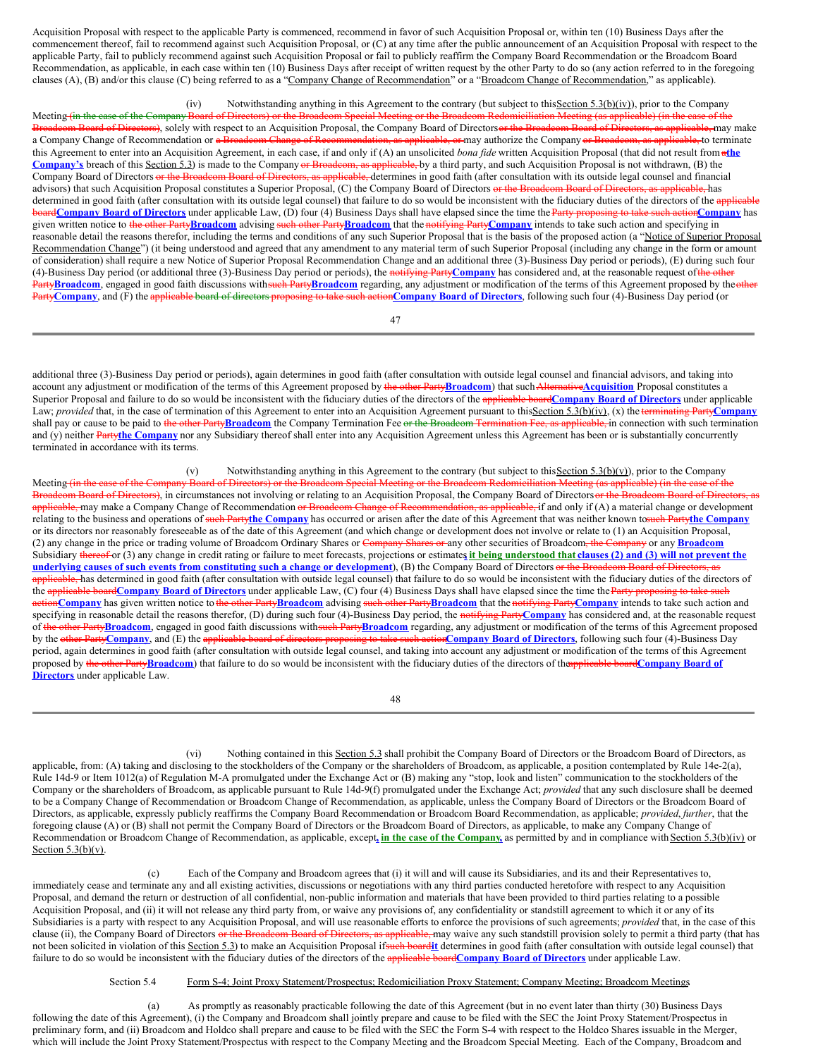Acquisition Proposal with respect to the applicable Party is commenced, recommend in favor of such Acquisition Proposal or, within ten (10) Business Days after the commencement thereof, fail to recommend against such Acquisition Proposal, or (C) at any time after the public announcement of an Acquisition Proposal with respect to the applicable Party, fail to publicly recommend against such Acquisition Proposal or fail to publicly reaffirm the Company Board Recommendation or the Broadcom Board Recommendation, as applicable, in each case within ten (10) Business Days after receipt of written request by the other Party to do so (any action referred to in the foregoing clauses (A), (B) and/or this clause (C) being referred to as a "Company Change of Recommendation" or a "Broadcom Change of Recommendation," as applicable).

(iv) Notwithstanding anything in this Agreement to the contrary (but subject to this Section 5.3(b)(iv)), prior to the Company Meeting (in the case of the Company Board of Directors) or the Broadcom Special Meeting or the Broadcom Redomiciliation Meeting (as applicable) (in the case of the Broadcom Board of Directors), solely with respect to an Acquisition Proposal, the Company Board of Directorsor the Broadcom Board of Directors, as applicable, may make a Company Change of Recommendation or a Broadcom Change of Recommendation, as applicable, or may authorize the Company or Broadcom, as applicable, to terminate this Agreement to enter into an Acquisition Agreement, in each case, if and only if (A) an unsolicited *bona fide* written Acquisition Proposal (that did not result from a**the** Company's breach of this Section 5.3) is made to the Company or Broadcom, as applicable, by a third party, and such Acquisition Proposal is not withdrawn, (B) the Company Board of Directors or the Broadcom Board of Directors, as applicable, determines in good faith (after consultation with its outside legal counsel and financial advisors) that such Acquisition Proposal constitutes a Superior Proposal, (C) the Company Board of Directors or the Broadcom Board of Directors, as applicable, has determined in good faith (after consultation with its outside legal counsel) that failure to do so would be inconsistent with the fiduciary duties of the directors of the applicable **boardCompany Board of Directors** under applicable Law, (D) four (4) Business Days shall have elapsed since the time the Party proposing to take such action Company has given written notice to the other Party**Broadcom** advising such other Party**Broadcom** that the notifying Party**Company** intends to take such action and specifying in reasonable detail the reasons therefor, including the terms and conditions of any such Superior Proposal that is the basis of the proposed action (a "Notice of Superior Proposal Recommendation Change") (it being understood and agreed that any amendment to any material term of such Superior Proposal (including any change in the form or amount of consideration) shall require a new Notice of Superior Proposal Recommendation Change and an additional three (3)-Business Day period or periods), (E) during such four (4)-Business Day period (or additional three (3)-Business Day period or periods), the notifying Party**Company** has considered and, at the reasonable request ofthe other PartyBroadcom, engaged in good faith discussions withsuch PartyBroadcom regarding, any adjustment or modification of the terms of this Agreement proposed by the other Party**Company**, and (F) the applicable board of directors proposing to take such action**Company Board of Directors**, following such four (4)-Business Day period (or

47

additional three (3)-Business Day period or periods), again determines in good faith (after consultation with outside legal counsel and financial advisors, and taking into account any adjustment or modification of the terms of this Agreement proposed by the other Party**Broadcom**) that such Alternative**Acquisition** Proposal constitutes a Superior Proposal and failure to do so would be inconsistent with the fiduciary duties of the directors of the applicable board**Company Board of Directors** under applicable Law; *provided* that, in the case of termination of this Agreement to enter into an Acquisition Agreement pursuant to thisSection 5.3(b)(iv), (x) the terminating Party**Company** shall pay or cause to be paid to the other PartyBroadcom the Company Termination Fee or the Broadcom Termination Fee, as applicable, in connection with such termination and (y) neither Partythe Company nor any Subsidiary thereof shall enter into any Acquisition Agreement unless this Agreement has been or is substantially concurrently terminated in accordance with its terms.

(v) Notwithstanding anything in this Agreement to the contrary (but subject to this Section 5.3(b)(v)), prior to the Company Meeting <del>(in the case of the Company Board of Directors) or the Broadcom Special Meeting or the Broadcom Redomiciliation Meeting (as applicable) (in the case of the</del> Broadcom Board of Directors), in circumstances not involving or relating to an Acquisition Proposal, the Company Board of Directors or the Broadcom Board of Directors, as applicable, may make a Company Change of Recommendation or Broadcom Change of Recommendation, as applicable, if and only if (A) a material change or development relating to the business and operations of such Party**the Company** has occurred or arisen after the date of this Agreement that was neither known tosuch Party**the Company** or its directors nor reasonably foreseeable as of the date of this Agreement (and which change or development does not involve or relate to (1) an Acquisition Proposal, (2) any change in the price or trading volume of Broadcom Ordinary Shares or Company Shares or any other securities of Broadcom, the Company or any **Broadcom** Subsidiary thereof or (3) any change in credit rating or failure to meet forecasts, projections or estimates it being understood that clauses (2) and (3) will not prevent the underlying causes of such events from constituting such a change or development), (B) the Company Board of Directors or the Broadcom Board of Directors, as applicable, has determined in good faith (after consultation with outside legal counsel) that failure to do so would be inconsistent with the fiduciary duties of the directors of the applicable board**Company Board of Directors** under applicable Law, (C) four (4) Business Days shall have elapsed since the time theParty proposing to take such action**Company** has given written notice to the other Party**Broadcom** advising such other Party**Broadcom** that the notifying Party**Company** intends to take such action and specifying in reasonable detail the reasons therefor, (D) during such four (4)-Business Day period, the notifying Party**Company** has considered and, at the reasonable request of the other Party**Broadcom**, engaged in good faith discussions withsuch Party**Broadcom** regarding, any adjustment or modification of the terms of this Agreement proposed by the other Party**Company**, and (E) the applicable board of directors proposing to take such action**Company Board of Directors**, following such four (4)-Business Day period, again determines in good faith (after consultation with outside legal counsel, and taking into account any adjustment or modification of the terms of this Agreement proposed by the other Party**Broadcom**) that failure to do so would be inconsistent with the fiduciary duties of the directors of theapplicable board**Company Board of Directors** under applicable Law.

48

(vi) Nothing contained in this Section 5.3 shall prohibit the Company Board of Directors or the Broadcom Board of Directors, as applicable, from: (A) taking and disclosing to the stockholders of the Company or the shareholders of Broadcom, as applicable, a position contemplated by Rule 14e-2(a), Rule 14d-9 or Item 1012(a) of Regulation M-A promulgated under the Exchange Act or (B) making any "stop, look and listen" communication to the stockholders of the Company or the shareholders of Broadcom, as applicable pursuant to Rule 14d-9(f) promulgated under the Exchange Act; *provided* that any such disclosure shall be deemed to be a Company Change of Recommendation or Broadcom Change of Recommendation, as applicable, unless the Company Board of Directors or the Broadcom Board of Directors, as applicable, expressly publicly reaffirms the Company Board Recommendation or Broadcom Board Recommendation, as applicable; *provided*, *further*, that the foregoing clause (A) or (B) shall not permit the Company Board of Directors or the Broadcom Board of Directors, as applicable, to make any Company Change of Recommendation or Broadcom Change of Recommendation, as applicable, except**, in the case of the Company,** as permitted by and in compliance with Section 5.3(b)(iv) or Section  $5.3(b)(v)$ .

(c) Each of the Company and Broadcom agrees that (i) it will and will cause its Subsidiaries, and its and their Representatives to, immediately cease and terminate any and all existing activities, discussions or negotiations with any third parties conducted heretofore with respect to any Acquisition Proposal, and demand the return or destruction of all confidential, non-public information and materials that have been provided to third parties relating to a possible Acquisition Proposal, and (ii) it will not release any third party from, or waive any provisions of, any confidentiality or standstill agreement to which it or any of its Subsidiaries is a party with respect to any Acquisition Proposal, and will use reasonable efforts to enforce the provisions of such agreements; *provided* that, in the case of this clause (ii), the Company Board of Directors or the Broadcom Board of Directors, as applicable, may waive any such standstill provision solely to permit a third party (that has not been solicited in violation of this Section 5.3) to make an Acquisition Proposal ifsuch board**it** determines in good faith (after consultation with outside legal counsel) that failure to do so would be inconsistent with the fiduciary duties of the directors of the applicable board**Company Board of Directors** under applicable Law.

#### Section 5.4 Form S-4; Joint Proxy Statement/Prospectus; Redomiciliation Proxy Statement; Company Meeting; Broadcom Meetings.

(a) As promptly as reasonably practicable following the date of this Agreement (but in no event later than thirty (30) Business Days following the date of this Agreement), (i) the Company and Broadcom shall jointly prepare and cause to be filed with the SEC the Joint Proxy Statement/Prospectus in preliminary form, and (ii) Broadcom and Holdco shall prepare and cause to be filed with the SEC the Form S-4 with respect to the Holdco Shares issuable in the Merger, which will include the Joint Proxy Statement/Prospectus with respect to the Company Meeting and the Broadcom Special Meeting. Each of the Company, Broadcom and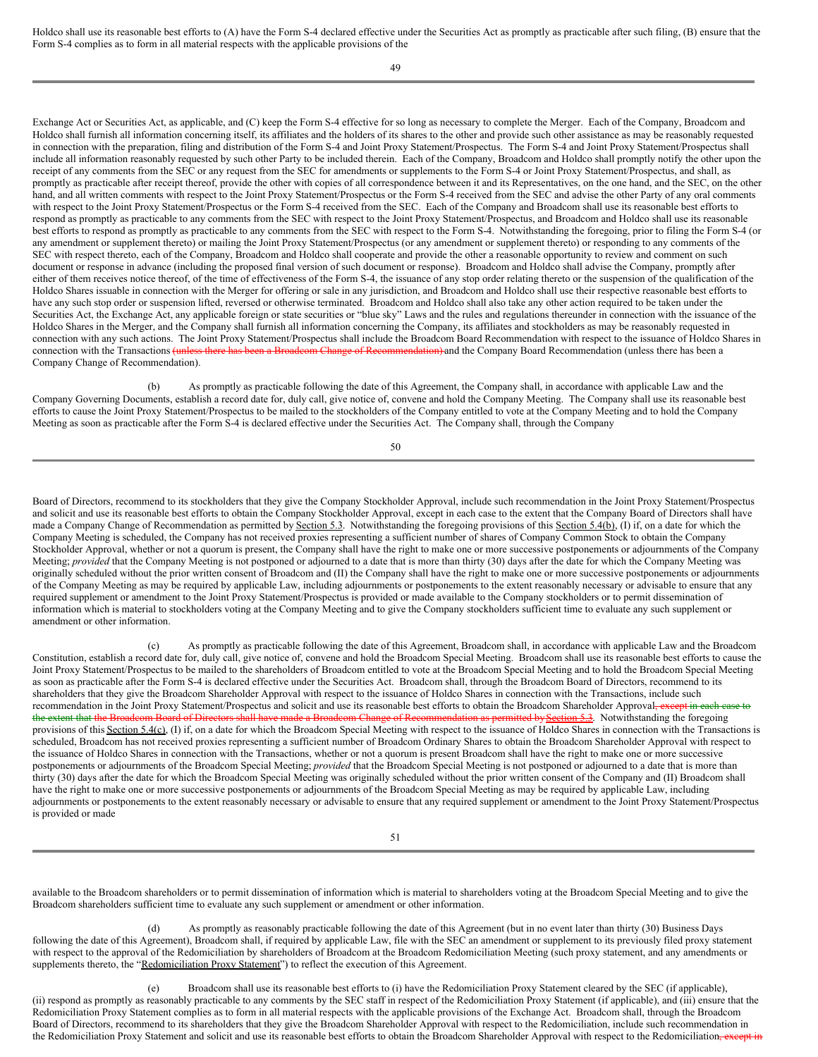Holdco shall use its reasonable best efforts to (A) have the Form S-4 declared effective under the Securities Act as promptly as practicable after such filing, (B) ensure that the Form S-4 complies as to form in all material respects with the applicable provisions of the

49

Exchange Act or Securities Act, as applicable, and (C) keep the Form S-4 effective for so long as necessary to complete the Merger. Each of the Company, Broadcom and Holdco shall furnish all information concerning itself, its affiliates and the holders of its shares to the other and provide such other assistance as may be reasonably requested in connection with the preparation, filing and distribution of the Form S-4 and Joint Proxy Statement/Prospectus. The Form S-4 and Joint Proxy Statement/Prospectus shall include all information reasonably requested by such other Party to be included therein. Each of the Company, Broadcom and Holdco shall promptly notify the other upon the receipt of any comments from the SEC or any request from the SEC for amendments or supplements to the Form S-4 or Joint Proxy Statement/Prospectus, and shall, as promptly as practicable after receipt thereof, provide the other with copies of all correspondence between it and its Representatives, on the one hand, and the SEC, on the other hand, and all written comments with respect to the Joint Proxy Statement/Prospectus or the Form S-4 received from the SEC and advise the other Party of any oral comments with respect to the Joint Proxy Statement/Prospectus or the Form S-4 received from the SEC. Each of the Company and Broadcom shall use its reasonable best efforts to respond as promptly as practicable to any comments from the SEC with respect to the Joint Proxy Statement/Prospectus, and Broadcom and Holdco shall use its reasonable best efforts to respond as promptly as practicable to any comments from the SEC with respect to the Form S-4. Notwithstanding the foregoing, prior to filing the Form S-4 (or any amendment or supplement thereto) or mailing the Joint Proxy Statement/Prospectus (or any amendment or supplement thereto) or responding to any comments of the SEC with respect thereto, each of the Company, Broadcom and Holdco shall cooperate and provide the other a reasonable opportunity to review and comment on such document or response in advance (including the proposed final version of such document or response). Broadcom and Holdco shall advise the Company, promptly after either of them receives notice thereof, of the time of effectiveness of the Form S-4, the issuance of any stop order relating thereto or the suspension of the qualification of the Holdco Shares issuable in connection with the Merger for offering or sale in any jurisdiction, and Broadcom and Holdco shall use their respective reasonable best efforts to have any such stop order or suspension lifted, reversed or otherwise terminated. Broadcom and Holdco shall also take any other action required to be taken under the Securities Act, the Exchange Act, any applicable foreign or state securities or "blue sky" Laws and the rules and regulations thereunder in connection with the issuance of the Holdco Shares in the Merger, and the Company shall furnish all information concerning the Company, its affiliates and stockholders as may be reasonably requested in connection with any such actions. The Joint Proxy Statement/Prospectus shall include the Broadcom Board Recommendation with respect to the issuance of Holdco Shares in connection with the Transactions (unless there has been a Broadcom Change of Recommendation) and the Company Board Recommendation (unless there has been a Company Change of Recommendation).

As promptly as practicable following the date of this Agreement, the Company shall, in accordance with applicable Law and the Company Governing Documents, establish a record date for, duly call, give notice of, convene and hold the Company Meeting. The Company shall use its reasonable best efforts to cause the Joint Proxy Statement/Prospectus to be mailed to the stockholders of the Company entitled to vote at the Company Meeting and to hold the Company Meeting as soon as practicable after the Form S-4 is declared effective under the Securities Act. The Company shall, through the Company

50

Board of Directors, recommend to its stockholders that they give the Company Stockholder Approval, include such recommendation in the Joint Proxy Statement/Prospectus and solicit and use its reasonable best efforts to obtain the Company Stockholder Approval, except in each case to the extent that the Company Board of Directors shall have made a Company Change of Recommendation as permitted by Section 5.3. Notwithstanding the foregoing provisions of this Section 5.4(b), (I) if, on a date for which the Company Meeting is scheduled, the Company has not received proxies representing a sufficient number of shares of Company Common Stock to obtain the Company Stockholder Approval, whether or not a quorum is present, the Company shall have the right to make one or more successive postponements or adjournments of the Company Meeting; *provided* that the Company Meeting is not postponed or adjourned to a date that is more than thirty (30) days after the date for which the Company Meeting was originally scheduled without the prior written consent of Broadcom and (II) the Company shall have the right to make one or more successive postponements or adjournments of the Company Meeting as may be required by applicable Law, including adjournments or postponements to the extent reasonably necessary or advisable to ensure that any required supplement or amendment to the Joint Proxy Statement/Prospectus is provided or made available to the Company stockholders or to permit dissemination of information which is material to stockholders voting at the Company Meeting and to give the Company stockholders sufficient time to evaluate any such supplement or amendment or other information.

(c) As promptly as practicable following the date of this Agreement, Broadcom shall, in accordance with applicable Law and the Broadcom Constitution, establish a record date for, duly call, give notice of, convene and hold the Broadcom Special Meeting. Broadcom shall use its reasonable best efforts to cause the Joint Proxy Statement/Prospectus to be mailed to the shareholders of Broadcom entitled to vote at the Broadcom Special Meeting and to hold the Broadcom Special Meeting as soon as practicable after the Form S-4 is declared effective under the Securities Act. Broadcom shall, through the Broadcom Board of Directors, recommend to its shareholders that they give the Broadcom Shareholder Approval with respect to the issuance of Holdco Shares in connection with the Transactions, include such recommendation in the Joint Proxy Statement/Prospectus and solicit and use its reasonable best efforts to obtain the Broadcom Shareholder Approval, the extent that the Broadcom Board of Directors shall have made a Broadcom Change of Recommendation as permitted by Section 5.3. Notwithstanding the foregoing provisions of this Section 5.4(c), (I) if, on a date for which the Broadcom Special Meeting with respect to the issuance of Holdco Shares in connection with the Transactions is scheduled, Broadcom has not received proxies representing a sufficient number of Broadcom Ordinary Shares to obtain the Broadcom Shareholder Approval with respect to the issuance of Holdco Shares in connection with the Transactions, whether or not a quorum is present Broadcom shall have the right to make one or more successive postponements or adjournments of the Broadcom Special Meeting; *provided* that the Broadcom Special Meeting is not postponed or adjourned to a date that is more than thirty (30) days after the date for which the Broadcom Special Meeting was originally scheduled without the prior written consent of the Company and (II) Broadcom shall have the right to make one or more successive postponements or adjournments of the Broadcom Special Meeting as may be required by applicable Law, including adjournments or postponements to the extent reasonably necessary or advisable to ensure that any required supplement or amendment to the Joint Proxy Statement/Prospectus is provided or made

51

available to the Broadcom shareholders or to permit dissemination of information which is material to shareholders voting at the Broadcom Special Meeting and to give the Broadcom shareholders sufficient time to evaluate any such supplement or amendment or other information.

As promptly as reasonably practicable following the date of this Agreement (but in no event later than thirty (30) Business Days following the date of this Agreement), Broadcom shall, if required by applicable Law, file with the SEC an amendment or supplement to its previously filed proxy statement with respect to the approval of the Redomiciliation by shareholders of Broadcom at the Broadcom Redomiciliation Meeting (such proxy statement, and any amendments or supplements thereto, the "Redomiciliation Proxy Statement") to reflect the execution of this Agreement.

(e) Broadcom shall use its reasonable best efforts to (i) have the Redomiciliation Proxy Statement cleared by the SEC (if applicable), (ii) respond as promptly as reasonably practicable to any comments by the SEC staff in respect of the Redomiciliation Proxy Statement (if applicable), and (iii) ensure that the Redomiciliation Proxy Statement complies as to form in all material respects with the applicable provisions of the Exchange Act. Broadcom shall, through the Broadcom Board of Directors, recommend to its shareholders that they give the Broadcom Shareholder Approval with respect to the Redomiciliation, include such recommendation in the Redomiciliation Proxy Statement and solicit and use its reasonable best efforts to obtain the Broadcom Shareholder Approval with respect to the Redomiciliation, except in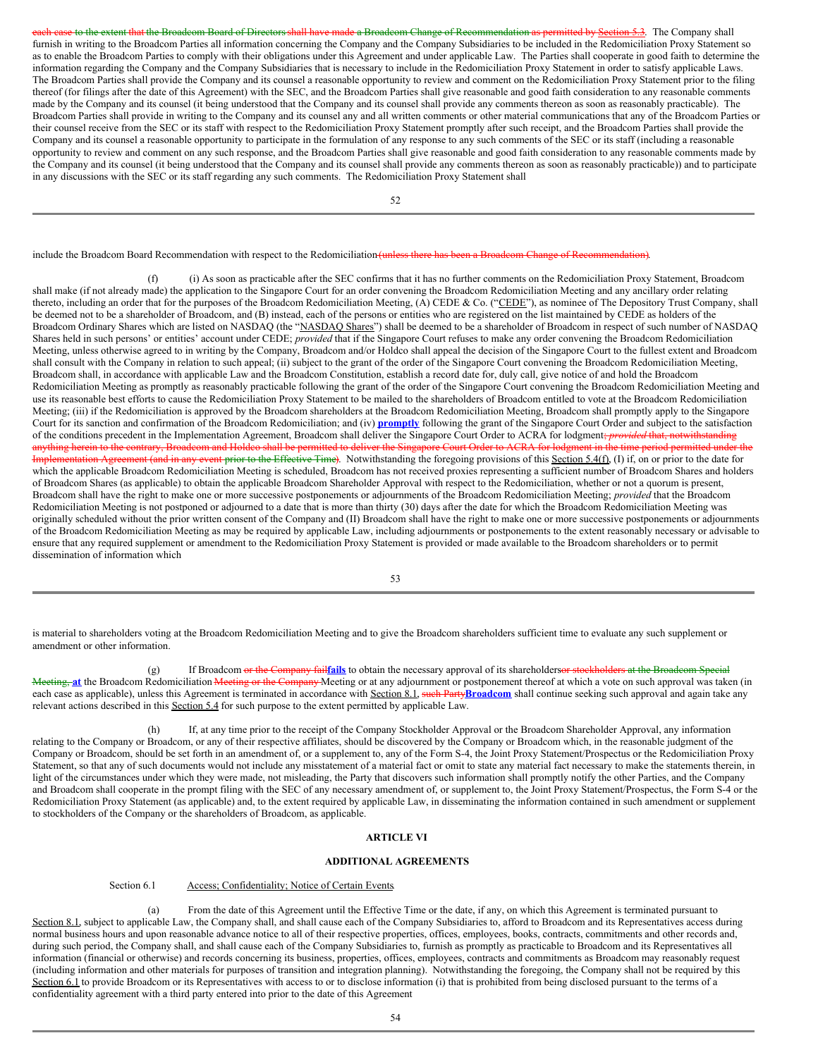each case to the extent that the Broadcom Board of Directors shall have made a Broadcom Change of Recommendation as permitted by Section 5.3. The Company shall furnish in writing to the Broadcom Parties all information concerning the Company and the Company Subsidiaries to be included in the Redomiciliation Proxy Statement so as to enable the Broadcom Parties to comply with their obligations under this Agreement and under applicable Law. The Parties shall cooperate in good faith to determine the information regarding the Company and the Company Subsidiaries that is necessary to include in the Redomiciliation Proxy Statement in order to satisfy applicable Laws. The Broadcom Parties shall provide the Company and its counsel a reasonable opportunity to review and comment on the Redomiciliation Proxy Statement prior to the filing thereof (for filings after the date of this Agreement) with the SEC, and the Broadcom Parties shall give reasonable and good faith consideration to any reasonable comments made by the Company and its counsel (it being understood that the Company and its counsel shall provide any comments thereon as soon as reasonably practicable). The Broadcom Parties shall provide in writing to the Company and its counsel any and all written comments or other material communications that any of the Broadcom Parties or their counsel receive from the SEC or its staff with respect to the Redomiciliation Proxy Statement promptly after such receipt, and the Broadcom Parties shall provide the Company and its counsel a reasonable opportunity to participate in the formulation of any response to any such comments of the SEC or its staff (including a reasonable opportunity to review and comment on any such response, and the Broadcom Parties shall give reasonable and good faith consideration to any reasonable comments made by the Company and its counsel (it being understood that the Company and its counsel shall provide any comments thereon as soon as reasonably practicable)) and to participate in any discussions with the SEC or its staff regarding any such comments. The Redomiciliation Proxy Statement shall

52

include the Broadcom Board Recommendation with respect to the Redomiciliation (unless there has been a Broadcom Change of Recommendation).

(f) (i) As soon as practicable after the SEC confirms that it has no further comments on the Redomiciliation Proxy Statement, Broadcom shall make (if not already made) the application to the Singapore Court for an order convening the Broadcom Redomiciliation Meeting and any ancillary order relating thereto, including an order that for the purposes of the Broadcom Redomiciliation Meeting, (A) CEDE & Co. ("CEDE"), as nominee of The Depository Trust Company, shall be deemed not to be a shareholder of Broadcom, and (B) instead, each of the persons or entities who are registered on the list maintained by CEDE as holders of the Broadcom Ordinary Shares which are listed on NASDAQ (the "NASDAQ Shares") shall be deemed to be a shareholder of Broadcom in respect of such number of NASDAQ Shares held in such persons' or entities' account under CEDE; *provided* that if the Singapore Court refuses to make any order convening the Broadcom Redomiciliation Meeting, unless otherwise agreed to in writing by the Company, Broadcom and/or Holdco shall appeal the decision of the Singapore Court to the fullest extent and Broadcom shall consult with the Company in relation to such appeal; (ii) subject to the grant of the order of the Singapore Court convening the Broadcom Redomiciliation Meeting, Broadcom shall, in accordance with applicable Law and the Broadcom Constitution, establish a record date for, duly call, give notice of and hold the Broadcom Redomiciliation Meeting as promptly as reasonably practicable following the grant of the order of the Singapore Court convening the Broadcom Redomiciliation Meeting and use its reasonable best efforts to cause the Redomiciliation Proxy Statement to be mailed to the shareholders of Broadcom entitled to vote at the Broadcom Redomiciliation Meeting; (iii) if the Redomiciliation is approved by the Broadcom shareholders at the Broadcom Redomiciliation Meeting, Broadcom shall promptly apply to the Singapore Court for its sanction and confirmation of the Broadcom Redomiciliation; and (iv) **promptly** following the grant of the Singapore Court Order and subject to the satisfaction of the conditions precedent in the Implementation Agreement, Broadcom shall deliver the Singapore Court Order to ACRA for lodgment; *provided* that, notwithstanding<br>anything herein to the contrary, Broadcom and Holdeo shal anything herein to the contrary, Broadcom and Holdco shall be permitted to deliver the Singar Implementation Agreement (and in any event prior to the Effective Time). Notwithstanding the foregoing provisions of this Section 5.4(f), (I) if, on or prior to the date for which the applicable Broadcom Redomiciliation Meeting is scheduled, Broadcom has not received proxies representing a sufficient number of Broadcom Shares and holders of Broadcom Shares (as applicable) to obtain the applicable Broadcom Shareholder Approval with respect to the Redomiciliation, whether or not a quorum is present, Broadcom shall have the right to make one or more successive postponements or adjournments of the Broadcom Redomiciliation Meeting; *provided* that the Broadcom Redomiciliation Meeting is not postponed or adjourned to a date that is more than thirty (30) days after the date for which the Broadcom Redomiciliation Meeting was originally scheduled without the prior written consent of the Company and (II) Broadcom shall have the right to make one or more successive postponements or adjournments of the Broadcom Redomiciliation Meeting as may be required by applicable Law, including adjournments or postponements to the extent reasonably necessary or advisable to ensure that any required supplement or amendment to the Redomiciliation Proxy Statement is provided or made available to the Broadcom shareholders or to permit dissemination of information which

53

is material to shareholders voting at the Broadcom Redomiciliation Meeting and to give the Broadcom shareholders sufficient time to evaluate any such supplement or amendment or other information.

(g) If Broadcom or the Company failfails to obtain the necessary approval of its shareholdersor stockholders at the Broadcom Special Meeting, at the Broadcom Redomiciliation Meeting or the Company Meeting or at any adjournment or postponement thereof at which a vote on such approval was taken (in each case as applicable), unless this Agreement is terminated in accordance with Section 8.1, such PartyBroadcom shall continue seeking such approval and again take any relevant actions described in this Section 5.4 for such purpose to the extent permitted by applicable Law.

If, at any time prior to the receipt of the Company Stockholder Approval or the Broadcom Shareholder Approval, any information relating to the Company or Broadcom, or any of their respective affiliates, should be discovered by the Company or Broadcom which, in the reasonable judgment of the Company or Broadcom, should be set forth in an amendment of, or a supplement to, any of the Form S-4, the Joint Proxy Statement/Prospectus or the Redomiciliation Proxy Statement, so that any of such documents would not include any misstatement of a material fact or omit to state any material fact necessary to make the statements therein, in light of the circumstances under which they were made, not misleading, the Party that discovers such information shall promptly notify the other Parties, and the Company and Broadcom shall cooperate in the prompt filing with the SEC of any necessary amendment of, or supplement to, the Joint Proxy Statement/Prospectus, the Form S-4 or the Redomiciliation Proxy Statement (as applicable) and, to the extent required by applicable Law, in disseminating the information contained in such amendment or supplement to stockholders of the Company or the shareholders of Broadcom, as applicable.

#### **ARTICLE VI**

#### **ADDITIONAL AGREEMENTS**

Section 6.1 Access; Confidentiality; Notice of Certain Events.

(a) From the date of this Agreement until the Effective Time or the date, if any, on which this Agreement is terminated pursuant to Section 8.1, subject to applicable Law, the Company shall, and shall cause each of the Company Subsidiaries to, afford to Broadcom and its Representatives access during normal business hours and upon reasonable advance notice to all of their respective properties, offices, employees, books, contracts, commitments and other records and, during such period, the Company shall, and shall cause each of the Company Subsidiaries to, furnish as promptly as practicable to Broadcom and its Representatives all information (financial or otherwise) and records concerning its business, properties, offices, employees, contracts and commitments as Broadcom may reasonably request (including information and other materials for purposes of transition and integration planning). Notwithstanding the foregoing, the Company shall not be required by this Section 6.1 to provide Broadcom or its Representatives with access to or to disclose information (i) that is prohibited from being disclosed pursuant to the terms of a confidentiality agreement with a third party entered into prior to the date of this Agreement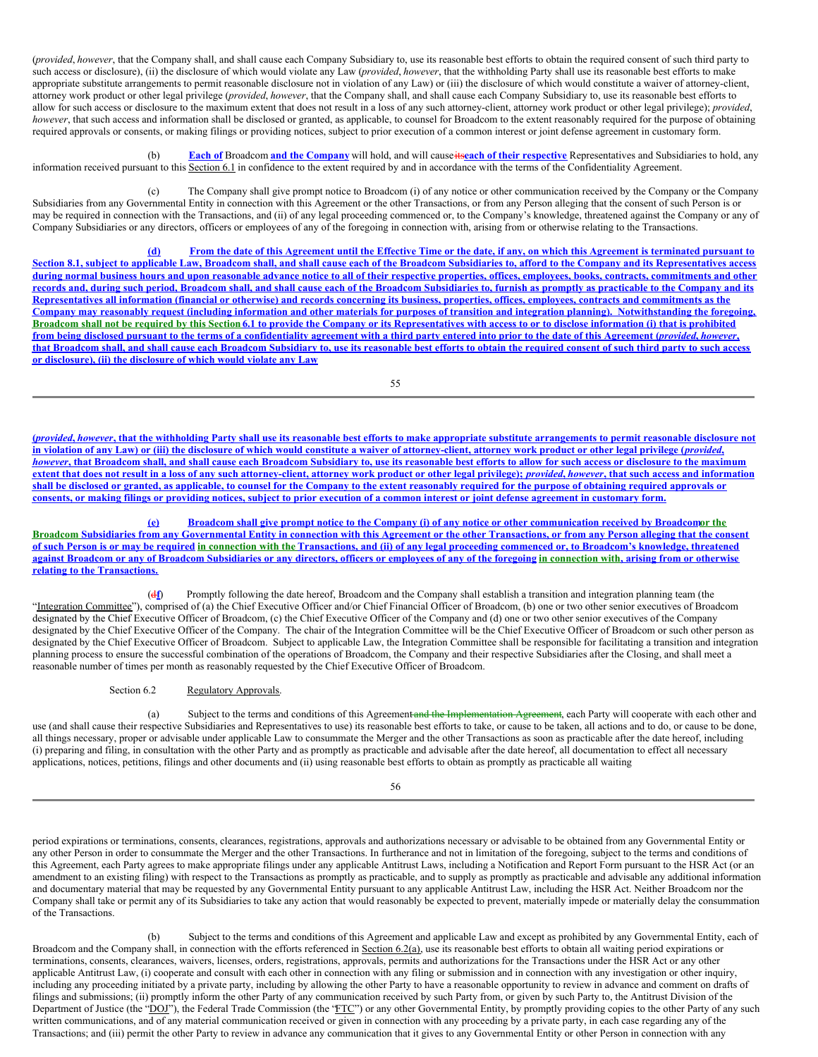(*provided*, *however*, that the Company shall, and shall cause each Company Subsidiary to, use its reasonable best efforts to obtain the required consent of such third party to such access or disclosure), (ii) the disclosure of which would violate any Law (*provided*, *however*, that the withholding Party shall use its reasonable best efforts to make appropriate substitute arrangements to permit reasonable disclosure not in violation of any Law) or (iii) the disclosure of which would constitute a waiver of attorney-client, attorney work product or other legal privilege (*provided*, *however*, that the Company shall, and shall cause each Company Subsidiary to, use its reasonable best efforts to allow for such access or disclosure to the maximum extent that does not result in a loss of any such attorney-client, attorney work product or other legal privilege); *provided*, *however*, that such access and information shall be disclosed or granted, as applicable, to counsel for Broadcom to the extent reasonably required for the purpose of obtaining required approvals or consents, or making filings or providing notices, subject to prior execution of a common interest or joint defense agreement in customary form.

(b) **Each of** Broadcom **and the Company** will hold, and will causeits**each of their respective** Representatives and Subsidiaries to hold, any information received pursuant to this Section 6.1 in confidence to the extent required by and in accordance with the terms of the Confidentiality Agreement.

The Company shall give prompt notice to Broadcom (i) of any notice or other communication received by the Company or the Company Subsidiaries from any Governmental Entity in connection with this Agreement or the other Transactions, or from any Person alleging that the consent of such Person is or may be required in connection with the Transactions, and (ii) of any legal proceeding commenced or, to the Company's knowledge, threatened against the Company or any of Company Subsidiaries or any directors, officers or employees of any of the foregoing in connection with, arising from or otherwise relating to the Transactions.

(d) From the date of this Agreement until the Effective Time or the date, if any, on which this Agreement is terminated pursuant to Section 8.1, subject to applicable Law, Broadcom shall, and shall cause each of the Broadcom Subsidiaries to, afford to the Company and its Representatives access during normal business hours and upon reasonable advance notice to all of their respective properties, offices, employees, books, contracts, commitments and other records and, during such period, Broadcom shall, and shall cause each of the Broadcom Subsidiaries to, furnish as promptly as practicable to the Company and its Representatives all information (financial or otherwise) and records concerning its business, properties, offices, employees, contracts and commitments as the Company may reasonably request (including information and other materials for purposes of transition and integration planning). Notwithstanding the foregoing, Broadcom shall not be required by this Section 6.1 to provide the Company or its Representatives with access to or to disclose information (i) that is prohibited from being disclosed pursuant to the terms of a confidentiality agreement with a third party entered into prior to the date of this Agreement (provided, however, that Broadcom shall, and shall cause each Broadcom Subsidiary to, use its reasonable best efforts to obtain the required consent of such third party to such access **or disclosure), (ii) the disclosure of which would violate any Law**

55

(provided, however, that the withholding Party shall use its reasonable best efforts to make appropriate substitute arrangements to permit reasonable disclosure not in violation of any Law) or (iii) the disclosure of which would constitute a waiver of attorney-client, attorney work product or other legal privilege (provided, however, that Broadcom shall, and shall cause each Broadcom Subsidiary to, use its reasonable best efforts to allow for such access or disclosure to the maximum extent that does not result in a loss of any such attorney-client, attorney work product or other legal privilege); *provided, however*, that such access and information shall be disclosed or granted, as applicable, to counsel for the Company to the extent reasonably required for the purpose of obtaining required approvals or consents, or making filings or providing notices, subject to prior execution of a common interest or joint defense agreement in customary form.

(e) Broadcom shall give prompt notice to the Company (i) of any notice or other communication received by Broadcomor the Broadcom Subsidiaries from any Governmental Entity in connection with this Agreement or the other Transactions, or from any Person alleging that the consent of such Person is or may be required in connection with the Transactions, and (ii) of any legal proceeding commenced or, to Broadcom's knowledge, threatened against Broadcom or any of Broadcom Subsidiaries or any directors, officers or employees of any of the foregoing in connection with, arising from or otherwise **relating to the Transactions.**

(d**f**) Promptly following the date hereof, Broadcom and the Company shall establish a transition and integration planning team (the "Integration Committee"), comprised of (a) the Chief Executive Officer and/or Chief Financial Officer of Broadcom, (b) one or two other senior executives of Broadcom designated by the Chief Executive Officer of Broadcom, (c) the Chief Executive Officer of the Company and (d) one or two other senior executives of the Company designated by the Chief Executive Officer of the Company. The chair of the Integration Committee will be the Chief Executive Officer of Broadcom or such other person as designated by the Chief Executive Officer of Broadcom. Subject to applicable Law, the Integration Committee shall be responsible for facilitating a transition and integration planning process to ensure the successful combination of the operations of Broadcom, the Company and their respective Subsidiaries after the Closing, and shall meet a reasonable number of times per month as reasonably requested by the Chief Executive Officer of Broadcom.

# Section 6.2 Regulatory Approvals.

(a) Subject to the terms and conditions of this Agreement and the Implementation Agreement, each Party will cooperate with each other and use (and shall cause their respective Subsidiaries and Representatives to use) its reasonable best efforts to take, or cause to be taken, all actions and to do, or cause to be done, all things necessary, proper or advisable under applicable Law to consummate the Merger and the other Transactions as soon as practicable after the date hereof, including (i) preparing and filing, in consultation with the other Party and as promptly as practicable and advisable after the date hereof, all documentation to effect all necessary applications, notices, petitions, filings and other documents and (ii) using reasonable best efforts to obtain as promptly as practicable all waiting

56

period expirations or terminations, consents, clearances, registrations, approvals and authorizations necessary or advisable to be obtained from any Governmental Entity or any other Person in order to consummate the Merger and the other Transactions. In furtherance and not in limitation of the foregoing, subject to the terms and conditions of this Agreement, each Party agrees to make appropriate filings under any applicable Antitrust Laws, including a Notification and Report Form pursuant to the HSR Act (or an amendment to an existing filing) with respect to the Transactions as promptly as practicable, and to supply as promptly as practicable and advisable any additional information and documentary material that may be requested by any Governmental Entity pursuant to any applicable Antitrust Law, including the HSR Act. Neither Broadcom nor the Company shall take or permit any of its Subsidiaries to take any action that would reasonably be expected to prevent, materially impede or materially delay the consummation of the Transactions.

(b) Subject to the terms and conditions of this Agreement and applicable Law and except as prohibited by any Governmental Entity, each of Broadcom and the Company shall, in connection with the efforts referenced in Section 6.2(a), use its reasonable best efforts to obtain all waiting period expirations or terminations, consents, clearances, waivers, licenses, orders, registrations, approvals, permits and authorizations for the Transactions under the HSR Act or any other applicable Antitrust Law, (i) cooperate and consult with each other in connection with any filing or submission and in connection with any investigation or other inquiry, including any proceeding initiated by a private party, including by allowing the other Party to have a reasonable opportunity to review in advance and comment on drafts of filings and submissions; (ii) promptly inform the other Party of any communication received by such Party from, or given by such Party to, the Antitrust Division of the Department of Justice (the "DOJ"), the Federal Trade Commission (the 'FTC") or any other Governmental Entity, by promptly providing copies to the other Party of any such written communications, and of any material communication received or given in connection with any proceeding by a private party, in each case regarding any of the Transactions; and (iii) permit the other Party to review in advance any communication that it gives to any Governmental Entity or other Person in connection with any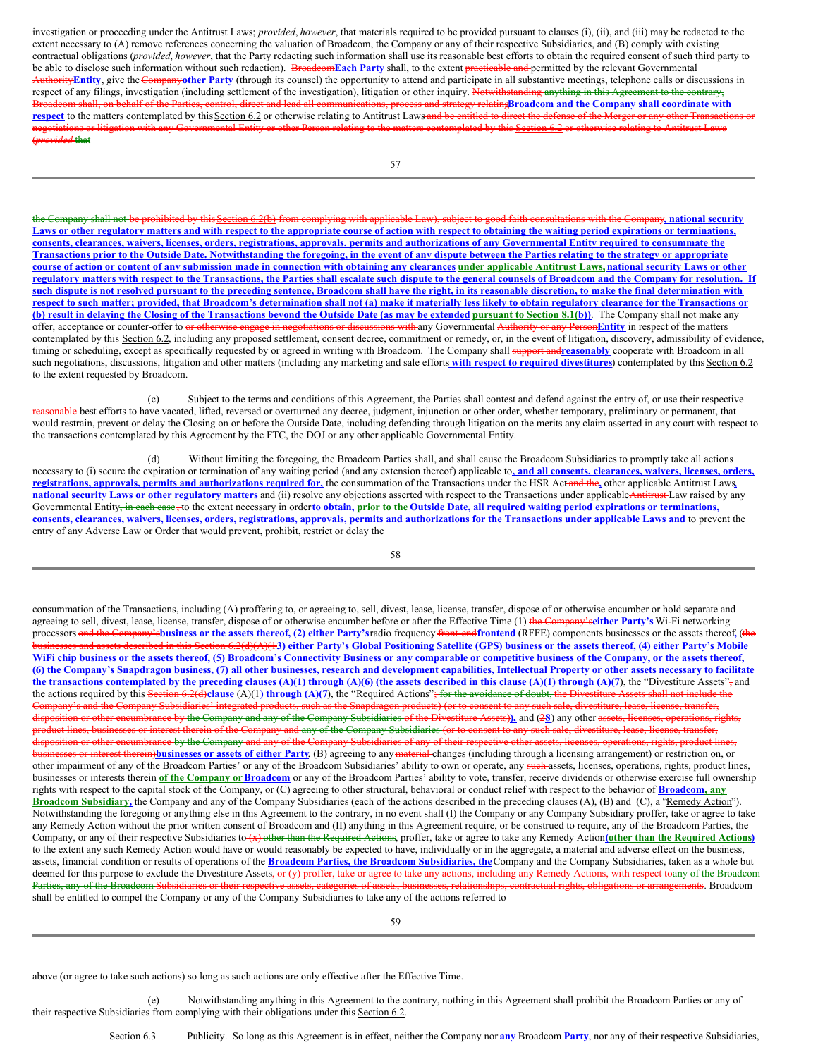investigation or proceeding under the Antitrust Laws; *provided*, *however*, that materials required to be provided pursuant to clauses (i), (ii), and (iii) may be redacted to the extent necessary to (A) remove references concerning the valuation of Broadcom, the Company or any of their respective Subsidiaries, and (B) comply with existing contractual obligations (*provided*, *however*, that the Party redacting such information shall use its reasonable best efforts to obtain the required consent of such third party to be able to disclose such information without such redaction). Broadcom**Each Party** shall, to the extent practicable and permitted by the relevant Governmental Authority Entity, give the Companyother Party (through its counsel) the opportunity to attend and participate in all substantive meetings, telephone calls or discussions in respect of any filings, investigation (including settlement of the investigation), litigation or other inquiry. Notwithstanding anything in this Agreement to the contrary, Broadcom shall, on behalf of the Parties, control, direct and lead all communications, process and strategy relating**Broadcom and the Company shall coordinate with** respect to the matters contemplated by this Section 6.2 or otherwise relating to Antitrust Laws and be entitled to direct the defense of the Merger or any other Transaction gotiations or litigation with any Governmental Entity or other Person relating to the matters contemplated by this Section 6.2 or otherwise relating to Antitrust Laws (*provided* that

the Company shall not be prohibited by this Section 6.2(b) from complying with applicable Law), subject to good faith consultations with the Company**, national security** Laws or other regulatory matters and with respect to the appropriate course of action with respect to obtaining the waiting period expirations or terminations, consents, clearances, waivers, licenses, orders, registrations, approvals, permits and authorizations of any Governmental Entity required to consummate the Transactions prior to the Outside Date. Notwithstanding the foregoing, in the event of any dispute between the Parties relating to the strategy or appropriate course of action or content of any submission made in connection with obtaining any clearances under applicable Antitrust Laws, national security Laws or other regulatory matters with respect to the Transactions, the Parties shall escalate such dispute to the general counsels of Broadcom and the Company for resolution. If such dispute is not resolved pursuant to the preceding sentence, Broadcom shall have the right, in its reasonable discretion, to make the final determination with respect to such matter; provided, that Broadcom's determination shall not (a) make it materially less likely to obtain regulatory clearance for the Transactions or (b) result in delaying the Closing of the Transactions beyond the Outside Date (as may be extended pursuant to Section 8.1(b)). The Company shall not make any offer, acceptance or counter-offer to or otherwise engage in negotiations or discussions with any Governmental Authority or any Person**Entity** in respect of the matters contemplated by this Section 6.2, including any proposed settlement, consent decree, commitment or remedy, or, in the event of litigation, discovery, admissibility of evidence, timing or scheduling, except as specifically requested by or agreed in writing with Broadcom. The Company shall support and**reasonably** cooperate with Broadcom in all such negotiations, discussions, litigation and other matters (including any marketing and sale efforts **with respect to required divestitures**) contemplated by this Section 6.2 to the extent requested by Broadcom.

(c) Subject to the terms and conditions of this Agreement, the Parties shall contest and defend against the entry of, or use their respective reable best efforts to have vacated, lifted, reversed or overturned any decree, judgment, injunction or other order, whether temporary, preliminary or permanent, that would restrain, prevent or delay the Closing on or before the Outside Date, including defending through litigation on the merits any claim asserted in any court with respect to the transactions contemplated by this Agreement by the FTC, the DOJ or any other applicable Governmental Entity.

(d) Without limiting the foregoing, the Broadcom Parties shall, and shall cause the Broadcom Subsidiaries to promptly take all actions necessary to (i) secure the expiration or termination of any waiting period (and any extension thereof) applicable to, and all consents, clearances, waivers, licenses, orders, registrations, approvals, permits and authorizations required for, the consummation of the Transactions under the HSR Actand the, other applicable Antitrust Laws **national security Laws or other regulatory matters** and (ii) resolve any objections asserted with respect to the Transactions under applicableAntitrust Law raised by any Governmental Entity<del>, in each case, t</del>o the extent necessary in orderto obtain, prior to the Outside Date, all required waiting period expirations or terminations, consents, clearances, waivers, licenses, orders, registrations, approvals, permits and authorizations for the Transactions under applicable Laws and to prevent the entry of any Adverse Law or Order that would prevent, prohibit, restrict or delay the

58

consummation of the Transactions, including (A) proffering to, or agreeing to, sell, divest, lease, license, transfer, dispose of or otherwise encumber or hold separate and agreeing to sell, divest, lease, license, transfer, dispose of or otherwise encumber before or after the Effective Time (1) the Company's**either Party's** Wi-Fi networking processors and the Company's business or the assets thereof, (2) either Party's radio frequency front-end frontend (RFFE) components businesses or the assets thereof, (the sets described in this Section 6.2(d)(A)(13) either Party's Global Positioning Satellite (GPS) business or the assets thereof. (4) either Party's Mobile WiFi chip business or the assets thereof, (5) Broadcom's Connectivity Business or any comparable or competitive business of the Company, or the assets thereof, (6) the Company's Snapdragon business, (7) all other businesses, research and development capabilities, Intellectual Property or other assets necessary to facilitate the transactions contemplated by the preceding clauses (A)(1) through (A)(6) (the assets described in this clause (A)(1) through (A)(7), the "Divestiture Assets"; and the actions required by this Section 6.2(d)clause (A)(1) through (A)(7), the "Required Actions"; for the avoidance of doubt, the Divestiture A 's and the Company Subsidiaries' integrated products, such as the Snapdragon products) (or to con disposition or other encumbrance by the Company and any of the Company Subsidiaries of the Divestiture Assets)**),** and (2**8**) any other assets, licenses, operations, rights, et lines, businesses or interest therein of the Company and any of the Company Subsidiaries (or to consent to any such sale, divestiture, lease, lice tion or other encumbrance by the Company and any of the Company Subsidiaries of any of their respective other assets, licen **business therein)businesses** or assets of either Party, (B) agreeing to any material changes (including through a licensing arrangement) or restriction on, or other impairment of any of the Broadcom Parties' or any of the Broadcom Subsidiaries' ability to own or operate, any such assets, licenses, operations, rights, product lines, businesses or interests therein of the Company or Broadcom or any of the Broadcom Parties' ability to vote, transfer, receive dividends or otherwise exercise full ownership rights with respect to the capital stock of the Company, or (C) agreeing to other structural, behavioral or conduct relief with respect to the behavior of **Broadcom, any Broadcom Subsidiary,** the Company and any of the Company Subsidiaries (each of the actions described in the preceding clauses (A), (B) and (C), a "Remedy Action"). Notwithstanding the foregoing or anything else in this Agreement to the contrary, in no event shall (I) the Company or any Company Subsidiary proffer, take or agree to take any Remedy Action without the prior written consent of Broadcom and (II) anything in this Agreement require, or be construed to require, any of the Broadcom Parties, the Company, or any of their respective Subsidiaries to (x) other than the Required Actions, proffer, take or agree to take any Remedy Action**(other than the Required Actions)** to the extent any such Remedy Action would have or would reasonably be expected to have, individually or in the aggregate, a material and adverse effect on the business, assets, financial condition or results of operations of the **Broadcom Parties, the Broadcom Subsidiaries, the**Company and the Company Subsidiaries, taken as a whole but deemed for this purpose to exclude the Divestiture Assets<del>, or (y) proffer, take or agree to take any actions, including any Remedy Actions, with respect toany of the Broadcom</del> Parties, any of the Broadcom Subsidiaries or their respective assets, eategories of assets, businesses, relationships, contractual rights, obligations or arrangements. Broadcom shall be entitled to compel the Company or any of the Company Subsidiaries to take any of the actions referred to

59

above (or agree to take such actions) so long as such actions are only effective after the Effective Time.

(e) Notwithstanding anything in this Agreement to the contrary, nothing in this Agreement shall prohibit the Broadcom Parties or any of their respective Subsidiaries from complying with their obligations under this Section 6.2.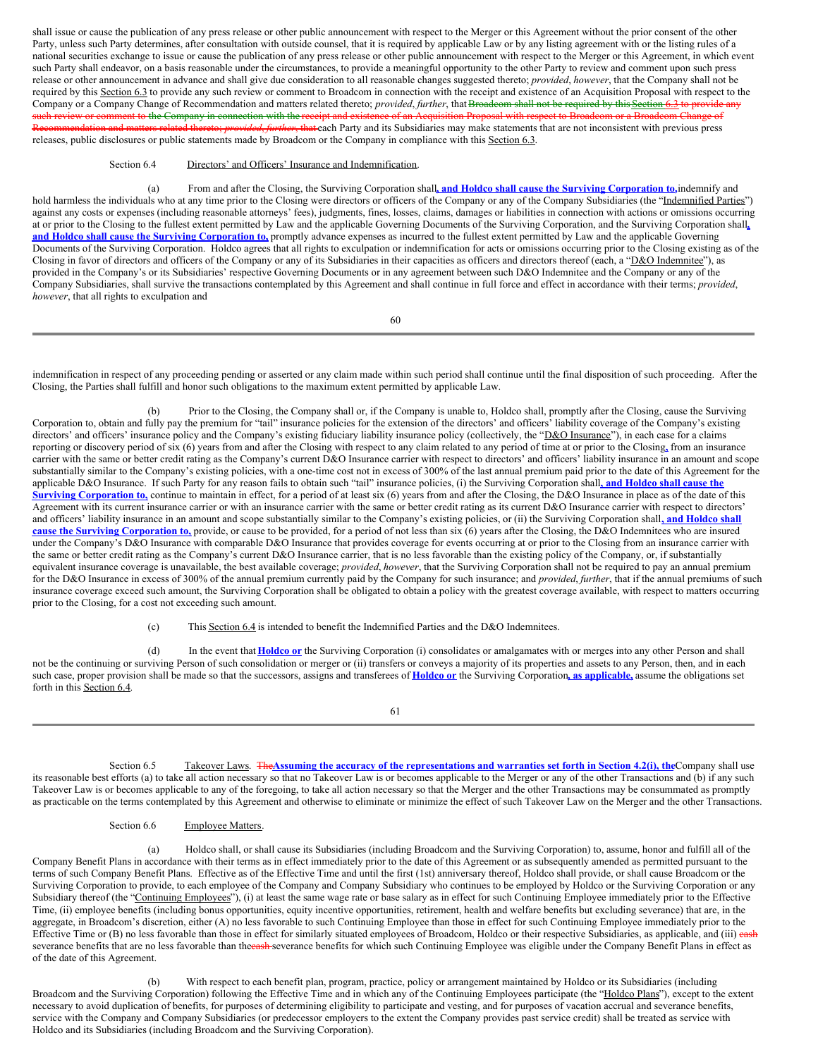shall issue or cause the publication of any press release or other public announcement with respect to the Merger or this Agreement without the prior consent of the other Party, unless such Party determines, after consultation with outside counsel, that it is required by applicable Law or by any listing agreement with or the listing rules of a national securities exchange to issue or cause the publication of any press release or other public announcement with respect to the Merger or this Agreement, in which event such Party shall endeavor, on a basis reasonable under the circumstances, to provide a meaningful opportunity to the other Party to review and comment upon such press release or other announcement in advance and shall give due consideration to all reasonable changes suggested thereto; *provided*, *however*, that the Company shall not be required by this Section 6.3 to provide any such review or comment to Broadcom in connection with the receipt and existence of an Acquisition Proposal with respect to the Company or a Company Change of Recommendation and matters related thereto; *provided*, *further*, that Broadcom shall not be required by this Section 6.3 to provide an such review or comment to the Company in connection with the receipt and existence of an Acquisition Proposal with respect to Broadcom or a Broadcom Change of Recommendation and matters related thereto; *provided*, *further*, that each Party and its Subsidiaries may make statements that are not inconsistent with previous press releases, public disclosures or public statements made by Broadcom or the Company in compliance with this Section 6.3.

#### Section 6.4 Directors' and Officers' Insurance and Indemnification.

(a) From and after the Closing, the Surviving Corporation shall**, and Holdco shall cause the Surviving Corporation to,**indemnify and hold harmless the individuals who at any time prior to the Closing were directors or officers of the Company or any of the Company Subsidiaries (the "Indemnified Parties") against any costs or expenses (including reasonable attorneys' fees), judgments, fines, losses, claims, damages or liabilities in connection with actions or omissions occurring at or prior to the Closing to the fullest extent permitted by Law and the applicable Governing Documents of the Surviving Corporation, and the Surviving Corporation shall**, and Holdco shall cause the Surviving Corporation to,** promptly advance expenses as incurred to the fullest extent permitted by Law and the applicable Governing Documents of the Surviving Corporation. Holdco agrees that all rights to exculpation or indemnification for acts or omissions occurring prior to the Closing existing as of the Closing in favor of directors and officers of the Company or any of its Subsidiaries in their capacities as officers and directors thereof (each, a "D&O Indemnitee"), as provided in the Company's or its Subsidiaries' respective Governing Documents or in any agreement between such D&O Indemnitee and the Company or any of the Company Subsidiaries, shall survive the transactions contemplated by this Agreement and shall continue in full force and effect in accordance with their terms; *provided*, *however*, that all rights to exculpation and

60

indemnification in respect of any proceeding pending or asserted or any claim made within such period shall continue until the final disposition of such proceeding. After the Closing, the Parties shall fulfill and honor such obligations to the maximum extent permitted by applicable Law.

(b) Prior to the Closing, the Company shall or, if the Company is unable to, Holdco shall, promptly after the Closing, cause the Surviving Corporation to, obtain and fully pay the premium for "tail" insurance policies for the extension of the directors' and officers' liability coverage of the Company's existing directors' and officers' insurance policy and the Company's existing fiduciary liability insurance policy (collectively, the "D&O Insurance"), in each case for a claims reporting or discovery period of six (6) years from and after the Closing with respect to any claim related to any period of time at or prior to the Closing**,** from an insurance carrier with the same or better credit rating as the Company's current D&O Insurance carrier with respect to directors' and officers' liability insurance in an amount and scope substantially similar to the Company's existing policies, with a one-time cost not in excess of 300% of the last annual premium paid prior to the date of this Agreement for the applicable D&O Insurance. If such Party for any reason fails to obtain such "tail" insurance policies, (i) the Surviving Corporation shall**, and Holdco shall cause the Surviving Corporation to,** continue to maintain in effect, for a period of at least six (6) years from and after the Closing, the D&O Insurance in place as of the date of this Agreement with its current insurance carrier or with an insurance carrier with the same or better credit rating as its current D&O Insurance carrier with respect to directors' and officers' liability insurance in an amount and scope substantially similar to the Company's existing policies, or (ii) the Surviving Corporation shall**, and Holdco shall cause the Surviving Corporation to,** provide, or cause to be provided, for a period of not less than six (6) years after the Closing, the D&O Indemnitees who are insured under the Company's D&O Insurance with comparable D&O Insurance that provides coverage for events occurring at or prior to the Closing from an insurance carrier with the same or better credit rating as the Company's current D&O Insurance carrier, that is no less favorable than the existing policy of the Company, or, if substantially equivalent insurance coverage is unavailable, the best available coverage; *provided*, *however*, that the Surviving Corporation shall not be required to pay an annual premium for the D&O Insurance in excess of 300% of the annual premium currently paid by the Company for such insurance; and *provided*, *further*, that if the annual premiums of such insurance coverage exceed such amount, the Surviving Corporation shall be obligated to obtain a policy with the greatest coverage available, with respect to matters occurring prior to the Closing, for a cost not exceeding such amount.

(c) This Section 6.4 is intended to benefit the Indemnified Parties and the D&O Indemnitees.

(d) In the event that **Holdco or** the Surviving Corporation (i) consolidates or amalgamates with or merges into any other Person and shall not be the continuing or surviving Person of such consolidation or merger or (ii) transfers or conveys a majority of its properties and assets to any Person, then, and in each such case, proper provision shall be made so that the successors, assigns and transferees of **Holdco or** the Surviving Corporation**, as applicable,** assume the obligations set forth in this Section 6.4.

61

Section 6.5 Takeover Laws. The Assuming the accuracy of the representations and warranties set forth in Section 4.2(i), the Company shall use its reasonable best efforts (a) to take all action necessary so that no Takeover Law is or becomes applicable to the Merger or any of the other Transactions and (b) if any such Takeover Law is or becomes applicable to any of the foregoing, to take all action necessary so that the Merger and the other Transactions may be consummated as promptly as practicable on the terms contemplated by this Agreement and otherwise to eliminate or minimize the effect of such Takeover Law on the Merger and the other Transactions.

## Section 6.6 Employee Matters.

(a) Holdco shall, or shall cause its Subsidiaries (including Broadcom and the Surviving Corporation) to, assume, honor and fulfill all of the Company Benefit Plans in accordance with their terms as in effect immediately prior to the date of this Agreement or as subsequently amended as permitted pursuant to the terms of such Company Benefit Plans. Effective as of the Effective Time and until the first (1st) anniversary thereof, Holdco shall provide, or shall cause Broadcom or the Surviving Corporation to provide, to each employee of the Company and Company Subsidiary who continues to be employed by Holdco or the Surviving Corporation or any Subsidiary thereof (the "Continuing Employees"), (i) at least the same wage rate or base salary as in effect for such Continuing Employee immediately prior to the Effective Time, (ii) employee benefits (including bonus opportunities, equity incentive opportunities, retirement, health and welfare benefits but excluding severance) that are, in the aggregate, in Broadcom's discretion, either (A) no less favorable to such Continuing Employee than those in effect for such Continuing Employee immediately prior to the Effective Time or (B) no less favorable than those in effect for similarly situated employees of Broadcom, Holdco or their respective Subsidiaries, as applicable, and (iii) eash severance benefits that are no less favorable than theensh-severance benefits for which such Continuing Employee was eligible under the Company Benefit Plans in effect as of the date of this Agreement.

With respect to each benefit plan, program, practice, policy or arrangement maintained by Holdco or its Subsidiaries (including Broadcom and the Surviving Corporation) following the Effective Time and in which any of the Continuing Employees participate (the "Holdco Plans"), except to the extent necessary to avoid duplication of benefits, for purposes of determining eligibility to participate and vesting, and for purposes of vacation accrual and severance benefits, service with the Company and Company Subsidiaries (or predecessor employers to the extent the Company provides past service credit) shall be treated as service with Holdco and its Subsidiaries (including Broadcom and the Surviving Corporation).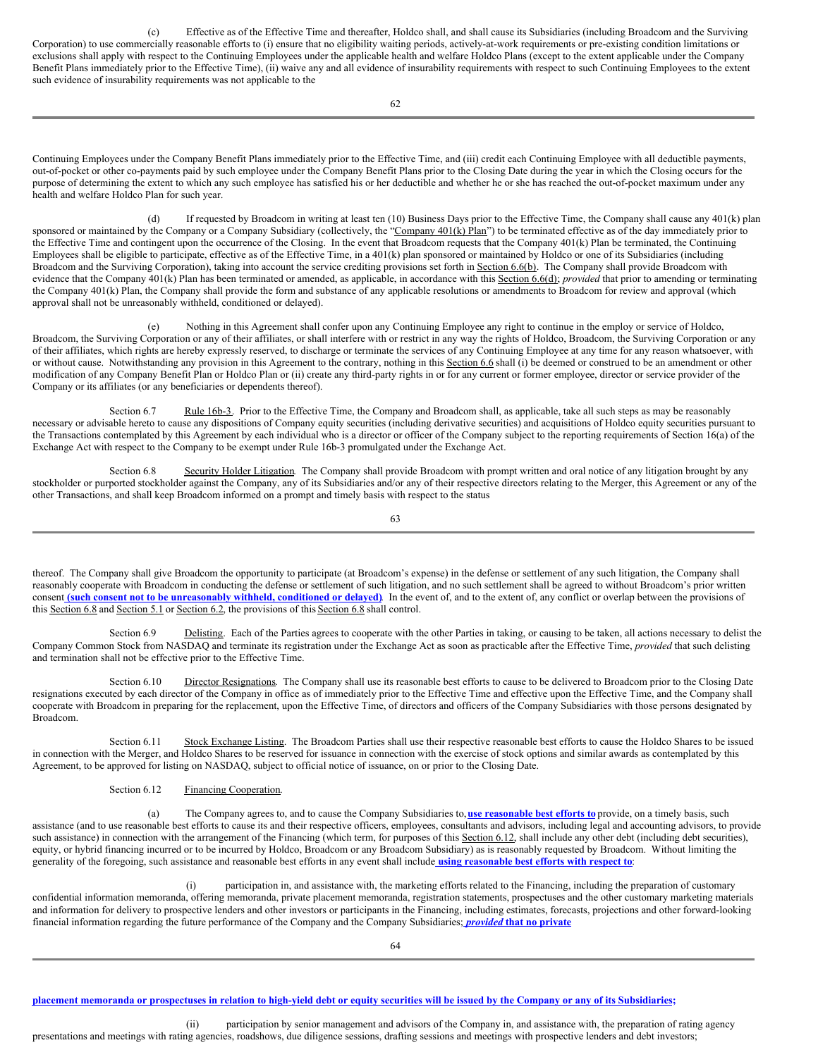(c) Effective as of the Effective Time and thereafter, Holdco shall, and shall cause its Subsidiaries (including Broadcom and the Surviving Corporation) to use commercially reasonable efforts to (i) ensure that no eligibility waiting periods, actively-at-work requirements or pre-existing condition limitations or exclusions shall apply with respect to the Continuing Employees under the applicable health and welfare Holdco Plans (except to the extent applicable under the Company Benefit Plans immediately prior to the Effective Time), (ii) waive any and all evidence of insurability requirements with respect to such Continuing Employees to the extent such evidence of insurability requirements was not applicable to the

Continuing Employees under the Company Benefit Plans immediately prior to the Effective Time, and (iii) credit each Continuing Employee with all deductible payments, out-of-pocket or other co-payments paid by such employee under the Company Benefit Plans prior to the Closing Date during the year in which the Closing occurs for the purpose of determining the extent to which any such employee has satisfied his or her deductible and whether he or she has reached the out-of-pocket maximum under any health and welfare Holdco Plan for such year.

(d) If requested by Broadcom in writing at least ten (10) Business Days prior to the Effective Time, the Company shall cause any 401(k) plan sponsored or maintained by the Company or a Company Subsidiary (collectively, the "Company  $401(k)$  Plan") to be terminated effective as of the day immediately prior to the Effective Time and contingent upon the occurrence of the Closing. In the event that Broadcom requests that the Company 401(k) Plan be terminated, the Continuing Employees shall be eligible to participate, effective as of the Effective Time, in a 401(k) plan sponsored or maintained by Holdco or one of its Subsidiaries (including Broadcom and the Surviving Corporation), taking into account the service crediting provisions set forth in Section 6.6(b). The Company shall provide Broadcom with evidence that the Company 401(k) Plan has been terminated or amended, as applicable, in accordance with this Section 6.6(d); *provided* that prior to amending or terminating the Company 401(k) Plan, the Company shall provide the form and substance of any applicable resolutions or amendments to Broadcom for review and approval (which approval shall not be unreasonably withheld, conditioned or delayed).

(e) Nothing in this Agreement shall confer upon any Continuing Employee any right to continue in the employ or service of Holdco, Broadcom, the Surviving Corporation or any of their affiliates, or shall interfere with or restrict in any way the rights of Holdco, Broadcom, the Surviving Corporation or any of their affiliates, which rights are hereby expressly reserved, to discharge or terminate the services of any Continuing Employee at any time for any reason whatsoever, with or without cause. Notwithstanding any provision in this Agreement to the contrary, nothing in this Section 6.6 shall (i) be deemed or construed to be an amendment or other modification of any Company Benefit Plan or Holdco Plan or (ii) create any third-party rights in or for any current or former employee, director or service provider of the Company or its affiliates (or any beneficiaries or dependents thereof).

Section 6.7 Rule 16b-3. Prior to the Effective Time, the Company and Broadcom shall, as applicable, take all such steps as may be reasonably necessary or advisable hereto to cause any dispositions of Company equity securities (including derivative securities) and acquisitions of Holdco equity securities pursuant to the Transactions contemplated by this Agreement by each individual who is a director or officer of the Company subject to the reporting requirements of Section 16(a) of the Exchange Act with respect to the Company to be exempt under Rule 16b-3 promulgated under the Exchange Act.

Section 6.8 Security Holder Litigation. The Company shall provide Broadcom with prompt written and oral notice of any litigation brought by any stockholder or purported stockholder against the Company, any of its Subsidiaries and/or any of their respective directors relating to the Merger, this Agreement or any of the other Transactions, and shall keep Broadcom informed on a prompt and timely basis with respect to the status

63

thereof. The Company shall give Broadcom the opportunity to participate (at Broadcom's expense) in the defense or settlement of any such litigation, the Company shall reasonably cooperate with Broadcom in conducting the defense or settlement of such litigation, and no such settlement shall be agreed to without Broadcom's prior written consent (such consent not to be unreasonably withheld, conditioned or delayed). In the event of, and to the extent of, any conflict or overlap between the provisions of this Section 6.8 and Section 5.1 or Section 6.2, the provisions of this Section 6.8 shall control.

Section 6.9 Delisting. Each of the Parties agrees to cooperate with the other Parties in taking, or causing to be taken, all actions necessary to delist the Company Common Stock from NASDAQ and terminate its registration under the Exchange Act as soon as practicable after the Effective Time, *provided* that such delisting and termination shall not be effective prior to the Effective Time.

Section 6.10 Director Resignations. The Company shall use its reasonable best efforts to cause to be delivered to Broadcom prior to the Closing Date resignations executed by each director of the Company in office as of immediately prior to the Effective Time and effective upon the Effective Time, and the Company shall cooperate with Broadcom in preparing for the replacement, upon the Effective Time, of directors and officers of the Company Subsidiaries with those persons designated by Broadcom.

Section 6.11 Stock Exchange Listing. The Broadcom Parties shall use their respective reasonable best efforts to cause the Holdco Shares to be issued in connection with the Merger, and Holdco Shares to be reserved for issuance in connection with the exercise of stock options and similar awards as contemplated by this Agreement, to be approved for listing on NASDAQ, subject to official notice of issuance, on or prior to the Closing Date.

Section 6.12 Financing Cooperation.

(a) The Company agrees to, and to cause the Company Subsidiaries to,**use reasonable best efforts to** provide, on a timely basis, such assistance (and to use reasonable best efforts to cause its and their respective officers, employees, consultants and advisors, including legal and accounting advisors, to provide such assistance) in connection with the arrangement of the Financing (which term, for purposes of this Section 6.12, shall include any other debt (including debt securities), equity, or hybrid financing incurred or to be incurred by Holdco, Broadcom or any Broadcom Subsidiary) as is reasonably requested by Broadcom. Without limiting the generality of the foregoing, such assistance and reasonable best efforts in any event shall include **using reasonable best efforts with respect to**:

(i) participation in, and assistance with, the marketing efforts related to the Financing, including the preparation of customary confidential information memoranda, offering memoranda, private placement memoranda, registration statements, prospectuses and the other customary marketing materials and information for delivery to prospective lenders and other investors or participants in the Financing, including estimates, forecasts, projections and other forward-looking financial information regarding the future performance of the Company and the Company Subsidiaries; *provided* **that no private**

#### placement memoranda or prospectuses in relation to high-yield debt or equity securities will be issued by the Company or any of its Subsidiaries;

(ii) participation by senior management and advisors of the Company in, and assistance with, the preparation of rating agency presentations and meetings with rating agencies, roadshows, due diligence sessions, drafting sessions and meetings with prospective lenders and debt investors;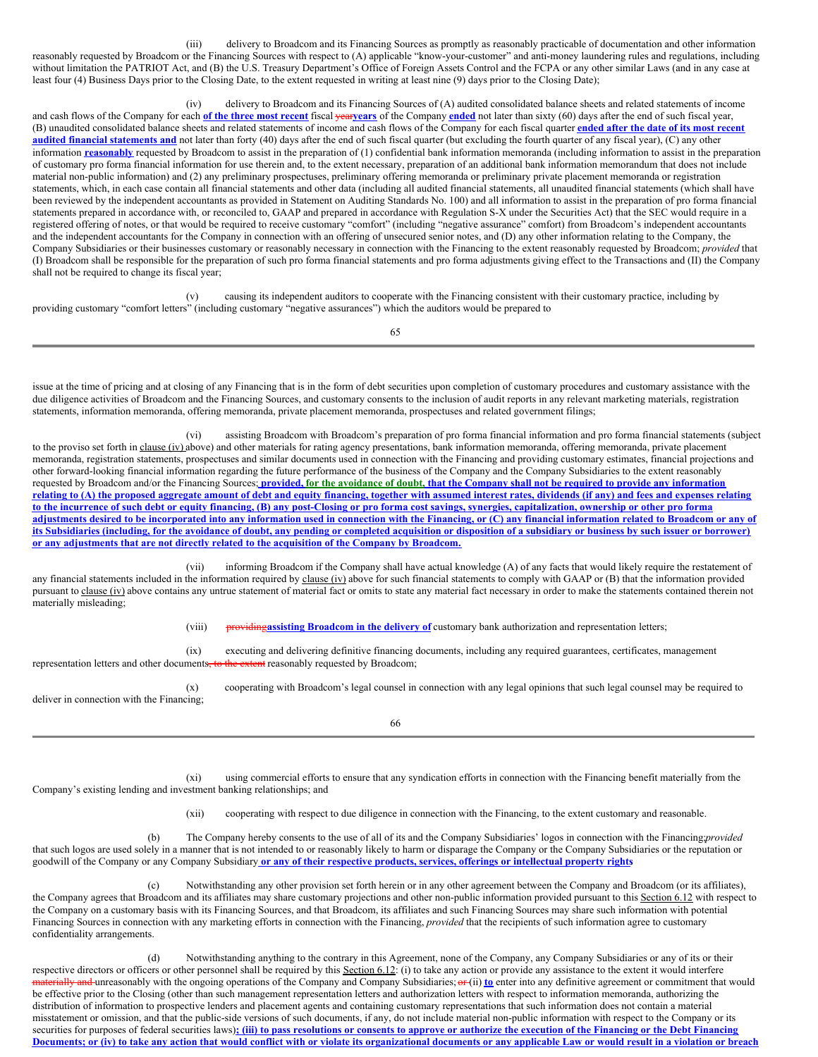(iii) delivery to Broadcom and its Financing Sources as promptly as reasonably practicable of documentation and other information reasonably requested by Broadcom or the Financing Sources with respect to (A) applicable "know-your-customer" and anti-money laundering rules and regulations, including without limitation the PATRIOT Act, and (B) the U.S. Treasury Department's Office of Foreign Assets Control and the FCPA or any other similar Laws (and in any case at least four (4) Business Days prior to the Closing Date, to the extent requested in writing at least nine (9) days prior to the Closing Date);

(iv) delivery to Broadcom and its Financing Sources of (A) audited consolidated balance sheets and related statements of income and cash flows of the Company for each **of the three most recent** fiscal year**years** of the Company **ended** not later than sixty (60) days after the end of such fiscal year, (B) unaudited consolidated balance sheets and related statements of income and cash flows of the Company for each fiscal quarter **ended after the date of its most recent audited financial statements and** not later than forty (40) days after the end of such fiscal quarter (but excluding the fourth quarter of any fiscal year), (C) any other information **reasonably** requested by Broadcom to assist in the preparation of (1) confidential bank information memoranda (including information to assist in the preparation of customary pro forma financial information for use therein and, to the extent necessary, preparation of an additional bank information memorandum that does not include material non-public information) and (2) any preliminary prospectuses, preliminary offering memoranda or preliminary private placement memoranda or registration statements, which, in each case contain all financial statements and other data (including all audited financial statements, all unaudited financial statements (which shall have been reviewed by the independent accountants as provided in Statement on Auditing Standards No. 100) and all information to assist in the preparation of pro forma financial statements prepared in accordance with, or reconciled to, GAAP and prepared in accordance with Regulation S-X under the Securities Act) that the SEC would require in a registered offering of notes, or that would be required to receive customary "comfort" (including "negative assurance" comfort) from Broadcom's independent accountants and the independent accountants for the Company in connection with an offering of unsecured senior notes, and (D) any other information relating to the Company, the Company Subsidiaries or their businesses customary or reasonably necessary in connection with the Financing to the extent reasonably requested by Broadcom; *provided* that (I) Broadcom shall be responsible for the preparation of such pro forma financial statements and pro forma adjustments giving effect to the Transactions and (II) the Company shall not be required to change its fiscal year;

(v) causing its independent auditors to cooperate with the Financing consistent with their customary practice, including by providing customary "comfort letters" (including customary "negative assurances") which the auditors would be prepared to

65

issue at the time of pricing and at closing of any Financing that is in the form of debt securities upon completion of customary procedures and customary assistance with the due diligence activities of Broadcom and the Financing Sources, and customary consents to the inclusion of audit reports in any relevant marketing materials, registration statements, information memoranda, offering memoranda, private placement memoranda, prospectuses and related government filings;

(vi) assisting Broadcom with Broadcom's preparation of pro forma financial information and pro forma financial statements (subject to the proviso set forth in clause (iv) above) and other materials for rating agency presentations, bank information memoranda, offering memoranda, private placement memoranda, registration statements, prospectuses and similar documents used in connection with the Financing and providing customary estimates, financial projections and other forward-looking financial information regarding the future performance of the business of the Company and the Company Subsidiaries to the extent reasonably requested by Broadcom and/or the Financing Sources; provided, for the avoidance of doubt, that the Company shall not be required to provide any information relating to (A) the proposed aggregate amount of debt and equity financing, together with assumed interest rates, dividends (if any) and fees and expenses relating to the incurrence of such debt or equity financing, (B) any post-Closing or pro forma cost savings, synergies, capitalization, ownership or other pro forma adjustments desired to be incorporated into any information used in connection with the Financing, or (C) any financial information related to Broadcom or any of its Subsidiaries (including, for the avoidance of doubt, any pending or completed acquisition or disposition of a subsidiary or business by such issuer or borrower) **or any adjustments that are not directly related to the acquisition of the Company by Broadcom.**

(vii) informing Broadcom if the Company shall have actual knowledge (A) of any facts that would likely require the restatement of any financial statements included in the information required by clause (iv) above for such financial statements to comply with GAAP or (B) that the information provided pursuant to clause (iv) above contains any untrue statement of material fact or omits to state any material fact necessary in order to make the statements contained therein not materially misleading;

(viii) providing**assisting Broadcom in the delivery of** customary bank authorization and representation letters;

(ix) executing and delivering definitive financing documents, including any required guarantees, certificates, management<br>ments<del>, to the extent</del> reasonably requested by Broadcom; representation letters and other documents,

(x) cooperating with Broadcom's legal counsel in connection with any legal opinions that such legal counsel may be required to deliver in connection with the Financing;

66

(xi) using commercial efforts to ensure that any syndication efforts in connection with the Financing benefit materially from the Company's existing lending and investment banking relationships; and

(xii) cooperating with respect to due diligence in connection with the Financing, to the extent customary and reasonable.

(b) The Company hereby consents to the use of all of its and the Company Subsidiaries' logos in connection with the Financing;*provided* that such logos are used solely in a manner that is not intended to or reasonably likely to harm or disparage the Company or the Company Subsidiaries or the reputation or goodwill of the Company or any Company Subsidiary **or any of their respective products, services, offerings or intellectual property rights**.

(c) Notwithstanding any other provision set forth herein or in any other agreement between the Company and Broadcom (or its affiliates), the Company agrees that Broadcom and its affiliates may share customary projections and other non-public information provided pursuant to this Section 6.12 with respect to the Company on a customary basis with its Financing Sources, and that Broadcom, its affiliates and such Financing Sources may share such information with potential Financing Sources in connection with any marketing efforts in connection with the Financing, *provided* that the recipients of such information agree to customary confidentiality arrangements.

Notwithstanding anything to the contrary in this Agreement, none of the Company, any Company Subsidiaries or any of its or their respective directors or officers or other personnel shall be required by this Section 6.12: (i) to take any action or provide any assistance to the extent it would interfere and unreasonably with the ongoing operations of the Company and Company Subsidiaries; or (ii) to enter into any definitive agreement or commitment that would be effective prior to the Closing (other than such management representation letters and authorization letters with respect to information memoranda, authorizing the distribution of information to prospective lenders and placement agents and containing customary representations that such information does not contain a material misstatement or omission, and that the public-side versions of such documents, if any, do not include material non-public information with respect to the Company or its securities for purposes of federal securities laws): (iii) to pass resolutions or consents to approve or authorize the execution of the Financing or the Debt Financing Documents; or (iv) to take any action that would conflict with or violate its organizational documents or any applicable Law or would result in a violation or breach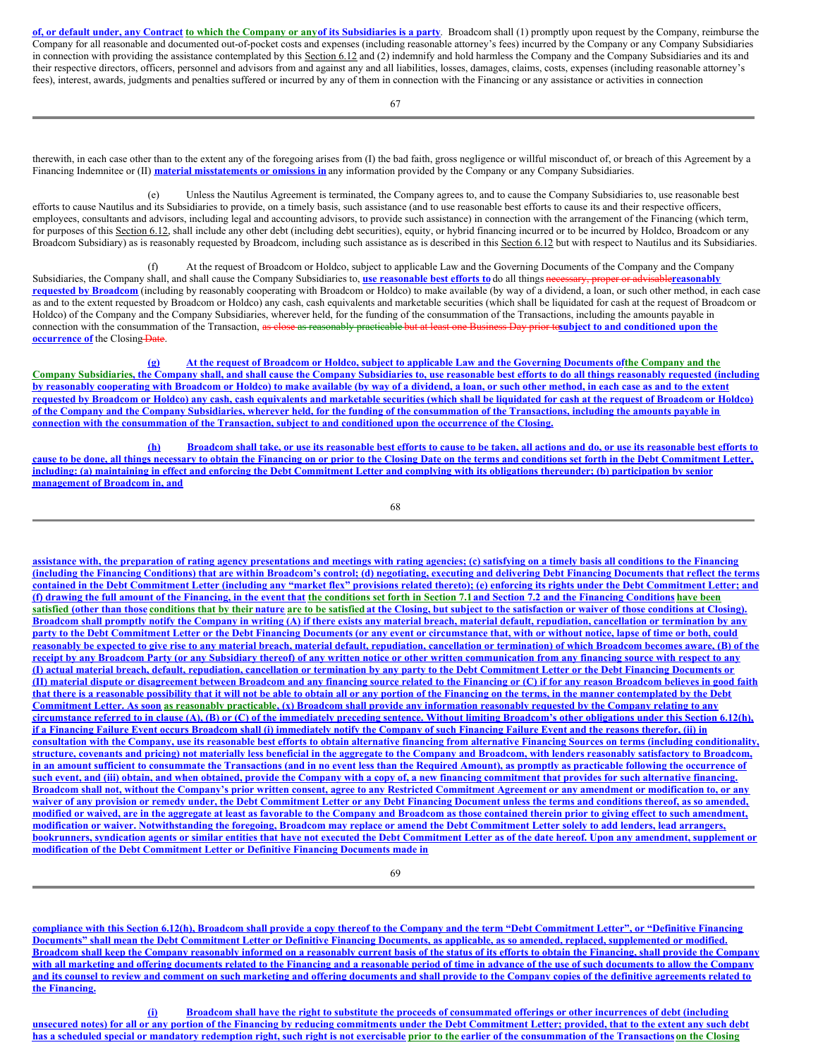of, or default under, any Contract to which the Company or any of its Subsidiaries is a party. Broadcom shall (1) promptly upon request by the Company, reimburse the Company for all reasonable and documented out-of-pocket costs and expenses (including reasonable attorney's fees) incurred by the Company or any Company Subsidiaries in connection with providing the assistance contemplated by this Section 6.12 and (2) indemnify and hold harmless the Company and the Company Subsidiaries and its and their respective directors, officers, personnel and advisors from and against any and all liabilities, losses, damages, claims, costs, expenses (including reasonable attorney's fees), interest, awards, judgments and penalties suffered or incurred by any of them in connection with the Financing or any assistance or activities in connection

therewith, in each case other than to the extent any of the foregoing arises from (I) the bad faith, gross negligence or willful misconduct of, or breach of this Agreement by a Financing Indemnitee or (II) **material misstatements or omissions in** any information provided by the Company or any Company Subsidiaries.

(e) Unless the Nautilus Agreement is terminated, the Company agrees to, and to cause the Company Subsidiaries to, use reasonable best efforts to cause Nautilus and its Subsidiaries to provide, on a timely basis, such assistance (and to use reasonable best efforts to cause its and their respective officers, employees, consultants and advisors, including legal and accounting advisors, to provide such assistance) in connection with the arrangement of the Financing (which term, for purposes of this Section 6.12, shall include any other debt (including debt securities), equity, or hybrid financing incurred or to be incurred by Holdco, Broadcom or any Broadcom Subsidiary) as is reasonably requested by Broadcom, including such assistance as is described in this Section 6.12 but with respect to Nautilus and its Subsidiaries.

(f) At the request of Broadcom or Holdco, subject to applicable Law and the Governing Documents of the Company and the Company Subsidiaries, the Company shall, and shall cause the Company Subsidiaries to, **use reasonable best efforts to** do all things necessary, proper or advisable**reasonably requested by Broadcom** (including by reasonably cooperating with Broadcom or Holdco) to make available (by way of a dividend, a loan, or such other method, in each case as and to the extent requested by Broadcom or Holdco) any cash, cash equivalents and marketable securities (which shall be liquidated for cash at the request of Broadcom or Holdco) of the Company and the Company Subsidiaries, wherever held, for the funding of the consummation of the Transactions, including the amounts payable in connection with the consummation of the Transaction, as close as reasonably practicable but at least one Business Day prior to**subject to and conditioned upon the occurrence** of the Closing-Date.

(g) At the request of Broadcom or Holdco, subject to applicable Law and the Governing Documents of the Company and the Company Subsidiaries, the Company shall, and shall cause the Company Subsidiaries to, use reasonable best efforts to do all things reasonably requested (including by reasonably cooperating with Broadcom or Holdco) to make available (by way of a dividend, a loan, or such other method, in each case as and to the extent requested by Broadcom or Holdco) any cash, cash equivalents and marketable securities (which shall be liquidated for cash at the request of Broadcom or Holdco) of the Company and the Company Subsidiaries, wherever held, for the funding of the consummation of the Transactions, including the amounts payable in connection with the consummation of the Transaction, subject to and conditioned upon the occurrence of the Closing.

(h) Broadcom shall take, or use its reasonable best efforts to cause to be taken, all actions and do, or use its reasonable best efforts to cause to be done, all things necessary to obtain the Financing on or prior to the Closing Date on the terms and conditions set forth in the Debt Commitment Letter, including: (a) maintaining in effect and enforcing the Debt Commitment Letter and complying with its obligations thereunder; (b) participation by senior **management of Broadcom in, and**

assistance with, the preparation of rating agency presentations and meetings with rating agencies; (c) satisfying on a timely basis all conditions to the Financing (including the Financing Conditions) that are within Broadcom's control; (d) negotiating, executing and delivering Debt Financing Documents that reflect the terms contained in the Debt Commitment Letter (including any "market flex" provisions related thereto); (e) enforcing its rights under the Debt Commitment Letter; and (f) drawing the full amount of the Financing, in the event that the conditions set forth in Section 7.1 and Section 7.2 and the Financing Conditions have been satisfied (other than those conditions that by their nature are to be satisfied at the Closing, but subject to the satisfaction or waiver of those conditions at Closing). Broadcom shall promptly notify the Company in writing (A) if there exists any material breach, material default, repudiation, cancellation or termination by any party to the Debt Commitment Letter or the Debt Financing Documents (or any event or circumstance that, with or without notice, lapse of time or both, could reasonably be expected to give rise to any material breach, material default, repudiation, cancellation or termination) of which Broadcom becomes aware, (B) of the receipt by any Broadcom Party (or any Subsidiary thereof) of any written notice or other written communication from any financing source with respect to any (I) actual material breach, default, repudiation, cancellation or termination by any party to the Debt Commitment Letter or the Debt Financing Documents or (II) material dispute or disagreement between Broadcom and any financing source related to the Financing or (C) if for any reason Broadcom believes in good faith that there is a reasonable possibility that it will not be able to obtain all or any portion of the Financing on the terms, in the manner contemplated by the Debt Commitment Letter. As soon as reasonably practicable, (x) Broadcom shall provide any information reasonably requested by the Company relating to any circumstance referred to in clause (A), (B) or (C) of the immediately preceding sentence. Without limiting Broadcom's other obligations under this Section 6.12(h), if a Financing Failure Event occurs Broadcom shall (i) immediately notify the Company of such Financing Failure Event and the reasons therefor, (ii) in consultation with the Company, use its reasonable best efforts to obtain alternative financing from alternative Financing Sources on terms (including conditionality, structure, covenants and pricing) not materially less beneficial in the aggregate to the Company and Broadcom, with lenders reasonably satisfactory to Broadcom, in an amount sufficient to consummate the Transactions (and in no event less than the Required Amount), as promptly as practicable following the occurrence of such event, and (iii) obtain, and when obtained, provide the Company with a copy of, a new financing commitment that provides for such alternative financing. Broadcom shall not, without the Company's prior written consent, agree to any Restricted Commitment Agreement or any amendment or modification to, or any waiver of any provision or remedy under, the Debt Commitment Letter or any Debt Financing Document unless the terms and conditions thereof, as so amended, modified or waived, are in the aggregate at least as favorable to the Company and Broadcom as those contained therein prior to giving effect to such amendment, modification or waiver. Notwithstanding the foregoing, Broadcom may replace or amend the Debt Commitment Letter solely to add lenders, lead arrangers, bookrunners, syndication agents or similar entities that have not executed the Debt Commitment Letter as of the date hereof. Upon any amendment, supplement or **modification of the Debt Commitment Letter or Definitive Financing Documents made in**

compliance with this Section 6.12(h), Broadcom shall provide a copy thereof to the Company and the term "Debt Commitment Letter", or "Definitive Financing Documents" shall mean the Debt Commitment Letter or Definitive Financing Documents, as applicable, as so amended, replaced, supplemented or modified. Broadcom shall keep the Company reasonably informed on a reasonably current basis of the status of its efforts to obtain the Financing, shall provide the Company with all marketing and offering documents related to the Financing and a reasonable period of time in advance of the use of such documents to allow the Company and its counsel to review and comment on such marketing and offering documents and shall provide to the Company copies of the definitive agreements related to **the Financing.**

(i) Broadcom shall have the right to substitute the proceeds of consummated offerings or other incurrences of debt (including unsecured notes) for all or any portion of the Financing by reducing commitments under the Debt Commitment Letter; provided, that to the extent any such debt has a scheduled special or mandatory redemption right, such right is not exercisable prior to the earlier of the consummation of the Transactions on the Closing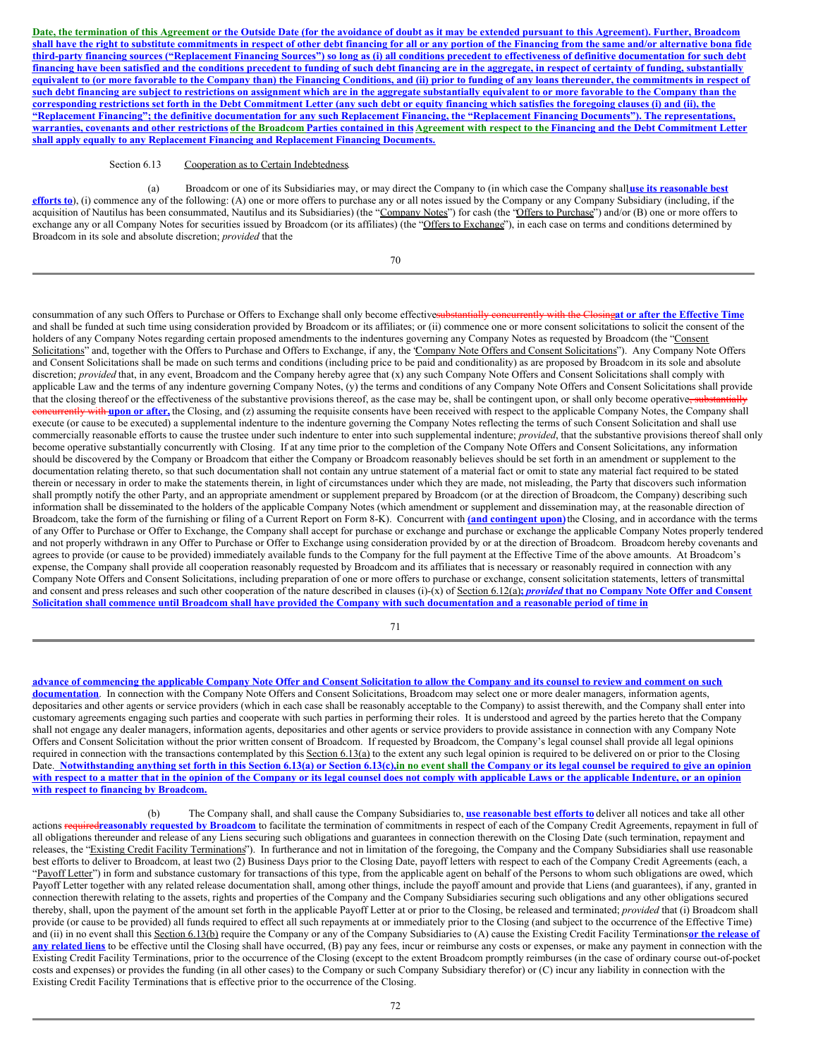Date, the termination of this Agreement or the Outside Date (for the avoidance of doubt as it may be extended pursuant to this Agreement). Further, Broadcom shall have the right to substitute commitments in respect of other debt financing for all or any portion of the Financing from the same and/or alternative bona fide third-party financing sources ("Replacement Financing Sources") so long as (i) all conditions precedent to effectiveness of definitive documentation for such debt financing have been satisfied and the conditions precedent to funding of such debt financing are in the aggregate, in respect of certainty of funding, substantially equivalent to (or more favorable to the Company than) the Financing Conditions, and (ii) prior to funding of any loans thereunder, the commitments in respect of such debt financing are subject to restrictions on assignment which are in the aggregate substantially equivalent to or more favorable to the Company than the corresponding restrictions set forth in the Debt Commitment Letter (any such debt or equity financing which satisfies the foregoing clauses (i) and (ii), the "Replacement Financing"; the definitive documentation for any such Replacement Financing, the "Replacement Financing Documents"). The representations, warranties, covenants and other restrictions of the Broadcom Parties contained in this Agreement with respect to the Financing and the Debt Commitment Letter **shall apply equally to any Replacement Financing and Replacement Financing Documents.**

# Section 6.13 Cooperation as to Certain Indebtedness.

(a) Broadcom or one of its Subsidiaries may, or may direct the Company to (in which case the Company shall**use its reasonable best efforts to**), (i) commence any of the following: (A) one or more offers to purchase any or all notes issued by the Company or any Company Subsidiary (including, if the acquisition of Nautilus has been consummated, Nautilus and its Subsidiaries) (the "Company Notes") for cash (the "Offers to Purchase") and/or (B) one or more offers to exchange any or all Company Notes for securities issued by Broadcom (or its affiliates) (the "Offers to Exchange"), in each case on terms and conditions determined by Broadcom in its sole and absolute discretion; *provided* that the

70

consummation of any such Offers to Purchase or Offers to Exchange shall only become effectivesubstantially concurrently with the Closing**at or after the Effective Time** and shall be funded at such time using consideration provided by Broadcom or its affiliates; or (ii) commence one or more consent solicitations to solicit the consent of the holders of any Company Notes regarding certain proposed amendments to the indentures governing any Company Notes as requested by Broadcom (the "Consent Solicitations" and, together with the Offers to Purchase and Offers to Exchange, if any, the Company Note Offers and Consent Solicitations"). Any Company Note Offers and Consent Solicitations shall be made on such terms and conditions (including price to be paid and conditionality) as are proposed by Broadcom in its sole and absolute discretion; *provided* that, in any event, Broadcom and the Company hereby agree that (x) any such Company Note Offers and Consent Solicitations shall comply with applicable Law and the terms of any indenture governing Company Notes, (y) the terms and conditions of any Company Note Offers and Consent Solicitations shall provide that the closing thereof or the effectiveness of the substantive provisions thereof, as the case may be, shall be contingent upon, or shall only become operative<del>, substantially</del> Hy with upon or after, the Closing, and (z) assuming the requisite consents have been received with respect to the applicable Company Notes, the Company shall execute (or cause to be executed) a supplemental indenture to the indenture governing the Company Notes reflecting the terms of such Consent Solicitation and shall use commercially reasonable efforts to cause the trustee under such indenture to enter into such supplemental indenture; *provided*, that the substantive provisions thereof shall only become operative substantially concurrently with Closing. If at any time prior to the completion of the Company Note Offers and Consent Solicitations, any information should be discovered by the Company or Broadcom that either the Company or Broadcom reasonably believes should be set forth in an amendment or supplement to the documentation relating thereto, so that such documentation shall not contain any untrue statement of a material fact or omit to state any material fact required to be stated therein or necessary in order to make the statements therein, in light of circumstances under which they are made, not misleading, the Party that discovers such information shall promptly notify the other Party, and an appropriate amendment or supplement prepared by Broadcom (or at the direction of Broadcom, the Company) describing such information shall be disseminated to the holders of the applicable Company Notes (which amendment or supplement and dissemination may, at the reasonable direction of Broadcom, take the form of the furnishing or filing of a Current Report on Form 8-K). Concurrent with **(and contingent upon)**the Closing, and in accordance with the terms of any Offer to Purchase or Offer to Exchange, the Company shall accept for purchase or exchange and purchase or exchange the applicable Company Notes properly tendered and not properly withdrawn in any Offer to Purchase or Offer to Exchange using consideration provided by or at the direction of Broadcom. Broadcom hereby covenants and agrees to provide (or cause to be provided) immediately available funds to the Company for the full payment at the Effective Time of the above amounts. At Broadcom's expense, the Company shall provide all cooperation reasonably requested by Broadcom and its affiliates that is necessary or reasonably required in connection with any Company Note Offers and Consent Solicitations, including preparation of one or more offers to purchase or exchange, consent solicitation statements, letters of transmittal and consent and press releases and such other cooperation of the nature described in clauses (i)-(x) of Section 6.12(a); provided that no Company Note Offer and Consent Solicitation shall commence until Broadcom shall have provided the Company with such documentation and a reasonable period of time in

71

advance of commencing the applicable Company Note Offer and Consent Solicitation to allow the Company and its counsel to review and comment on such **documentation**. In connection with the Company Note Offers and Consent Solicitations, Broadcom may select one or more dealer managers, information agents, depositaries and other agents or service providers (which in each case shall be reasonably acceptable to the Company) to assist therewith, and the Company shall enter into customary agreements engaging such parties and cooperate with such parties in performing their roles. It is understood and agreed by the parties hereto that the Company shall not engage any dealer managers, information agents, depositaries and other agents or service providers to provide assistance in connection with any Company Note Offers and Consent Solicitation without the prior written consent of Broadcom. If requested by Broadcom, the Company's legal counsel shall provide all legal opinions required in connection with the transactions contemplated by this Section 6.13(a) to the extent any such legal opinion is required to be delivered on or prior to the Closing Date. Notwithstanding anything set forth in this Section 6.13(a) or Section 6.13(c), in no event shall the Company or its legal counsel be required to give an opinion with respect to a matter that in the opinion of the Company or its legal counsel does not comply with applicable Laws or the applicable Indenture, or an opinion **with respect to financing by Broadcom.**

(b) The Company shall, and shall cause the Company Subsidiaries to, **use reasonable best efforts to** deliver all notices and take all other actions required**reasonably requested by Broadcom** to facilitate the termination of commitments in respect of each of the Company Credit Agreements, repayment in full of all obligations thereunder and release of any Liens securing such obligations and guarantees in connection therewith on the Closing Date (such termination, repayment and releases, the "Existing Credit Facility Terminations"). In furtherance and not in limitation of the foregoing, the Company and the Company Subsidiaries shall use reasonable best efforts to deliver to Broadcom, at least two (2) Business Days prior to the Closing Date, payoff letters with respect to each of the Company Credit Agreements (each, a "Payoff Letter") in form and substance customary for transactions of this type, from the applicable agent on behalf of the Persons to whom such obligations are owed, which Payoff Letter together with any related release documentation shall, among other things, include the payoff amount and provide that Liens (and guarantees), if any, granted in connection therewith relating to the assets, rights and properties of the Company and the Company Subsidiaries securing such obligations and any other obligations secured thereby, shall, upon the payment of the amount set forth in the applicable Payoff Letter at or prior to the Closing, be released and terminated; *provided* that (i) Broadcom shall provide (or cause to be provided) all funds required to effect all such repayments at or immediately prior to the Closing (and subject to the occurrence of the Effective Time) and (ii) in no event shall this Section 6.13(b) require the Company or any of the Company Subsidiaries to (A) cause the Existing Credit Facility Terminations**or the release of** any related liens to be effective until the Closing shall have occurred, (B) pay any fees, incur or reimburse any costs or expenses, or make any payment in connection with the Existing Credit Facility Terminations, prior to the occurrence of the Closing (except to the extent Broadcom promptly reimburses (in the case of ordinary course out-of-pocket costs and expenses) or provides the funding (in all other cases) to the Company or such Company Subsidiary therefor) or (C) incur any liability in connection with the Existing Credit Facility Terminations that is effective prior to the occurrence of the Closing.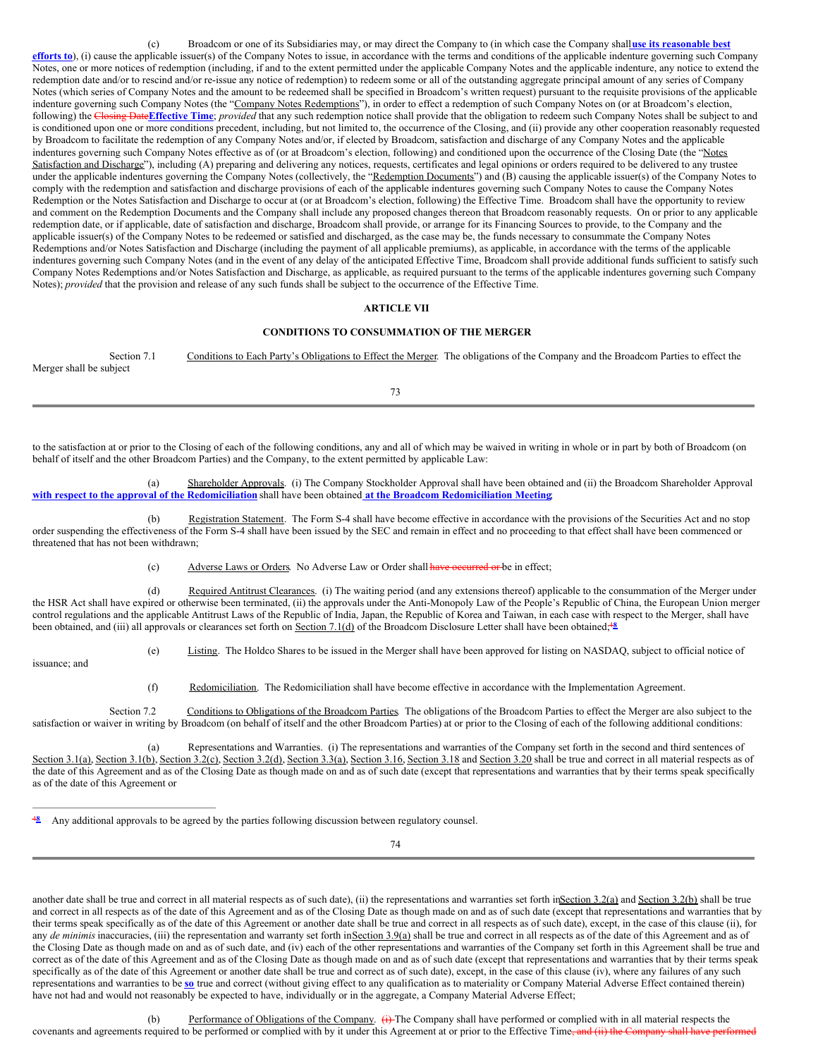(c) Broadcom or one of its Subsidiaries may, or may direct the Company to (in which case the Company shall**use its reasonable best efforts to**), (i) cause the applicable issuer(s) of the Company Notes to issue, in accordance with the terms and conditions of the applicable indenture governing such Company Notes, one or more notices of redemption (including, if and to the extent permitted under the applicable Company Notes and the applicable indenture, any notice to extend the redemption date and/or to rescind and/or re-issue any notice of redemption) to redeem some or all of the outstanding aggregate principal amount of any series of Company Notes (which series of Company Notes and the amount to be redeemed shall be specified in Broadcom's written request) pursuant to the requisite provisions of the applicable indenture governing such Company Notes (the "Company Notes Redemptions"), in order to effect a redemption of such Company Notes on (or at Broadcom's election, following) the Closing Date**Effective Time**; *provided* that any such redemption notice shall provide that the obligation to redeem such Company Notes shall be subject to and is conditioned upon one or more conditions precedent, including, but not limited to, the occurrence of the Closing, and (ii) provide any other cooperation reasonably requested by Broadcom to facilitate the redemption of any Company Notes and/or, if elected by Broadcom, satisfaction and discharge of any Company Notes and the applicable indentures governing such Company Notes effective as of (or at Broadcom's election, following) and conditioned upon the occurrence of the Closing Date (the "Notes Satisfaction and Discharge"), including (A) preparing and delivering any notices, requests, certificates and legal opinions or orders required to be delivered to any trustee under the applicable indentures governing the Company Notes (collectively, the "Redemption Documents") and (B) causing the applicable issuer(s) of the Company Notes to comply with the redemption and satisfaction and discharge provisions of each of the applicable indentures governing such Company Notes to cause the Company Notes Redemption or the Notes Satisfaction and Discharge to occur at (or at Broadcom's election, following) the Effective Time. Broadcom shall have the opportunity to review and comment on the Redemption Documents and the Company shall include any proposed changes thereon that Broadcom reasonably requests. On or prior to any applicable redemption date, or if applicable, date of satisfaction and discharge, Broadcom shall provide, or arrange for its Financing Sources to provide, to the Company and the applicable issuer(s) of the Company Notes to be redeemed or satisfied and discharged, as the case may be, the funds necessary to consummate the Company Notes Redemptions and/or Notes Satisfaction and Discharge (including the payment of all applicable premiums), as applicable, in accordance with the terms of the applicable indentures governing such Company Notes (and in the event of any delay of the anticipated Effective Time, Broadcom shall provide additional funds sufficient to satisfy such Company Notes Redemptions and/or Notes Satisfaction and Discharge, as applicable, as required pursuant to the terms of the applicable indentures governing such Company Notes); *provided* that the provision and release of any such funds shall be subject to the occurrence of the Effective Time.

#### **ARTICLE VII**

#### **CONDITIONS TO CONSUMMATION OF THE MERGER**

Section 7.1 Conditions to Each Party's Obligations to Effect the Merger. The obligations of the Company and the Broadcom Parties to effect the Merger shall be subject

to the satisfaction at or prior to the Closing of each of the following conditions, any and all of which may be waived in writing in whole or in part by both of Broadcom (on behalf of itself and the other Broadcom Parties) and the Company, to the extent permitted by applicable Law:

(a) Shareholder Approvals. (i) The Company Stockholder Approval shall have been obtained and (ii) the Broadcom Shareholder Approval **with respect to the approval of the Redomiciliation** shall have been obtained **at the Broadcom Redomiciliation Meeting**;

(b) Registration Statement. The Form S-4 shall have become effective in accordance with the provisions of the Securities Act and no stop order suspending the effectiveness of the Form S-4 shall have been issued by the SEC and remain in effect and no proceeding to that effect shall have been commenced or threatened that has not been withdrawn;

(c) Adverse Laws or Orders. No Adverse Law or Order shall have occurred or be in effect;

(d) Required Antitrust Clearances. (i) The waiting period (and any extensions thereof) applicable to the consummation of the Merger under the HSR Act shall have expired or otherwise been terminated, (ii) the approvals under the Anti-Monopoly Law of the People's Republic of China, the European Union merger control regulations and the applicable Antitrust Laws of the Republic of India, Japan, the Republic of Korea and Taiwan, in each case with respect to the Merger, shall have been obtained, and (iii) all approvals or clearances set forth on Section 7.1(d) of the Broadcom Disclosure Letter shall have been obtained;<sup>48</sup>

(e) Listing. The Holdco Shares to be issued in the Merger shall have been approved for listing on NASDAQ, subject to official notice of

issuance; and

(f) Redomiciliation. The Redomiciliation shall have become effective in accordance with the Implementation Agreement.

Section 7.2 Conditions to Obligations of the Broadcom Parties. The obligations of the Broadcom Parties to effect the Merger are also subject to the satisfaction or waiver in writing by Broadcom (on behalf of itself and the other Broadcom Parties) at or prior to the Closing of each of the following additional conditions:

(a) Representations and Warranties. (i) The representations and warranties of the Company set forth in the second and third sentences of Section 3.1(a), Section 3.1(b), Section 3.2(c), Section 3.2(d), Section 3.3(a), Section 3.16, Section 3.18 and Section 3.20 shall be true and correct in all material respects as of the date of this Agreement and as of the Closing Date as though made on and as of such date (except that representations and warranties that by their terms speak specifically as of the date of this Agreement or

Any additional approvals to be agreed by the parties following discussion between regulatory counsel. 4**8**

74

another date shall be true and correct in all material respects as of such date), (ii) the representations and warranties set forth inSection 3.2(a) and Section 3.2(b) shall be true and correct in all respects as of the date of this Agreement and as of the Closing Date as though made on and as of such date (except that representations and warranties that by their terms speak specifically as of the date of this Agreement or another date shall be true and correct in all respects as of such date), except, in the case of this clause (ii), for any *de minimis* inaccuracies, (iii) the representation and warranty set forth in Section 3.9(a) shall be true and correct in all respects as of the date of this Agreement and as of the Closing Date as though made on and as of such date, and (iv) each of the other representations and warranties of the Company set forth in this Agreement shall be true and correct as of the date of this Agreement and as of the Closing Date as though made on and as of such date (except that representations and warranties that by their terms speak specifically as of the date of this Agreement or another date shall be true and correct as of such date), except, in the case of this clause (iv), where any failures of any such representations and warranties to be **so** true and correct (without giving effect to any qualification as to materiality or Company Material Adverse Effect contained therein) have not had and would not reasonably be expected to have, individually or in the aggregate, a Company Material Adverse Effect;

(b) Performance of Obligations of the Company. (i) The Company shall have performed or complied with in all material respects the covenants and agreements required to be performed or complied with by it under this Agreement at or prior to the Effective Time, and (ii) the

73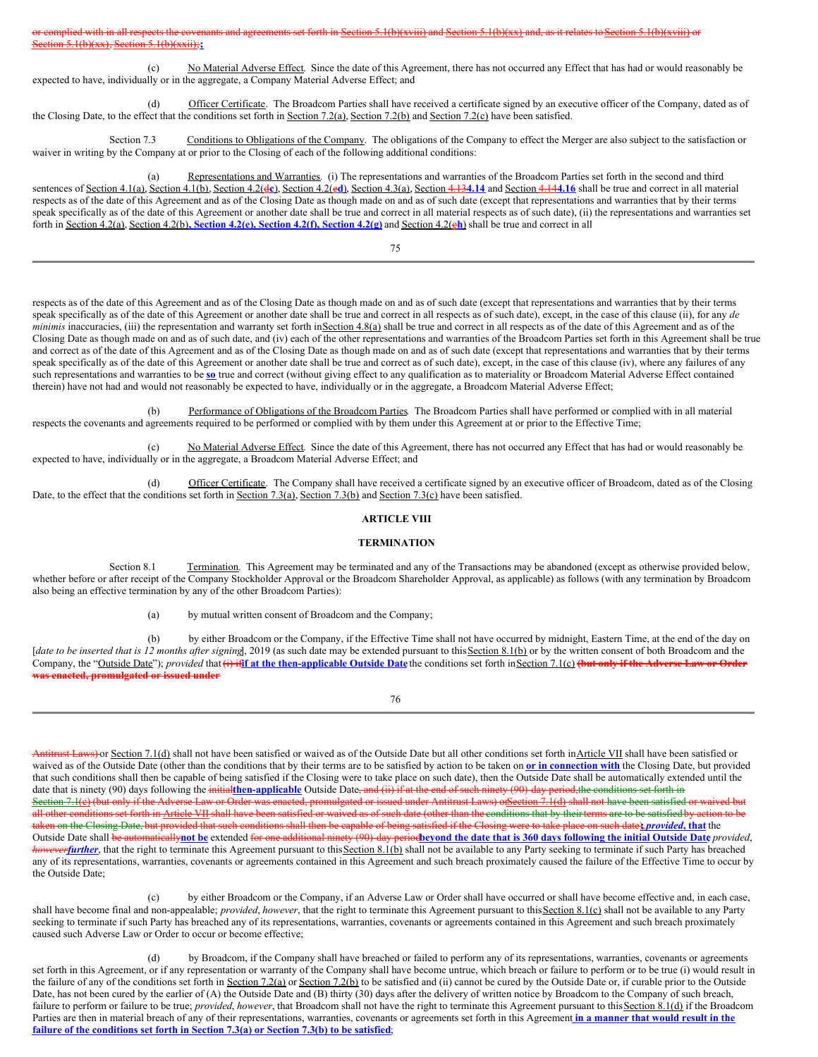(c) No Material Adverse Effect. Since the date of this Agreement, there has not occurred any Effect that has had or would reasonably be expected to have, individually or in the aggregate, a Company Material Adverse Effect; and

(d) Officer Certificate. The Broadcom Parties shall have received a certificate signed by an executive officer of the Company, dated as of the Closing Date, to the effect that the conditions set forth in Section 7.2(a), Section 7.2(b) and Section 7.2(c) have been satisfied.

Section 7.3 Conditions to Obligations of the Company. The obligations of the Company to effect the Merger are also subject to the satisfaction or waiver in writing by the Company at or prior to the Closing of each of the following additional conditions:

(a) Representations and Warranties. (i) The representations and warranties of the Broadcom Parties set forth in the second and third sentences of Section 4.1(a), Section 4.1(b), Section 4.2(d**c**), Section 4.2(e**d**), Section 4.3(a), Section 4.13**4.14** and Section 4.14**4.16** shall be true and correct in all material respects as of the date of this Agreement and as of the Closing Date as though made on and as of such date (except that representations and warranties that by their terms speak specifically as of the date of this Agreement or another date shall be true and correct in all material respects as of such date), (ii) the representations and warranties set forth in Section 4.2(a), Section 4.2(b)**, Section 4.2(e), Section 4.2(f), Section 4.2(g)** and Section 4.2(c**h**) shall be true and correct in all

75

respects as of the date of this Agreement and as of the Closing Date as though made on and as of such date (except that representations and warranties that by their terms speak specifically as of the date of this Agreement or another date shall be true and correct in all respects as of such date), except, in the case of this clause (ii), for any *de minimis* inaccuracies, (iii) the representation and warranty set forth inSection 4.8(a) shall be true and correct in all respects as of the date of this Agreement and as of the Closing Date as though made on and as of such date, and (iv) each of the other representations and warranties of the Broadcom Parties set forth in this Agreement shall be true and correct as of the date of this Agreement and as of the Closing Date as though made on and as of such date (except that representations and warranties that by their terms speak specifically as of the date of this Agreement or another date shall be true and correct as of such date), except, in the case of this clause (iv), where any failures of any such representations and warranties to be **so** true and correct (without giving effect to any qualification as to materiality or Broadcom Material Adverse Effect contained therein) have not had and would not reasonably be expected to have, individually or in the aggregate, a Broadcom Material Adverse Effect;

(b) Performance of Obligations of the Broadcom Parties. The Broadcom Parties shall have performed or complied with in all material respects the covenants and agreements required to be performed or complied with by them under this Agreement at or prior to the Effective Time;

(c) No Material Adverse Effect. Since the date of this Agreement, there has not occurred any Effect that has had or would reasonably be expected to have, individually or in the aggregate, a Broadcom Material Adverse Effect; and

(d) Officer Certificate. The Company shall have received a certificate signed by an executive officer of Broadcom, dated as of the Closing Date, to the effect that the conditions set forth in Section 7.3(a), Section 7.3(b) and Section 7.3(c) have been satisfied.

# **ARTICLE VIII**

#### **TERMINATION**

Section 8.1 Termination. This Agreement may be terminated and any of the Transactions may be abandoned (except as otherwise provided below, whether before or after receipt of the Company Stockholder Approval or the Broadcom Shareholder Approval, as applicable) as follows (with any termination by Broadcom also being an effective termination by any of the other Broadcom Parties):

(a) by mutual written consent of Broadcom and the Company;

(b) by either Broadcom or the Company, if the Effective Time shall not have occurred by midnight, Eastern Time, at the end of the day on [date to be inserted that is 12 months after signing], 2019 (as such date may be extended pursuant to this Section 8.1(b) or by the written consent of both Broadcom and the Company, the "Outside Date"); provided that (i) if if at the then-applicable Outside Date the conditions set forth in Section 7.1(c) (but only if the Adverse Law or Order **was enacted, promulgated or issued under**

76

Antitrust Laws) or Section 7.1(d) shall not have been satisfied or waived as of the Outside Date but all other conditions set forth inArticle VII shall have been satisfied or waived as of the Outside Date (other than the conditions that by their terms are to be satisfied by action to be taken on **or in connection with** the Closing Date, but provided that such conditions shall then be capable of being satisfied if the Closing were to take place on such date), then the Outside Date shall be automatically extended until the date that is ninety (90) days following the initial then-applicable Outside Date<del>, and (ii) if at the end of such ninety (90)-day period, the conditions set forth in</del> Section 7.1(e) (but only if the Adverse Law or Order was enacted, promulgated or issued under Antitrust Laws) or Section 7.1(d) shall not have been satisfied or waived but all other conditions set forth in Article VII shall have been satisfied or waived as of such date (other than the conditions that by their terms are to be satisfied by action to be taken on the Closing Date, but provided that such conditions shall then be capable of being satisfied if the Closing were to take place on such date)**;**,*provided***, that** the Outside Date shall be automatically not be extended for one additional ninety (90)-day periodbeyond the date that is 360 days following the initial Outside Date provided, *h h h*<sup>*further*, that the right to terminate this Agreement pursuant to this Section 8.1(b) shall not be available to any Party seeking to terminate if such Party has breached</sup> any of its representations, warranties, covenants or agreements contained in this Agreement and such breach proximately caused the failure of the Effective Time to occur by the Outside Date;

(c) by either Broadcom or the Company, if an Adverse Law or Order shall have occurred or shall have become effective and, in each case, shall have become final and non-appealable; *provided*, *however*, that the right to terminate this Agreement pursuant to this Section 8.1(c) shall not be available to any Party seeking to terminate if such Party has breached any of its representations, warranties, covenants or agreements contained in this Agreement and such breach proximately caused such Adverse Law or Order to occur or become effective;

by Broadcom, if the Company shall have breached or failed to perform any of its representations, warranties, covenants or agreements set forth in this Agreement, or if any representation or warranty of the Company shall have become untrue, which breach or failure to perform or to be true (i) would result in the failure of any of the conditions set forth in Section 7.2(a) or Section 7.2(b) to be satisfied and (ii) cannot be cured by the Outside Date or, if curable prior to the Outside Date, has not been cured by the earlier of (A) the Outside Date and (B) thirty (30) days after the delivery of written notice by Broadcom to the Company of such breach, failure to perform or failure to be true; *provided, however*, that Broadcom shall not have the right to terminate this Agreement pursuant to this Section 8.1(d) if the Broadcom Parties are then in material breach of any of their representations, warranties, covenants or agreements set forth in this Agreement in a manner that would result in the **failure of the conditions set forth in Section 7.3(a) or Section 7.3(b) to be satisfied**;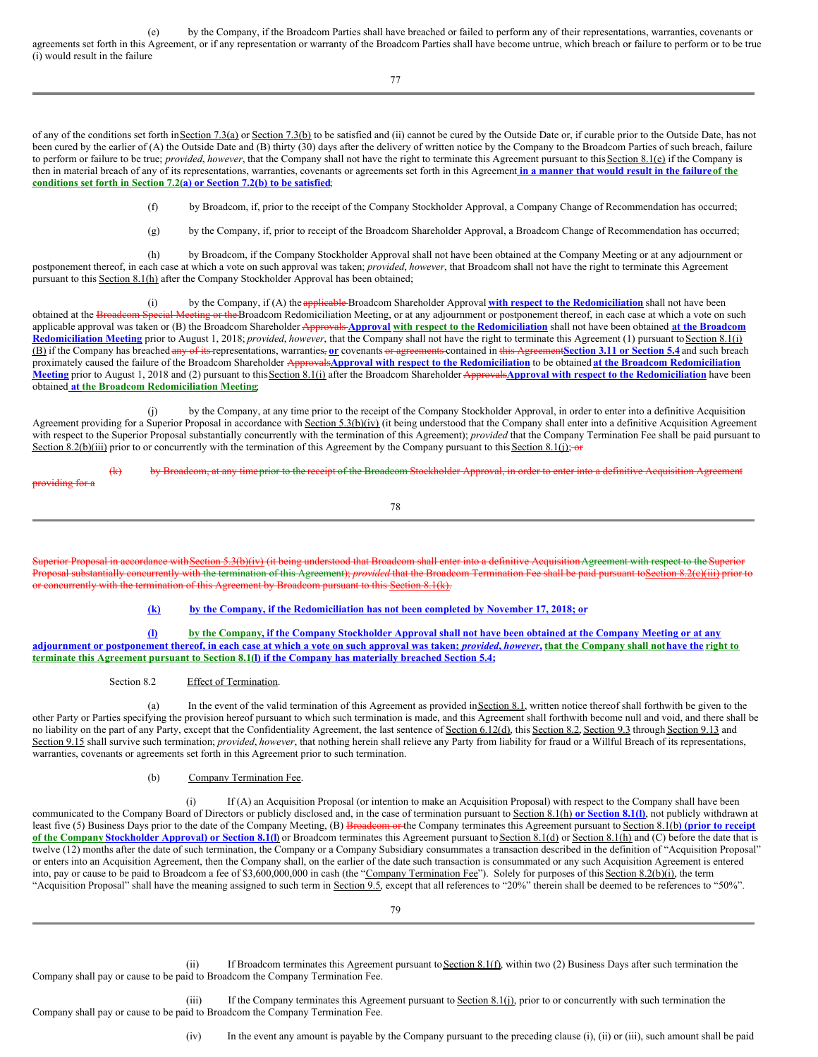(e) by the Company, if the Broadcom Parties shall have breached or failed to perform any of their representations, warranties, covenants or agreements set forth in this Agreement, or if any representation or warranty of the Broadcom Parties shall have become untrue, which breach or failure to perform or to be true (i) would result in the failure

77

of any of the conditions set forth in Section 7.3(a) or Section 7.3(b) to be satisfied and (ii) cannot be cured by the Outside Date or, if curable prior to the Outside Date, has not been cured by the earlier of (A) the Outside Date and (B) thirty (30) days after the delivery of written notice by the Company to the Broadcom Parties of such breach, failure to perform or failure to be true; *provided*, *however*, that the Company shall not have the right to terminate this Agreement pursuant to thisSection 8.1(e) if the Company is then in material breach of any of its representations, warranties, covenants or agreements set forth in this Agreement in a manner that would result in the failure of the **conditions set forth in Section 7.2(a) or Section 7.2(b) to be satisfied**;

(f) by Broadcom, if, prior to the receipt of the Company Stockholder Approval, a Company Change of Recommendation has occurred;

(g) by the Company, if, prior to receipt of the Broadcom Shareholder Approval, a Broadcom Change of Recommendation has occurred;

(h) by Broadcom, if the Company Stockholder Approval shall not have been obtained at the Company Meeting or at any adjournment or postponement thereof, in each case at which a vote on such approval was taken; *provided*, *however*, that Broadcom shall not have the right to terminate this Agreement pursuant to this Section 8.1(h) after the Company Stockholder Approval has been obtained;

(i) by the Company, if (A) the applicable Broadcom Shareholder Approval **with respect to the Redomiciliation** shall not have been obtained at the **Broadcom Special Meeting or the** Broadcom Redomiciliation Meeting, or at an leeting or the Broadcom Redomiciliation Meeting, or at any adjournment or postponement thereof, in each case at which a vote on such applicable approval was taken or (B) the Broadcom Shareholder Approvals **Approval with respect to the Redomiciliation** shall not have been obtained **at the Broadcom Redomiciliation Meeting** prior to August 1, 2018; *provided*, *however*, that the Company shall not have the right to terminate this Agreement (1) pursuant toSection 8.1(i) (B) if the Company has breached any of its representations, warranties, **or** covenants or agreements contained in this Agreement**Section 3.11 or Section 5.4** and such breach proximately caused the failure of the Broadcom Shareholder ApprovalsApproval with respect to the Redomiciliation to be obtained at the Broadcom Redomiciliation **Meeting** prior to August 1, 2018 and (2) pursuant to thisSection 8.1(i) after the Broadcom Shareholder Approvals**Approval with respect to the Redomiciliation** have been obtained **at the Broadcom Redomiciliation Meeting**;

(j) by the Company, at any time prior to the receipt of the Company Stockholder Approval, in order to enter into a definitive Acquisition Agreement providing for a Superior Proposal in accordance with Section 5.3(b)(iv) (it being understood that the Company shall enter into a definitive Acquisition Agreement with respect to the Superior Proposal substantially concurrently with the termination of this Agreement); *provided* that the Company Termination Fee shall be paid pursuant to Section 8.2(b)(iii) prior to or concurrently with the termination of this Agreement by the Company pursuant to this Section 8.1(j); or

 $\frac{1}{\pi}$  by Broadcom Stockholder Stockholder Approximation Acquisition Acquisition Acquisition Acquisition Acquisition Acquisition Acquisition Acquisition Acquisition Acquisition Acquisition Acquisition Acquisition Agree providing for a

78

Superior Proposal in accordance with Section 5.3(b)(iv) (it being understood that Broadcom shall enter into a definitive Acquisition Agreement with respect to the Superior Proposal substantially concurrently with the termination of this Agreement); *provided* that the Broadcom Termination Fee shall be paid pursuant toSection 8.2(c)(iii) prior to or concurrently with the termination of this Agreement by Broadcom pursuant to this Section 8.1(k).

#### **(k) by the Company, if the Redomiciliation has not been completed by November 17, 2018; or**

(1) by the Company, if the Company Stockholder Approval shall not have been obtained at the Company Meeting or at any adjournment or postponement thereof, in each case at which a vote on such approval was taken; provided, however, that the Company shall not have the right to **terminate this Agreement pursuant to Section 8.1(l) if the Company has materially breached Section 5.4;**

Section 8.2 Effect of Termination.

(a) In the event of the valid termination of this Agreement as provided in Section 8.1, written notice thereof shall forthwith be given to the other Party or Parties specifying the provision hereof pursuant to which such termination is made, and this Agreement shall forthwith become null and void, and there shall be no liability on the part of any Party, except that the Confidentiality Agreement, the last sentence of Section 6.12(d), this Section 8.2, Section 9.3 through Section 9.13 and Section 9.15 shall survive such termination; *provided, however*, that nothing herein shall relieve any Party from liability for fraud or a Willful Breach of its representations, warranties, covenants or agreements set forth in this Agreement prior to such termination.

#### (b) Company Termination Fee.

(i) If (A) an Acquisition Proposal (or intention to make an Acquisition Proposal) with respect to the Company shall have been communicated to the Company Board of Directors or publicly disclosed and, in the case of termination pursuant to Section 8.1(h) **or Section 8.1(l)**, not publicly withdrawn at least five (5) Business Days prior to the date of the Company Meeting, (B) Broadcom or the Company terminates this Agreement pursuant to Section 8.1(b**) (prior to receipt** of the Company Stockholder Approval) or Section 8.1(I) or Broadcom terminates this Agreement pursuant to Section 8.1(d) or Section 8.1(h) and (C) before the date that is twelve (12) months after the date of such termination, the Company or a Company Subsidiary consummates a transaction described in the definition of "Acquisition Proposal" or enters into an Acquisition Agreement, then the Company shall, on the earlier of the date such transaction is consummated or any such Acquisition Agreement is entered into, pay or cause to be paid to Broadcom a fee of \$3,600,000,000 in cash (the "Company Termination Fee"). Solely for purposes of this Section 8.2(b)(i), the term "Acquisition Proposal" shall have the meaning assigned to such term in Section 9.5, except that all references to "20%" therein shall be deemed to be references to "50%".

(ii) If Broadcom terminates this Agreement pursuant to Section 8.1(f), within two  $(2)$  Business Days after such termination the Company shall pay or cause to be paid to Broadcom the Company Termination Fee.

(iii) If the Company terminates this Agreement pursuant to Section 8.1(j), prior to or concurrently with such termination the Company shall pay or cause to be paid to Broadcom the Company Termination Fee.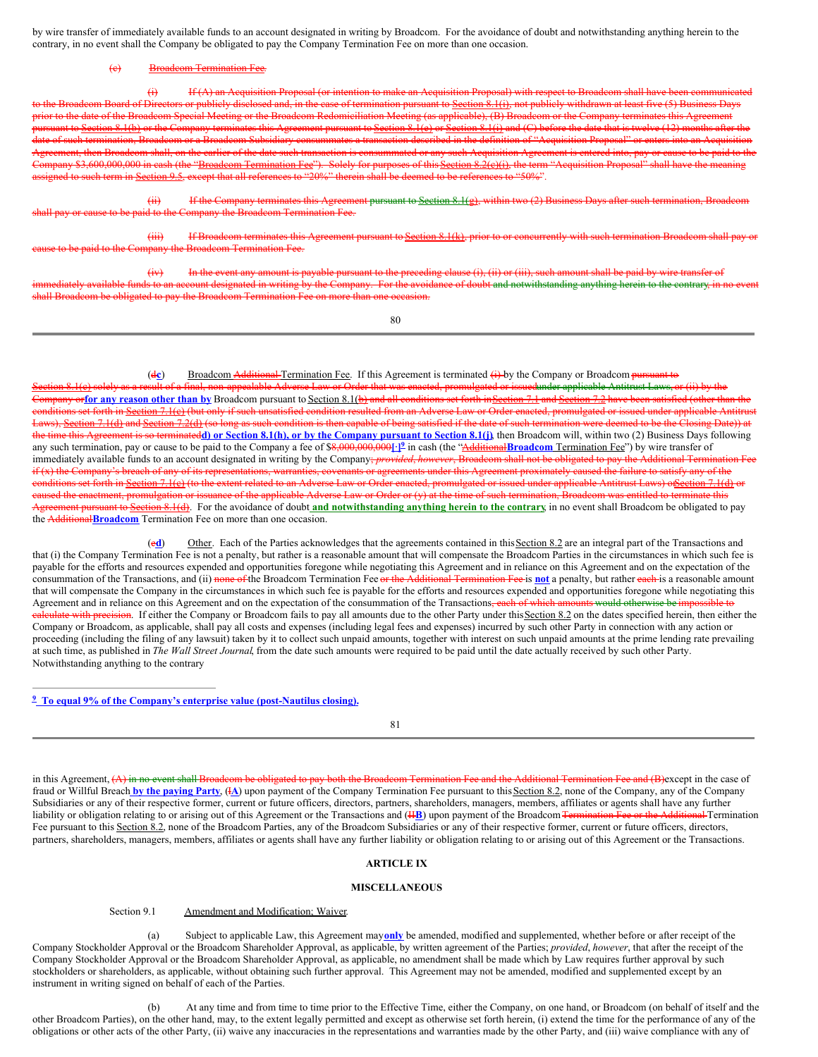by wire transfer of immediately available funds to an account designated in writing by Broadcom. For the avoidance of doubt and notwithstanding anything herein to the contrary, in no event shall the Company be obligated to pay the Company Termination Fee on more than one occasion.

#### **Broadcom Termination Fee.**

(i) If (A) an Acquisition Proposal (or intention to make an Acquisition Proposal) with respect to Broadcom shall have been communicated deom Board of Directors or publicly disclosed and, in the case of termination pursuant to <u>Section 8.1(i)</u>, not publicly withdrawn at least five (5) Business Days ior to the date of the Broadcom Special Meeting or the Broadcom Redomiciliation Meeting (as applicable), (B) Broadcom or the Company terminates this Agreement Section 8.1(b) or the Company terminates this Agreement pursuant to <u>Section 8.1(e)</u> or <u>Section 8.1(i)</u> and (C) before the date that is twelve (12) months after th termination, Broadcom or a Broadcom Subsidiary consummates a transaction described in the definition of "Acquisition Proposal" or enters into an Acquisition ent, then Broadcom shall, on the earlier of the date such transaction is consummated or any such Acquisition Agreement is entered into, pay or cause to be paid to the 3,600,000,000 in cash (the "Broadcom Termination Fee"). Solely for purposes of this Section 8.2(c)(i), the term "Acquisition Proposal" to such term in <u>Section 9.5,</u> except that all references to "20%" therein shall be deemed to be references to "50%".

 $(i)$  If the Company terminates this Agreement pursuant to Section 8.1(g), within two (2) Business Days after such termination, Broadcom paid to the Company the Broadcom Termination Fee.

(iii) If Broadcom terminates this Agreement pursuant to Section 8.1(k), prior to or concurrently with such termination Broadcom shall pay the Broadcom Termination Fee.

(iv) In the event any amount is payable pursuant to the preceding clause (i), (ii) or (iii), such amount shall be paid by wire transfer of signated in writing by the Company. For the avoidance of doubt and notwithstanding anything herein to the contrary, in 1 shall Broadcom be obligated to pay the Broadcom Termination Fee on more than one occasion.

80

(dc) Broadcom Additional Termination Fee. If this Agreement is terminated (i) by the Company or Broadcom pursuant to a result of a final, non-appealable Adverse Law or Order that was enacted, promulgated or issuedunder applicable Antitrust Laws, or (ii) by the orfor any reason other than by Broadcom pursuant to Section 8.1(b) and all conditions set forth in Section 7.1 and Section 7.2 have been satisfied (other than the ct forth in <u>Section 7.1(e)</u> (but only if such unsatisfied condition resulted from an Adverse Law or Order enacted, promulgated or issued under applicable Antitru s), Section 7.1(d) and Section 7.2(d) (so long as such condition is then capable of being satisfied if the date of such termination were deemed to be the Closing Date)) at the time this Agreement is so terminatedd) or Section 8.1(h), or by the Company pursuant to Section 8.1(j), then Broadcom will, within two (2) Business Days following any such termination, pay or cause to be paid to the Company a fee of \$8,000,000,000<sup>1</sup>.<sup>1</sup> in cash (the "Additional Broadcom Termination Fee") by wire transfer of immediately available funds to an account designated in writing by the Company; *provided*, *however*, Broadcom shall not be obligated to pay the Additional Termination Fee if (x) the Company's breach of any of its representations, warranties, covenants or agreements under this Agreement proximately caused the failure to satisfy any of the eonditions set forth in Section 7.1(c) (to the extent related to an Adverse Law or Order enacted, promulgated or issued under applicable Antitrust Laws) of ection 7.1(d) or caused the enactment, promulgation or issuance of the applicable Adverse Law or Order or (y) at the time of such termination, Broadcom was entitled to terminate this Agreement pursuant to Section 8.1(d). For the avoidance of doubt **and notwithstanding anything herein to the contrary**, in no event shall Broadcom be obligated to pay the Additional**Broadcom** Termination Fee on more than one occasion.

(ed) Other. Each of the Parties acknowledges that the agreements contained in this Section 8.2 are an integral part of the Transactions and that (i) the Company Termination Fee is not a penalty, but rather is a reasonable amount that will compensate the Broadcom Parties in the circumstances in which such fee is payable for the efforts and resources expended and opportunities foregone while negotiating this Agreement and in reliance on this Agreement and on the expectation of the consummation of the Transactions, and (ii) none of the Broadcom Termination Fee or the Additional Termination Fee is **not** a penalty, but rather each is a reasonable amount that will compensate the Company in the circumstances in which such fee is payable for the efforts and resources expended and opportunities foregone while negotiating this Agreement and in reliance on this Agreement and on the expectation of the consummation of the Transactions<del>, each of which amounts would otherwise be impossible to</del> eulate with precision. If either the Company or Broadcom fails to pay all amounts due to the other Party under this Section 8.2 on the dates specified herein, then either the Company or Broadcom, as applicable, shall pay all costs and expenses (including legal fees and expenses) incurred by such other Party in connection with any action or proceeding (including the filing of any lawsuit) taken by it to collect such unpaid amounts, together with interest on such unpaid amounts at the prime lending rate prevailing at such time, as published in *The Wall Street Journal*, from the date such amounts were required to be paid until the date actually received by such other Party. Notwithstanding anything to the contrary

#### **To equal 9% of the Company's enterprise value (post-Nautilus closing). 9**

81

in this Agreement, (A) in no event shall Broadcom be obligated to pay both the Broadcom Termination Fee and the Additional Termination Fee and (B)except in the case of fraud or Willful Breach **by the paying Party**, (I**A**) upon payment of the Company Termination Fee pursuant to thisSection 8.2, none of the Company, any of the Company Subsidiaries or any of their respective former, current or future officers, directors, partners, shareholders, managers, members, affiliates or agents shall have any further liability or obligation relating to or arising out of this Agreement or the Transactions and (HB) upon payment of the Broadcom Termination Fee or the Additional Termination Fee pursuant to this Section 8.2, none of the Broadcom Parties, any of the Broadcom Subsidiaries or any of their respective former, current or future officers, directors, partners, shareholders, managers, members, affiliates or agents shall have any further liability or obligation relating to or arising out of this Agreement or the Transactions.

#### **ARTICLE IX**

#### **MISCELLANEOUS**

#### Section 9.1 Amendment and Modification; Waiver.

(a) Subject to applicable Law, this Agreement may**only** be amended, modified and supplemented, whether before or after receipt of the Company Stockholder Approval or the Broadcom Shareholder Approval, as applicable, by written agreement of the Parties; *provided*, *however*, that after the receipt of the Company Stockholder Approval or the Broadcom Shareholder Approval, as applicable, no amendment shall be made which by Law requires further approval by such stockholders or shareholders, as applicable, without obtaining such further approval. This Agreement may not be amended, modified and supplemented except by an instrument in writing signed on behalf of each of the Parties.

(b) At any time and from time to time prior to the Effective Time, either the Company, on one hand, or Broadcom (on behalf of itself and the other Broadcom Parties), on the other hand, may, to the extent legally permitted and except as otherwise set forth herein, (i) extend the time for the performance of any of the obligations or other acts of the other Party, (ii) waive any inaccuracies in the representations and warranties made by the other Party, and (iii) waive compliance with any of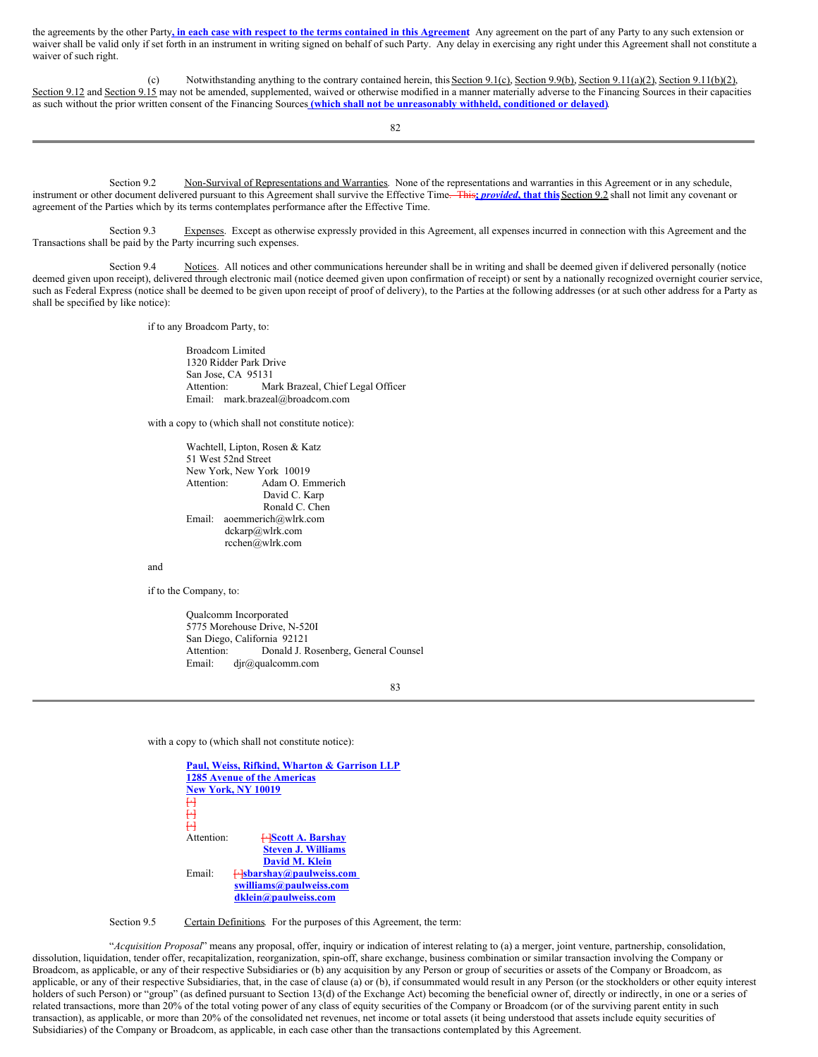the agreements by the other Party, in each case with respect to the terms contained in this Agreement Any agreement on the part of any Party to any such extension or waiver shall be valid only if set forth in an instrument in writing signed on behalf of such Party. Any delay in exercising any right under this Agreement shall not constitute a waiver of such right.

(c) Notwithstanding anything to the contrary contained herein, this Section 9.1(c), Section 9.9(b), Section 9.11(a)(2), Section 9.11(b)(2), Section 9.12 and Section 9.15 may not be amended, supplemented, waived or otherwise modified in a manner materially adverse to the Financing Sources in their capacities as such without the prior written consent of the Financing Sources **(which shall not be unreasonably withheld, conditioned or delayed)**.

82

Section 9.2 Non-Survival of Representations and Warranties. None of the representations and warranties in this Agreement or in any schedule, instrument or other document delivered pursuant to this Agreement shall survive the Effective Time. This**;** *provided***, that this**Section 9.2 shall not limit any covenant or agreement of the Parties which by its terms contemplates performance after the Effective Time.

Section 9.3 Expenses. Except as otherwise expressly provided in this Agreement, all expenses incurred in connection with this Agreement and the Transactions shall be paid by the Party incurring such expenses.

Section 9.4 Notices. All notices and other communications hereunder shall be in writing and shall be deemed given if delivered personally (notice deemed given upon receipt), delivered through electronic mail (notice deemed given upon confirmation of receipt) or sent by a nationally recognized overnight courier service, such as Federal Express (notice shall be deemed to be given upon receipt of proof of delivery), to the Parties at the following addresses (or at such other address for a Party as shall be specified by like notice):

if to any Broadcom Party, to:

Broadcom Limited 1320 Ridder Park Drive San Jose, CA 95131<br>Attention: Ma Mark Brazeal, Chief Legal Officer Email: mark.brazeal@broadcom.com

with a copy to (which shall not constitute notice):

Wachtell, Lipton, Rosen & Katz 51 West 52nd Street New York, New York 10019<br>Attention: Adam O Eu Adam O. Emmerich David C. Karp Ronald C. Chen Email: aoemmerich@wlrk.com dckarp@wlrk.com rcchen@wlrk.com

and

if to the Company, to:

Qualcomm Incorporated 5775 Morehouse Drive, N-520I San Diego, California 92121 Attention: Donald J. Rosenberg, General Counsel<br>Email: djr@qualcomm.com djr@qualcomm.com

83

with a copy to (which shall not constitute notice):

**Paul, Weiss, Rifkind, Wharton & Garrison LLP 1285 Avenue of the Americas New York, NY 10019**  $H$  $\ddot{\bm{\mathsf{H}}}$  $\mathsf{H}$ Attention: [·]**Scott A. Barshay Steven J. Williams David M. Klein** Email:  $\leftarrow$ **Sbarshay@paulweiss.com swilliams@paulweiss.com dklein@paulweiss.com**

Section 9.5 Certain Definitions. For the purposes of this Agreement, the term:

"*Acquisition Proposal*" means any proposal, offer, inquiry or indication of interest relating to (a) a merger, joint venture, partnership, consolidation, dissolution, liquidation, tender offer, recapitalization, reorganization, spin-off, share exchange, business combination or similar transaction involving the Company or Broadcom, as applicable, or any of their respective Subsidiaries or (b) any acquisition by any Person or group of securities or assets of the Company or Broadcom, as applicable, or any of their respective Subsidiaries, that, in the case of clause (a) or (b), if consummated would result in any Person (or the stockholders or other equity interest holders of such Person) or "group" (as defined pursuant to Section 13(d) of the Exchange Act) becoming the beneficial owner of, directly or indirectly, in one or a series of related transactions, more than 20% of the total voting power of any class of equity securities of the Company or Broadcom (or of the surviving parent entity in such transaction), as applicable, or more than 20% of the consolidated net revenues, net income or total assets (it being understood that assets include equity securities of Subsidiaries) of the Company or Broadcom, as applicable, in each case other than the transactions contemplated by this Agreement.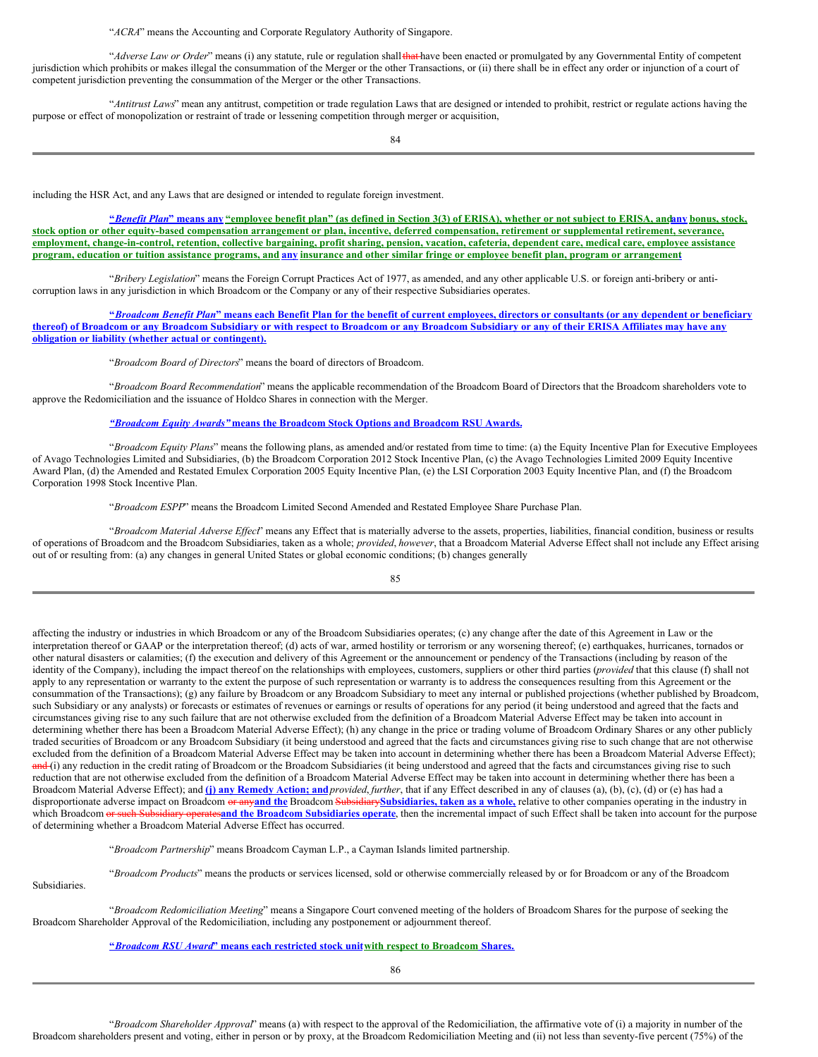"*ACRA*" means the Accounting and Corporate Regulatory Authority of Singapore.

"*Adverse Law or Order*" means (i) any statute, rule or regulation shall that have been enacted or promulgated by any Governmental Entity of competent jurisdiction which prohibits or makes illegal the consummation of the Merger or the other Transactions, or (ii) there shall be in effect any order or injunction of a court of competent jurisdiction preventing the consummation of the Merger or the other Transactions.

"*Antitrust Laws*" mean any antitrust, competition or trade regulation Laws that are designed or intended to prohibit, restrict or regulate actions having the purpose or effect of monopolization or restraint of trade or lessening competition through merger or acquisition,

84

including the HSR Act, and any Laws that are designed or intended to regulate foreign investment.

"Benefit Plan" means any "employee benefit plan" (as defined in Section 3(3) of ERISA), whether or not subject to ERISA, andany bonus, stock, stock option or other equity-based compensation arrangement or plan, incentive, deferred compensation, retirement or supplemental retirement, severance, employment, change-in-control, retention, collective bargaining, profit sharing, pension, vacation, cafeteria, dependent care, medical care, employee assistance program, education or tuition assistance programs, and any insurance and other similar fringe or employee benefit plan, program or arrangement

"*Bribery Legislation*" means the Foreign Corrupt Practices Act of 1977, as amended, and any other applicable U.S. or foreign anti-bribery or anticorruption laws in any jurisdiction in which Broadcom or the Company or any of their respective Subsidiaries operates.

"Broadcom Benefit Plan" means each Benefit Plan for the benefit of current employees, directors or consultants (or any dependent or beneficiary thereof) of Broadcom or any Broadcom Subsidiary or with respect to Broadcom or any Broadcom Subsidiary or any of their ERISA Affiliates may have any **obligation or liability (whether actual or contingent).**

"*Broadcom Board of Directors*" means the board of directors of Broadcom.

"*Broadcom Board Recommendation*" means the applicable recommendation of the Broadcom Board of Directors that the Broadcom shareholders vote to approve the Redomiciliation and the issuance of Holdco Shares in connection with the Merger.

*"Broadcom Equity Awards"* **means the Broadcom Stock Options and Broadcom RSU Awards.**

"*Broadcom Equity Plans*" means the following plans, as amended and/or restated from time to time: (a) the Equity Incentive Plan for Executive Employees of Avago Technologies Limited and Subsidiaries, (b) the Broadcom Corporation 2012 Stock Incentive Plan, (c) the Avago Technologies Limited 2009 Equity Incentive Award Plan, (d) the Amended and Restated Emulex Corporation 2005 Equity Incentive Plan, (e) the LSI Corporation 2003 Equity Incentive Plan, and (f) the Broadcom Corporation 1998 Stock Incentive Plan.

"*Broadcom ESPP*" means the Broadcom Limited Second Amended and Restated Employee Share Purchase Plan.

"Broadcom Material Adverse Effect" means any Effect that is materially adverse to the assets, properties, liabilities, financial condition, business or results of operations of Broadcom and the Broadcom Subsidiaries, taken as a whole; *provided*, *however*, that a Broadcom Material Adverse Effect shall not include any Effect arising out of or resulting from: (a) any changes in general United States or global economic conditions; (b) changes generally

85

affecting the industry or industries in which Broadcom or any of the Broadcom Subsidiaries operates; (c) any change after the date of this Agreement in Law or the interpretation thereof or GAAP or the interpretation thereof; (d) acts of war, armed hostility or terrorism or any worsening thereof; (e) earthquakes, hurricanes, tornados or other natural disasters or calamities; (f) the execution and delivery of this Agreement or the announcement or pendency of the Transactions (including by reason of the identity of the Company), including the impact thereof on the relationships with employees, customers, suppliers or other third parties (*provided* that this clause (f) shall not apply to any representation or warranty to the extent the purpose of such representation or warranty is to address the consequences resulting from this Agreement or the consummation of the Transactions); (g) any failure by Broadcom or any Broadcom Subsidiary to meet any internal or published projections (whether published by Broadcom, such Subsidiary or any analysts) or forecasts or estimates of revenues or earnings or results of operations for any period (it being understood and agreed that the facts and circumstances giving rise to any such failure that are not otherwise excluded from the definition of a Broadcom Material Adverse Effect may be taken into account in determining whether there has been a Broadcom Material Adverse Effect); (h) any change in the price or trading volume of Broadcom Ordinary Shares or any other publicly traded securities of Broadcom or any Broadcom Subsidiary (it being understood and agreed that the facts and circumstances giving rise to such change that are not otherwise excluded from the definition of a Broadcom Material Adverse Effect may be taken into account in determining whether there has been a Broadcom Material Adverse Effect); and (i) any reduction in the credit rating of Broadcom or the Broadcom Subsidiaries (it being understood and agreed that the facts and circumstances giving rise to such reduction that are not otherwise excluded from the definition of a Broadcom Material Adverse Effect may be taken into account in determining whether there has been a Broadcom Material Adverse Effect); and **(j) any Remedy Action; and***provided*, *further*, that if any Effect described in any of clauses (a), (b), (c), (d) or (e) has had a disproportionate adverse impact on Broadcom or any**and the** Broadcom Subsidiary**Subsidiaries, taken as a whole,** relative to other companies operating in the industry in which Broadcom or such Subsidiary operatesand the Broadcom Subsidiaries operate, then the incremental impact of such Effect shall be taken into account for the purpose of determining whether a Broadcom Material Adverse Effect has occurred.

"*Broadcom Partnership*" means Broadcom Cayman L.P., a Cayman Islands limited partnership.

"*Broadcom Products*" means the products or services licensed, sold or otherwise commercially released by or for Broadcom or any of the Broadcom

Subsidiaries.

"*Broadcom Redomiciliation Meeting*" means a Singapore Court convened meeting of the holders of Broadcom Shares for the purpose of seeking the Broadcom Shareholder Approval of the Redomiciliation, including any postponement or adjournment thereof.

#### **"***Broadcom RSU Award***" means each restricted stock unitwith respect to Broadcom Shares.**

86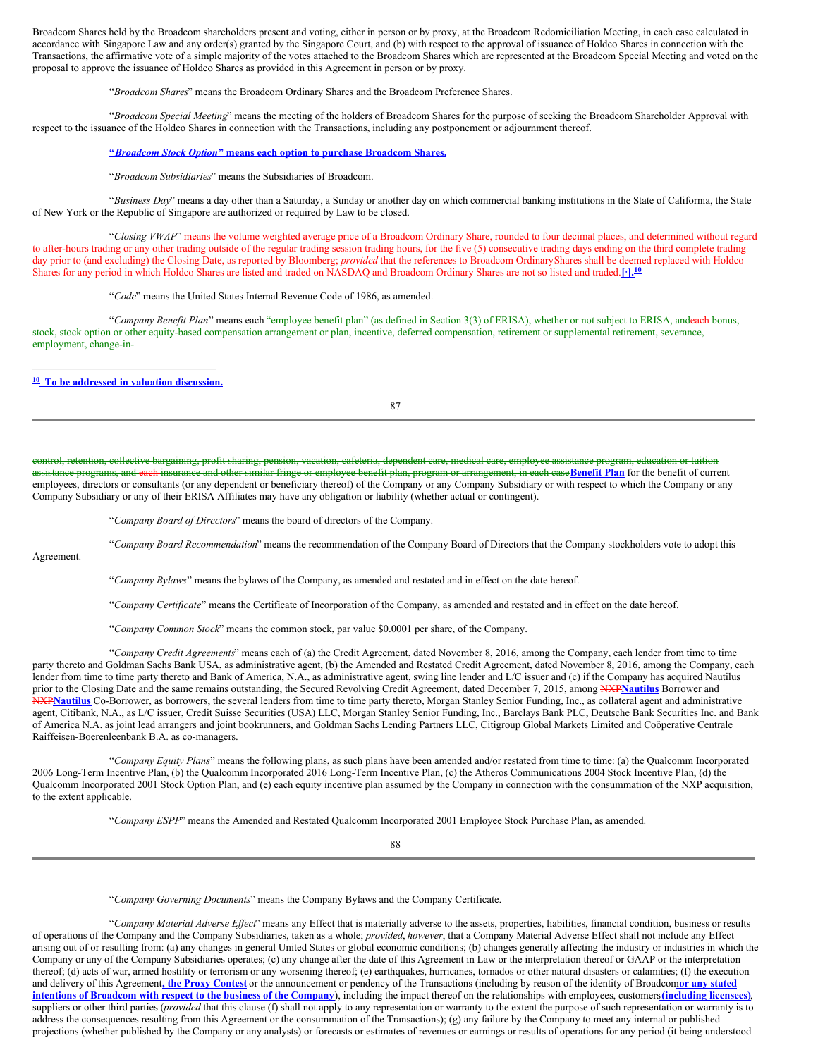Broadcom Shares held by the Broadcom shareholders present and voting, either in person or by proxy, at the Broadcom Redomiciliation Meeting, in each case calculated in accordance with Singapore Law and any order(s) granted by the Singapore Court, and (b) with respect to the approval of issuance of Holdco Shares in connection with the Transactions, the affirmative vote of a simple majority of the votes attached to the Broadcom Shares which are represented at the Broadcom Special Meeting and voted on the proposal to approve the issuance of Holdco Shares as provided in this Agreement in person or by proxy.

"*Broadcom Shares*" means the Broadcom Ordinary Shares and the Broadcom Preference Shares.

"*Broadcom Special Meeting*" means the meeting of the holders of Broadcom Shares for the purpose of seeking the Broadcom Shareholder Approval with respect to the issuance of the Holdco Shares in connection with the Transactions, including any postponement or adjournment thereof.

#### **"***Broadcom Stock Option***" means each option to purchase Broadcom Shares.**

"*Broadcom Subsidiaries*" means the Subsidiaries of Broadcom.

"*Business Day*" means a day other than a Saturday, a Sunday or another day on which commercial banking institutions in the State of California, the State of New York or the Republic of Singapore are authorized or required by Law to be closed.

"*Closing VWAP*" means the volume weighted average price of a Broadcom Ordinary Share, rounded to four decimal places, and determined without regard to after-hours trading or any other trading outside of the regular trading session trading hours, for the five (5) consecutive trading days ending on the third complete trading day prior to (and excluding) the Closing Date, as reported by Bloomberg; *provided* that the references to Broadcom OrdinaryShares shall be deemed replaced with Holdco Shares for any period in which Holdco Shares are listed and traded on NASDAQ and Broadcom Ordinary Shares are not so listed and traded.**[·]. 10**

"*Code*" means the United States Internal Revenue Code of 1986, as amended.

"*Company Benefit Plan*" means each "employee benefit plan" (as defined in Section 3(3) of ERISA), whether or not subject to ERISA, andeach bonus, stock, stock option or other equity-based compensation arrangement or plan, incentive, deferred compensation, retirement or supplemental retirement, severance, employment, change-in-

**To be addressed in valuation discussion. 10**

87

control, retention, collective bargaining, profit sharing, pension, vacation, cafeteria, dependent care, medical care, employee assistance program, education or tuition assistance programs, and each insurance and other similar fringe or employee benefit plan, program or arrangement, in each case**Benefit Plan** for the benefit of current employees, directors or consultants (or any dependent or beneficiary thereof) of the Company or any Company Subsidiary or with respect to which the Company or any Company Subsidiary or any of their ERISA Affiliates may have any obligation or liability (whether actual or contingent).

"*Company Board of Directors*" means the board of directors of the Company.

"*Company Board Recommendation*" means the recommendation of the Company Board of Directors that the Company stockholders vote to adopt this

Agreement.

"*Company Bylaws*" means the bylaws of the Company, as amended and restated and in effect on the date hereof.

"*Company Certificate*" means the Certificate of Incorporation of the Company, as amended and restated and in effect on the date hereof.

"*Company Common Stock*" means the common stock, par value \$0.0001 per share, of the Company.

"*Company Credit Agreements*" means each of (a) the Credit Agreement, dated November 8, 2016, among the Company, each lender from time to time party thereto and Goldman Sachs Bank USA, as administrative agent, (b) the Amended and Restated Credit Agreement, dated November 8, 2016, among the Company, each lender from time to time party thereto and Bank of America, N.A., as administrative agent, swing line lender and L/C issuer and (c) if the Company has acquired Nautilus prior to the Closing Date and the same remains outstanding, the Secured Revolving Credit Agreement, dated December 7, 2015, among **NXPNautilus** Borrower and NXP**Nautilus** Co-Borrower, as borrowers, the several lenders from time to time party thereto, Morgan Stanley Senior Funding, Inc., as collateral agent and administrative agent, Citibank, N.A., as L/C issuer, Credit Suisse Securities (USA) LLC, Morgan Stanley Senior Funding, Inc., Barclays Bank PLC, Deutsche Bank Securities Inc. and Bank of America N.A. as joint lead arrangers and joint bookrunners, and Goldman Sachs Lending Partners LLC, Citigroup Global Markets Limited and Coöperative Centrale Raiffeisen-Boerenleenbank B.A. as co-managers.

"*Company Equity Plans*" means the following plans, as such plans have been amended and/or restated from time to time: (a) the Qualcomm Incorporated 2006 Long-Term Incentive Plan, (b) the Qualcomm Incorporated 2016 Long-Term Incentive Plan, (c) the Atheros Communications 2004 Stock Incentive Plan, (d) the Qualcomm Incorporated 2001 Stock Option Plan, and (e) each equity incentive plan assumed by the Company in connection with the consummation of the NXP acquisition, to the extent applicable.

"*Company ESPP*" means the Amended and Restated Qualcomm Incorporated 2001 Employee Stock Purchase Plan, as amended.

88

"*Company Governing Documents*" means the Company Bylaws and the Company Certificate.

"Company Material Adverse Effect" means any Effect that is materially adverse to the assets, properties, liabilities, financial condition, business or results of operations of the Company and the Company Subsidiaries, taken as a whole; *provided*, *however*, that a Company Material Adverse Effect shall not include any Effect arising out of or resulting from: (a) any changes in general United States or global economic conditions; (b) changes generally affecting the industry or industries in which the Company or any of the Company Subsidiaries operates; (c) any change after the date of this Agreement in Law or the interpretation thereof or GAAP or the interpretation thereof; (d) acts of war, armed hostility or terrorism or any worsening thereof; (e) earthquakes, hurricanes, tornados or other natural disasters or calamities; (f) the execution and delivery of this Agreement**, the Proxy Contest** or the announcement or pendency of the Transactions (including by reason of the identity of Broadcom**or any stated** intentions of Broadcom with respect to the business of the Company), including the impact thereof on the relationships with employees, customers (including licensees), suppliers or other third parties (*provided* that this clause (f) shall not apply to any representation or warranty to the extent the purpose of such representation or warranty is to address the consequences resulting from this Agreement or the consummation of the Transactions); (g) any failure by the Company to meet any internal or published projections (whether published by the Company or any analysts) or forecasts or estimates of revenues or earnings or results of operations for any period (it being understood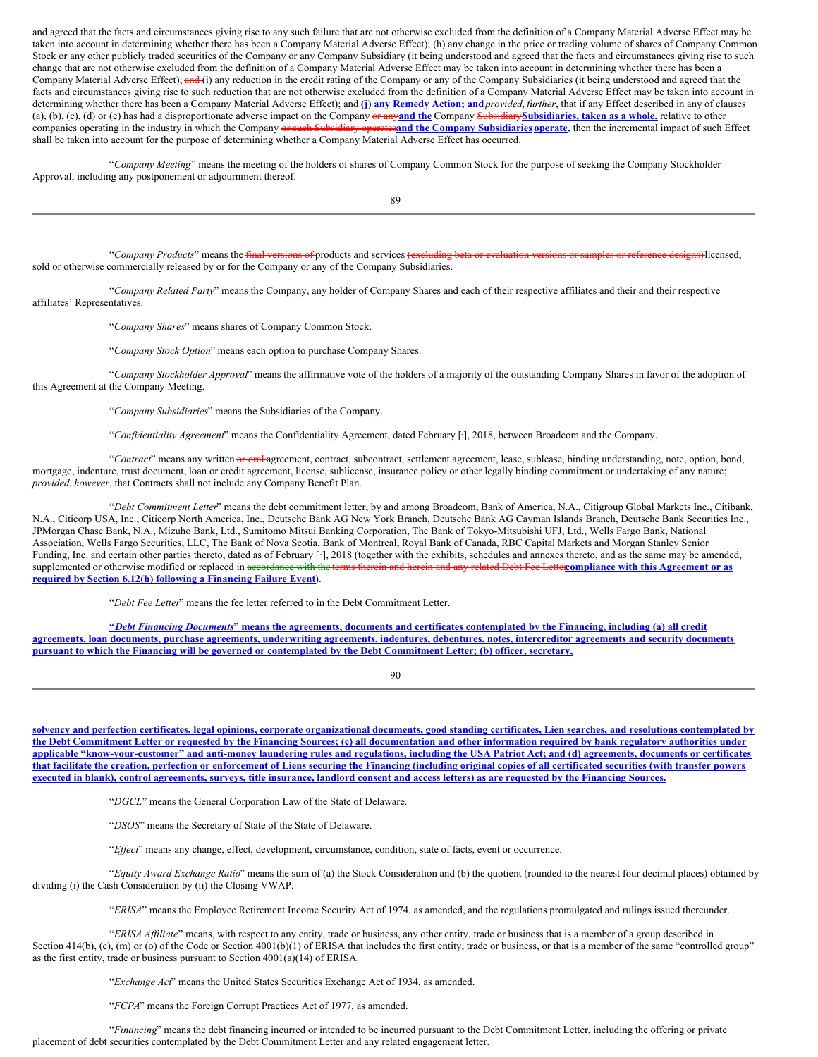and agreed that the facts and circumstances giving rise to any such failure that are not otherwise excluded from the definition of a Company Material Adverse Effect may be taken into account in determining whether there has been a Company Material Adverse Effect); (h) any change in the price or trading volume of shares of Company Common Stock or any other publicly traded securities of the Company or any Company Subsidiary (it being understood and agreed that the facts and circumstances giving rise to such change that are not otherwise excluded from the definition of a Company Material Adverse Effect may be taken into account in determining whether there has been a Company Material Adverse Effect); and (i) any reduction in the credit rating of the Company or any of the Company Subsidiaries (it being understood and agreed that the facts and circumstances giving rise to such reduction that are not otherwise excluded from the definition of a Company Material Adverse Effect may be taken into account in determining whether there has been a Company Material Adverse Effect); and **(j) any Remedy Action; and***provided*, *further*, that if any Effect described in any of clauses (a), (b), (c), (d) or (e) has had a disproportionate adverse impact on the Company or any**and the** Company Subsidiary**Subsidiaries, taken as a whole,** relative to other companies operating in the industry in which the Company or such Subsidiary operates**and the Company Subsidiaries operate**, then the incremental impact of such Effect shall be taken into account for the purpose of determining whether a Company Material Adverse Effect has occurred.

"*Company Meeting*" means the meeting of the holders of shares of Company Common Stock for the purpose of seeking the Company Stockholder Approval, including any postponement or adjournment thereof.

89

"*Company Products*" means the final versions of products and services (excluding beta or evaluation versions or samples or reference designs)licensed, sold or otherwise commercially released by or for the Company or any of the Company Subsidiaries.

"*Company Related Party*" means the Company, any holder of Company Shares and each of their respective affiliates and their and their respective affiliates' Representatives.

"*Company Shares*" means shares of Company Common Stock.

"*Company Stock Option*" means each option to purchase Company Shares.

"*Company Stockholder Approval*" means the affirmative vote of the holders of a majority of the outstanding Company Shares in favor of the adoption of this Agreement at the Company Meeting.

"*Company Subsidiaries*" means the Subsidiaries of the Company.

"*Confidentiality Agreement*" means the Confidentiality Agreement, dated February [·], 2018, between Broadcom and the Company.

"*Contract*" means any written or oral agreement, contract, subcontract, settlement agreement, lease, sublease, binding understanding, note, option, bond, mortgage, indenture, trust document, loan or credit agreement, license, sublicense, insurance policy or other legally binding commitment or undertaking of any nature; *provided*, *however*, that Contracts shall not include any Company Benefit Plan.

"*Debt Commitment Letter*" means the debt commitment letter, by and among Broadcom, Bank of America, N.A., Citigroup Global Markets Inc., Citibank, N.A., Citicorp USA, Inc., Citicorp North America, Inc., Deutsche Bank AG New York Branch, Deutsche Bank AG Cayman Islands Branch, Deutsche Bank Securities Inc., JPMorgan Chase Bank, N.A., Mizuho Bank, Ltd., Sumitomo Mitsui Banking Corporation, The Bank of Tokyo-Mitsubishi UFJ, Ltd., Wells Fargo Bank, National Association, Wells Fargo Securities, LLC, The Bank of Nova Scotia, Bank of Montreal, Royal Bank of Canada, RBC Capital Markets and Morgan Stanley Senior Funding, Inc. and certain other parties thereto, dated as of February [·], 2018 (together with the exhibits, schedules and annexes thereto, and as the same may be amended, supplemented or otherwise modified or replaced in accordance with the terms therein and herein and any related Debt Fee Letter**compliance with this Agreement or as required by Section 6.12(h) following a Financing Failure Event**).

"*Debt Fee Letter*" means the fee letter referred to in the Debt Commitment Letter.

"Debt Financing Documents" means the agreements, documents and certificates contemplated by the Financing, including (a) all credit agreements, loan documents, purchase agreements, underwriting agreements, indentures, debentures, notes, intercreditor agreements and security documents pursuant to which the Financing will be governed or contemplated by the Debt Commitment Letter; (b) officer, secretary,

90

solvency and perfection certificates, legal opinions, corporate organizational documents, good standing certificates, Lien searches, and resolutions contemplated by the Debt Commitment Letter or requested by the Financing Sources; (c) all documentation and other information required by bank regulatory authorities under applicable "know-your-customer" and anti-money laundering rules and regulations, including the USA Patriot Act; and (d) agreements, documents or certificates that facilitate the creation, perfection or enforcement of Liens securing the Financing (including original copies of all certificated securities (with transfer powers executed in blank), control agreements, surveys, title insurance, landlord consent and access letters) as are requested by the Financing Sources.

"*DGCL*" means the General Corporation Law of the State of Delaware.

"*DSOS*" means the Secretary of State of the State of Delaware.

"*Ef ect*" means any change, effect, development, circumstance, condition, state of facts, event or occurrence.

"*Equity Award Exchange Ratio*" means the sum of (a) the Stock Consideration and (b) the quotient (rounded to the nearest four decimal places) obtained by dividing (i) the Cash Consideration by (ii) the Closing VWAP.

"*ERISA*" means the Employee Retirement Income Security Act of 1974, as amended, and the regulations promulgated and rulings issued thereunder.

"*ERISA Af iliate*" means, with respect to any entity, trade or business, any other entity, trade or business that is a member of a group described in Section 414(b), (c), (m) or (o) of the Code or Section 4001(b)(1) of ERISA that includes the first entity, trade or business, or that is a member of the same "controlled group" as the first entity, trade or business pursuant to Section 4001(a)(14) of ERISA.

"*Exchange Act*" means the United States Securities Exchange Act of 1934, as amended.

"*FCPA*" means the Foreign Corrupt Practices Act of 1977, as amended.

"*Financing*" means the debt financing incurred or intended to be incurred pursuant to the Debt Commitment Letter, including the offering or private placement of debt securities contemplated by the Debt Commitment Letter and any related engagement letter.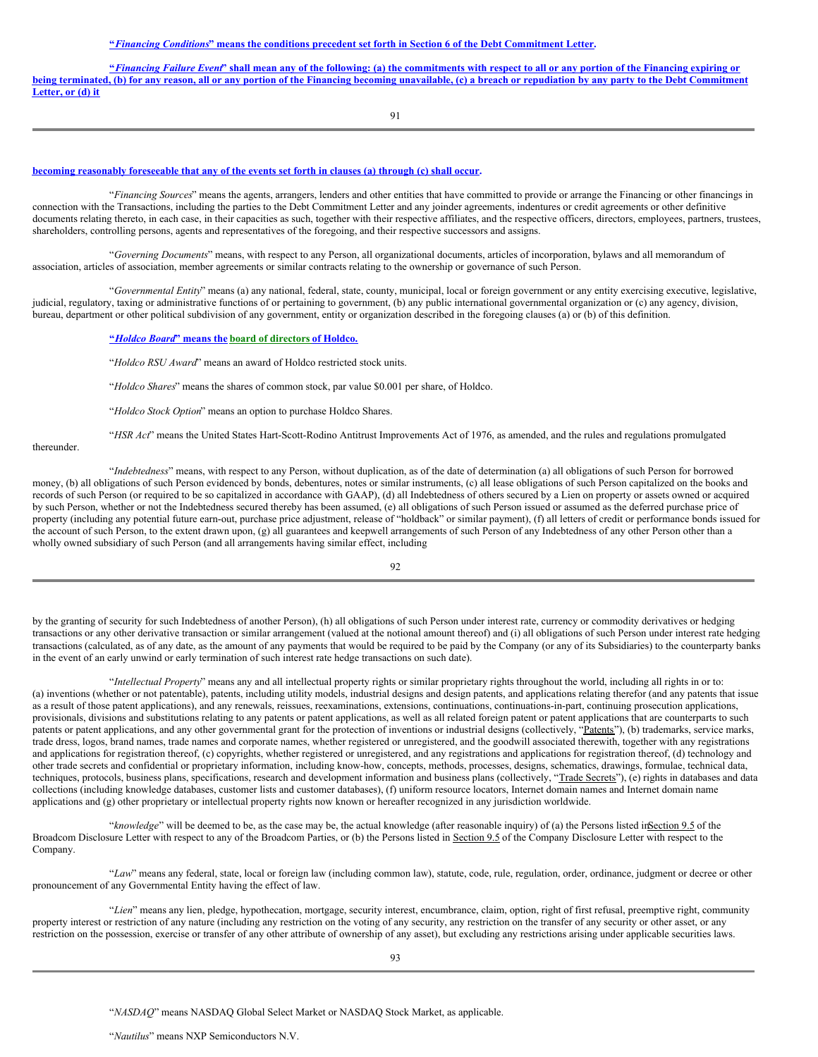#### "Financing Conditions" means the conditions precedent set forth in Section 6 of the Debt Commitment Letter.

"Financing Failure Event" shall mean any of the following: (a) the commitments with respect to all or any portion of the Financing expiring or being terminated, (b) for any reason, all or any portion of the Financing becoming unavailable, (c) a breach or repudiation by any party to the Debt Commitment **Letter, or (d) it**

91

#### **becoming reasonably foreseeable that any of the events set forth in clauses (a) through (c) shall occur.**

"*Financing Sources*" means the agents, arrangers, lenders and other entities that have committed to provide or arrange the Financing or other financings in connection with the Transactions, including the parties to the Debt Commitment Letter and any joinder agreements, indentures or credit agreements or other definitive documents relating thereto, in each case, in their capacities as such, together with their respective affiliates, and the respective officers, directors, employees, partners, trustees, shareholders, controlling persons, agents and representatives of the foregoing, and their respective successors and assigns.

"*Governing Documents*" means, with respect to any Person, all organizational documents, articles of incorporation, bylaws and all memorandum of association, articles of association, member agreements or similar contracts relating to the ownership or governance of such Person.

"*Governmental Entity*" means (a) any national, federal, state, county, municipal, local or foreign government or any entity exercising executive, legislative, judicial, regulatory, taxing or administrative functions of or pertaining to government, (b) any public international governmental organization or (c) any agency, division, bureau, department or other political subdivision of any government, entity or organization described in the foregoing clauses (a) or (b) of this definition.

## **"***Holdco Board***" means the board of directors of Holdco.**

"*Holdco RSU Award*" means an award of Holdco restricted stock units.

"*Holdco Shares*" means the shares of common stock, par value \$0.001 per share, of Holdco.

"*Holdco Stock Option*" means an option to purchase Holdco Shares.

"*HSR Act*" means the United States Hart-Scott-Rodino Antitrust Improvements Act of 1976, as amended, and the rules and regulations promulgated

thereunder.

"*Indebtedness*" means, with respect to any Person, without duplication, as of the date of determination (a) all obligations of such Person for borrowed money, (b) all obligations of such Person evidenced by bonds, debentures, notes or similar instruments, (c) all lease obligations of such Person capitalized on the books and records of such Person (or required to be so capitalized in accordance with GAAP), (d) all Indebtedness of others secured by a Lien on property or assets owned or acquired by such Person, whether or not the Indebtedness secured thereby has been assumed, (e) all obligations of such Person issued or assumed as the deferred purchase price of property (including any potential future earn-out, purchase price adjustment, release of "holdback" or similar payment), (f) all letters of credit or performance bonds issued for the account of such Person, to the extent drawn upon, (g) all guarantees and keepwell arrangements of such Person of any Indebtedness of any other Person other than a wholly owned subsidiary of such Person (and all arrangements having similar effect, including

92

by the granting of security for such Indebtedness of another Person), (h) all obligations of such Person under interest rate, currency or commodity derivatives or hedging transactions or any other derivative transaction or similar arrangement (valued at the notional amount thereof) and (i) all obligations of such Person under interest rate hedging transactions (calculated, as of any date, as the amount of any payments that would be required to be paid by the Company (or any of its Subsidiaries) to the counterparty banks in the event of an early unwind or early termination of such interest rate hedge transactions on such date).

"*Intellectual Property*" means any and all intellectual property rights or similar proprietary rights throughout the world, including all rights in or to: (a) inventions (whether or not patentable), patents, including utility models, industrial designs and design patents, and applications relating therefor (and any patents that issue as a result of those patent applications), and any renewals, reissues, reexaminations, extensions, continuations, continuations-in-part, continuing prosecution applications, provisionals, divisions and substitutions relating to any patents or patent applications, as well as all related foreign patent or patent applications that are counterparts to such patents or patent applications, and any other governmental grant for the protection of inventions or industrial designs (collectively, "Patents"), (b) trademarks, service marks, trade dress, logos, brand names, trade names and corporate names, whether registered or unregistered, and the goodwill associated therewith, together with any registrations and applications for registration thereof, (c) copyrights, whether registered or unregistered, and any registrations and applications for registration thereof, (d) technology and other trade secrets and confidential or proprietary information, including know-how, concepts, methods, processes, designs, schematics, drawings, formulae, technical data, techniques, protocols, business plans, specifications, research and development information and business plans (collectively, "Trade Secrets"), (e) rights in databases and data collections (including knowledge databases, customer lists and customer databases), (f) uniform resource locators, Internet domain names and Internet domain name applications and (g) other proprietary or intellectual property rights now known or hereafter recognized in any jurisdiction worldwide.

"*knowledge*" will be deemed to be, as the case may be, the actual knowledge (after reasonable inquiry) of (a) the Persons listed inSection 9.5 of the Broadcom Disclosure Letter with respect to any of the Broadcom Parties, or (b) the Persons listed in Section 9.5 of the Company Disclosure Letter with respect to the Company.

"*Law*" means any federal, state, local or foreign law (including common law), statute, code, rule, regulation, order, ordinance, judgment or decree or other pronouncement of any Governmental Entity having the effect of law.

"*Lien*" means any lien, pledge, hypothecation, mortgage, security interest, encumbrance, claim, option, right of first refusal, preemptive right, community property interest or restriction of any nature (including any restriction on the voting of any security, any restriction on the transfer of any security or other asset, or any restriction on the possession, exercise or transfer of any other attribute of ownership of any asset), but excluding any restrictions arising under applicable securities laws.

"*NASDAQ*" means NASDAQ Global Select Market or NASDAQ Stock Market, as applicable.

"*Nautilus*" means NXP Semiconductors N.V.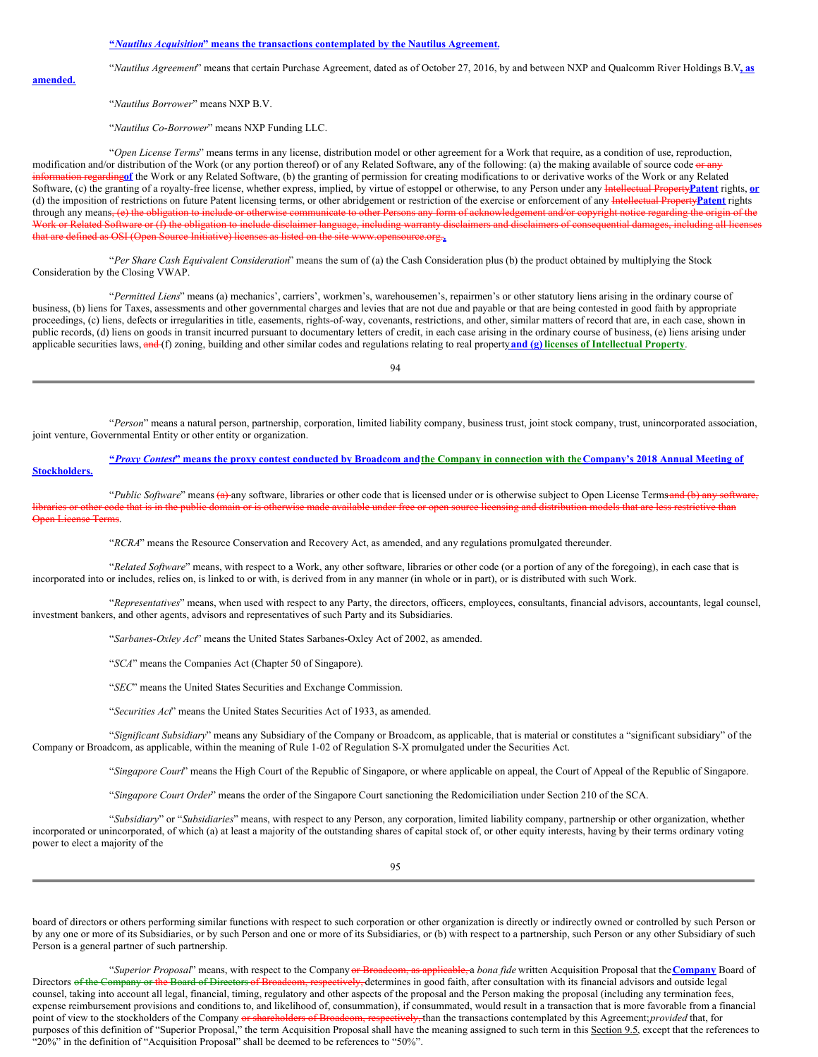#### **"***Nautilus Acquisition***" means the transactions contemplated by the Nautilus Agreement.**

"*Nautilus Agreement*" means that certain Purchase Agreement, dated as of October 27, 2016, by and between NXP and Qualcomm River Holdings B.V**,**. **as**

**amended.**

"*Nautilus Borrower*" means NXP B.V.

"*Nautilus Co-Borrower*" means NXP Funding LLC.

"*Open License Terms*" means terms in any license, distribution model or other agreement for a Work that require, as a condition of use, reproduction, modification and/or distribution of the Work (or any portion thereof) or of any Related Software, any of the following: (a) the making available of source code or any information regarding**of** the Work or any Related Software, (b) the granting of permission for creating modifications to or derivative works of the Work or any Related Software, (c) the granting of a royalty-free license, whether express, implied, by virtue of estoppel or otherwise, to any Person under any Intellectual Property**Patent** rights, **or** (d) the imposition of restrictions on future Patent licensing terms, or other abridgement or restriction of the exercise or enforcement of any Intellectual Property**Patent** rights through any means, (e) the obligation to include or otherwise communicate to other Persons any form of acknowledgement and/or copyright notice regarding the origin of the Work or Related Software or (f) the obligation to include disclaimer language, including warranty disclaimers and disclaimers of consequential damages, including all licenses that are defined as OSI (Open Source Initiative) licenses as listed on the site www.opensource.org.**.**

"*Per Share Cash Equivalent Consideration*" means the sum of (a) the Cash Consideration plus (b) the product obtained by multiplying the Stock Consideration by the Closing VWAP.

"*Permitted Liens*" means (a) mechanics', carriers', workmen's, warehousemen's, repairmen's or other statutory liens arising in the ordinary course of business, (b) liens for Taxes, assessments and other governmental charges and levies that are not due and payable or that are being contested in good faith by appropriate proceedings, (c) liens, defects or irregularities in title, easements, rights-of-way, covenants, restrictions, and other, similar matters of record that are, in each case, shown in public records, (d) liens on goods in transit incurred pursuant to documentary letters of credit, in each case arising in the ordinary course of business, (e) liens arising under applicable securities laws, and (f) zoning, building and other similar codes and regulations relating to real property**and (g) licenses of Intellectual Property**.

94

"*Person*" means a natural person, partnership, corporation, limited liability company, business trust, joint stock company, trust, unincorporated association, joint venture, Governmental Entity or other entity or organization.

# "Proxy Contest" means the proxy contest conducted by Broadcom and the Company in connection with the Company's 2018 Annual Meeting of

**Stockholders.**

"*Public Software*" means (a) any software, libraries or other code that is licensed under or is otherwise subject to Open License Terms and (b) any software, aries or other code that is in the public domain or is otherwise made available under free or open source licensing and distribution models that are less restrictive than Open License Terms.

"*RCRA*" means the Resource Conservation and Recovery Act, as amended, and any regulations promulgated thereunder.

"*Related Software*" means, with respect to a Work, any other software, libraries or other code (or a portion of any of the foregoing), in each case that is incorporated into or includes, relies on, is linked to or with, is derived from in any manner (in whole or in part), or is distributed with such Work.

"*Representatives*" means, when used with respect to any Party, the directors, officers, employees, consultants, financial advisors, accountants, legal counsel, investment bankers, and other agents, advisors and representatives of such Party and its Subsidiaries.

"*Sarbanes-Oxley Act*" means the United States Sarbanes-Oxley Act of 2002, as amended.

"*SCA*" means the Companies Act (Chapter 50 of Singapore).

"*SEC*" means the United States Securities and Exchange Commission.

"*Securities Act*" means the United States Securities Act of 1933, as amended.

"*Significant Subsidiary*" means any Subsidiary of the Company or Broadcom, as applicable, that is material or constitutes a "significant subsidiary" of the Company or Broadcom, as applicable, within the meaning of Rule 1-02 of Regulation S-X promulgated under the Securities Act.

"*Singapore Court*" means the High Court of the Republic of Singapore, or where applicable on appeal, the Court of Appeal of the Republic of Singapore.

"*Singapore Court Order*" means the order of the Singapore Court sanctioning the Redomiciliation under Section 210 of the SCA.

"*Subsidiary*" or "*Subsidiaries*" means, with respect to any Person, any corporation, limited liability company, partnership or other organization, whether incorporated or unincorporated, of which (a) at least a majority of the outstanding shares of capital stock of, or other equity interests, having by their terms ordinary voting power to elect a majority of the

board of directors or others performing similar functions with respect to such corporation or other organization is directly or indirectly owned or controlled by such Person or by any one or more of its Subsidiaries, or by such Person and one or more of its Subsidiaries, or (b) with respect to a partnership, such Person or any other Subsidiary of such Person is a general partner of such partnership.

"*Superior Proposal*" means, with respect to the Company or Broadcom, as applicable, a *bona fide* written Acquisition Proposal that the**Company** Board of Directors of the Company or the Board of Directors of Broadcom, respectively, determines in good faith, after consultation with its financial advisors and outside legal counsel, taking into account all legal, financial, timing, regulatory and other aspects of the proposal and the Person making the proposal (including any termination fees, expense reimbursement provisions and conditions to, and likelihood of, consummation), if consummated, would result in a transaction that is more favorable from a financial point of view to the stockholders of the Company or shareholders of Broadcom, respectively, than the transactions contemplated by this Agreement; *provided* that, for purposes of this definition of "Superior Proposal," the term Acquisition Proposal shall have the meaning assigned to such term in this Section 9.5, except that the references to "20%" in the definition of "Acquisition Proposal" shall be deemed to be references to "50%".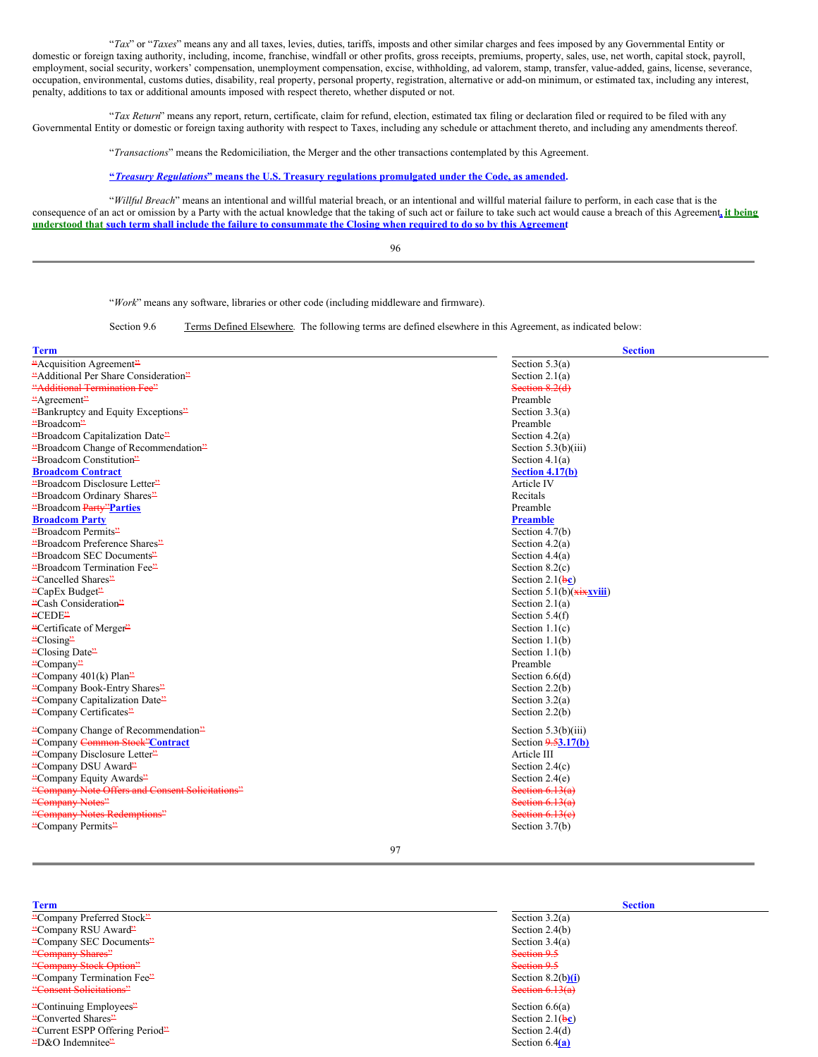"*Tax*" or "*Taxes*" means any and all taxes, levies, duties, tariffs, imposts and other similar charges and fees imposed by any Governmental Entity or domestic or foreign taxing authority, including, income, franchise, windfall or other profits, gross receipts, premiums, property, sales, use, net worth, capital stock, payroll, employment, social security, workers' compensation, unemployment compensation, excise, withholding, ad valorem, stamp, transfer, value-added, gains, license, severance, occupation, environmental, customs duties, disability, real property, personal property, registration, alternative or add-on minimum, or estimated tax, including any interest, penalty, additions to tax or additional amounts imposed with respect thereto, whether disputed or not.

"*Tax Return*" means any report, return, certificate, claim for refund, election, estimated tax filing or declaration filed or required to be filed with any Governmental Entity or domestic or foreign taxing authority with respect to Taxes, including any schedule or attachment thereto, and including any amendments thereof.

"*Transactions*" means the Redomiciliation, the Merger and the other transactions contemplated by this Agreement.

#### **"***Treasury Regulations***" means the U.S. Treasury regulations promulgated under the Code, as amended.**

"*Willful Breach*" means an intentional and willful material breach, or an intentional and willful material failure to perform, in each case that is the consequence of an act or omission by a Party with the actual knowledge that the taking of such act or failure to take such act would cause a breach of this Agreement**, it being** understood that such term shall include the failure to consummate the Closing when required to do so by this Agreement

96

"*Work*" means any software, libraries or other code (including middleware and firmware).

Section 9.6 Terms Defined Elsewhere. The following terms are defined elsewhere in this Agreement, as indicated below:

| <b>Term</b>                                     | <b>Section</b>               |
|-------------------------------------------------|------------------------------|
| "Acquisition Agreement"                         | Section $5.3(a)$             |
| "Additional Per Share Consideration"            | Section $2.1(a)$             |
| "Additional Termination Fee"                    | Section 8.2(d)               |
| "Agreement"                                     | Preamble                     |
| "Bankruptcy and Equity Exceptions"              | Section $3.3(a)$             |
| "Broadcom"                                      | Preamble                     |
| "Broadcom Capitalization Date"                  | Section $4.2(a)$             |
| "Broadcom Change of Recommendation"             | Section $5.3(b)(iii)$        |
| "Broadcom Constitution"                         | Section $4.1(a)$             |
| <b>Broadcom Contract</b>                        | Section 4.17(b)              |
| "Broadcom Disclosure Letter"                    | Article IV                   |
| "Broadcom Ordinary Shares"                      | Recitals                     |
| "Broadcom Party" Parties                        | Preamble                     |
| <b>Broadcom Party</b>                           | <b>Preamble</b>              |
| "Broadcom Permits"                              | Section $4.7(b)$             |
| "Broadcom Preference Shares"                    | Section $4.2(a)$             |
| "Broadcom SEC Documents"                        | Section $4.4(a)$             |
| "Broadcom Termination Fee"                      | Section $8.2(c)$             |
| "Cancelled Shares"                              | Section 2.1( $\frac{1}{2}$ ) |
| "CapEx Budget"                                  | Section 5.1(b) $(xixxviii)$  |
| "Cash Consideration"                            | Section $2.1(a)$             |
| "CEDE"                                          | Section $5.4(f)$             |
| "Certificate of Merger"                         | Section $1.1(c)$             |
| $C$ losing <sup>22</sup>                        | Section $1.1(b)$             |
| "Closing Date"                                  | Section $1.1(b)$             |
| "Company"                                       | Preamble                     |
| "Company 401(k) Plan"                           | Section $6.6(d)$             |
| "Company Book-Entry Shares"                     | Section $2.2(b)$             |
| "Company Capitalization Date"                   | Section $3.2(a)$             |
| "Company Certificates"                          | Section $2.2(b)$             |
| "Company Change of Recommendation"              | Section $5.3(b)(iii)$        |
| "Company Common Stock"Contract                  | Section $9.53.17(b)$         |
| "Company Disclosure Letter"                     | Article III                  |
| "Company DSU Award"                             | Section $2.4(c)$             |
| "Company Equity Awards"                         | Section $2.4(e)$             |
| "Company Note Offers and Consent Solicitations" | Section $6.13(a)$            |
| "Company Notes"                                 | Section $6.13(a)$            |
| "Company Notes Redemptions"                     | Section $6.13(e)$            |
| "Company Permits"                               | Section $3.7(b)$             |

97

- "Company Preferred Stock" Section 3.2(a) "Company RSU Award" Section 2.4(b)<br>"Company SEC Documents" Section 3.4(a) "Company SEC Documents" "Company Shares" Section 9.5 **Example 19 Section 19th Section 9.5** Section 9.5 Section 9.5 "Company Termination Fee" Section 8.2(b**)(i**)
- "Continuing Employees" Section 6.6(a) "Converted Shares" "Current ESPP Offering Period" Section 2.4(d)<br>"D&O Indemnitee" Section 6.4(a) "D&O Indemnitee" Section 6.4**(a)**

# **Term Section** "Consent Solicitations" Section 6.13(a)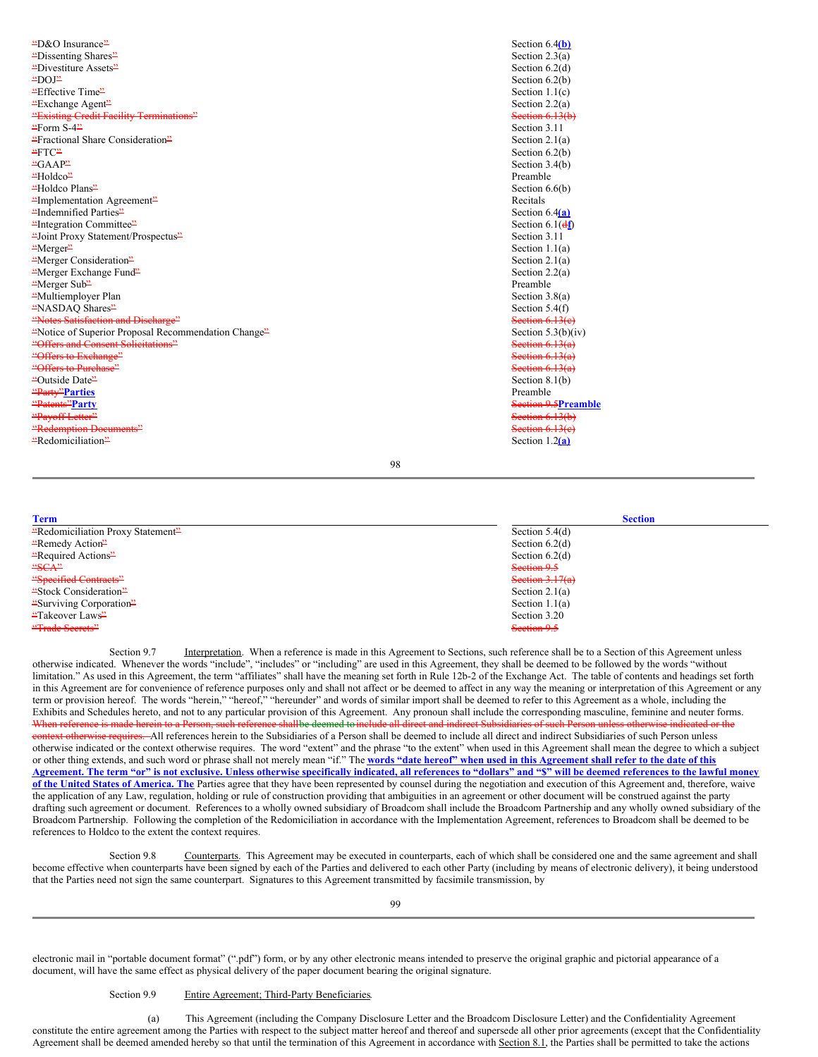"D&O Insurance" Section 6.4**(b)** "Dissenting Shares" Section 2.3(a) "Divestiture Assets" Section 6.2(d) "DOJ" Section 6.2(b) "Effective Time" Section 1.1(c) "Exchange Agent" Section 2.2(a) "Existing Credit Facility Terminations" Section 6.13(b) "Form S-4" Section 3.11 "Fractional Share Consideration" Section 2.1(a)  $\text{FTC}^2$  Section 6.2(b) "GAAP" Section 3.4(b) "Holdco" Preamble "Holdco Plans" Section 6.6(b) "Implementation Agreement" Recitals "Indemnified Parties" Section 6.4**(a)** "Integration Committee" Section 6.1(d**f**) "Joint Proxy Statement/Prospectus" Section 3.11 "Merger" Section 1.1(a) "Merger Consideration" Section 2.1(a) "Merger Exchange Fund" Section 2.2(a) "Merger Sub" Preamble "Multiemployer Plan Section 3.8(a) "NASDAQ Shares" Section 5.4(f) "Notes Satisfaction and Discharge" Section 6.13(c) "Notice of Superior Proposal Recommendation Change" Section 5.3(b)(iv) "Offers and Consent Solicitations" Section 6.13(a) "Offers to Exchange" Section 6.13(a) "Offers to Purchase" Section 6.13(a) "Outside Date" Section 8.1(b) "Party"**Parties** Preamble "Patents"**Party** Section 9.5**Preamble** "Redemption Documents" Section 6.13(e) "Redomiciliation" Section 1.2**(a)**

Section  $6.13(b)$ 

98

**Term Section** "Redomiciliation Proxy Statement" Section 5.4(d) "Remedy Action" Section 6.2(d) "Required Actions" Section 6.2(d) **Section 9.5** Section 9.5 **Example 2.1 Section 3.17(a)** Section 3.17(a) Section 3.17(a) "Stock Consideration" Section 2.1(a) "Surviving Corporation" Section 1.1(a) "Takeover Laws" Section 3.20 **Example Secrets**" Section 9.5 Section 9.5 Section 9.5

Section 9.7 Interpretation. When a reference is made in this Agreement to Sections, such reference shall be to a Section of this Agreement unless otherwise indicated. Whenever the words "include", "includes" or "including" are used in this Agreement, they shall be deemed to be followed by the words "without limitation." As used in this Agreement, the term "affiliates" shall have the meaning set forth in Rule 12b-2 of the Exchange Act. The table of contents and headings set forth in this Agreement are for convenience of reference purposes only and shall not affect or be deemed to affect in any way the meaning or interpretation of this Agreement or any term or provision hereof. The words "herein," "hereof," "hereunder" and words of similar import shall be deemed to refer to this Agreement as a whole, including the Exhibits and Schedules hereto, and not to any particular provision of this Agreement. Any pronoun shall include the corresponding masculine, feminine and neuter forms. When reference is made herein to a Person, such reference shallbe deemed to include all direct and indirect Subsidiaries of such Person unless otherwise indicated or the eontext otherwise requires. All references herein to the Subsidiaries of a Person shall be deemed to include all direct and indirect Subsidiaries of such Person unless otherwise indicated or the context otherwise requires. The word "extent" and the phrase "to the extent" when used in this Agreement shall mean the degree to which a subject or other thing extends, and such word or phrase shall not merely mean "if." The words "date hereof" when used in this Agreement shall refer to the date of this Agreement. The term "or" is not exclusive. Unless otherwise specifically indicated, all references to "dollars" and "\$" will be deemed references to the lawful money **of the United States of America. The** Parties agree that they have been represented by counsel during the negotiation and execution of this Agreement and, therefore, waive the application of any Law, regulation, holding or rule of construction providing that ambiguities in an agreement or other document will be construed against the party drafting such agreement or document. References to a wholly owned subsidiary of Broadcom shall include the Broadcom Partnership and any wholly owned subsidiary of the Broadcom Partnership. Following the completion of the Redomiciliation in accordance with the Implementation Agreement, references to Broadcom shall be deemed to be references to Holdco to the extent the context requires.

Section 9.8 Counterparts. This Agreement may be executed in counterparts, each of which shall be considered one and the same agreement and shall become effective when counterparts have been signed by each of the Parties and delivered to each other Party (including by means of electronic delivery), it being understood that the Parties need not sign the same counterpart. Signatures to this Agreement transmitted by facsimile transmission, by

electronic mail in "portable document format" (".pdf") form, or by any other electronic means intended to preserve the original graphic and pictorial appearance of a document, will have the same effect as physical delivery of the paper document bearing the original signature.

# Section 9.9 Entire Agreement; Third-Party Beneficiaries.

(a) This Agreement (including the Company Disclosure Letter and the Broadcom Disclosure Letter) and the Confidentiality Agreement constitute the entire agreement among the Parties with respect to the subject matter hereof and thereof and supersede all other prior agreements (except that the Confidentiality Agreement shall be deemed amended hereby so that until the termination of this Agreement in accordance with Section 8.1, the Parties shall be permitted to take the actions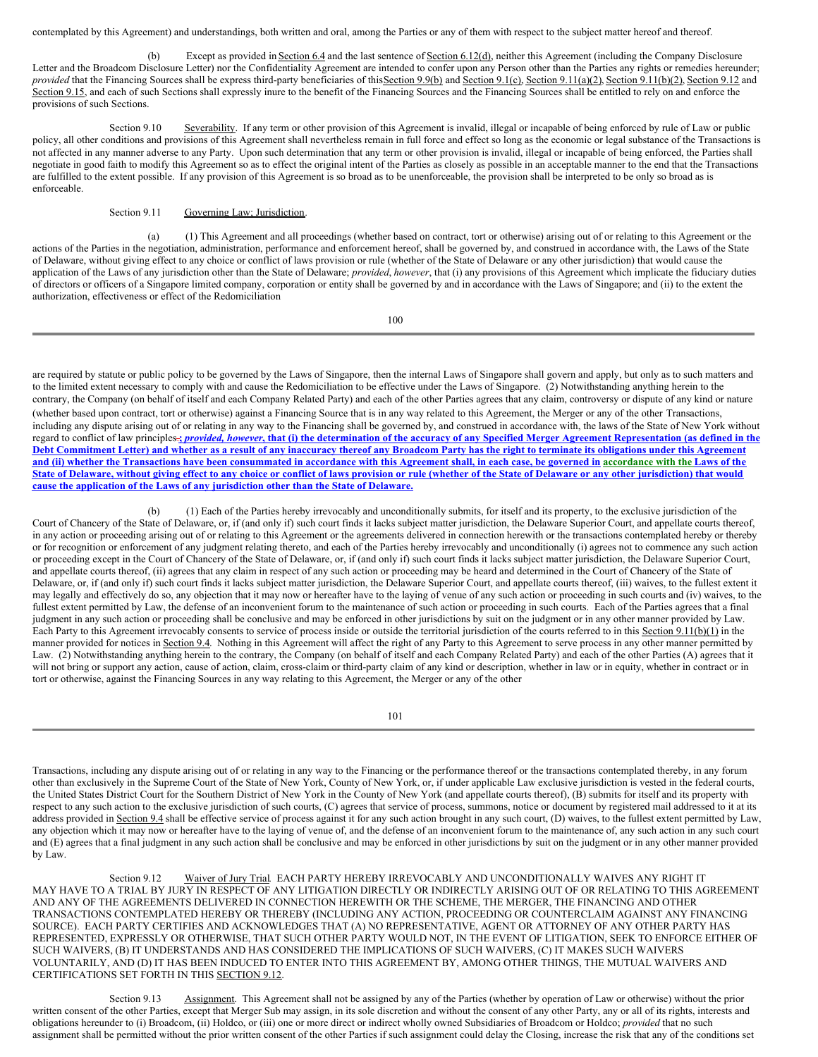contemplated by this Agreement) and understandings, both written and oral, among the Parties or any of them with respect to the subject matter hereof and thereof.

(b) Except as provided in Section 6.4 and the last sentence of Section 6.12(d), neither this Agreement (including the Company Disclosure Letter and the Broadcom Disclosure Letter) nor the Confidentiality Agreement are intended to confer upon any Person other than the Parties any rights or remedies hereunder; *provided* that the Financing Sources shall be express third-party beneficiaries of this Section 9.9(b) and Section 9.1(c), Section 9.11(a)(2), Section 9.11(b)(2), Section 9.12 and Section 9.15, and each of such Sections shall expressly inure to the benefit of the Financing Sources and the Financing Sources shall be entitled to rely on and enforce the provisions of such Sections.

Section 9.10 Severability. If any term or other provision of this Agreement is invalid, illegal or incapable of being enforced by rule of Law or public policy, all other conditions and provisions of this Agreement shall nevertheless remain in full force and effect so long as the economic or legal substance of the Transactions is not affected in any manner adverse to any Party. Upon such determination that any term or other provision is invalid, illegal or incapable of being enforced, the Parties shall negotiate in good faith to modify this Agreement so as to effect the original intent of the Parties as closely as possible in an acceptable manner to the end that the Transactions are fulfilled to the extent possible. If any provision of this Agreement is so broad as to be unenforceable, the provision shall be interpreted to be only so broad as is enforceable.

Section 9.11 Governing Law; Jurisdiction.

(a) (1) This Agreement and all proceedings (whether based on contract, tort or otherwise) arising out of or relating to this Agreement or the actions of the Parties in the negotiation, administration, performance and enforcement hereof, shall be governed by, and construed in accordance with, the Laws of the State of Delaware, without giving effect to any choice or conflict of laws provision or rule (whether of the State of Delaware or any other jurisdiction) that would cause the application of the Laws of any jurisdiction other than the State of Delaware; *provided*, *however*, that (i) any provisions of this Agreement which implicate the fiduciary duties of directors or officers of a Singapore limited company, corporation or entity shall be governed by and in accordance with the Laws of Singapore; and (ii) to the extent the authorization, effectiveness or effect of the Redomiciliation

100

are required by statute or public policy to be governed by the Laws of Singapore, then the internal Laws of Singapore shall govern and apply, but only as to such matters and to the limited extent necessary to comply with and cause the Redomiciliation to be effective under the Laws of Singapore. (2) Notwithstanding anything herein to the contrary, the Company (on behalf of itself and each Company Related Party) and each of the other Parties agrees that any claim, controversy or dispute of any kind or nature (whether based upon contract, tort or otherwise) against a Financing Source that is in any way related to this Agreement, the Merger or any of the other Transactions, including any dispute arising out of or relating in any way to the Financing shall be governed by, and construed in accordance with, the laws of the State of New York without regard to conflict of law principles-3 provided, however, that (i) the determination of the accuracy of any Specified Merger Agreement Representation (as defined in the Debt Commitment Letter) and whether as a result of any inaccuracy thereof any Broadcom Party has the right to terminate its obligations under this Agreement and (ii) whether the Transactions have been consummated in accordance with this Agreement shall, in each case, be governed in accordance with the Laws of the State of Delaware, without giving effect to any choice or conflict of laws provision or rule (whether of the State of Delaware or any other jurisdiction) that would **cause the application of the Laws of any jurisdiction other than the State of Delaware.**

(b) (1) Each of the Parties hereby irrevocably and unconditionally submits, for itself and its property, to the exclusive jurisdiction of the Court of Chancery of the State of Delaware, or, if (and only if) such court finds it lacks subject matter jurisdiction, the Delaware Superior Court, and appellate courts thereof, in any action or proceeding arising out of or relating to this Agreement or the agreements delivered in connection herewith or the transactions contemplated hereby or thereby or for recognition or enforcement of any judgment relating thereto, and each of the Parties hereby irrevocably and unconditionally (i) agrees not to commence any such action or proceeding except in the Court of Chancery of the State of Delaware, or, if (and only if) such court finds it lacks subject matter jurisdiction, the Delaware Superior Court, and appellate courts thereof, (ii) agrees that any claim in respect of any such action or proceeding may be heard and determined in the Court of Chancery of the State of Delaware, or, if (and only if) such court finds it lacks subject matter jurisdiction, the Delaware Superior Court, and appellate courts thereof, (iii) waives, to the fullest extent it may legally and effectively do so, any objection that it may now or hereafter have to the laying of venue of any such action or proceeding in such courts and (iv) waives, to the fullest extent permitted by Law, the defense of an inconvenient forum to the maintenance of such action or proceeding in such courts. Each of the Parties agrees that a final judgment in any such action or proceeding shall be conclusive and may be enforced in other jurisdictions by suit on the judgment or in any other manner provided by Law. Each Party to this Agreement irrevocably consents to service of process inside or outside the territorial jurisdiction of the courts referred to in this Section 9.11(b)(1) in the manner provided for notices in Section 9.4. Nothing in this Agreement will affect the right of any Party to this Agreement to serve process in any other manner permitted by Law. (2) Notwithstanding anything herein to the contrary, the Company (on behalf of itself and each Company Related Party) and each of the other Parties (A) agrees that it will not bring or support any action, cause of action, claim, cross-claim or third-party claim of any kind or description, whether in law or in equity, whether in contract or in tort or otherwise, against the Financing Sources in any way relating to this Agreement, the Merger or any of the other

101

Transactions, including any dispute arising out of or relating in any way to the Financing or the performance thereof or the transactions contemplated thereby, in any forum other than exclusively in the Supreme Court of the State of New York, County of New York, or, if under applicable Law exclusive jurisdiction is vested in the federal courts, the United States District Court for the Southern District of New York in the County of New York (and appellate courts thereof), (B) submits for itself and its property with respect to any such action to the exclusive jurisdiction of such courts, (C) agrees that service of process, summons, notice or document by registered mail addressed to it at its address provided in Section 9.4 shall be effective service of process against it for any such action brought in any such court, (D) waives, to the fullest extent permitted by Law, any objection which it may now or hereafter have to the laying of venue of, and the defense of an inconvenient forum to the maintenance of, any such action in any such court and (E) agrees that a final judgment in any such action shall be conclusive and may be enforced in other jurisdictions by suit on the judgment or in any other manner provided by Law.

Section 9.12 Waiver of Jury Trial. EACH PARTY HEREBY IRREVOCABLY AND UNCONDITIONALLY WAIVES ANY RIGHT IT MAY HAVE TO A TRIAL BY JURY IN RESPECT OF ANY LITIGATION DIRECTLY OR INDIRECTLY ARISING OUT OF OR RELATING TO THIS AGREEMENT AND ANY OF THE AGREEMENTS DELIVERED IN CONNECTION HEREWITH OR THE SCHEME, THE MERGER, THE FINANCING AND OTHER TRANSACTIONS CONTEMPLATED HEREBY OR THEREBY (INCLUDING ANY ACTION, PROCEEDING OR COUNTERCLAIM AGAINST ANY FINANCING SOURCE). EACH PARTY CERTIFIES AND ACKNOWLEDGES THAT (A) NO REPRESENTATIVE, AGENT OR ATTORNEY OF ANY OTHER PARTY HAS REPRESENTED, EXPRESSLY OR OTHERWISE, THAT SUCH OTHER PARTY WOULD NOT, IN THE EVENT OF LITIGATION, SEEK TO ENFORCE EITHER OF SUCH WAIVERS, (B) IT UNDERSTANDS AND HAS CONSIDERED THE IMPLICATIONS OF SUCH WAIVERS, (C) IT MAKES SUCH WAIVERS VOLUNTARILY, AND (D) IT HAS BEEN INDUCED TO ENTER INTO THIS AGREEMENT BY, AMONG OTHER THINGS, THE MUTUAL WAIVERS AND CERTIFICATIONS SET FORTH IN THIS SECTION 9.12.

Section 9.13 Assignment. This Agreement shall not be assigned by any of the Parties (whether by operation of Law or otherwise) without the prior written consent of the other Parties, except that Merger Sub may assign, in its sole discretion and without the consent of any other Party, any or all of its rights, interests and obligations hereunder to (i) Broadcom, (ii) Holdco, or (iii) one or more direct or indirect wholly owned Subsidiaries of Broadcom or Holdco; *provided* that no such assignment shall be permitted without the prior written consent of the other Parties if such assignment could delay the Closing, increase the risk that any of the conditions set